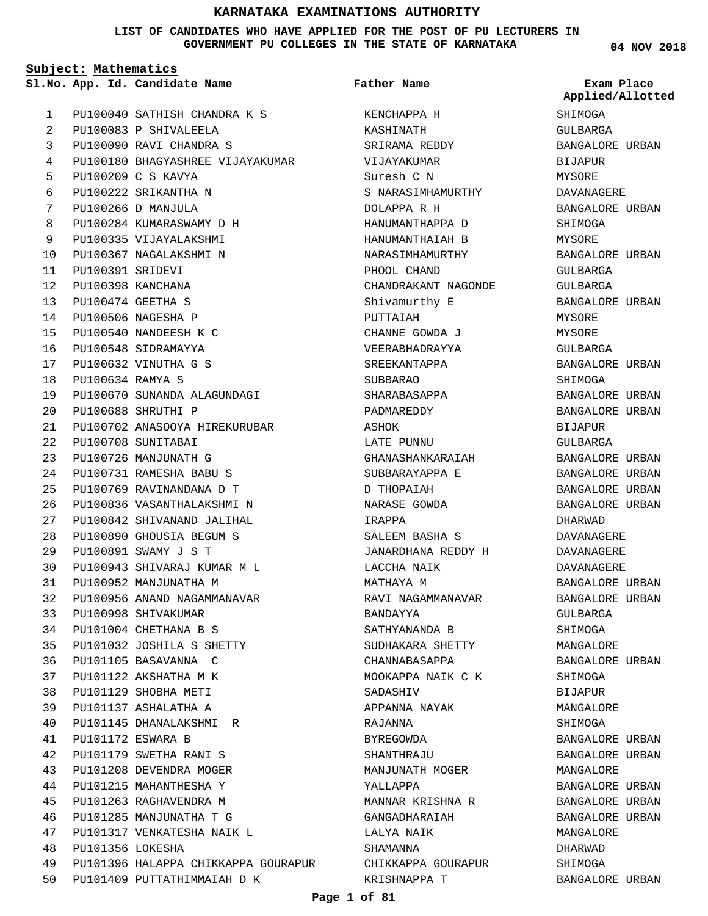**LIST OF CANDIDATES WHO HAVE APPLIED FOR THE POST OF PU LECTURERS IN GOVERNMENT PU COLLEGES IN THE STATE OF KARNATAKA**

**Subject: Mathematics**

**App. Id. Candidate Name Sl.No. Exam Place**

PU100040 SATHISH CHANDRA K S PU100083 P SHIVALEELA PU100090 RAVI CHANDRA S PU100180 BHAGYASHREE VIJAYAKUMAR PU100209 C S KAVYA PU100222 SRIKANTHA N PU100266 D MANJULA PU100284 KUMARASWAMY D H PU100335 VIJAYALAKSHMI PU100367 NAGALAKSHMI N PU100391 SRIDEVI PU100398 KANCHANA PU100474 GEETHA S PU100506 NAGESHA P PU100540 NANDEESH K C PU100548 SIDRAMAYYA PU100632 VINUTHA G S PU100634 RAMYA S PU100670 SUNANDA ALAGUNDAGI PU100688 SHRUTHI P PU100702 ANASOOYA HIREKURUBAR PU100708 SUNITABAI PU100726 MANJUNATH G PU100731 RAMESHA BABU S PU100769 RAVINANDANA D T PU100836 VASANTHALAKSHMI N PU100842 SHIVANAND JALIHAL PU100890 GHOUSIA BEGUM S PU100891 SWAMY J S T PU100943 SHIVARAJ KUMAR M L PU100952 MANJUNATHA M PU100956 ANAND NAGAMMANAVAR PU100998 SHIVAKUMAR PU101004 CHETHANA B S PU101032 JOSHILA S SHETTY PU101105 BASAVANNA C PU101122 AKSHATHA M K PU101129 SHOBHA METI PU101137 ASHALATHA A PU101145 DHANALAKSHMI R PU101172 ESWARA B PU101179 SWETHA RANI S PU101208 DEVENDRA MOGER PU101215 MAHANTHESHA Y PU101263 RAGHAVENDRA M PU101285 MANJUNATHA T G PU101317 VENKATESHA NAIK L PU101356 LOKESHA PU101396 HALAPPA CHIKKAPPA GOURAPUR PU101409 PUTTATHIMMAIAH D K 1  $\overline{2}$ 3 4 5 6 7 8 9  $1<sub>0</sub>$ 11  $12$ 13 14 15 16 17 18 19  $20$  $21$ 22 23 24  $25$ 26  $27$  $28$  $29$ 30 31 32 33 34 35 36 37 38 39 40 41  $42$ 43 44 45 46 47 48 49  $50$ 

KENCHAPPA H KASHINATH SRIRAMA REDDY VIJAYAKUMAR Suresh C N S NARASIMHAMURTHY DOLAPPA R H HANUMANTHAPPA D HANUMANTHAIAH B NARASIMHAMURTHY PHOOL CHAND CHANDRAKANT NAGONDE Shivamurthy E PUTTAIAH CHANNE GOWDA J VEERABHADRAYYA SREEKANTAPPA SUBBARAO SHARABASAPPA PADMAREDDY ASHOK LATE PUNNU GHANASHANKARAIAH SUBBARAYAPPA E D THOPAIAH NARASE GOWDA IRAPPA SALEEM BASHA S JANARDHANA REDDY H LACCHA NAIK MATHAYA M RAVI NAGAMMANAVAR BANDAYYA SATHYANANDA B SUDHAKARA SHETTY CHANNABASAPPA MOOKAPPA NAIK C K SADASHIV APPANNA NAYAK RAJANNA BYREGOWDA **SHANTHRAJU** MANJUNATH MOGER YALLAPPA MANNAR KRISHNA R GANGADHARAIAH LALYA NAIK SHAMANNA CHIKKAPPA GOURAPUR KRISHNAPPA T **Father Name**

**04 NOV 2018**

SHIMOGA GULBARGA BANGALORE URBAN BIJAPUR MYSORE DAVANAGERE BANGALORE URBAN SHIMOGA MYSORE BANGALORE URBAN GULBARGA GULBARGA BANGALORE URBAN MYSORE MYSORE GULBARGA BANGALORE URBAN **SHIMOGA** BANGALORE URBAN BANGALORE URBAN BIJAPUR GULBARGA BANGALORE URBAN BANGALORE URBAN BANGALORE URBAN BANGALORE URBAN DHARWAD DAVANAGERE DAVANAGERE DAVANAGERE BANGALORE URBAN BANGALORE URBAN GULBARGA SHIMOGA MANGALORE BANGALORE URBAN SHIMOGA BIJAPUR MANGALORE SHIMOGA BANGALORE URBAN BANGALORE URBAN MANGALORE BANGALORE URBAN BANGALORE URBAN BANGALORE URBAN MANGALORE DHARWAD SHIMOGA BANGALORE URBAN **Applied/Allotted**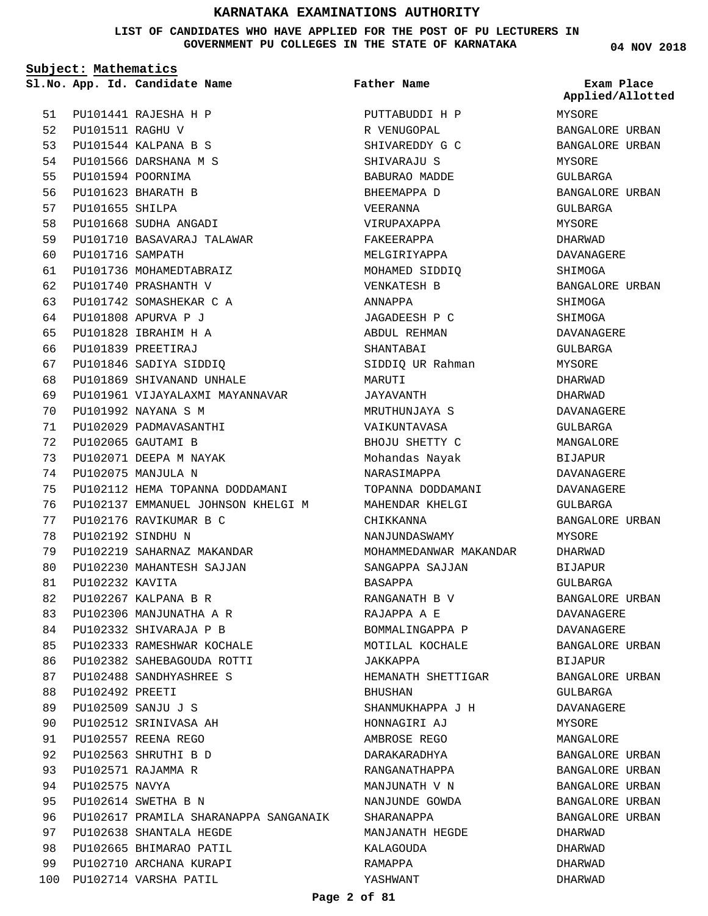**LIST OF CANDIDATES WHO HAVE APPLIED FOR THE POST OF PU LECTURERS IN GOVERNMENT PU COLLEGES IN THE STATE OF KARNATAKA**

**Subject: Mathematics** PU101441 RAJESHA H P PU101511 RAGHU V 52 PU101544 KALPANA B S 53 PU101566 DARSHANA M S PU101594 POORNIMA PU101623 BHARATH B PU101655 SHILPA PU101668 SUDHA ANGADI PU101710 BASAVARAJ TALAWAR PU101716 SAMPATH PU101736 MOHAMEDTABRAIZ PU101740 PRASHANTH V PU101742 SOMASHEKAR C A PU101808 APURVA P J PU101828 IBRAHIM H A PU101839 PREETIRAJ PU101846 SADIYA SIDDIQ PU101869 SHIVANAND UNHALE PU101961 VIJAYALAXMI MAYANNAVAR PU101992 NAYANA S M PU102029 PADMAVASANTHI **App. Id. Candidate Name Sl.No. Exam Place** 51 54 55 56 57 58 59  $60$ 61 62 63 64 65 66 67  $68$ 69  $70$ 71

PU102065 GAUTAMI B PU102071 DEEPA M NAYAK PU102075 MANJULA N PU102112 HEMA TOPANNA DODDAMANI PU102137 EMMANUEL JOHNSON KHELGI M PU102176 RAVIKUMAR B C PU102192 SINDHU N PU102219 SAHARNAZ MAKANDAR PU102230 MAHANTESH SAJJAN PU102232 KAVITA PU102267 KALPANA B R PU102306 MANJUNATHA A R PU102332 SHIVARAJA P B PU102333 RAMESHWAR KOCHALE PU102382 SAHEBAGOUDA ROTTI PU102488 SANDHYASHREE S PU102492 PREETI PU102509 SANJU J S PU102512 SRINIVASA AH PU102557 REENA REGO PU102563 SHRUTHI B D PU102571 RAJAMMA R PU102575 NAVYA PU102614 SWETHA B N PU102617 PRAMILA SHARANAPPA SANGANAIK PU102638 SHANTALA HEGDE PU102665 BHIMARAO PATIL PU102710 ARCHANA KURAPI 100 PU102714 VARSHA PATIL 72 73 74 75 76 77 78 79 80 81 82 83 84 85  $86$ 87 **88** 89 90 91  $92$ 93 94  $95$ 96 97 98 99

PUTTABUDDI H P R VENUGOPAL SHIVAREDDY G C SHIVARAJU S BABURAO MADDE BHEEMAPPA D VEERANNA VIRUPAXAPPA FAKEERAPPA MELGIRIYAPPA MOHAMED SIDDIQ VENKATESH B ANNAPPA JAGADEESH P C ABDUL REHMAN SHANTABAI SIDDIQ UR Rahman MARITTI JAYAVANTH MRUTHUNJAYA S VAIKUNTAVASA BHOJU SHETTY C Mohandas Nayak NARASIMAPPA TOPANNA DODDAMANI MAHENDAR KHELGI **CHIKKANNA** NANJUNDASWAMY MOHAMMEDANWAR MAKANDAR SANGAPPA SAJJAN BASAPPA RANGANATH B V RAJAPPA A E BOMMALINGAPPA P MOTILAL KOCHALE JAKKAPPA HEMANATH SHETTIGAR BHUSHAN SHANMUKHAPPA J H HONNAGIRI AJ AMBROSE REGO DARAKARADHYA RANGANATHAPPA MANJUNATH V N NANJUNDE GOWDA SHARANAPPA MANJANATH HEGDE KALAGOUDA RAMAPPA YASHWANT **Father Name**

**04 NOV 2018**

MYSORE BANGALORE URBAN BANGALORE URBAN MYSORE GULBARGA BANGALORE URBAN GULBARGA MYSORE DHARWAD DAVANAGERE SHIMOGA BANGALORE URBAN SHIMOGA SHIMOGA DAVANAGERE GULBARGA MYSORE DHARWAD DHARWAD DAVANAGERE GULBARGA MANGALORE BIJAPUR DAVANAGERE DAVANAGERE GULBARGA BANGALORE URBAN MYSORE DHARWAD BIJAPUR GULBARGA BANGALORE URBAN DAVANAGERE DAVANAGERE BANGALORE URBAN BIJAPUR BANGALORE URBAN GULBARGA DAVANAGERE MYSORE MANGALORE BANGALORE URBAN BANGALORE URBAN BANGALORE URBAN BANGALORE URBAN BANGALORE URBAN DHARWAD DHARWAD DHARWAD DHARWAD **Applied/Allotted**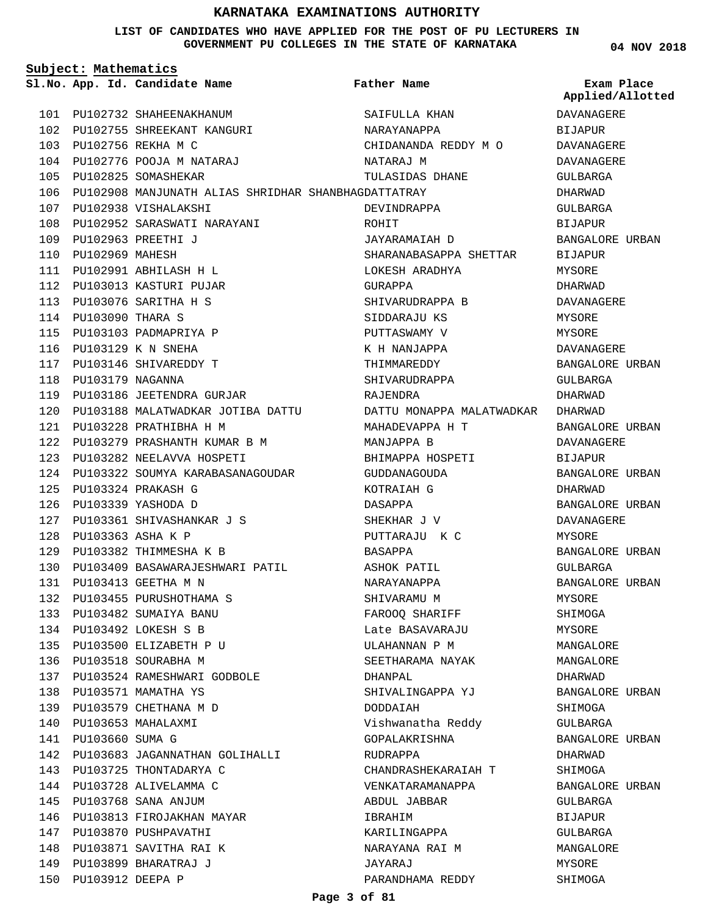### **LIST OF CANDIDATES WHO HAVE APPLIED FOR THE POST OF PU LECTURERS IN GOVERNMENT PU COLLEGES IN THE STATE OF KARNATAKA**

**04 NOV 2018**

| Subject: Mathematics |                          |                                                     |                           |                                |
|----------------------|--------------------------|-----------------------------------------------------|---------------------------|--------------------------------|
|                      |                          | Sl.No. App. Id. Candidate Name                      | Father Name               | Exam Place<br>Applied/Allotted |
| 101                  |                          | PU102732 SHAHEENAKHANUM                             | SAIFULLA KHAN             | <b>DAVANAGERE</b>              |
|                      |                          | 102 PU102755 SHREEKANT KANGURI                      | NARAYANAPPA               | <b>BIJAPUR</b>                 |
|                      |                          | 103 PU102756 REKHA M C                              | CHIDANANDA REDDY M O      | DAVANAGERE                     |
|                      |                          | 104 PU102776 POOJA M NATARAJ                        | NATARAJ M                 | DAVANAGERE                     |
| 105                  |                          | PU102825 SOMASHEKAR                                 | TULASIDAS DHANE           | GULBARGA                       |
| 106                  |                          | PU102908 MANJUNATH ALIAS SHRIDHAR SHANBHAGDATTATRAY |                           | DHARWAD                        |
| 107                  |                          | PU102938 VISHALAKSHI                                | DEVINDRAPPA               | GULBARGA                       |
| 108                  |                          | PU102952 SARASWATI NARAYANI                         | ROHIT                     | <b>BIJAPUR</b>                 |
|                      |                          | 109 PU102963 PREETHI J                              | JAYARAMAIAH D             | BANGALORE URBAN                |
| 110                  | PU102969 MAHESH          |                                                     | SHARANABASAPPA SHETTAR    | <b>BIJAPUR</b>                 |
| 111                  |                          | PU102991 ABHILASH H L                               | LOKESH ARADHYA            | MYSORE                         |
| 112                  |                          | PU103013 KASTURI PUJAR                              | GURAPPA                   | DHARWAD                        |
| 113                  |                          | PU103076 SARITHA H S                                | SHIVARUDRAPPA B           | DAVANAGERE                     |
| 114                  | PU103090 THARA S         |                                                     | SIDDARAJU KS              | MYSORE                         |
| 115                  |                          | PU103103 PADMAPRIYA P                               | PUTTASWAMY V              | MYSORE                         |
| 116                  |                          | PU103129 K N SNEHA                                  | K H NANJAPPA              | DAVANAGERE                     |
|                      |                          | 117 PU103146 SHIVAREDDY T                           | THIMMAREDDY               | BANGALORE URBAN                |
| 118                  | PU103179 NAGANNA         |                                                     | SHIVARUDRAPPA             | GULBARGA                       |
| 119                  |                          | PU103186 JEETENDRA GURJAR                           | RAJENDRA                  | DHARWAD                        |
| 120                  |                          | PU103188 MALATWADKAR JOTIBA DATTU                   | DATTU MONAPPA MALATWADKAR | DHARWAD                        |
| 121                  |                          | PU103228 PRATHIBHA H M                              | MAHADEVAPPA H T           | BANGALORE URBAN                |
| 122                  |                          | PU103279 PRASHANTH KUMAR B M                        | MANJAPPA B                | DAVANAGERE                     |
| 123                  |                          | PU103282 NEELAVVA HOSPETI                           | BHIMAPPA HOSPETI          | <b>BIJAPUR</b>                 |
| 124                  |                          | PU103322 SOUMYA KARABASANAGOUDAR                    | GUDDANAGOUDA              | BANGALORE URBAN                |
| 125                  |                          | PU103324 PRAKASH G                                  | KOTRAIAH G                | DHARWAD                        |
| 126                  |                          | PU103339 YASHODA D                                  | DASAPPA                   | BANGALORE URBAN                |
| 127                  |                          | PU103361 SHIVASHANKAR J S                           | SHEKHAR J V               | DAVANAGERE                     |
| 128                  | <b>PU103363 ASHA K P</b> |                                                     | PUTTARAJU K C             | MYSORE                         |
| 129                  |                          | PU103382 THIMMESHA K B                              | <b>BASAPPA</b>            | BANGALORE URBAN                |
| 130                  |                          | PU103409 BASAWARAJESHWARI PATIL                     | ASHOK PATIL               | GULBARGA                       |
| 131                  |                          | PU103413 GEETHA M N                                 | NARAYANAPPA               | <b>BANGALORE URBAN</b>         |
| 132                  |                          | PU103455 PURUSHOTHAMA S                             | SHIVARAMU M               | MYSORE                         |
|                      |                          | 133 PU103482 SUMAIYA BANU                           | FAROOQ SHARIFF            | SHIMOGA                        |
|                      |                          | 134 PU103492 LOKESH S B                             | Late BASAVARAJU           | MYSORE                         |
|                      |                          | 135 PU103500 ELIZABETH P U                          | ULAHANNAN P M             | MANGALORE                      |
|                      |                          | 136 PU103518 SOURABHA M                             | SEETHARAMA NAYAK          | MANGALORE                      |
|                      |                          | 137 PU103524 RAMESHWARI GODBOLE                     | DHANPAL                   | DHARWAD                        |
|                      |                          | 138 PU103571 MAMATHA YS                             | SHIVALINGAPPA YJ          | BANGALORE URBAN                |
|                      |                          | 139 PU103579 CHETHANA M D                           | DODDAIAH                  | SHIMOGA                        |
| 140                  |                          | PU103653 MAHALAXMI                                  | Vishwanatha Reddy         | GULBARGA                       |
|                      | 141 PU103660 SUMA G      |                                                     | GOPALAKRISHNA             | BANGALORE URBAN                |
|                      |                          | 142 PU103683 JAGANNATHAN GOLIHALLI                  | RUDRAPPA                  | DHARWAD                        |
|                      |                          | 143 PU103725 THONTADARYA C                          | CHANDRASHEKARAIAH T       | SHIMOGA                        |
|                      |                          | 144 PU103728 ALIVELAMMA C                           | VENKATARAMANAPPA          | BANGALORE URBAN                |
|                      |                          | 145 PU103768 SANA ANJUM                             | ABDUL JABBAR              | GULBARGA                       |
|                      |                          | 146 PU103813 FIROJAKHAN MAYAR                       | IBRAHIM                   | BIJAPUR                        |
|                      |                          | 147 PU103870 PUSHPAVATHI                            | KARILINGAPPA              | GULBARGA                       |
| 148                  |                          | PU103871 SAVITHA RAI K                              | NARAYANA RAI M            | MANGALORE                      |
|                      |                          | 149 PU103899 BHARATRAJ J                            | JAYARAJ                   | MYSORE                         |
|                      | 150 PU103912 DEEPA P     |                                                     | PARANDHAMA REDDY          | SHIMOGA                        |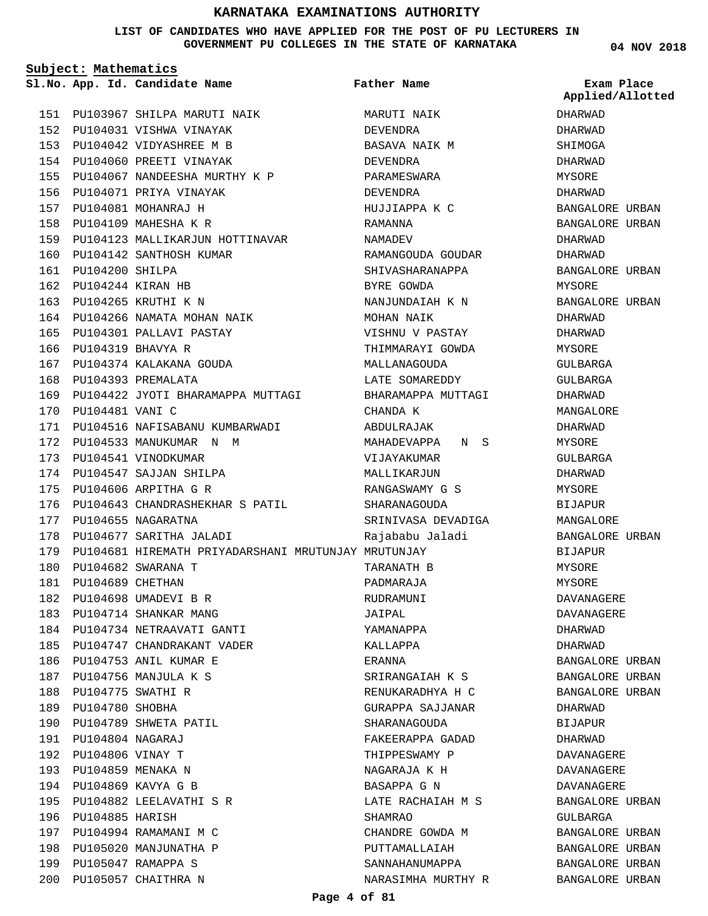### **LIST OF CANDIDATES WHO HAVE APPLIED FOR THE POST OF PU LECTURERS IN GOVERNMENT PU COLLEGES IN THE STATE OF KARNATAKA**

**Subject: Mathematics**

156 PU104071 PRIYA VINAYAK PU104081 MOHANRAJ H 157 PU104109 MAHESHA K R 158

160 PU104142 SANTHOSH KUMAR

PU104266 NAMATA MOHAN NAIK 164 165 PU104301 PALLAVI PASTAY

PU104374 KALAKANA GOUDA 167

172 PU104533 MANUKUMAR N M

PU104200 SHILPA 161 PU104244 KIRAN HB 162 PU104265 KRUTHI K N 163

PU104319 BHAVYA R 166

168 PU104393 PREMALATA

173 PU104541 VINODKUMAR 174 PU104547 SAJJAN SHILPA PU104606 ARPITHA G R 175

177 PU104655 NAGARATNA

PU104682 SWARANA T 180 PU104689 CHETHAN 181 PU104698 UMADEVI B R 182 183 PU104714 SHANKAR MANG PU104734 NETRAAVATI GANTI 184 PU104747 CHANDRAKANT VADER 185

186 PU104753 ANIL KUMAR E PU104756 MANJULA K S 187 PU104775 SWATHI R 188 189 PU104780 SHOBHA

190 PU104789 SHWETA PATIL

PU104882 LEELAVATHI S R 195

197 PU104994 RAMAMANI M C 198 PU105020 MANJUNATHA P PU105047 RAMAPPA S 199 PU105057 CHAITHRA N 200

PU104804 NAGARAJ 191 192 PU104806 VINAY T PU104859 MENAKA N 193 PU104869 KAVYA G B 194

196 PU104885 HARISH

178 PU104677 SARITHA JALADI

170 PU104481 VANI C

PU103967 SHILPA MARUTI NAIK 151 152 PU104031 VISHWA VINAYAK PU104042 VIDYASHREE M B 153 154 PU104060 PREETI VINAYAK

PU104067 NANDEESHA MURTHY K P 155 159 PU104123 MALLIKARJUN HOTTINAVAR 169 PU104422 JYOTI BHARAMAPPA MUTTAGI PU104516 NAFISABANU KUMBARWADI 171 176 PU104643 CHANDRASHEKHAR S PATIL 179 PU104681 HIREMATH PRIYADARSHANI MRUTUNJAY MRUTUNJAY **App. Id. Candidate Name Sl.No. Exam Place** MARUTI NAIK DEVENDRA BASAVA NAIK M DEVENDRA PARAMESWARA DEVENDRA HUJJIAPPA K C RAMANNA NAMADEV RAMANGOUDA GOUDAR SHIVASHARANAPPA BYRE GOWDA NANJUNDAIAH K N MOHAN NAIK VISHNU V PASTAY THIMMARAYI GOWDA MALLANAGOUDA LATE SOMAREDDY BHARAMAPPA MUTTAGI CHANDA K ABDULRAJAK MAHADEVAPPA N S VIJAYAKUMAR MALLIKARJUN RANGASWAMY G S SHARANAGOUDA SRINIVASA DEVADIGA Rajababu Jaladi TARANATH B PADMARAJA RUDRAMUNI JAIPAL YAMANAPPA KALLAPPA ERANNA SRIRANGAIAH K S RENUKARADHYA H C GURAPPA SAJJANAR SHARANAGOUDA FAKEERAPPA GADAD THIPPESWAMY P NAGARAJA K H BASAPPA G N LATE RACHAIAH M S SHAMRAO CHANDRE GOWDA M PUTTAMALLAIAH SANNAHANUMAPPA NARASIMHA MURTHY R **Father Name**

**04 NOV 2018**

**Applied/Allotted**

DHARWAD DHARWAD

SHIMOGA DHARWAD MYSORE DHARWAD BANGALORE URBAN BANGALORE URBAN DHARWAD DHARWAD BANGALORE URBAN MYSORE BANGALORE URBAN DHARWAD DHARWAD MYSORE GULBARGA GULBARGA DHARWAD MANGALORE DHARWAD MYSORE GULBARGA DHARWAD MYSORE BIJAPUR MANGALORE BANGALORE URBAN BIJAPUR MYSORE MYSORE DAVANAGERE DAVANAGERE DHARWAD DHARWAD BANGALORE URBAN BANGALORE URBAN BANGALORE URBAN DHARWAD BIJAPUR DHARWAD DAVANAGERE DAVANAGERE DAVANAGERE BANGALORE URBAN GULBARGA BANGALORE URBAN BANGALORE URBAN BANGALORE URBAN BANGALORE URBAN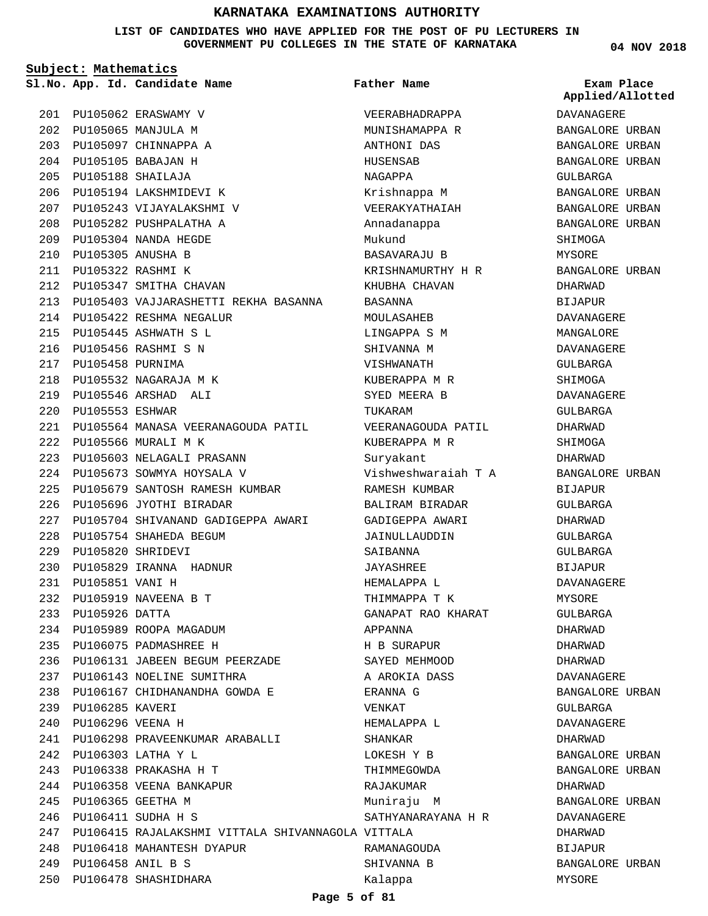**LIST OF CANDIDATES WHO HAVE APPLIED FOR THE POST OF PU LECTURERS IN GOVERNMENT PU COLLEGES IN THE STATE OF KARNATAKA**

**Subject: Mathematics**

PU105062 ERASWAMY V 201 PU105065 MANJULA M 202 PU105097 CHINNAPPA A 203 PU105105 BABAJAN H 204 PU105188 SHAILAJA 205 PU105194 LAKSHMIDEVI K 206 PU105243 VIJAYALAKSHMI V 207 208 PU105282 PUSHPALATHA A PU105304 NANDA HEGDE 209 PU105305 ANUSHA B 210 PU105322 RASHMI K 211 212 PU105347 SMITHA CHAVAN PU105403 VAJJARASHETTI REKHA BASANNA 213 PU105422 RESHMA NEGALUR 214 PU105445 ASHWATH S L 215 PU105456 RASHMI S N 216 PU105458 PURNIMA 217 PU105532 NAGARAJA M K 218 PU105546 ARSHAD ALI 219 PU105553 ESHWAR 220 PU105564 MANASA VEERANAGOUDA PATIL 221 PU105566 MURALI M K 222 PU105603 NELAGALI PRASANN 223 PU105673 SOWMYA HOYSALA V 224 PU105679 SANTOSH RAMESH KUMBAR 225 PU105696 JYOTHI BIRADAR 226 PU105704 SHIVANAND GADIGEPPA AWARI 227 PU105754 SHAHEDA BEGUM 228 PU105820 SHRIDEVI 229 PU105829 IRANNA HADNUR 230 PU105851 VANI H 231 PU105919 NAVEENA B T 232 233 PU105926 DATTA 234 PU105989 ROOPA MAGADUM PU106075 PADMASHREE H 235 PU106131 JABEEN BEGUM PEERZADE 236 PU106143 NOELINE SUMITHRA 237 PU106167 CHIDHANANDHA GOWDA E 238 239 PU106285 KAVERI PU106296 VEENA H 240 PU106298 PRAVEENKUMAR ARABALLI 241 PU106303 LATHA Y L 242 PU106338 PRAKASHA H T 243 244 PU106358 VEENA BANKAPUR PU106365 GEETHA M 245 PU106411 SUDHA H S 246 PU106415 RAJALAKSHMI VITTALA SHIVANNAGOLA VITTALA 247 PU106418 MAHANTESH DYAPUR 248 PU106458 ANIL B S 249 PU106478 SHASHIDHARA 250 **App. Id. Candidate Name Sl.No. Exam Place**

VEERABHADRAPPA MUNISHAMAPPA R ANTHONI DAS HUSENSAB NAGAPPA Krishnappa M VEERAKYATHAIAH Annadanappa Mukund BASAVARAJU B KRISHNAMURTHY H R KHUBHA CHAVAN BASANNA MOULASAHEB LINGAPPA S M SHIVANNA M VISHWANATH KUBERAPPA M R SYED MEERA B TUKARAM VEERANAGOUDA PATIL KUBERAPPA M R Suryakant Vishweshwaraiah T A RAMESH KUMBAR BALIRAM BIRADAR GADIGEPPA AWARI JAINULLAUDDIN SAIBANNA JAYASHREE HEMALAPPA L THIMMAPPA T K GANAPAT RAO KHARAT APPANNA H B SURAPUR SAYED MEHMOOD A AROKIA DASS ERANNA G VENKAT HEMALAPPA L SHANKAR LOKESH Y B THIMMEGOWDA RAJAKUMAR Muniraju M SATHYANARAYANA H R RAMANAGOUDA SHIVANNA B Kalappa **Father Name**

**04 NOV 2018**

DAVANAGERE BANGALORE URBAN BANGALORE URBAN BANGALORE URBAN GULBARGA BANGALORE URBAN BANGALORE URBAN BANGALORE URBAN SHIMOGA MYSORE BANGALORE URBAN DHARWAD BIJAPUR DAVANAGERE MANGALORE DAVANAGERE GULBARGA **SHIMOGA** DAVANAGERE GULBARGA DHARWAD SHIMOGA DHARWAD BANGALORE URBAN BIJAPUR GULBARGA DHARWAD GULBARGA GULBARGA BIJAPUR DAVANAGERE MYSORE GULBARGA DHARWAD DHARWAD DHARWAD DAVANAGERE BANGALORE URBAN GULBARGA DAVANAGERE DHARWAD BANGALORE URBAN BANGALORE URBAN DHARWAD BANGALORE URBAN DAVANAGERE DHARWAD BIJAPUR BANGALORE URBAN MYSORE **Applied/Allotted**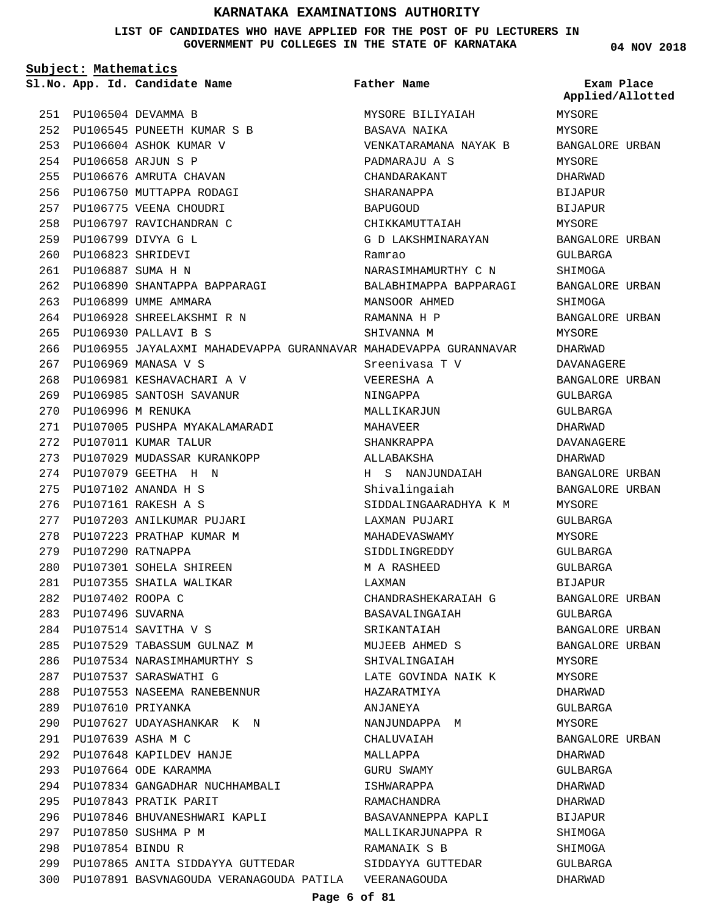**LIST OF CANDIDATES WHO HAVE APPLIED FOR THE POST OF PU LECTURERS IN GOVERNMENT PU COLLEGES IN THE STATE OF KARNATAKA**

**Subject: Mathematics**

PU106504 DEVAMMA B 251 PU106545 PUNEETH KUMAR S B 252 PU106604 ASHOK KUMAR V 253 PU106658 ARJUN S P 254 255 PU106676 AMRUTA CHAVAN 256 PU106750 MUTTAPPA RODAGI 257 PU106775 VEENA CHOUDRI 258 PU106797 RAVICHANDRAN C PU106799 DIVYA G L 259 PU106823 SHRIDEVI 260 PU106887 SUMA H N 261 PU106890 SHANTAPPA BAPPARAGI 262 263 PU106899 UMME AMMARA PU106928 SHREELAKSHMI R N 264 PU106930 PALLAVI B S 265 266 PU106955 JAYALAXMI MAHADEVAPPA GURANNAVAR MAHADEVAPPA GURANNAVAR PU106969 MANASA V S 267 PU106981 KESHAVACHARI A V 268 PU106985 SANTOSH SAVANUR 269 PU106996 M RENUKA 270 271 PU107005 PUSHPA MYAKALAMARADI 272 PU107011 KUMAR TALUR PU107029 MUDASSAR KURANKOPP 273 PU107079 GEETHA H N 274 PU107102 ANANDA H S 275 PU107161 RAKESH A S 276 PU107203 ANILKUMAR PUJARI 277 278 PU107223 PRATHAP KUMAR M 279 PU107290 RATNAPPA PU107301 SOHELA SHIREEN 280 PU107355 SHAILA WALIKAR 281 PU107402 ROOPA C 282 PU107496 SUVARNA 283 PU107514 SAVITHA V S 284 PU107529 TABASSUM GULNAZ M 285 PU107534 NARASIMHAMURTHY S 286 PU107537 SARASWATHI G 287 PU107553 NASEEMA RANEBENNUR 288 PU107610 PRIYANKA 289 PU107627 UDAYASHANKAR K N 290 PU107639 ASHA M C 291 PU107648 KAPILDEV HANJE 292 PU107664 ODE KARAMMA 293 PU107834 GANGADHAR NUCHHAMBALI 294 PU107843 PRATIK PARIT 295 PU107846 BHUVANESHWARI KAPLI 296 PU107850 SUSHMA P M 297 PU107854 BINDU R 298 299 PU107865 ANITA SIDDAYYA GUTTEDAR PU107891 BASVNAGOUDA VERANAGOUDA PATILA VEERANAGOUDA 300 **App. Id. Candidate Name Sl.No. Exam Place** MYSORE BILIYAIAH BASAVA NAIKA VENKATARAMANA NAYAK B PADMARAJU A S CHANDARAKANT SHARANAPPA BAPUGOUD CHIKKAMUTTAIAH G D LAKSHMINARAYAN Ramrao NARASIMHAMURTHY C N BALABHIMAPPA BAPPARAGI MANSOOR AHMED RAMANNA H P SHIVANNA M Sreenivasa T V VEERESHA A NINGAPPA MALLIKARJUN MAHAVEER SHANKRAPPA ALLABAKSHA H S NANJUNDAIAH Shivalingaiah SIDDALINGAARADHYA K M LAXMAN PUJARI MAHADEVASWAMY SIDDLINGREDDY M A RASHEED LAXMAN CHANDRASHEKARAIAH G BASAVALINGAIAH SRIKANTAIAH MUJEEB AHMED S SHIVALINGAIAH LATE GOVINDA NAIK K HAZARATMIYA ANJANEYA NANJUNDAPPA M CHALUVAIAH MALLAPPA GURU SWAMY ISHWARAPPA RAMACHANDRA BASAVANNEPPA KAPLI MALLIKARJUNAPPA R RAMANAIK S B SIDDAYYA GUTTEDAR **Father Name** MYSORE MYSORE BANGALORE URBAN MYSORE DHARWAD **BIJAPUR** BIJAPUR MYSORE BANGALORE URBAN GULBARGA SHIMOGA BANGALORE URBAN SHIMOGA BANGALORE URBAN MYSORE DHARWAD DAVANAGERE BANGALORE URBAN GULBARGA GULBARGA DHARWAD DAVANAGERE DHARWAD BANGALORE URBAN BANGALORE URBAN MYSORE CIILBARGA MYSORE GULBARGA GULBARGA BIJAPUR BANGALORE URBAN GULBARGA BANGALORE URBAN BANGALORE URBAN MYSORE MYSORE DHARWAD GULBARGA MYSORE BANGALORE URBAN DHARWAD GULBARGA DHARWAD DHARWAD **BIJAPUR** SHIMOGA SHIMOGA GULBARGA DHARWAD **Applied/Allotted**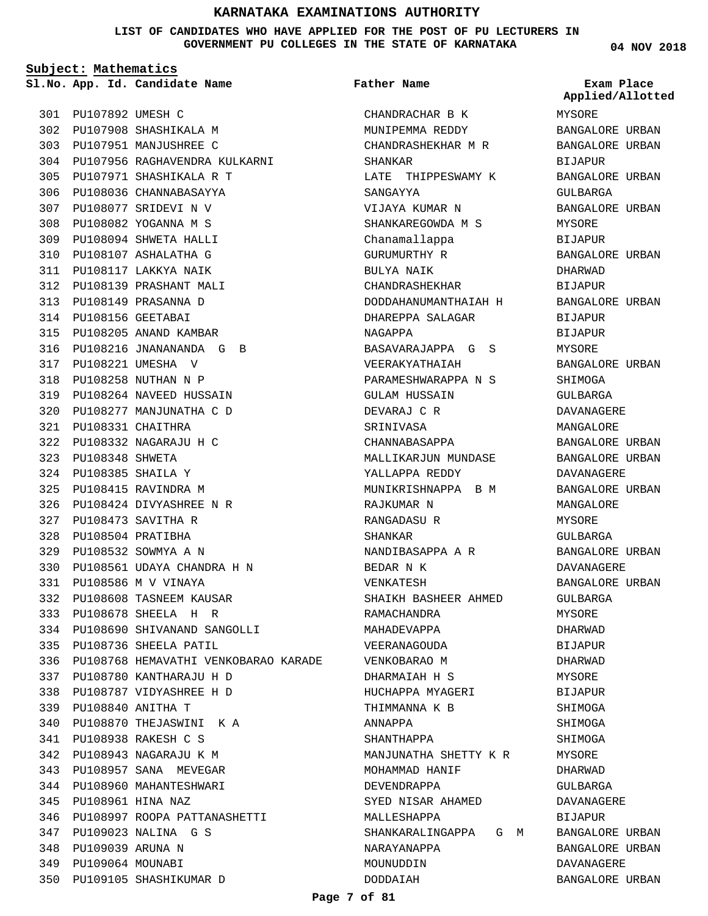**LIST OF CANDIDATES WHO HAVE APPLIED FOR THE POST OF PU LECTURERS IN GOVERNMENT PU COLLEGES IN THE STATE OF KARNATAKA**

**Subject: Mathematics**

**App. Id. Candidate Name Sl.No. Exam Place**

PU107892 UMESH C 301 PU107908 SHASHIKALA M 302 PU107951 MANJUSHREE C 303 PU107956 RAGHAVENDRA KULKARNI 304 PU107971 SHASHIKALA R T 305 PU108036 CHANNABASAYYA 306 PU108077 SRIDEVI N V 307 PU108082 YOGANNA M S 308 PU108094 SHWETA HALLI 309 PU108107 ASHALATHA G 310 PU108117 LAKKYA NAIK 311 PU108139 PRASHANT MALI 312 PU108149 PRASANNA D 313 PU108156 GEETABAI 314 PU108205 ANAND KAMBAR 315 PU108216 JNANANANDA G B 316 PU108221 UMESHA V 317 PU108258 NUTHAN N P 318 PU108264 NAVEED HUSSAIN 319 PU108277 MANJUNATHA C D 320 PU108331 CHAITHRA 321 PU108332 NAGARAJU H C 322 PU108348 SHWETA 323 PU108385 SHAILA Y 324 PU108415 RAVINDRA M 325 PU108424 DIVYASHREE N R 326 PU108473 SAVITHA R 327 PU108504 PRATIBHA 328 PU108532 SOWMYA A N 329 PU108561 UDAYA CHANDRA H N 330 PU108586 M V VINAYA 331 PU108608 TASNEEM KAUSAR 332 PU108678 SHEELA H R 333 PU108690 SHIVANAND SANGOLLI 334 335 PU108736 SHEELA PATIL PU108768 HEMAVATHI VENKOBARAO KARADE 336 PU108780 KANTHARAJU H D 337 PU108787 VIDYASHREE H D 338 PU108840 ANITHA T 339 PU108870 THEJASWINI K A 340 PU108938 RAKESH C S 341 PU108943 NAGARAJU K M 342 343 PU108957 SANA MEVEGAR 344 PU108960 MAHANTESHWARI PU108961 HINA NAZ 345 PU108997 ROOPA PATTANASHETTI 346 PU109023 NALINA G S 347 PU109039 ARUNA N 348 PU109064 MOUNABI 349 PU109105 SHASHIKUMAR D 350

### **Father Name**

CHANDRACHAR B K MUNIPEMMA REDDY CHANDRASHEKHAR M R SHANKAR LATE THIPPESWAMY K SANGAYYA VIJAYA KUMAR N SHANKAREGOWDA M S Chanamallappa GURUMURTHY R BULYA NAIK CHANDRASHEKHAR DODDAHANUMANTHAIAH H DHAREPPA SALAGAR NAGAPPA BASAVARAJAPPA G S VEERAKYATHAIAH PARAMESHWARAPPA N S GULAM HUSSAIN DEVARAJ C R SRINIVASA CHANNABASAPPA MALLIKARJUN MUNDASE YALLAPPA REDDY MUNIKRISHNAPPA B M RAJKUMAR N RANGADASU R SHANKAR NANDIBASAPPA A R BEDAR N K VENKATESH SHAIKH BASHEER AHMED RAMACHANDRA MAHADEVAPPA VEERANAGOUDA VENKOBARAO M DHARMAIAH H S HUCHAPPA MYAGERI THIMMANNA K B ANNAPPA SHANTHAPPA MANJUNATHA SHETTY K R MOHAMMAD HANIF DEVENDRAPPA SYED NISAR AHAMED MALLESHAPPA SHANKARALINGAPPA G M NARAYANAPPA MOUNUDDIN DODDAIAH

**04 NOV 2018**

MYSORE BANGALORE URBAN BANGALORE URBAN BIJAPUR BANGALORE URBAN GULBARGA BANGALORE URBAN MYSORE **BIJAPUR** BANGALORE URBAN DHARWAD **BIJAPUR** BANGALORE URBAN BIJAPUR BIJAPUR MYSORE BANGALORE URBAN **SHIMOGA** GULBARGA DAVANAGERE MANGALORE BANGALORE URBAN BANGALORE URBAN DAVANAGERE BANGALORE URBAN MANGALORE MYSORE GULBARGA BANGALORE URBAN DAVANAGERE BANGALORE URBAN GULBARGA MYSORE DHARWAD BIJAPUR DHARWAD MYSORE **BIJAPUR** SHIMOGA SHIMOGA SHIMOGA MYSORE DHARWAD GULBARGA DAVANAGERE BIJAPUR BANGALORE URBAN BANGALORE URBAN DAVANAGERE BANGALORE URBAN **Applied/Allotted**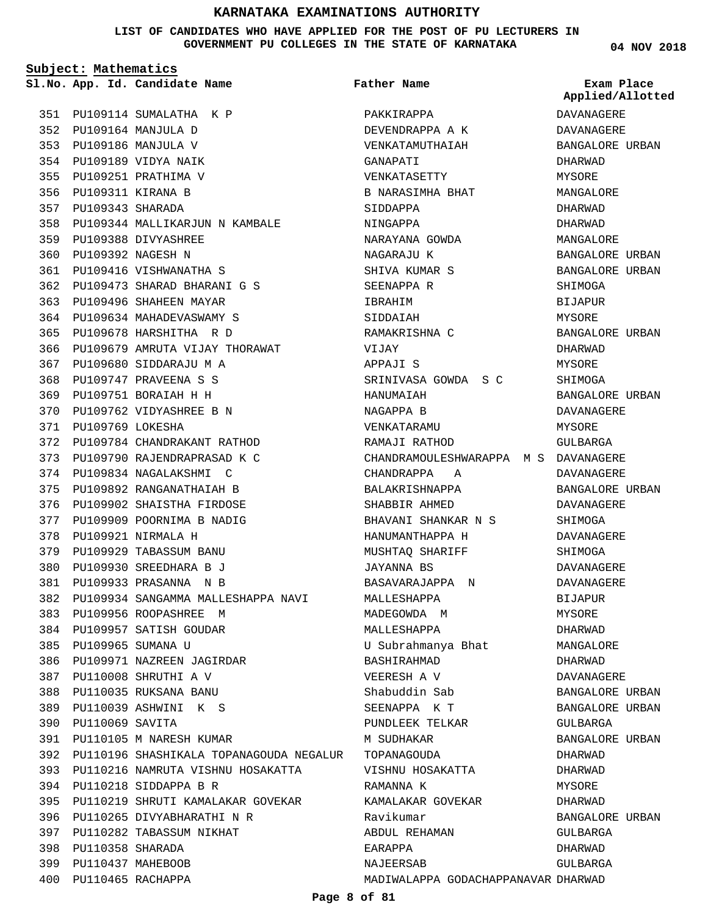**LIST OF CANDIDATES WHO HAVE APPLIED FOR THE POST OF PU LECTURERS IN GOVERNMENT PU COLLEGES IN THE STATE OF KARNATAKA**

**Subject: Mathematics**

**App. Id. Candidate Name Sl.No. Exam Place**

**Father Name**

PU109114 SUMALATHA K P 351 PU109164 MANJULA D 352 PU109186 MANJULA V 353 PU109189 VIDYA NAIK 354 PU109251 PRATHIMA V 355 356 PU109311 KIRANA B PU109343 SHARADA 357 PU109344 MALLIKARJUN N KAMBALE 358 PU109388 DIVYASHREE 359 PU109392 NAGESH N 360 PU109416 VISHWANATHA S 361 PU109473 SHARAD BHARANI G S 362 363 PU109496 SHAHEEN MAYAR PU109634 MAHADEVASWAMY S 364 PU109678 HARSHITHA R D 365 366 PU109679 AMRUTA VIJAY THORAWAT PU109680 SIDDARAJU M A 367 PU109747 PRAVEENA S S 368 PU109751 BORAIAH H H 369 PU109762 VIDYASHREE B N 370 PU109769 LOKESHA 371 PU109784 CHANDRAKANT RATHOD 372 PU109790 RAJENDRAPRASAD K C 373 PU109834 NAGALAKSHMI C 374 PU109892 RANGANATHAIAH B 375 PU109902 SHAISTHA FIRDOSE 376 PU109909 POORNIMA B NADIG 377 PU109921 NIRMALA H 378 PU109929 TABASSUM BANU 379 PU109930 SREEDHARA B J 380 PU109933 PRASANNA N B 381 PU109934 SANGAMMA MALLESHAPPA NAVI 382 383 PU109956 ROOPASHREE M 384 PU109957 SATISH GOUDAR PU109965 SUMANA U 385 PU109971 NAZREEN JAGIRDAR 386 PU110008 SHRUTHI A V 387 PU110035 RUKSANA BANU 388 PU110039 ASHWINI K S 389 PU110069 SAVITA 390 PU110105 M NARESH KUMAR 391 PU110196 SHASHIKALA TOPANAGOUDA NEGALUR TOPANAGOUDA 392 393 PU110216 NAMRUTA VISHNU HOSAKATTA PU110218 SIDDAPPA B R 394 PU110219 SHRUTI KAMALAKAR GOVEKAR 395 PU110265 DIVYABHARATHI N R 396 PU110282 TABASSUM NIKHAT 397 PU110358 SHARADA 398 PU110437 MAHEBOOB 399 PU110465 RACHAPPA 400

PAKKIRAPPA DEVENDRAPPA A K VENKATAMUTHAIAH GANAPATI VENKATASETTY B NARASIMHA BHAT SIDDAPPA NINGAPPA NARAYANA GOWDA NAGARAJU K SHIVA KUMAR S SEENAPPA R IBRAHIM SIDDAIAH RAMAKRISHNA C VIJAY APPAJI S SRINIVASA GOWDA S C HANUMAIAH NAGAPPA B VENKATARAMU RAMAJI RATHOD CHANDRAMOULESHWARAPPA M S DAVANAGERE CHANDRAPPA A BALAKRISHNAPPA SHABBIR AHMED BHAVANI SHANKAR N S HANUMANTHAPPA H MUSHTAQ SHARIFF JAYANNA BS BASAVARAJAPPA N MALLESHAPPA MADEGOWDA M MALLESHAPPA U Subrahmanya Bhat BASHIRAHMAD VEERESH A V Shabuddin Sab SEENAPPA K T PUNDLEEK TELKAR M SUDHAKAR VISHNU HOSAKATTA RAMANNA K KAMALAKAR GOVEKAR Ravikumar ABDUL REHAMAN EARAPPA NAJEERSAB MADIWALAPPA GODACHAPPANAVAR DHARWAD

**04 NOV 2018**

**Applied/Allotted**

DAVANAGERE DAVANAGERE BANGALORE URBAN DHARWAD MYSORE MANGALORE DHARWAD DHARWAD MANGALORE BANGALORE URBAN BANGALORE URBAN SHIMOGA BIJAPUR MYSORE BANGALORE URBAN DHARWAD MYSORE **SHIMOGA** BANGALORE URBAN DAVANAGERE MYSORE GULBARGA DAVANAGERE BANGALORE URBAN DAVANAGERE **SHIMOGA** DAVANAGERE SHIMOGA DAVANAGERE DAVANAGERE **BIJAPUR** MYSORE DHARWAD MANGALORE DHARWAD DAVANAGERE BANGALORE URBAN BANGALORE URBAN GULBARGA BANGALORE URBAN DHARWAD DHARWAD **MYSORE** DHARWAD BANGALORE URBAN GULBARGA DHARWAD GULBARGA

**Page 8 of 81**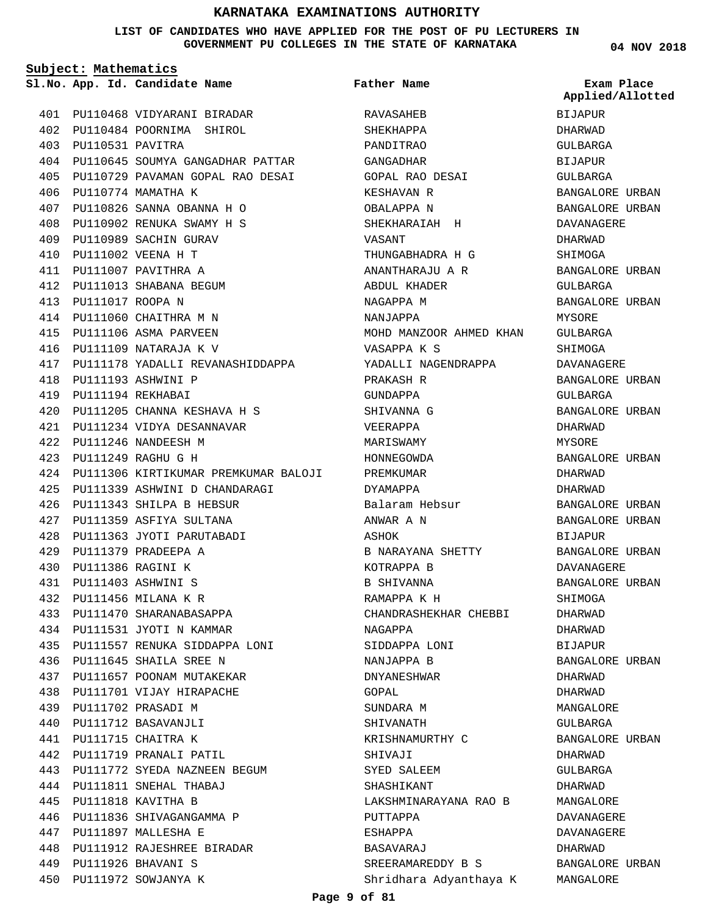### **LIST OF CANDIDATES WHO HAVE APPLIED FOR THE POST OF PU LECTURERS IN GOVERNMENT PU COLLEGES IN THE STATE OF KARNATAKA**

**Father Name**

**Subject: Mathematics**

**04 NOV 2018**

**Applied/Allotted**

BIJAPUR

|     |                       | 401 PU110468 VIDYARANI BIRADAR           |
|-----|-----------------------|------------------------------------------|
|     |                       | 402 PU110484 POORNIMA SHIROL             |
|     | 403 PU110531 PAVITRA  |                                          |
|     |                       | 404 PU110645 SOUMYA GANGADHAR PATTAR     |
|     |                       | 405 PU110729 PAVAMAN GOPAL RAO DESAI     |
|     |                       | 406 PU110774 MAMATHA K                   |
|     |                       | 407 PU110826 SANNA OBANNA H O            |
|     |                       | 408 PU110902 RENUKA SWAMY H S            |
|     |                       | 409 PU110989 SACHIN GURAV                |
|     |                       | 410 PU111002 VEENA H T                   |
|     |                       | 411 PU111007 PAVITHRA A                  |
|     |                       | 412 PU111013 SHABANA BEGUM               |
|     | 413 PU111017 ROOPA N  |                                          |
|     |                       | 414 PU111060 CHAITHRA M N                |
|     |                       | 415 PU111106 ASMA PARVEEN                |
|     |                       | 416 PU111109 NATARAJA K V                |
|     |                       | 417 PU111178 YADALLI REVANASHIDDAPPA     |
|     |                       | 418 PU111193 ASHWINI P                   |
|     | 419 PU111194 REKHABAI |                                          |
|     |                       | 420 PU111205 CHANNA KESHAVA H S          |
|     |                       | 421 PU111234 VIDYA DESANNAVAR            |
|     |                       | 422 PU111246 NANDEESH M                  |
|     |                       | 423 PU111249 RAGHU G H                   |
|     |                       | 424 PU111306 KIRTIKUMAR PREMKUMAR BALOJI |
|     |                       | 425 PU111339 ASHWINI D CHANDARAGI        |
|     |                       | 426 PU111343 SHILPA B HEBSUR             |
|     |                       | 427 PU111359 ASFIYA SULTANA              |
|     |                       | 428 PU111363 JYOTI PARUTABADI            |
|     |                       | 429 PU111379 PRADEEPA A                  |
|     | 430 PU111386 RAGINI K |                                          |
|     |                       | 431 PU111403 ASHWINI S                   |
|     |                       | 432 PU111456 MILANA K R                  |
| 433 |                       | PU111470 SHARANABASAPPA                  |
|     |                       | 434 PU111531 JYOTI N KAMMAR              |
|     |                       | 435 PU111557 RENUKA SIDDAPPA LONI        |
|     |                       | 436 PU111645 SHAILA SREE N               |
|     |                       | 437 PU111657 POONAM MUTAKEKAR            |
|     |                       | 438 PU111701 VIJAY HIRAPACHE             |
|     |                       | 439 PU111702 PRASADI M                   |
|     |                       | 440 PU111712 BASAVANJLI                  |
|     |                       | 441 PU111715 CHAITRA K                   |
|     |                       | 442 PU111719 PRANALI PATIL               |
|     |                       | 443 PU111772 SYEDA NAZNEEN BEGUM         |
|     |                       | 444 PU111811 SNEHAL THABAJ               |
|     |                       | 445 PU111818 KAVITHA B                   |
|     |                       | 446 PU111836 SHIVAGANGAMMA P             |
|     |                       | 447 PU111897 MALLESHA E                  |
|     |                       | 448 PU111912 RAJESHREE BIRADAR           |
|     |                       | 449 PU111926 BHAVANI S                   |
|     |                       | 450 PU111972 SOWJANYA K                  |

**App. Id. Candidate Name Sl.No. Exam Place** RAVASAHEB SHEKHAPPA PANDITRAO GANGADHAR GOPAL RAO DESAI KESHAVAN R OBALAPPA N SHEKHARAIAH H VASANT THUNGABHADRA H G ANANTHARAJU A R ABDUL KHADER NAGAPPA M NANJAPPA MOHD MANZOOR AHMED KHAN VASAPPA K S YADALLI NAGENDRAPPA PRAKASH R GUNDAPPA SHIVANNA G VEERAPPA MARISWAMY HONNEGOWDA PREMKUMAR DYAMAPPA Balaram Hebsur ANWAR A N **A**SHOK B NARAYANA SHETTY KOTRAPPA B B SHIVANNA RAMAPPA K H CHANDRASHEKHAR CHEBBI NAGAPPA SIDDAPPA LONI NANJAPPA B DNYANESHWAR GOPAL SUNDARA M SHIVANATH KRISHNAMURTHY C SHIVAJI SYED SALEEM SHASHIKANT LAKSHMINARAYANA RAO B PUTTAPPA ESHAPPA BASAVARAJ SREERAMAREDDY B S Shridhara Adyanthaya K

DHARWAD GULBARGA BIJAPUR GULBARGA BANGALORE URBAN BANGALORE URBAN DAVANAGERE DHARWAD SHIMOGA BANGALORE URBAN GULBARGA BANGALORE URBAN MYSORE GULBARGA SHIMOGA DAVANAGERE BANGALORE URBAN GULBARGA BANGALORE URBAN DHARWAD MYSORE BANGALORE URBAN DHARWAD DHARWAD BANGALORE URBAN BANGALORE URBAN BIJAPUR BANGALORE URBAN DAVANAGERE BANGALORE URBAN SHIMOGA DHARWAD DHARWAD BIJAPUR BANGALORE URBAN DHARWAD DHARWAD MANGALORE GULBARGA BANGALORE URBAN DHARWAD GULBARGA DHARWAD MANGALORE DAVANAGERE DAVANAGERE DHARWAD

BANGALORE URBAN

MANGALORE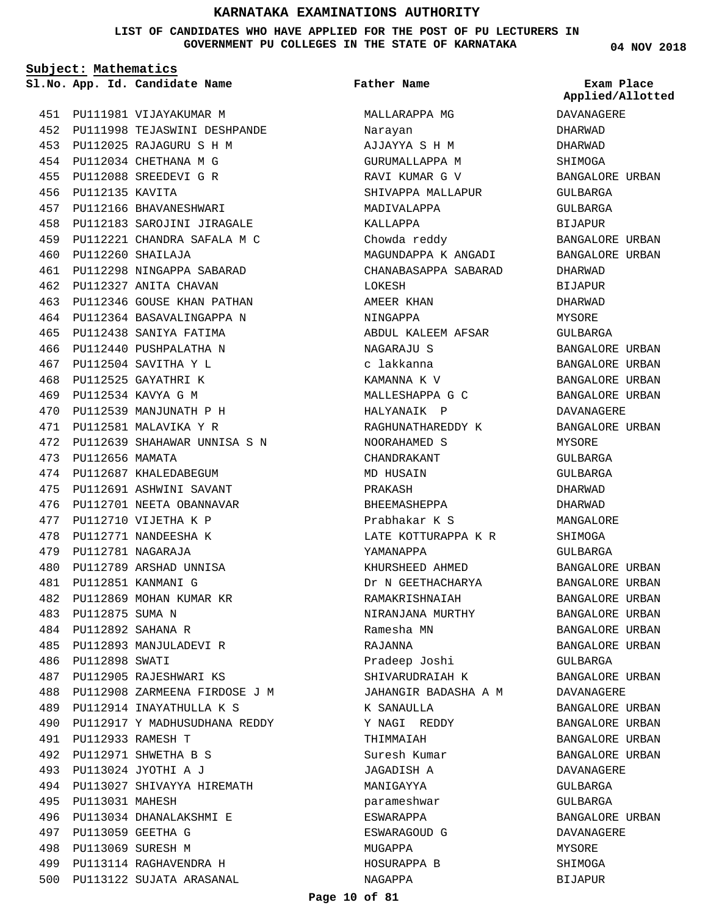**LIST OF CANDIDATES WHO HAVE APPLIED FOR THE POST OF PU LECTURERS IN GOVERNMENT PU COLLEGES IN THE STATE OF KARNATAKA**

**Subject: Mathematics**

PU111981 VIJAYAKUMAR M 451 PU111998 TEJASWINI DESHPANDE 452 PU112025 RAJAGURU S H M 453 PU112034 CHETHANA M G 454 PU112088 SREEDEVI G R 455 456 PU112135 KAVITA PU112166 BHAVANESHWARI 457 PU112183 SAROJINI JIRAGALE 458 PU112221 CHANDRA SAFALA M C 459 PU112260 SHAILAJA 460 PU112298 NINGAPPA SABARAD 461 462 PU112327 ANITA CHAVAN PU112346 GOUSE KHAN PATHAN 463 PU112364 BASAVALINGAPPA N 464 PU112438 SANIYA FATIMA 465 466 PU112440 PUSHPALATHA N PU112504 SAVITHA Y L 467 PU112525 GAYATHRI K 468 PU112534 KAVYA G M 469 PU112539 MANJUNATH P H 470 PU112581 MALAVIKA Y R 471 PU112639 SHAHAWAR UNNISA S N 472 PU112656 MAMATA 473 474 PU112687 KHALEDABEGUM PU112691 ASHWINI SAVANT 475 476 PU112701 NEETA OBANNAVAR PU112710 VIJETHA K P 477 478 PU112771 NANDEESHA K PU112781 NAGARAJA 479 PU112789 ARSHAD UNNISA 480 PU112851 KANMANI G 481 482 PU112869 MOHAN KUMAR KR PU112875 SUMA N 483 PU112892 SAHANA R 484 PU112893 MANJULADEVI R 485 486 PU112898 SWATI 487 PU112905 RAJESHWARI KS PU112908 ZARMEENA FIRDOSE J M 488 PU112914 INAYATHULLA K S 489 PU112917 Y MADHUSUDHANA REDDY 490 PU112933 RAMESH T 491 PU112971 SHWETHA B S 492 PU113024 JYOTHI A J 493 PU113027 SHIVAYYA HIREMATH 494 495 PU113031 MAHESH PU113034 DHANALAKSHMI E 496 PU113059 GEETHA G 497 PU113069 SURESH M 498 PU113114 RAGHAVENDRA H 499 500 PU113122 SUJATA ARASANAL

**App. Id. Candidate Name Sl.No. Exam Place** MALLARAPPA MG Narayan AJJAYYA S H M GURUMALLAPPA M RAVI KUMAR G V SHIVAPPA MALLAPUR MADIVALAPPA KALLAPPA Chowda reddy MAGUNDAPPA K ANGADI CHANABASAPPA SABARAD LOKESH AMEER KHAN NINGAPPA ABDUL KALEEM AFSAR NAGARAJU S c lakkanna KAMANNA K V MALLESHAPPA G C HALYANAIK P RAGHUNATHAREDDY K NOORAHAMED S CHANDRAKANT MD HUSAIN PRAKASH BHEEMASHEPPA Prabhakar K S LATE KOTTURAPPA K R YAMANAPPA KHURSHEED AHMED Dr N GEETHACHARYA RAMAKRISHNAIAH NIRANJANA MURTHY Ramesha MN RAJANNA Pradeep Joshi SHIVARUDRAIAH K JAHANGIR BADASHA A M K SANAULLA Y NAGI REDDY THIMMAIAH Suresh Kumar JAGADISH A MANIGAYYA parameshwar ESWARAPPA ESWARAGOUD G MUGAPPA HOSURAPPA B NAGAPPA **Father Name**

**04 NOV 2018**

DAVANAGERE DHARWAD DHARWAD SHIMOGA BANGALORE URBAN GULBARGA GULBARGA BIJAPUR BANGALORE URBAN BANGALORE URBAN DHARWAD BIJAPUR DHARWAD MYSORE GULBARGA BANGALORE URBAN BANGALORE URBAN BANGALORE URBAN BANGALORE URBAN DAVANAGERE BANGALORE URBAN MYSORE GULBARGA GULBARGA DHARWAD DHARWAD MANGALORE SHIMOGA GULBARGA BANGALORE URBAN BANGALORE URBAN BANGALORE URBAN BANGALORE URBAN BANGALORE URBAN BANGALORE URBAN GULBARGA BANGALORE URBAN DAVANAGERE BANGALORE URBAN BANGALORE URBAN BANGALORE URBAN BANGALORE URBAN DAVANAGERE GULBARGA GULBARGA BANGALORE URBAN DAVANAGERE MYSORE SHIMOGA BIJAPUR **Applied/Allotted**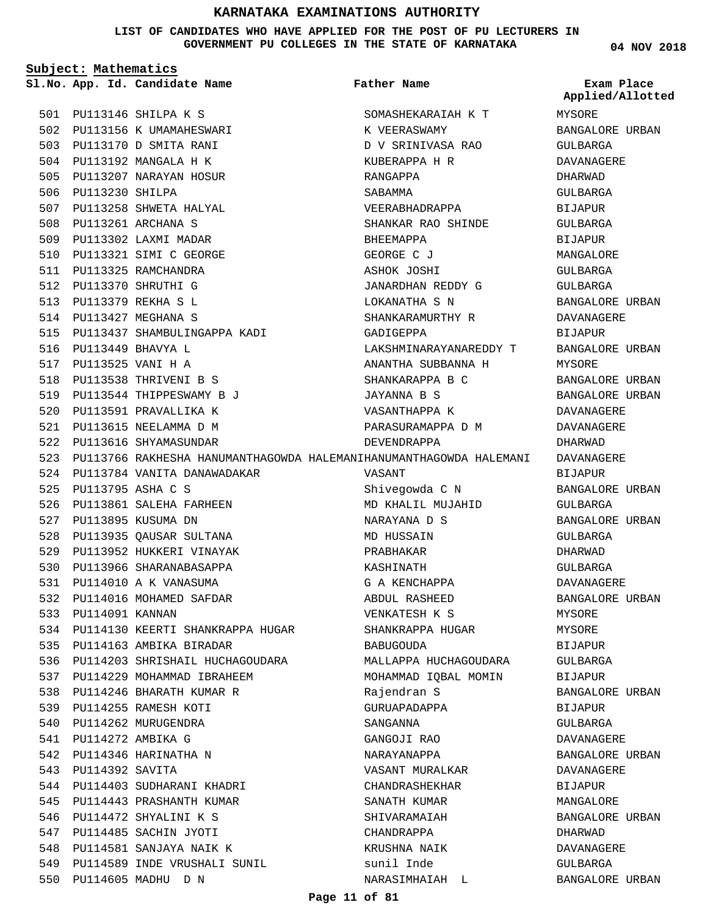**LIST OF CANDIDATES WHO HAVE APPLIED FOR THE POST OF PU LECTURERS IN GOVERNMENT PU COLLEGES IN THE STATE OF KARNATAKA**

**Subject: Mathematics**

PU113146 SHILPA K S 501 502 PU113156 K UMAMAHESWARI 503 PU113170 D SMITA RANI PU113192 MANGALA H K 504 505 PU113207 NARAYAN HOSUR

506 PU113230 SHILPA

PU113449 BHAVYA L 516 PU113525 VANI H A 517 518 PU113538 THRIVENI B S 519 PU113544 THIPPESWAMY B J 520 PU113591 PRAVALLIKA K PU113615 NEELAMMA D M 521 522 PU113616 SHYAMASUNDAR

PU113795 ASHA C S 525

527 PU113895 KUSUMA DN

533 PU114091 KANNAN

543 PU114392 SAVITA

507 PU113258 SHWETA HALYAL PU113261 ARCHANA S 508 509 PU113302 LAXMI MADAR PU113321 SIMI C GEORGE 510 511 PU113325 RAMCHANDRA PU113370 SHRUTHI G 512 PU113379 REKHA S L 513 PU113427 MEGHANA S 514

515 PU113437 SHAMBULINGAPPA KADI

524 PU113784 VANITA DANAWADAKAR

534 PU114130 KEERTI SHANKRAPPA HUGAR

536 PU114203 SHRISHAIL HUCHAGOUDARA

526 PU113861 SALEHA FARHEEN

528 PU113935 QAUSAR SULTANA 529 PU113952 HUKKERI VINAYAK 530 PU113966 SHARANABASAPPA PU114010 A K VANASUMA 531 532 PU114016 MOHAMED SAFDAR

535 PU114163 AMBIKA BIRADAR

537 PU114229 MOHAMMAD IBRAHEEM 538 PU114246 BHARATH KUMAR R 539 PU114255 RAMESH KOTI 540 PU114262 MURUGENDRA PU114272 AMBIKA G 541 542 PU114346 HARINATHA N

544 PU114403 SUDHARANI KHADRI 545 PU114443 PRASHANTH KUMAR 546 PU114472 SHYALINI K S 547 PU114485 SACHIN JYOTI 548 PU114581 SANJAYA NAIK K

549 PU114589 INDE VRUSHALI SUNIL

PU114605 MADHU D N 550

**Father Name**

523 PU113766 RAKHESHA HANUMANTHAGOWDA HALEMANIHANUMANTHAGOWDA HALEMANI **App. Id. Candidate Name Sl.No. Exam Place** SOMASHEKARAIAH K T K VEERASWAMY D V SRINIVASA RAO KUBERAPPA H R RANGAPPA SABAMMA VEERABHADRAPPA SHANKAR RAO SHINDE **BHEEMAPPA** GEORGE C J ASHOK JOSHI JANARDHAN REDDY G LOKANATHA S N SHANKARAMURTHY R GADIGEPPA LAKSHMINARAYANAREDDY T ANANTHA SUBBANNA H SHANKARAPPA B C JAYANNA B S VASANTHAPPA K PARASURAMAPPA D M DEVENDRAPPA VASANT Shivegowda C N MD KHALIL MUJAHID NARAYANA D S MD HUSSAIN PRABHAKAR KASHINATH G A KENCHAPPA ABDUL RASHEED VENKATESH K S SHANKRAPPA HUGAR BABUGOUDA MALLAPPA HUCHAGOUDARA MOHAMMAD IQBAL MOMIN Rajendran S GURUAPADAPPA SANGANNA GANGOJI RAO NARAYANAPPA VASANT MURALKAR CHANDRASHEKHAR SANATH KUMAR SHIVARAMAIAH CHANDRAPPA KRUSHNA NAIK sunil Inde NARASIMHAIAH L

**04 NOV 2018**

| .<br>Applied/Allotted  |  |
|------------------------|--|
| MYSORE                 |  |
| <b>BANGALORE URBAN</b> |  |
| GULBARGA               |  |
| DAVANAGERE             |  |
| DHARWAD                |  |
| <b>GULBARGA</b>        |  |
| BIJAPUR                |  |
| GULBARGA               |  |
| BIJAPUR                |  |
| MANGALORE              |  |
| GULBARGA               |  |
| GULBARGA               |  |
| BANGALORE URBAN        |  |
| DAVANAGERE             |  |
| BIJAPUR                |  |
| BANGALORE URBAN        |  |
| MYSORE                 |  |
| BANGALORE URBAN        |  |
| BANGALORE URBAN        |  |
| DAVANAGERE             |  |
| DAVANAGERE             |  |
| DHARWAD                |  |
| DAVANAGERE             |  |
| BIJAPUR                |  |
| <b>BANGALORE URBAN</b> |  |
| GULBARGA               |  |
| <b>BANGALORE URBAN</b> |  |
| GULBARGA               |  |
| DHARWAD                |  |
| GULBARGA               |  |
| DAVANAGERE             |  |
| BANGALORE URBAN        |  |
| MYSORE                 |  |
| MYSORE                 |  |
| BIJAPUR                |  |
| GULBARGA               |  |
| BIJAPUR                |  |
| BANGALORE URBAN        |  |
| <b>BIJAPUR</b>         |  |
| GULBARGA               |  |
| DAVANAGERE             |  |
| BANGALORE URBAN        |  |
| DAVANAGERE             |  |
| BIJAPUR                |  |
| MANGALORE              |  |
| BANGALORE URBAN        |  |
| DHARWAD                |  |
| DAVANAGERE             |  |
| GULBARGA               |  |
| BANGALORE URBAN        |  |

### **Page 11 of 81**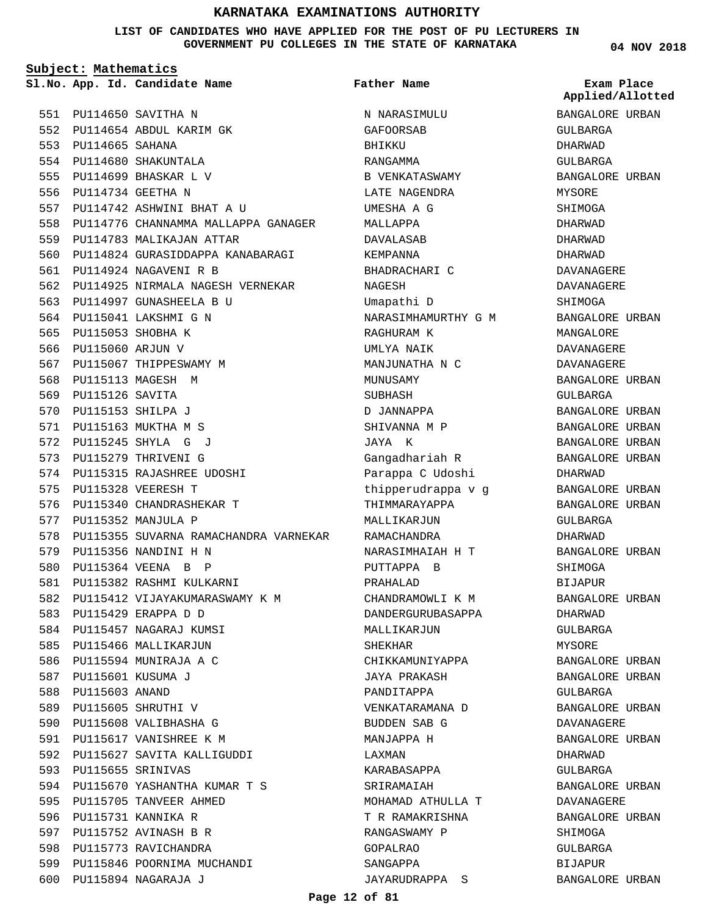**LIST OF CANDIDATES WHO HAVE APPLIED FOR THE POST OF PU LECTURERS IN GOVERNMENT PU COLLEGES IN THE STATE OF KARNATAKA**

**Subject: Mathematics**

**App. Id. Candidate Name Sl.No. Exam Place**

552 PU114654 ABDUL KARIM GK

PU114742 ASHWINI BHAT A U 557

559 PU114783 MALIKAJAN ATTAR

PU114924 NAGAVENI R B 561

PU114997 GUNASHEELA B U 563 564 PU115041 LAKSHMI G N 565 PU115053 SHOBHA K 566 PU115060 ARJUN V

567 PU115067 THIPPESWAMY M 568 PU115113 MAGESH M 569 PU115126 SAVITA PU115153 SHILPA J 570 PU115163 MUKTHA M S 571 PU115245 SHYLA G J 572 573 PU115279 THRIVENI G

574 PU115315 RAJASHREE UDOSHI

PU115340 CHANDRASHEKAR T 576

578 PU115355 SUVARNA RAMACHANDRA VARNEKAR

582 PU115412 VIJAYAKUMARASWAMY K M

PU115328 VEERESH T 575

PU115352 MANJULA P 577

579 PU115356 NANDINI H N PU115364 VEENA B P 580 PU115382 RASHMI KULKARNI 581

PU115429 ERAPPA D D 583 584 PU115457 NAGARAJ KUMSI 585 PU115466 MALLIKARJUN 586 PU115594 MUNIRAJA A C PU115601 KUSUMA J 587 588 PU115603 ANAND 589 PU115605 SHRUTHI V 590 PU115608 VALIBHASHA G 591 PU115617 VANISHREE K M 592 PU115627 SAVITA KALLIGUDDI

PU115655 SRINIVAS 593

595 PU115705 TANVEER AHMED 596 PU115731 KANNIKA R 597 PU115752 AVINASH B R 598 PU115773 RAVICHANDRA

PU115894 NAGARAJA J 600

PU115670 YASHANTHA KUMAR T S 594

599 PU115846 POORNIMA MUCHANDI

558 PU114776 CHANNAMMA MALLAPPA GANAGER

560 PU114824 GURASIDDAPPA KANABARAGI

562 PU114925 NIRMALA NAGESH VERNEKAR

PU114650 SAVITHA N 551

PU114665 SAHANA 553 PU114680 SHAKUNTALA 554 PU114699 BHASKAR L V 555 PU114734 GEETHA N 556

N NARASIMULU GAFOORSAB BHIKKU RANGAMMA B VENKATASWAMY LATE NAGENDRA UMESHA A G MALLAPPA DAVALASAB **KEMPANNA** BHADRACHARI C NAGESH Umapathi D NARASIMHAMURTHY G M RAGHURAM K UMLYA NAIK MANJUNATHA N C MUNUSAMY SUBHASH D JANNAPPA SHIVANNA M P JAYA K Gangadhariah R Parappa C Udoshi thipperudrappa v g THIMMARAYAPPA MALLIKARJUN RAMACHANDRA NARASIMHAIAH H T PUTTAPPA B PRAHALAD CHANDRAMOWLI K M DANDERGURUBASAPPA MALLIKARJUN SHEKHAR CHIKKAMUNIYAPPA JAYA PRAKASH PANDITAPPA VENKATARAMANA D BUDDEN SAB G MANJAPPA H LAXMAN KARABASAPPA SRIRAMAIAH MOHAMAD ATHULLA T T R RAMAKRISHNA RANGASWAMY P GOPALRAO SANGAPPA JAYARUDRAPPA S **Father Name**

BANGALORE URBAN GULBARGA GULBARGA **Applied/Allotted**

DHARWAD

MYSORE SHIMOGA DHARWAD DHARWAD DHARWAD DAVANAGERE DAVANAGERE SHIMOGA

BANGALORE URBAN

BANGALORE URBAN

BANGALORE URBAN BANGALORE URBAN BANGALORE URBAN BANGALORE URBAN

BANGALORE URBAN BANGALORE URBAN

BANGALORE URBAN

BANGALORE URBAN

BANGALORE URBAN BANGALORE URBAN

BANGALORE URBAN DAVANAGERE BANGALORE URBAN

BANGALORE URBAN DAVANAGERE BANGALORE URBAN

BANGALORE URBAN

MANGALORE DAVANAGERE DAVANAGERE BANGALORE URBAN

GULBARGA

DHARWAD

GULBARGA DHARWAD

SHIMOGA BIJAPUR

DHARWAD GULBARGA MYSORE

GULBARGA

DHARWAD GULBARGA

SHIMOGA GULBARGA BIJAPUR

**04 NOV 2018**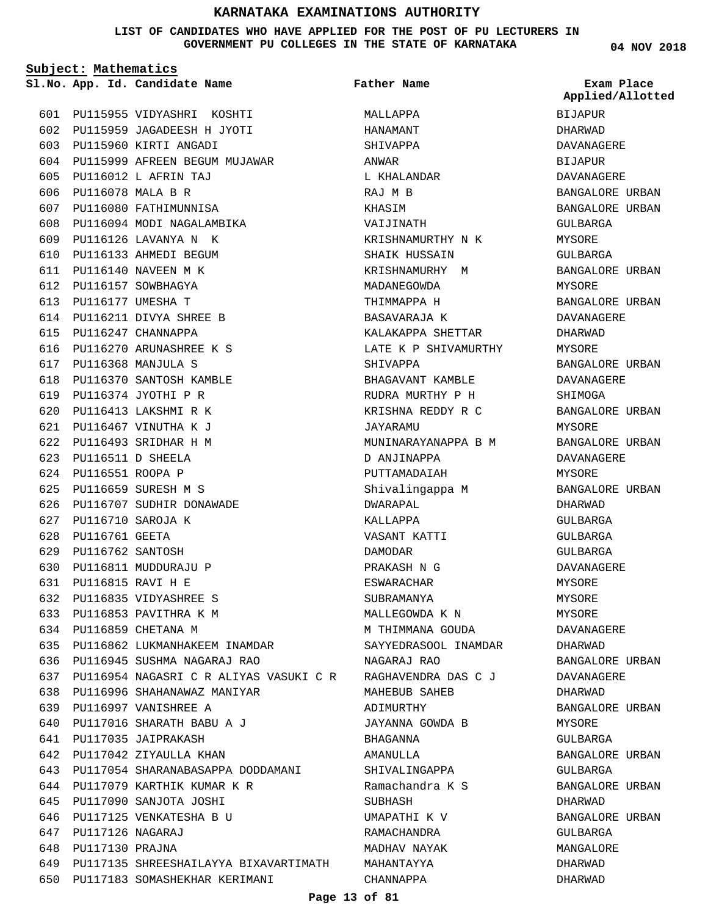### **LIST OF CANDIDATES WHO HAVE APPLIED FOR THE POST OF PU LECTURERS IN GOVERNMENT PU COLLEGES IN THE STATE OF KARNATAKA**

**Subject: Mathematics**

**App. Id. Candidate Name Sl.No. Exam Place**

PU115955 VIDYASHRI KOSHTI 601 PU115959 JAGADEESH H JYOTI 602 603 PU115960 KIRTI ANGADI 604 PU115999 AFREEN BEGUM MUJAWAR PU116012 L AFRIN TAJ 605 606 PU116078 MALA B R 607 PU116080 FATHIMUNNISA 608 PU116094 MODI NAGALAMBIKA PU116126 LAVANYA N K 609 610 PU116133 AHMEDI BEGUM PU116140 NAVEEN M K 611 612 PU116157 SOWBHAGYA PU116177 UMESHA T 613 PU116211 DIVYA SHREE B 614 615 PU116247 CHANNAPPA PU116270 ARUNASHREE K S 616 PU116368 MANJULA S 617 PU116370 SANTOSH KAMBLE 618 PU116374 JYOTHI P R 619 PU116413 LAKSHMI R K 620 PU116467 VINUTHA K J 621 PU116493 SRIDHAR H M 622 PU116511 D SHEELA 623 PU116551 ROOPA P 624 PU116659 SURESH M S 625 626 PU116707 SUDHIR DONAWADE PU116710 SAROJA K 627 628 PU116761 GEETA PU116762 SANTOSH 629 PU116811 MUDDURAJU P 630 PU116815 RAVI H E 631 PU116835 VIDYASHREE S 632 633 PU116853 PAVITHRA K M 634 PU116859 CHETANA M 635 PU116862 LUKMANHAKEEM INAMDAR PU116945 SUSHMA NAGARAJ RAO 636 PU116954 NAGASRI C R ALIYAS VASUKI C R 637 PU116996 SHAHANAWAZ MANIYAR 638 639 PU116997 VANISHREE A PU117016 SHARATH BABU A J 640 PU117035 JAIPRAKASH 641 PU117042 ZIYAULLA KHAN 642 643 PU117054 SHARANABASAPPA DODDAMANI 644 PU117079 KARTHIK KUMAR K R PU117090 SANJOTA JOSHI 645 646 PU117125 VENKATESHA B U PU117126 NAGARAJ 647 648 PU117130 PRAJNA 649 PU117135 SHREESHAILAYYA BIXAVARTIMATH 650 PU117183 SOMASHEKHAR KERIMANI

MALLAPPA HANAMANT SHIVAPPA ANWAR L KHALANDAR RAJ M B KHASIM VAIJINATH KRISHNAMURTHY N K SHAIK HUSSAIN KRISHNAMURHY M MADANEGOWDA THIMMAPPA H BASAVARAJA K KALAKAPPA SHETTAR LATE K P SHIVAMURTHY SHIVAPPA BHAGAVANT KAMBLE RUDRA MURTHY P H KRISHNA REDDY R C JAYARAMU MUNINARAYANAPPA B M D ANJINAPPA PUTTAMADAIAH Shivalingappa M DWARAPAL KALLAPPA VASANT KATTI DAMODAR PRAKASH N G ESWARACHAR SUBRAMANYA MALLEGOWDA K N M THIMMANA GOUDA SAYYEDRASOOL INAMDAR NAGARAJ RAO RAGHAVENDRA DAS C J MAHEBUB SAHEB ADIMURTHY JAYANNA GOWDA B BHAGANNA AMANULLA SHIVALINGAPPA Ramachandra K S SUBHASH UMAPATHI K V RAMACHANDRA MADHAV NAYAK MAHANTAYYA CHANNAPPA **Father Name**

**04 NOV 2018**

BIJAPUR DHARWAD DAVANAGERE BIJAPUR DAVANAGERE BANGALORE URBAN BANGALORE URBAN GULBARGA MYSORE GULBARGA BANGALORE URBAN MYSORE BANGALORE URBAN DAVANAGERE DHARWAD MYSORE BANGALORE URBAN DAVANAGERE SHIMOGA BANGALORE URBAN MYSORE BANGALORE URBAN DAVANAGERE MYSORE BANGALORE URBAN DHARWAD GULBARGA GULBARGA GULBARGA DAVANAGERE MYSORE MYSORE MYSORE DAVANAGERE DHARWAD BANGALORE URBAN DAVANAGERE DHARWAD BANGALORE URBAN MYSORE GULBARGA BANGALORE URBAN GULBARGA BANGALORE URBAN DHARWAD BANGALORE URBAN GULBARGA MANGALORE DHARWAD DHARWAD **Applied/Allotted**

### **Page 13 of 81**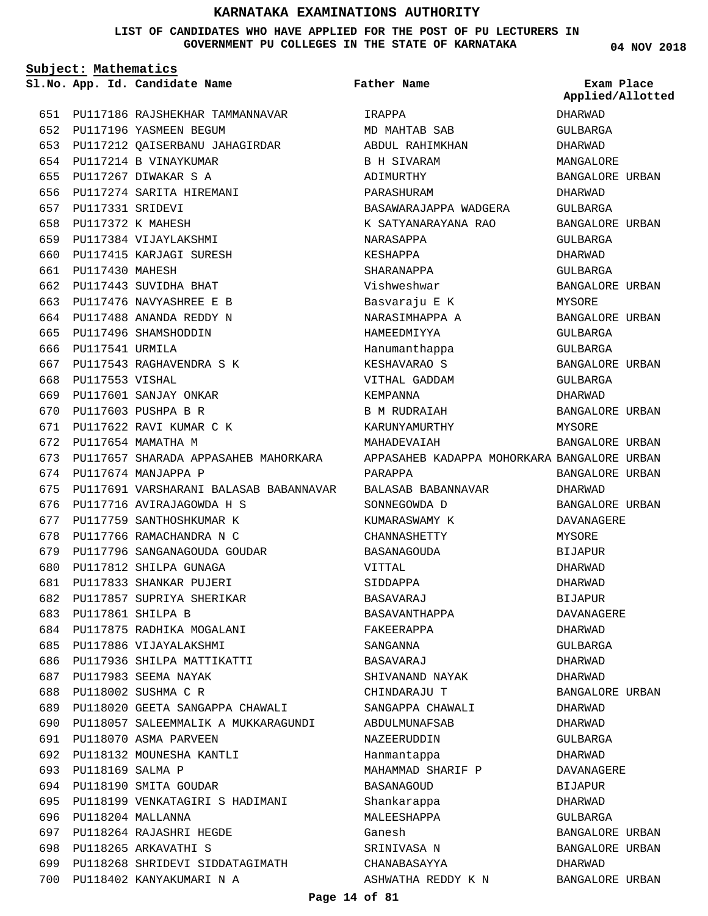### **LIST OF CANDIDATES WHO HAVE APPLIED FOR THE POST OF PU LECTURERS IN GOVERNMENT PU COLLEGES IN THE STATE OF KARNATAKA**

**Subject: Mathematics**

**App. Id. Candidate Name Sl.No. Exam Place**

**Father Name**

**04 NOV 2018**

**Applied/Allotted**

|     |                     | 651 PU117186 RAJSHEKHAR TAMMANNAVAR                         | IRAPPA                |
|-----|---------------------|-------------------------------------------------------------|-----------------------|
| 652 |                     | PU117196 YASMEEN BEGUM                                      | MD MAHTAB SAB         |
| 653 |                     | PU117212 QAISERBANU JAHAGIRDAR                              | ABDUL RAHIMKHAN       |
|     |                     | 654 PU117214 B VINAYKUMAR                                   | <b>B H SIVARAM</b>    |
| 655 |                     | PU117267 DIWAKAR S A                                        | ADIMURTHY             |
| 656 |                     | PU117274 SARITA HIREMANI                                    | PARASHURAM            |
| 657 | PU117331 SRIDEVI    |                                                             | BASAWARAJAPPA WADGERA |
| 658 |                     | PU117372 K MAHESH                                           | K SATYANARAYANA RAO   |
| 659 |                     | PU117384 VIJAYLAKSHMI                                       | NARASAPPA             |
| 660 |                     | PU117415 KARJAGI SURESH                                     | KESHAPPA              |
|     | 661 PU117430 MAHESH |                                                             | SHARANAPPA            |
|     |                     | 662 PU117443 SUVIDHA BHAT                                   | Vishweshwar           |
| 663 |                     | PU117476 NAVYASHREE E B                                     | Basvaraju E K         |
| 664 |                     | PU117488 ANANDA REDDY N                                     | NARASIMHAPPA A        |
| 665 |                     | PU117496 SHAMSHODDIN                                        | HAMEEDMIYYA           |
| 666 | PU117541 URMILA     |                                                             | Hanumanthappa         |
| 667 |                     | PU117543 RAGHAVENDRA S K                                    | KESHAVARAO S          |
| 668 | PU117553 VISHAL     |                                                             | VITHAL GADDAM         |
|     |                     | 669 PU117601 SANJAY ONKAR                                   | KEMPANNA              |
|     |                     | 670 PU117603 PUSHPA B R                                     | <b>B M RUDRAIAH</b>   |
|     |                     | 671 PU117622 RAVI KUMAR C K                                 | KARUNYAMURTHY         |
|     |                     | 672 PU117654 MAMATHA M                                      | MAHADEVAIAH           |
| 673 |                     | PU117657 SHARADA APPASAHEB MAHORKARA APPASAHEB KADAPPA MOHO |                       |
| 674 |                     | PU117674 MANJAPPA P                                         | PARAPPA               |
| 675 |                     | PU117691 VARSHARANI BALASAB BABANNAVAR                      | BALASAB BABANNAVAR    |
| 676 |                     | PU117716 AVIRAJAGOWDA H S                                   | SONNEGOWDA D          |
| 677 |                     | PU117759 SANTHOSHKUMAR K                                    | KUMARASWAMY K         |
| 678 |                     | PU117766 RAMACHANDRA N C                                    | CHANNASHETTY          |
| 679 |                     | PU117796 SANGANAGOUDA GOUDAR                                | BASANAGOUDA           |
| 680 |                     | PU117812 SHILPA GUNAGA                                      | VITTAL                |
| 681 |                     | PU117833 SHANKAR PUJERI                                     | SIDDAPPA              |
| 682 |                     | PU117857 SUPRIYA SHERIKAR                                   | BASAVARAJ             |
|     |                     | 683 PU117861 SHILPA B                                       | BASAVANTHAPPA         |
| 684 |                     | PU117875 RADHIKA MOGALANI                                   | FAKEERAPPA            |
| 685 |                     | PU117886 VIJAYALAKSHMI                                      | SANGANNA              |
| 686 |                     | PU117936 SHILPA MATTIKATTI                                  | BASAVARAJ             |
| 687 |                     | PU117983 SEEMA NAYAK                                        | SHIVANAND NAYAK       |
| 688 |                     | PU118002 SUSHMA C R                                         | CHINDARAJU T          |
| 689 |                     | PU118020 GEETA SANGAPPA CHAWALI                             | SANGAPPA CHAWALI      |
| 690 |                     | PU118057 SALEEMMALIK A MUKKARAGUNDI                         | ABDULMUNAFSAB         |
| 691 |                     | PU118070 ASMA PARVEEN                                       | NAZEERUDDIN           |
| 692 |                     | PU118132 MOUNESHA KANTLI                                    | Hanmantappa           |
| 693 | PU118169 SALMA P    |                                                             | MAHAMMAD SHARIF P     |
| 694 |                     | PU118190 SMITA GOUDAR                                       | <b>BASANAGOUD</b>     |
| 695 |                     | PU118199 VENKATAGIRI S HADIMANI                             | Shankarappa           |
| 696 |                     | PU118204 MALLANNA                                           | MALEESHAPPA           |
| 697 |                     | PU118264 RAJASHRI HEGDE                                     | Ganesh                |
| 698 |                     | PU118265 ARKAVATHI S                                        | SRINIVASA N           |
| 699 |                     | PU118268 SHRIDEVI SIDDATAGIMATH                             | CHANABASAYYA          |
| 700 |                     | PU118402 KANYAKUMARI N A                                    | ASHWATHA REDDY K N    |
|     |                     |                                                             |                       |

APPASAHEB KADAPPA MOHORKARA BANGALORE URBAN DHARWAD GULBARGA DHARWAD MANGALORE BANGALORE URBAN DHARWAD GULBARGA BANGALORE URBAN GULBARGA DHARWAD GULBARGA BANGALORE URBAN MYSORE BANGALORE URBAN GULBARGA GULBARGA BANGALORE URBAN GULBARGA DHARWAD BANGALORE URBAN MYSORE BANGALORE URBAN BANGALORE URBAN DHARWAD BANGALORE URBAN DAVANAGERE MYSORE BIJAPUR DHARWAD DHARWAD BIJAPUR DAVANAGERE DHARWAD GULBARGA DHARWAD DHARWAD BANGALORE URBAN DHARWAD DHARWAD GULBARGA DHARWAD DAVANAGERE

> BIJAPUR DHARWAD GULBARGA

DHARWAD

BANGALORE URBAN BANGALORE URBAN

BANGALORE URBAN

### **Page 14 of 81**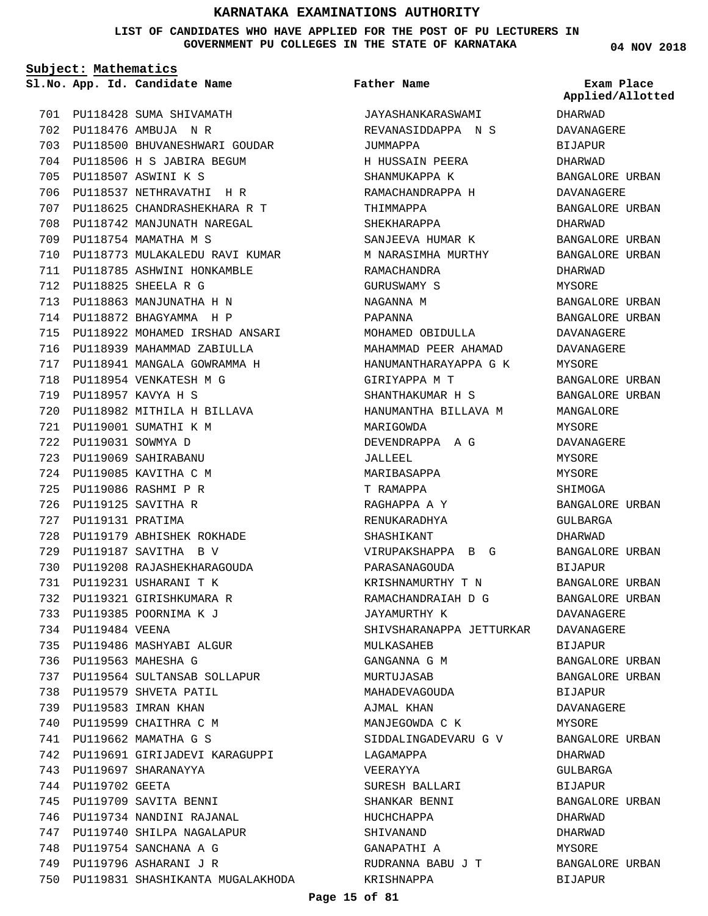**LIST OF CANDIDATES WHO HAVE APPLIED FOR THE POST OF PU LECTURERS IN GOVERNMENT PU COLLEGES IN THE STATE OF KARNATAKA**

**Subject: Mathematics**

**App. Id. Candidate Name Sl.No. Exam Place**

PU118428 SUMA SHIVAMATH 701 PU118476 AMBUJA N R 702 703 PU118500 BHUVANESHWARI GOUDAR PU118506 H S JABIRA BEGUM 704 PU118507 ASWINI K S 705 706 PU118537 NETHRAVATHI H R PU118625 CHANDRASHEKHARA R T 707 708 PU118742 MANJUNATH NAREGAL PU118754 MAMATHA M S 709 710 PU118773 MULAKALEDU RAVI KUMAR 711 PU118785 ASHWINI HONKAMBLE PU118825 SHEELA R G 712 PU118863 MANJUNATHA H N 713 PU118872 BHAGYAMMA H P 714 PU118922 MOHAMED IRSHAD ANSARI 715 716 PU118939 MAHAMMAD ZABIULLA PU118941 MANGALA GOWRAMMA H 717 PU118954 VENKATESH M G 718 PU118957 KAVYA H S 719 PU118982 MITHILA H BILLAVA 720 PU119001 SUMATHI K M 721 PU119031 SOWMYA D 722 PU119069 SAHIRABANU 723 PU119085 KAVITHA C M 724 PU119086 RASHMI P R 725 PU119125 SAVITHA R 726 727 PU119131 PRATIMA PU119179 ABHISHEK ROKHADE 728 PU119187 SAVITHA B V 729 PU119208 RAJASHEKHARAGOUDA 730 PU119231 USHARANI T K 731 732 PU119321 GIRISHKUMARA R PU119385 POORNIMA K J 733 734 PU119484 VEENA 735 PU119486 MASHYABI ALGUR PU119563 MAHESHA G 736 PU119564 SULTANSAB SOLLAPUR 737 738 PU119579 SHVETA PATIL PU119583 IMRAN KHAN 739 740 PU119599 CHAITHRA C M PU119662 MAMATHA G S 741 742 PU119691 GIRIJADEVI KARAGUPPI PU119697 SHARANAYYA 743 744 PU119702 GEETA 745 PU119709 SAVITA BENNI 746 PU119734 NANDINI RAJANAL 747 PU119740 SHILPA NAGALAPUR PU119754 SANCHANA A G 748 749 PU119796 ASHARANI J R 750 PU119831 SHASHIKANTA MUGALAKHODA

### **Father Name**

JAYASHANKARASWAMI REVANASIDDAPPA N S JUMMAPPA H HUSSAIN PEERA SHANMUKAPPA K RAMACHANDRAPPA H THIMMAPPA SHEKHARAPPA SANJEEVA HUMAR K M NARASIMHA MURTHY RAMACHANDRA GURUSWAMY S NAGANNA M PAPANNA MOHAMED OBIDULLA MAHAMMAD PEER AHAMAD HANUMANTHARAYAPPA G K GIRIYAPPA M T SHANTHAKUMAR H S HANUMANTHA BILLAVA M MARIGOWDA DEVENDRAPPA A G JALLEEL MARIBASAPPA T RAMAPPA RAGHAPPA A Y RENUKARADHYA SHASHIKANT VIRUPAKSHAPPA B G PARASANAGOUDA KRISHNAMURTHY T N RAMACHANDRAIAH D G JAYAMURTHY K SHIVSHARANAPPA JETTURKAR DAVANAGERE MULKASAHEB GANGANNA G M MURTUJASAB MAHADEVAGOUDA AJMAL KHAN MANJEGOWDA C K SIDDALINGADEVARU G V LAGAMAPPA VEERAYYA SURESH BALLARI SHANKAR BENNI HUCHCHAPPA SHIVANAND GANAPATHI A RUDRANNA BABU J T KRISHNAPPA

**04 NOV 2018**

DHARWAD DAVANAGERE BIJAPUR DHARWAD BANGALORE URBAN DAVANAGERE BANGALORE URBAN DHARWAD BANGALORE URBAN BANGALORE URBAN DHARWAD MYSORE BANGALORE URBAN BANGALORE URBAN DAVANAGERE DAVANAGERE MYSORE BANGALORE URBAN BANGALORE URBAN MANGALORE MYSORE DAVANAGERE MYSORE MYSORE SHIMOGA BANGALORE URBAN GULBARGA DHARWAD BANGALORE URBAN BIJAPUR BANGALORE URBAN BANGALORE URBAN DAVANAGERE BIJAPUR BANGALORE URBAN BANGALORE URBAN BIJAPUR DAVANAGERE MYSORE BANGALORE URBAN DHARWAD GULBARGA BIJAPUR BANGALORE URBAN DHARWAD DHARWAD MYSORE BANGALORE URBAN **Applied/Allotted**

BIJAPUR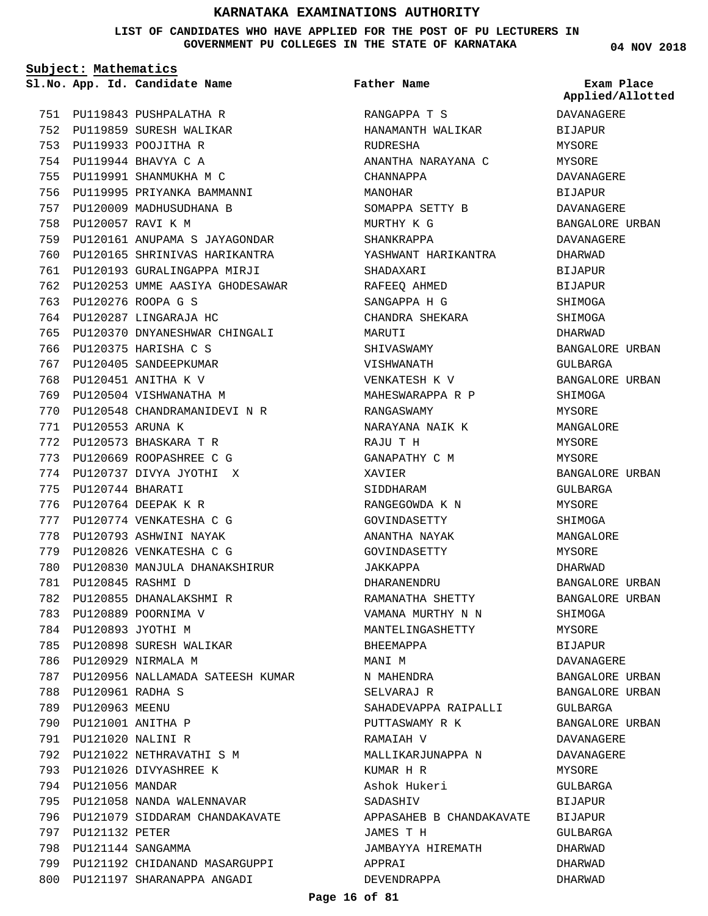**LIST OF CANDIDATES WHO HAVE APPLIED FOR THE POST OF PU LECTURERS IN GOVERNMENT PU COLLEGES IN THE STATE OF KARNATAKA**

**Subject: Mathematics** PU119843 PUSHPALATHA R 751 752 PU119859 SURESH WALIKAR PU119933 POOJITHA R 753 PU119944 BHAVYA C A 754 PU119991 SHANMUKHA M C 755 756 PU119995 PRIYANKA BAMMANNI 757 PU120009 MADHUSUDHANA B 758 PU120057 RAVI K M PU120161 ANUPAMA S JAYAGONDAR 759 760 PU120165 SHRINIVAS HARIKANTRA 761 PU120193 GURALINGAPPA MIRJI 762 PU120253 UMME AASIYA GHODESAWAR PU120276 ROOPA G S 763 764 PU120287 LINGARAJA HC 765 PU120370 DNYANESHWAR CHINGALI PU120375 HARISHA C S 766 767 PU120405 SANDEEPKUMAR **App. Id. Candidate Name Sl.No. Exam Place**

768 PU120451 ANITHA K V 769 PU120504 VISHWANATHA M

PU120573 BHASKARA T R 772 PU120669 ROOPASHREE C G 773 PU120737 DIVYA JYOTHI X 774

PU120553 ARUNA K 771

PU120744 BHARATI 775 776 PU120764 DEEPAK K R PU120774 VENKATESHA C G 777 778 PU120793 ASHWINI NAYAK 779 PU120826 VENKATESHA C G

PU120845 RASHMI D 781

786 PU120929 NIRMALA M

PU120961 RADHA S 788 789 PU120963 MEENU PU121001 ANITHA P 790 PU121020 NALINI R 791

794 PU121056 MANDAR

797 PU121132 PETER PU121144 SANGAMMA 798

782 PU120855 DHANALAKSHMI R 783 PU120889 POORNIMA V 784 PU120893 JYOTHI M

785 PU120898 SURESH WALIKAR

PU121022 NETHRAVATHI S M 792 793 PU121026 DIVYASHREE K

795 PU121058 NANDA WALENNAVAR

796 PU121079 SIDDARAM CHANDAKAVATE

799 PU121192 CHIDANAND MASARGUPPI 800 PU121197 SHARANAPPA ANGADI

PU120548 CHANDRAMANIDEVI N R 770

780 PU120830 MANJULA DHANAKSHIRUR

787 PU120956 NALLAMADA SATEESH KUMAR

RANGAPPA T S HANAMANTH WALIKAR **Father Name**

RUDRESHA ANANTHA NARAYANA C CHANNAPPA MANOHAR SOMAPPA SETTY B MURTHY K G SHANKRAPPA YASHWANT HARIKANTRA SHADAXARI RAFEEQ AHMED SANGAPPA H G CHANDRA SHEKARA MARUTI SHIVASWAMY VISHWANATH VENKATESH K V MAHESWARAPPA R P RANGASWAMY NARAYANA NAIK K RAJU T H GANAPATHY C M XAVIER SIDDHARAM RANGEGOWDA K N GOVINDASETTY ANANTHA NAYAK GOVINDASETTY JAKKAPPA DHARANENDRU RAMANATHA SHETTY VAMANA MURTHY N N MANTELINGASHETTY BHEEMAPPA MANT M N MAHENDRA SELVARAJ R SAHADEVAPPA RAIPALLI PUTTASWAMY R K RAMAIAH V MALLIKARJUNAPPA N KUMAR H R Ashok Hukeri SADASHIV APPASAHEB B CHANDAKAVATE BIJAPUR JAMES T H JAMBAYYA HIREMATH APPRAI DEVENDRAPPA

**04 NOV 2018**

**Applied/Allotted**

DAVANAGERE BIJAPUR MYSORE MYSORE DAVANAGERE BIJAPUR DAVANAGERE BANGALORE URBAN DAVANAGERE DHARWAD **BIJAPUR** BIJAPUR SHIMOGA SHIMOGA DHARWAD BANGALORE URBAN GULBARGA BANGALORE URBAN SHIMOGA MYSORE MANGALORE MYSORE MYSORE BANGALORE URBAN GULBARGA MYSORE **SHIMOGA** MANGALORE MYSORE DHARWAD BANGALORE URBAN BANGALORE URBAN SHIMOGA MYSORE BIJAPUR DAVANAGERE BANGALORE URBAN BANGALORE URBAN GULBARGA BANGALORE URBAN DAVANAGERE DAVANAGERE MYSORE GULBARGA BIJAPUR GULBARGA DHARWAD DHARWAD DHARWAD

### **Page 16 of 81**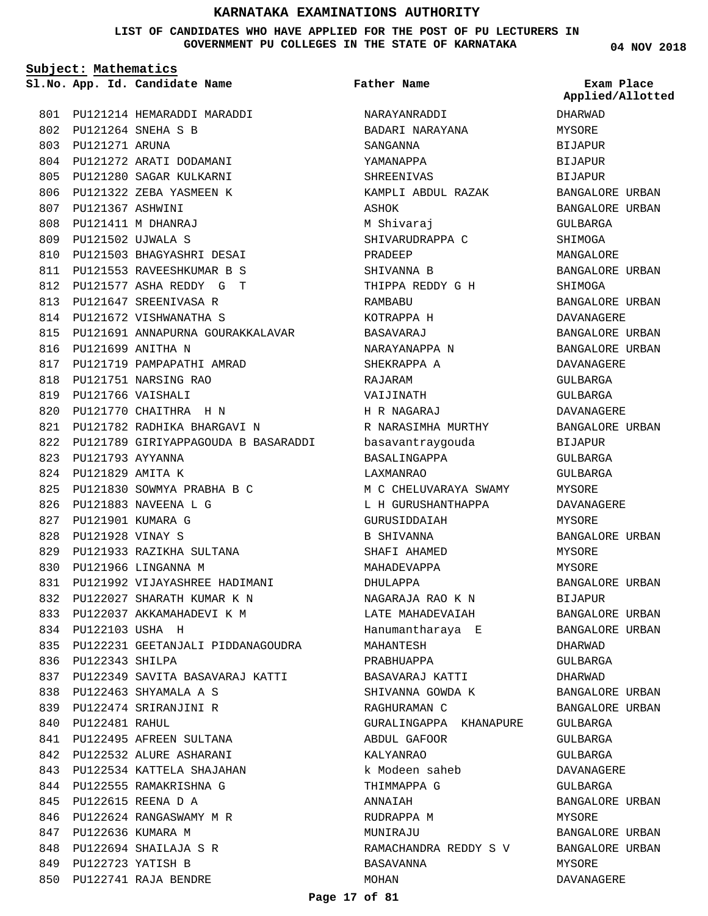**LIST OF CANDIDATES WHO HAVE APPLIED FOR THE POST OF PU LECTURERS IN GOVERNMENT PU COLLEGES IN THE STATE OF KARNATAKA**

**Subject: Mathematics**

PU121214 HEMARADDI MARADDI 801 PU121264 SNEHA S B 802 803 PU121271 ARUNA 804 PU121272 ARATI DODAMANI PU121280 SAGAR KULKARNI 805 806 PU121322 ZEBA YASMEEN K PU121367 ASHWINI 807 PU121411 M DHANRAJ 808 PU121502 UJWALA S 809 810 PU121503 BHAGYASHRI DESAI PU121553 RAVEESHKUMAR B S 811 PU121577 ASHA REDDY G T 812 813 PU121647 SREENIVASA R 814 PU121672 VISHWANATHA S 815 PU121691 ANNAPURNA GOURAKKALAVAR PU121699 ANITHA N 816 817 PU121719 PAMPAPATHI AMRAD PU121751 NARSING RAO 818 PU121766 VAISHALI 819 820 PU121770 CHAITHRA H N PU121782 RADHIKA BHARGAVI N 821 PU121789 GIRIYAPPAGOUDA B BASARADDI 822 PU121793 AYYANNA 823 PU121829 AMITA K 824 PU121830 SOWMYA PRABHA B C 825 PU121883 NAVEENA L G 826 PU121901 KUMARA G 827 PU121928 VINAY S 828 PU121933 RAZIKHA SULTANA 829 830 PU121966 LINGANNA M 831 PU121992 VIJAYASHREE HADIMANI PU122027 SHARATH KUMAR K N 832 PU122037 AKKAMAHADEVI K M 833 PU122103 USHA H 834 835 PU122231 GEETANJALI PIDDANAGOUDRA 836 PU122343 SHILPA 837 PU122349 SAVITA BASAVARAJ KATTI PU122463 SHYAMALA A S 838 PU122474 SRIRANJINI R 839 840 PU122481 RAHUL 841 PU122495 AFREEN SULTANA 842 PU122532 ALURE ASHARANI PU122534 KATTELA SHAJAHAN 843 844 PU122555 RAMAKRISHNA G PU122615 REENA D A 845 846 PU122624 RANGASWAMY M R 847 PU122636 KUMARA M PU122694 SHAILAJA S R 848 PU122723 YATISH B 849 PU122741 RAJA BENDRE 850

**App. Id. Candidate Name Sl.No. Exam Place** NARAYANRADDI BADARI NARAYANA SANGANNA YAMANAPPA SHREENIVAS KAMPLI ABDUL RAZAK ASHOK M Shivaraj SHIVARUDRAPPA C PRADEEP SHIVANNA B THIPPA REDDY G H RAMBABU KOTRAPPA H BASAVARAJ NARAYANAPPA N SHEKRAPPA A RAJARAM VAIJINATH H R NAGARAJ R NARASIMHA MURTHY basavantraygouda BASALINGAPPA LAXMANRAO M C CHELUVARAYA SWAMY L H GURUSHANTHAPPA **GURUSIDDAIAH** B SHIVANNA SHAFI AHAMED MAHADEVAPPA DHULAPPA NAGARAJA RAO K N LATE MAHADEVAIAH Hanumantharaya E MAHANTESH PRABHUAPPA BASAVARAJ KATTI SHIVANNA GOWDA K RAGHURAMAN C GURALINGAPPA KHANAPURE ABDUL GAFOOR KALYANRAO k Modeen saheb THIMMAPPA G **ANNATAH** RUDRAPPA M MUNIRAJU RAMACHANDRA REDDY S V BASAVANNA MOHAN **Father Name**

**04 NOV 2018**

**Applied/Allotted**

DHARWAD

MYSORE BIJAPUR BIJAPUR BIJAPUR BANGALORE URBAN BANGALORE URBAN GULBARGA SHIMOGA MANGALORE BANGALORE URBAN SHIMOGA BANGALORE URBAN DAVANAGERE BANGALORE URBAN BANGALORE URBAN DAVANAGERE GULBARGA GULBARGA DAVANAGERE BANGALORE URBAN BIJAPUR GULBARGA GULBARGA MYSORE DAVANAGERE MYSORE BANGALORE URBAN MYSORE MYSORE BANGALORE URBAN BIJAPUR BANGALORE URBAN BANGALORE URBAN DHARWAD GULBARGA DHARWAD BANGALORE URBAN BANGALORE URBAN GULBARGA GULBARGA GULBARGA DAVANAGERE GULBARGA BANGALORE URBAN MYSORE BANGALORE URBAN BANGALORE URBAN MYSORE DAVANAGERE

### **Page 17 of 81**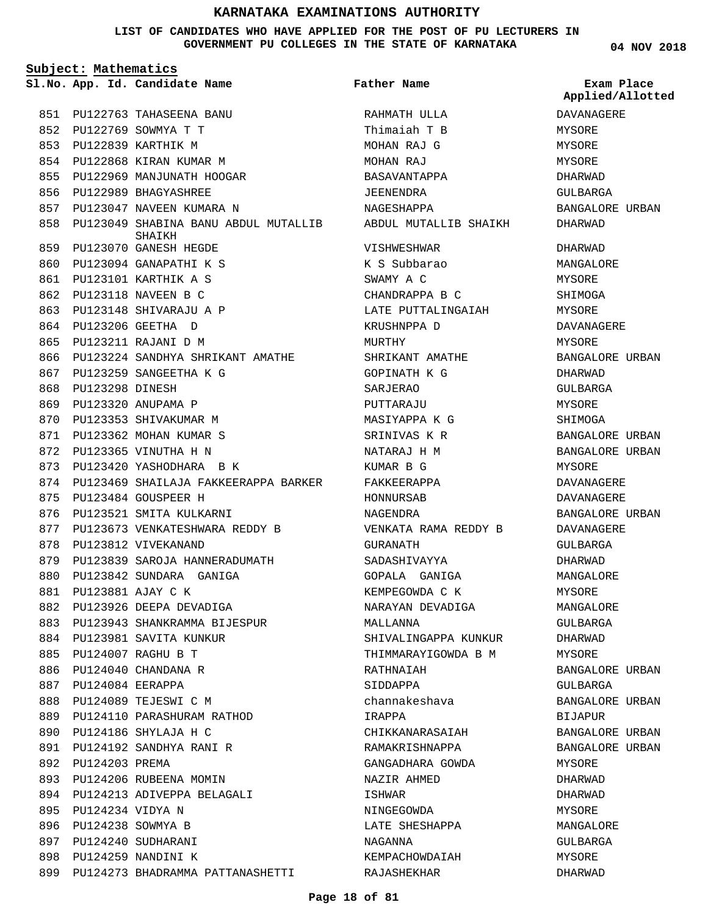### **LIST OF CANDIDATES WHO HAVE APPLIED FOR THE POST OF PU LECTURERS IN GOVERNMENT PU COLLEGES IN THE STATE OF KARNATAKA**

**Subject: Mathematics**

PU122763 TAHASEENA BANU 851 PU122769 SOWMYA T T 852 PU122839 KARTHIK M 853 854 PU122868 KIRAN KUMAR M 855 PU122969 MANJUNATH HOOGAR 856 PU122989 BHAGYASHREE 857 PU123047 NAVEEN KUMARA N PU123049 SHABINA BANU ABDUL MUTALLIB 858 PU123070 GANESH HEGDE 859 PU123094 GANAPATHI K S 860 PU123101 KARTHIK A S 861 PU123118 NAVEEN B C 862 PU123148 SHIVARAJU A P 863 PU123206 GEETHA D 864 PU123211 RAJANI D M 865 866 PU123224 SANDHYA SHRIKANT AMATHE PU123259 SANGEETHA K G 867 868 PU123298 DINESH PU123320 ANUPAMA P 869 870 PU123353 SHIVAKUMAR M PU123362 MOHAN KUMAR S 871 PU123365 VINUTHA H N 872 873 PU123420 YASHODHARA B K PU123469 SHAILAJA FAKKEERAPPA BARKER 874 PU123484 GOUSPEER H 875 876 PU123521 SMITA KULKARNI 877 PU123673 VENKATESHWARA REDDY B 878 PU123812 VIVEKANAND 879 PU123839 SAROJA HANNERADUMATH PU123842 SUNDARA GANIGA 880 PU123881 AJAY C K 881 882 PU123926 DEEPA DEVADIGA PU123943 SHANKRAMMA BIJESPUR 883 884 PU123981 SAVITA KUNKUR PU124007 RAGHU B T 885 886 PU124040 CHANDANA R PU124084 EERAPPA 887 888 PU124089 TEJESWI C M PU124110 PARASHURAM RATHOD 889 PU124186 SHYLAJA H C 890 PU124192 SANDHYA RANI R 891 892 PU124203 PREMA 893 PU124206 RUBEENA MOMIN PU124213 ADIVEPPA BELAGALI 894 PU124234 VIDYA N 895 896 PU124238 SOWMYA B 897 PU124240 SUDHARANI PU124259 NANDINI K 898 **App. Id. Candidate Name Sl.No. Exam Place** SHAIKH

899 PU124273 BHADRAMMA PATTANASHETTI

RAHMATH ULLA Thimaiah T B MOHAN RAJ G MOHAN RAJ BASAVANTAPPA JEENENDRA NAGESHAPPA ABDUL MUTALLIB SHAIKH VISHWESHWAR K S Subbarao SWAMY A C CHANDRAPPA B C LATE PUTTALINGAIAH KRUSHNPPA D MURTHY SHRIKANT AMATHE GOPINATH K G SARJERAO PUTTARAJU MASIYAPPA K G SRINIVAS K R NATARAJ H M KUMAR B G FAKKEERAPPA HONNURSAB NAGENDRA VENKATA RAMA REDDY B GURANATH SADASHIVAYYA GOPALA GANIGA KEMPEGOWDA C K NARAYAN DEVADIGA MALLANNA SHIVALINGAPPA KUNKUR THIMMARAYIGOWDA B M RATHNAIAH SIDDAPPA channakeshava IRAPPA CHIKKANARASAIAH RAMAKRISHNAPPA GANGADHARA GOWDA NAZIR AHMED ISHWAR NINGEGOWDA LATE SHESHAPPA NAGANNA KEMPACHOWDAIAH RAJASHEKHAR **Father Name**

**04 NOV 2018**

DAVANAGERE MYSORE MYSORE MYSORE DHARWAD GULBARGA BANGALORE URBAN DHARWAD DHARWAD MANGALORE MYSORE SHIMOGA MYSORE DAVANAGERE MYSORE BANGALORE URBAN DHARWAD GULBARGA MYSORE SHIMOGA BANGALORE URBAN BANGALORE URBAN MYSORE DAVANAGERE DAVANAGERE BANGALORE URBAN DAVANAGERE GULBARGA DHARWAD MANGALORE MYSORE MANGALORE GULBARGA DHARWAD MYSORE BANGALORE URBAN GULBARGA BANGALORE URBAN BIJAPUR BANGALORE URBAN BANGALORE URBAN MYSORE DHARWAD DHARWAD MYSORE MANGALORE GULBARGA MYSORE DHARWAD **Applied/Allotted**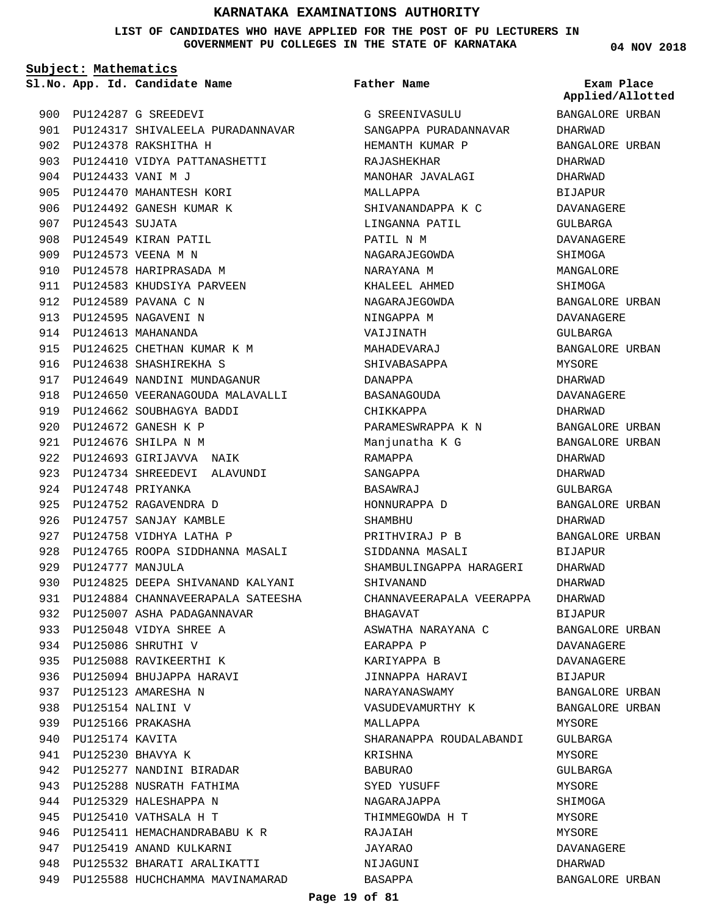**LIST OF CANDIDATES WHO HAVE APPLIED FOR THE POST OF PU LECTURERS IN GOVERNMENT PU COLLEGES IN THE STATE OF KARNATAKA**

**Subject: Mathematics**

**App. Id. Candidate Name Sl.No. Exam Place**

# **Father Name**

**04 NOV 2018**

**Applied/Allotted**

| 900 |                       | PU124287 G SREEDEVI                   |
|-----|-----------------------|---------------------------------------|
| 901 |                       | PU124317 SHIVALEELA PURADANNAVAR      |
| 902 |                       | PU124378 RAKSHITHA H                  |
| 903 |                       | PU124410 VIDYA PATTANASHETTI          |
| 904 |                       | PU124433 VANI M J                     |
|     | 905 PU124470          | MAHANTESH KORI                        |
|     |                       | 906 PU124492 GANESH KUMAR K           |
| 907 | PU124543 SUJATA       |                                       |
| 908 |                       | PU124549 KIRAN PATIL                  |
|     |                       | 909 PU124573 VEENA M N                |
|     |                       | 910 PU124578 HARIPRASADA M            |
|     |                       | 911 PU124583 KHUDSIYA PARVEEN         |
| 912 |                       | PU124589 PAVANA C N                   |
|     |                       | 913 PU124595 NAGAVENI N               |
|     |                       | 914 PU124613 MAHANANDA                |
|     |                       | 915 PU124625 CHETHAN KUMAR K M        |
| 916 |                       | PU124638 SHASHIREKHA S                |
|     |                       | 917 PU124649 NANDINI MUNDAGANUR       |
| 918 |                       | PU124650 VEERANAGOUDA MALAVALLI       |
|     | 919 PU124662          | SOUBHAGYA BADDI                       |
| 920 |                       | PU124672 GANESH K P                   |
| 921 | PU124676              | SHILPA N M                            |
|     |                       | 922 PU124693 GIRIJAVVA<br>NAIK        |
|     |                       | 923 PU124734 SHREEDEVI ALAVUNDI       |
| 924 |                       | PU124748 PRIYANKA                     |
|     |                       | 925 PU124752 RAGAVENDRA D             |
| 926 | PU124757              | SANJAY KAMBLE                         |
| 927 |                       | PU124758 VIDHYA LATHA P               |
| 928 | PU124765              | ROOPA SIDDHANNA MASALI                |
| 929 | PU124777 MANJULA      |                                       |
|     |                       | 930 PU124825 DEEPA SHIVANAND KALYANI  |
|     |                       | 931 PU124884 CHANNAVEERAPALA SATEESHA |
| 932 |                       | PU125007 ASHA PADAGANNAVAR            |
| 933 |                       | PU125048 VIDYA SHREE A                |
|     |                       | 934 PU125086 SHRUTHI V                |
|     |                       | 935 PU125088 RAVIKEERTHI<br>Κ         |
|     |                       | 936 PU125094 BHUJAPPA HARAVI          |
|     |                       | 937 PU125123 AMARESHA N               |
|     | 938 PU125154 NALINI V |                                       |
|     | 939 PU125166 PRAKASHA |                                       |
| 940 | PU125174 KAVITA       |                                       |
|     | 941 PU125230 BHAVYA K |                                       |
|     |                       | 942 PU125277 NANDINI BIRADAR          |
|     |                       | 943 PU125288 NUSRATH FATHIMA          |
| 944 |                       | PU125329 HALESHAPPA N                 |
|     |                       | 945 PU125410 VATHSALA H T             |
|     |                       | 946 PU125411 HEMACHANDRABABU K R      |
|     |                       | 947 PU125419 ANAND KULKARNI           |
| 948 |                       | PU125532 BHARATI ARALIKATTI           |
|     |                       | 949 PU125588 HUCHCHAMMA MAVINAMARAD   |

G SREENIVASULU SANGAPPA PURADANNAVAR HEMANTH KUMAR P RAJASHEKHAR MANOHAR JAVALAGI MALLAPPA SHIVANANDAPPA K C LINGANNA PATIL PATIL N M NAGARAJEGOWDA NARAYANA M KHALEEL AHMED NAGARAJEGOWDA NINGAPPA M VAIJINATH MAHADEVARAJ SHIVABASAPPA DANAPPA BASANAGOUDA CHIKKAPPA PARAMESWRAPPA K N Manjunatha K G RAMAPPA SANGAPPA BASAWRAJ HONNURAPPA D **SHAMBHU** PRITHVIRAJ P B SIDDANNA MASALI SHAMBULINGAPPA HARAGERI SHIVANAND CHANNAVEERAPALA VEERAPPA BHAGAVAT ASWATHA NARAYANA C EARAPPA P KARIYAPPA B JINNAPPA HARAVI NARAYANASWAMY VASUDEVAMURTHY K MALLAPPA SHARANAPPA ROUDALABANDI KRISHNA BABURAO SYED YUSUFF NAGARAJAPPA THIMMEGOWDA H T RAJAIAH JAYARAO NIJAGUNI BASAPPA

BANGALORE URBAN DHARWAD BANGALORE URBAN DHARWAD DHARWAD BIJAPUR DAVANAGERE GULBARGA DAVANAGERE **SHIMOGA** MANGALORE SHIMOGA BANGALORE URBAN DAVANAGERE GULBARGA BANGALORE URBAN MYSORE DHARWAD DAVANAGERE DHARWAD BANGALORE URBAN BANGALORE URBAN DHARWAD DHARWAD GULBARGA BANGALORE URBAN DHARWAD BANGALORE URBAN BIJAPUR DHARWAD DHARWAD DHARWAD BIJAPUR BANGALORE URBAN DAVANAGERE DAVANAGERE BIJAPUR BANGALORE URBAN BANGALORE URBAN MYSORE GULBARGA MYSORE GULBARGA **MYSORE** SHIMOGA MYSORE MYSORE DAVANAGERE DHARWAD BANGALORE URBAN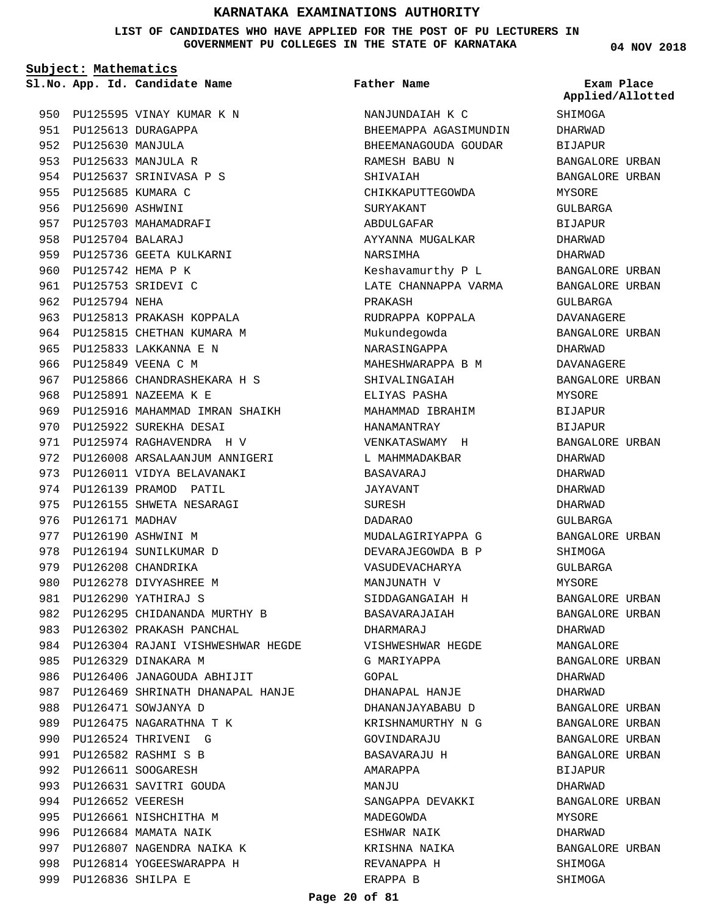**LIST OF CANDIDATES WHO HAVE APPLIED FOR THE POST OF PU LECTURERS IN GOVERNMENT PU COLLEGES IN THE STATE OF KARNATAKA**

**Subject: Mathematics**

**App. Id. Candidate Name Sl.No. Exam Place**

950 PU125595 VINAY KUMAR K N 951 PU125613 DURAGAPPA PU125630 MANJULA 952 PU125633 MANJULA R 953 954 PU125637 SRINIVASA P S 955 PU125685 KUMARA C 956 PU125690 ASHWINI 957 PU125703 MAHAMADRAFI PU125704 BALARAJ 958 959 PU125736 GEETA KULKARNI 960 PU125742 HEMA P K PU125753 SRIDEVI C 961 962 PU125794 NEHA 963 PU125813 PRAKASH KOPPALA 964 PU125815 CHETHAN KUMARA M 965 PU125833 LAKKANNA E N 966 PU125849 VEENA C M 967 PU125866 CHANDRASHEKARA H S 968 PU125891 NAZEEMA K E 969 PU125916 MAHAMMAD IMRAN SHAIKH 970 PU125922 SUREKHA DESAI 971 PU125974 RAGHAVENDRA H V 972 PU126008 ARSALAANJUM ANNIGERI 973 PU126011 VIDYA BELAVANAKI 974 PU126139 PRAMOD PATIL 975 PU126155 SHWETA NESARAGI 976 PU126171 MADHAV 977 PU126190 ASHWINI M 978 PU126194 SUNILKUMAR D 979 PU126208 CHANDRIKA 980 PU126278 DIVYASHREE M PU126290 YATHIRAJ S 981 982 PU126295 CHIDANANDA MURTHY B 983 PU126302 PRAKASH PANCHAL 984 PU126304 RAJANI VISHWESHWAR HEGDE PU126329 DINAKARA M 985 986 PU126406 JANAGOUDA ABHIJIT 987 PU126469 SHRINATH DHANAPAL HANJE PU126471 SOWJANYA D 988 989 PU126475 NAGARATHNA T K 990 PU126524 THRIVENI G PU126582 RASHMI S B 991 PU126611 SOOGARESH 992 993 PU126631 SAVITRI GOUDA 994 PU126652 VEERESH 995 PU126661 NISHCHITHA M 996 PU126684 MAMATA NAIK 997 PU126807 NAGENDRA NAIKA K 998 PU126814 YOGEESWARAPPA H PU126836 SHILPA E 999

**Father Name**

NANJUNDAIAH K C BHEEMAPPA AGASIMUNDIN BHEEMANAGOUDA GOUDAR RAMESH BABU N SHIVAIAH CHIKKAPUTTEGOWDA SURYAKANT ABDULGAFAR AYYANNA MUGALKAR NARSIMHA Keshavamurthy P L LATE CHANNAPPA VARMA PRAKASH RUDRAPPA KOPPALA Mukundegowda NARASINGAPPA MAHESHWARAPPA B M SHIVALINGAIAH ELIYAS PASHA MAHAMMAD IBRAHIM HANAMANTRAY VENKATASWAMY H L MAHMMADAKBAR BASAVARAJ JAYAVANT SURESH DADARAO MUDALAGIRIYAPPA G DEVARAJEGOWDA B P VASUDEVACHARYA MANJUNATH V SIDDAGANGAIAH H BASAVARAJAIAH DHARMARAJ VISHWESHWAR HEGDE G MARIYAPPA GOPAL DHANAPAL HANJE DHANANJAYABABU D KRISHNAMURTHY N G GOVINDARAJU BASAVARAJU H AMARAPPA MANJTIT SANGAPPA DEVAKKI MADEGOWDA ESHWAR NAIK KRISHNA NAIKA REVANAPPA H ERAPPA B

**04 NOV 2018**

**SHIMOGA** DHARWAD BIJAPUR BANGALORE URBAN BANGALORE URBAN MYSORE GULBARGA BIJAPUR DHARWAD DHARWAD BANGALORE URBAN BANGALORE URBAN GULBARGA DAVANAGERE BANGALORE URBAN DHARWAD DAVANAGERE BANGALORE URBAN MYSORE BIJAPUR **BIJAPUR** BANGALORE URBAN DHARWAD DHARWAD DHARWAD DHARWAD GULBARGA BANGALORE URBAN SHIMOGA GULBARGA MYSORE BANGALORE URBAN BANGALORE URBAN DHARWAD MANGALORE BANGALORE URBAN DHARWAD DHARWAD BANGALORE URBAN BANGALORE URBAN BANGALORE URBAN BANGALORE URBAN BIJAPUR DHARWAD BANGALORE URBAN MYSORE DHARWAD BANGALORE URBAN SHIMOGA SHIMOGA **Applied/Allotted**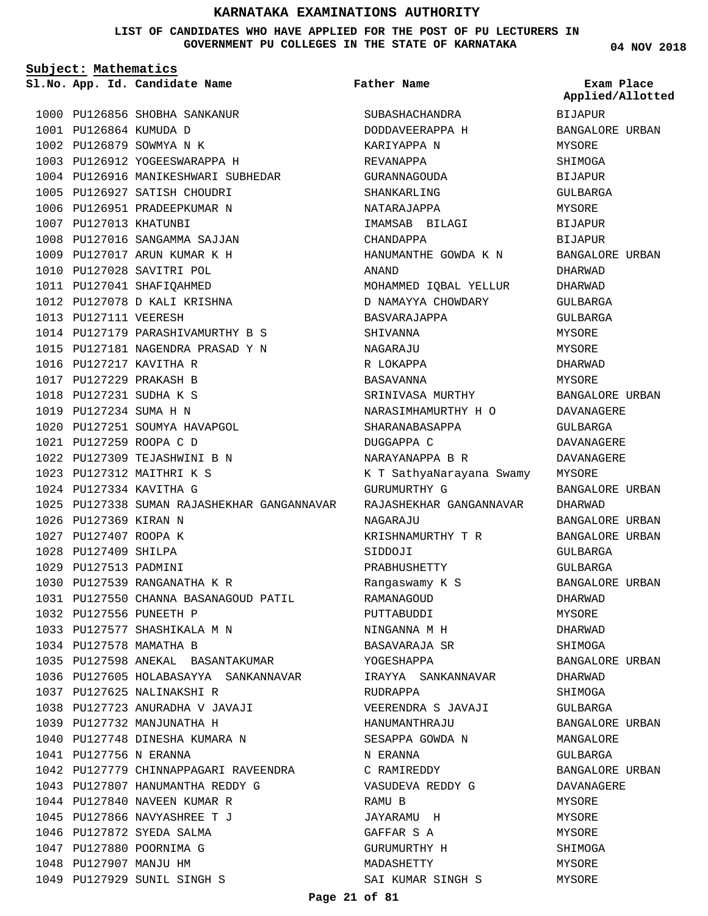### **LIST OF CANDIDATES WHO HAVE APPLIED FOR THE POST OF PU LECTURERS IN GOVERNMENT PU COLLEGES IN THE STATE OF KARNATAKA**

**Subject: Mathematics**

**04 NOV 2018**

|  |                        | Sl.No. App. Id. Candidate Name                                                     | Father Name              | Exam Place<br>Applied/Allotted |
|--|------------------------|------------------------------------------------------------------------------------|--------------------------|--------------------------------|
|  |                        | 1000 PU126856 SHOBHA SANKANUR                                                      | SUBASHACHANDRA           | BIJAPUR                        |
|  | 1001 PU126864 KUMUDA D |                                                                                    | DODDAVEERAPPA H          | BANGALORE URBAN                |
|  |                        | 1002 PU126879 SOWMYA N K                                                           | KARIYAPPA N              | MYSORE                         |
|  |                        | 1003 PU126912 YOGEESWARAPPA H                                                      | REVANAPPA                | SHIMOGA                        |
|  |                        | 1004 PU126916 MANIKESHWARI SUBHEDAR                                                | GURANNAGOUDA             | BIJAPUR                        |
|  |                        | 1005 PU126927 SATISH CHOUDRI                                                       | SHANKARLING              | GULBARGA                       |
|  |                        | 1006 PU126951 PRADEEPKUMAR N                                                       | NATARAJAPPA              | MYSORE                         |
|  | 1007 PU127013 KHATUNBI |                                                                                    | IMAMSAB BILAGI           | BIJAPUR                        |
|  |                        | 1008 PU127016 SANGAMMA SAJJAN                                                      | CHANDAPPA                | <b>BIJAPUR</b>                 |
|  |                        | 1009 PU127017 ARUN KUMAR K H                                                       | HANUMANTHE GOWDA K N     | BANGALORE URBAN                |
|  |                        | 1010 PU127028 SAVITRI POL                                                          | ANAND                    | DHARWAD                        |
|  |                        | 1011 PU127041 SHAFIQAHMED                                                          | MOHAMMED IQBAL YELLUR    | DHARWAD                        |
|  |                        | 1012 PU127078 D KALI KRISHNA                                                       | D NAMAYYA CHOWDARY       | GULBARGA                       |
|  | 1013 PU127111 VEERESH  |                                                                                    | BASVARAJAPPA             | GULBARGA                       |
|  |                        | 1014 PU127179 PARASHIVAMURTHY B S                                                  | SHIVANNA                 | MYSORE                         |
|  |                        | 1015 PU127181 NAGENDRA PRASAD Y N                                                  | NAGARAJU                 | MYSORE                         |
|  |                        | 1016 PU127217 KAVITHA R                                                            | R LOKAPPA                | DHARWAD                        |
|  |                        | 1017 PU127229 PRAKASH B                                                            | BASAVANNA                | MYSORE                         |
|  |                        | 1018 PU127231 SUDHA K S                                                            | SRINIVASA MURTHY         | BANGALORE URBAN                |
|  | 1019 PU127234 SUMA H N |                                                                                    | NARASIMHAMURTHY H O      | DAVANAGERE                     |
|  |                        | 1020 PU127251 SOUMYA HAVAPGOL                                                      | SHARANABASAPPA           | GULBARGA                       |
|  |                        | 1021 PU127259 ROOPA C D                                                            | DUGGAPPA C               | DAVANAGERE                     |
|  |                        | 1022 PU127309 TEJASHWINI B N                                                       | NARAYANAPPA B R          | DAVANAGERE                     |
|  |                        | 1023 PU127312 MAITHRI K S                                                          | K T SathyaNarayana Swamy | MYSORE                         |
|  |                        | 1024 PU127334 KAVITHA G                                                            | GURUMURTHY G             | BANGALORE URBAN                |
|  |                        | 1025 PU127338 SUMAN RAJASHEKHAR GANGANNAVAR     RAJASHEKHAR GANGANNAVAR            |                          | DHARWAD                        |
|  | 1026 PU127369 KIRAN N  |                                                                                    | NAGARAJU                 | BANGALORE URBAN                |
|  | 1027 PU127407 ROOPA K  |                                                                                    | KRISHNAMURTHY T R        | BANGALORE URBAN                |
|  | 1028 PU127409 SHILPA   |                                                                                    | SIDDOJI                  | GULBARGA                       |
|  | 1029 PU127513 PADMINI  |                                                                                    | PRABHUSHETTY             | GULBARGA                       |
|  |                        | 1030 PU127539 RANGANATHA K R                                                       | Rangaswamy K S           | BANGALORE URBAN                |
|  |                        | 1031 PU127550 CHANNA BASANAGOUD PATIL                                              | RAMANAGOUD               | DHARWAD                        |
|  |                        | 1032 PU127556 PUNEETH P<br>1032 PU127556 PUNEETH P<br>1033 PU127577 SHASHIKALA M N | PUTTABUDDI               | MYSORE                         |
|  |                        |                                                                                    | NINGANNA M H             | DHARWAD                        |
|  |                        | 1034 PU127578 MAMATHA B                                                            | BASAVARAJA SR            | SHIMOGA                        |
|  |                        | 1035 PU127598 ANEKAL BASANTAKUMAR                                                  | YOGESHAPPA               | BANGALORE URBAN                |
|  |                        |                                                                                    |                          | DHARWAD                        |
|  |                        | 1037 PU127625 NALINAKSHI R                                                         | RUDRAPPA                 | SHIMOGA                        |
|  |                        | 1038 PU127723 ANURADHA V JAVAJI                                                    | VEERENDRA S JAVAJI       | GULBARGA                       |
|  |                        |                                                                                    |                          | BANGALORE URBAN                |
|  |                        |                                                                                    |                          | MANGALORE                      |
|  |                        | 1041 PU127756 N ERANNA<br>1042 PU127779 CHINNAPPAGARI RAVEENDRA C RAMIREDDY        | N ERANNA                 | GULBARGA                       |
|  |                        | 1043 PU127807 HANUMANTHA REDDY G                                                   |                          | BANGALORE URBAN                |
|  |                        |                                                                                    | VASUDEVA REDDY G         | DAVANAGERE                     |
|  |                        | 1044 PU127840 NAVEEN KUMAR R<br>1045 PU127866 NAVYASHREE T J                       | RAMU B<br>JAYARAMU H     | MYSORE<br>MYSORE               |
|  |                        | 1046 PU127872 SYEDA SALMA                                                          | GAFFAR S A               | MYSORE                         |
|  |                        | 1047 PU127880 POORNIMA G                                                           | GURUMURTHY H             | SHIMOGA                        |
|  | 1048 PU127907 MANJU HM |                                                                                    | MADASHETTY               | MYSORE                         |
|  |                        | 1049 PU127929 SUNIL SINGH S                                                        | SAI KUMAR SINGH S        | MYSORE                         |
|  |                        |                                                                                    |                          |                                |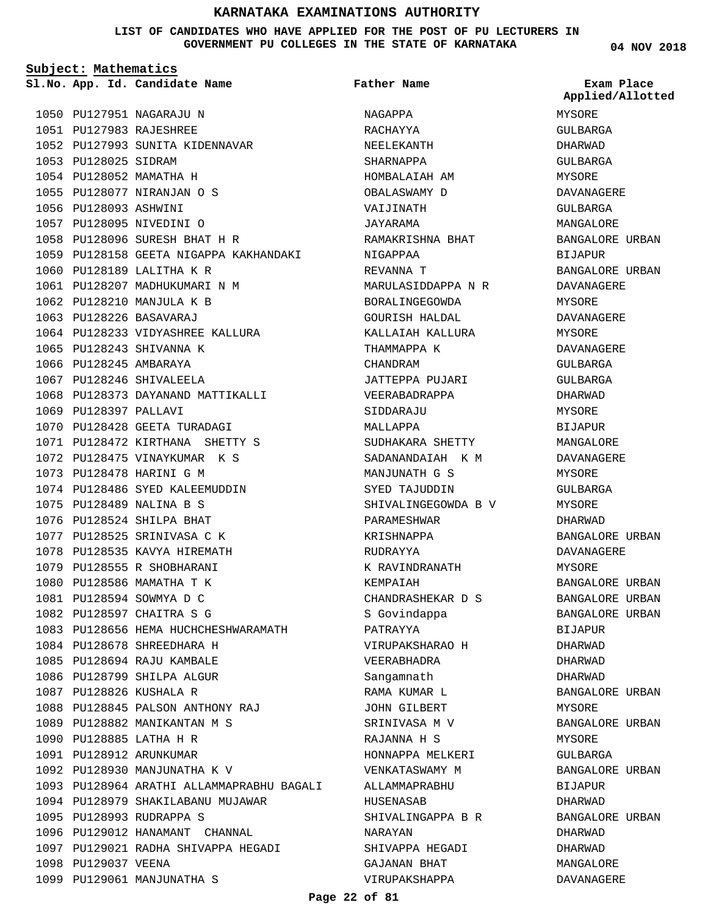### **LIST OF CANDIDATES WHO HAVE APPLIED FOR THE POST OF PU LECTURERS IN GOVERNMENT PU COLLEGES IN THE STATE OF KARNATAKA**

**Subject: Mathematics**

1053 PU128025 SIDRAM 1054 PU128052 MAMATHA H PU128077 NIRANJAN O S 1055

1056 PU128093 ASHWINI 1057 PU128095 NIVEDINI O

**App. Id. Candidate Name Sl.No. Exam Place**

1050 PU127951 NAGARAJU N PU127983 RAJESHREE 1051

1052 PU127993 SUNITA KIDENNAVAR

PU128096 SURESH BHAT H R 1058

1064 PU128233 VIDYASHREE KALLURA

1068 PU128373 DAYANAND MATTIKALLI

1070 PU128428 GEETA TURADAGI PU128472 KIRTHANA SHETTY S 1071 1072 PU128475 VINAYKUMAR K S

1074 PU128486 SYED KALEEMUDDIN

1083 PU128656 HEMA HUCHCHESHWARAMATH

1088 PU128845 PALSON ANTHONY RAJ 1089 PU128882 MANIKANTAN M S

1094 PU128979 SHAKILABANU MUJAWAR

1096 PU129012 HANAMANT CHANNAL 1097 PU129021 RADHA SHIVAPPA HEGADI

1093 PU128964 ARATHI ALLAMMAPRABHU BAGALI

1060 PU128189 LALITHA K R 1061 PU128207 MADHUKUMARI N M 1062 PU128210 MANJULA K B PU128226 BASAVARAJ 1063

1065 PU128243 SHIVANNA K 1066 PU128245 AMBARAYA 1067 PU128246 SHIVALEELA

1069 PU128397 PALLAVI

1073 PU128478 HARINI G M

PU128489 NALINA B S 1075 1076 PU128524 SHILPA BHAT 1077 PU128525 SRINIVASA C K 1078 PU128535 KAVYA HIREMATH 1079 PU128555 R SHOBHARANI 1080 PU128586 MAMATHA T K 1081 PU128594 SOWMYA D C PU128597 CHAITRA S G 1082

1084 PU128678 SHREEDHARA H PU128694 RAJU KAMBALE 1085 1086 PU128799 SHILPA ALGUR 1087 PU128826 KUSHALA R

PU128885 LATHA H R 1090 PU128912 ARUNKUMAR 1091

1095 PU128993 RUDRAPPA S

1099 PU129061 MANJUNATHA S

1098 PU129037 VEENA

1092 PU128930 MANJUNATHA K V

1059 PU128158 GEETA NIGAPPA KAKHANDAKI

**Father Name**

NAGAPPA RACHAYYA NEELEKANTH SHARNAPPA HOMBALAIAH AM OBALASWAMY D VAIJINATH JAYARAMA RAMAKRISHNA BHAT NIGAPPAA REVANNA T MARULASIDDAPPA N R BORALINGEGOWDA GOURISH HALDAL KALLAIAH KALLURA THAMMAPPA K CHANDRAM JATTEPPA PUJARI VEERABADRAPPA SIDDARAJU MALLAPPA SUDHAKARA SHETTY SADANANDAIAH K M MANJUNATH G S SYED TAJUDDIN SHIVALINGEGOWDA B V PARAMESHWAR KRISHNAPPA RUDRAYYA K RAVINDRANATH KEMPAIAH CHANDRASHEKAR D S S Govindappa PATRAYYA VIRUPAKSHARAO H VEERABHADRA Sangamnath RAMA KUMAR L JOHN GILBERT SRINIVASA M V RAJANNA H S HONNAPPA MELKERI VENKATASWAMY M ALLAMMAPRABHU HUSENASAB SHIVALINGAPPA B R NARAYAN SHIVAPPA HEGADI GAJANAN BHAT VIRUPAKSHAPPA

**04 NOV 2018**

MYSORE GULBARGA DHARWAD GULBARGA MYSORE DAVANAGERE GULBARGA MANGALORE BANGALORE URBAN BIJAPUR BANGALORE URBAN DAVANAGERE MYSORE DAVANAGERE MYSORE DAVANAGERE GULBARGA GULBARGA DHARWAD MYSORE BIJAPUR MANGALORE DAVANAGERE MYSORE GULBARGA MYSORE DHARWAD BANGALORE URBAN DAVANAGERE MYSORE BANGALORE URBAN BANGALORE URBAN BANGALORE URBAN BIJAPUR DHARWAD DHARWAD DHARWAD BANGALORE URBAN MYSORE BANGALORE URBAN MYSORE GULBARGA BANGALORE URBAN **BIJAPUR** DHARWAD BANGALORE URBAN DHARWAD DHARWAD MANGALORE DAVANAGERE **Applied/Allotted**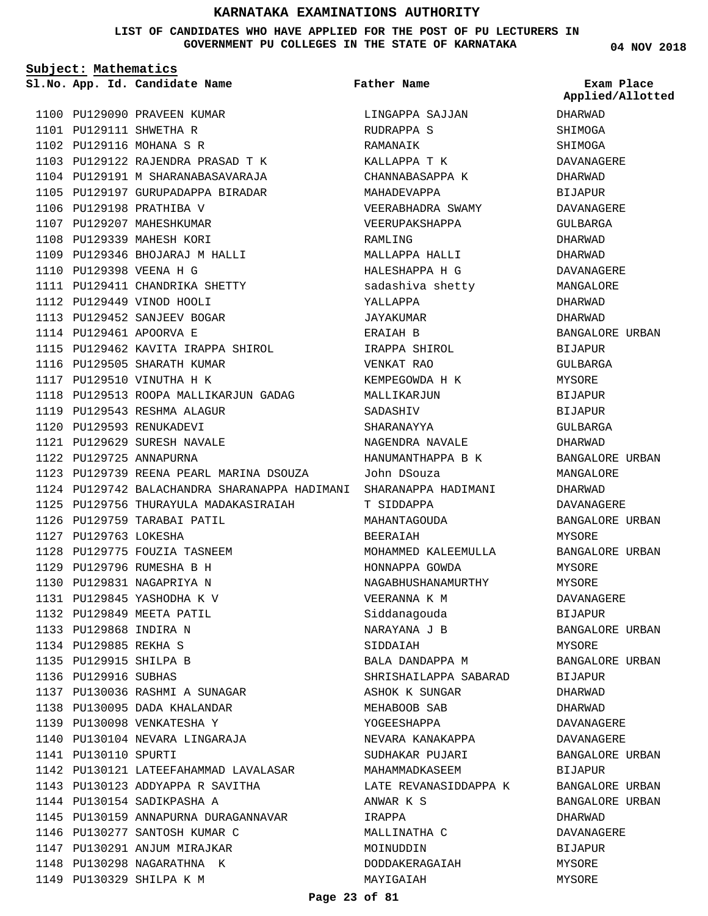**LIST OF CANDIDATES WHO HAVE APPLIED FOR THE POST OF PU LECTURERS IN GOVERNMENT PU COLLEGES IN THE STATE OF KARNATAKA**

**Subject: Mathematics**

1100 PU129090 PRAVEEN KUMAR PU129111 SHWETHA R 1101 1102 PU129116 MOHANA S R 1103 PU129122 RAJENDRA PRASAD T K 1104 PU129191 M SHARANABASAVARAJA 1105 PU129197 GURUPADAPPA BIRADAR 1106 PU129198 PRATHIBA V 1107 PU129207 MAHESHKUMAR 1108 PU129339 MAHESH KORI 1109 PU129346 BHOJARAJ M HALLI PU129398 VEENA H G 1110 1111 PU129411 CHANDRIKA SHETTY 1112 PU129449 VINOD HOOLI 1113 PU129452 SANJEEV BOGAR 1114 PU129461 APOORVA E 1115 PU129462 KAVITA IRAPPA SHIROL 1116 PU129505 SHARATH KUMAR 1117 PU129510 VINUTHA H K 1118 PU129513 ROOPA MALLIKARJUN GADAG 1119 PU129543 RESHMA ALAGUR 1120 PU129593 RENUKADEVI PU129629 SURESH NAVALE 1121 1122 PU129725 ANNAPURNA 1123 PU129739 REENA PEARL MARINA DSOUZA 1124 PU129742 BALACHANDRA SHARANAPPA HADIMANI SHARANAPPA HADIMANI 1125 PU129756 THURAYULA MADAKASIRAIAH 1126 PU129759 TARABAI PATIL 1127 PU129763 LOKESHA 1128 PU129775 FOUZIA TASNEEM PU129796 RUMESHA B H 1129 1130 PU129831 NAGAPRIYA N PU129845 YASHODHA K V 1131 PU129849 MEETA PATIL 1132 PU129868 INDIRA N 1133 PU129885 REKHA S 1134 1135 PU129915 SHILPA B 1136 PU129916 SUBHAS 1137 PU130036 RASHMI A SUNAGAR 1138 PU130095 DADA KHALANDAR PU130098 VENKATESHA Y 1139 1140 PU130104 NEVARA LINGARAJA 1141 PU130110 SPURTI 1142 PU130121 LATEEFAHAMMAD LAVALASAR PU130123 ADDYAPPA R SAVITHA 1143 1144 PU130154 SADIKPASHA A 1145 PU130159 ANNAPURNA DURAGANNAVAR 1146 PU130277 SANTOSH KUMAR C 1147 PU130291 ANJUM MIRAJKAR 1148 PU130298 NAGARATHNA K 1149 PU130329 SHILPA K M

**App. Id. Candidate Name Sl.No. Exam Place** LINGAPPA SAJJAN RUDRAPPA S RAMANAIK KALLAPPA T K CHANNABASAPPA K MAHADEVAPPA VEERABHADRA SWAMY VEERUPAKSHAPPA RAMLING MALLAPPA HALLI HALESHAPPA H G sadashiva shetty YALLAPPA JAYAKUMAR ERAIAH B IRAPPA SHIROL VENKAT RAO KEMPEGOWDA H K MALLIKARJUN SADASHIV SHARANAYYA NAGENDRA NAVALE HANUMANTHAPPA B K John DSouza T SIDDAPPA MAHANTAGOUDA BEERAIAH MOHAMMED KALEEMULLA HONNAPPA GOWDA NAGABHUSHANAMURTHY VEERANNA K M Siddanagouda NARAYANA J B SIDDAIAH BALA DANDAPPA M SHRISHAILAPPA SABARAD ASHOK K SUNGAR MEHABOOB SAB YOGEESHAPPA NEVARA KANAKAPPA SUDHAKAR PUJARI MAHAMMADKASEEM LATE REVANASIDDAPPA K ANWAR K S IRAPPA MALLINATHA C MOINUDDIN DODDAKERAGAIAH **Father Name**

**04 NOV 2018**

DHARWAD SHIMOGA SHIMOGA DAVANAGERE DHARWAD BIJAPUR DAVANAGERE GULBARGA DHARWAD DHARWAD DAVANAGERE MANGALORE DHARWAD DHARWAD BANGALORE URBAN BIJAPUR GULBARGA **MYSORE** BIJAPUR BIJAPUR GULBARGA DHARWAD BANGALORE URBAN MANGALORE DHARWAD DAVANAGERE BANGALORE URBAN MYSORE BANGALORE URBAN MYSORE MYSORE DAVANAGERE BIJAPUR BANGALORE URBAN MYSORE BANGALORE URBAN BIJAPUR DHARWAD DHARWAD DAVANAGERE DAVANAGERE BANGALORE URBAN BIJAPUR BANGALORE URBAN BANGALORE URBAN DHARWAD DAVANAGERE BIJAPUR MYSORE MYSORE **Applied/Allotted**

MAYIGAIAH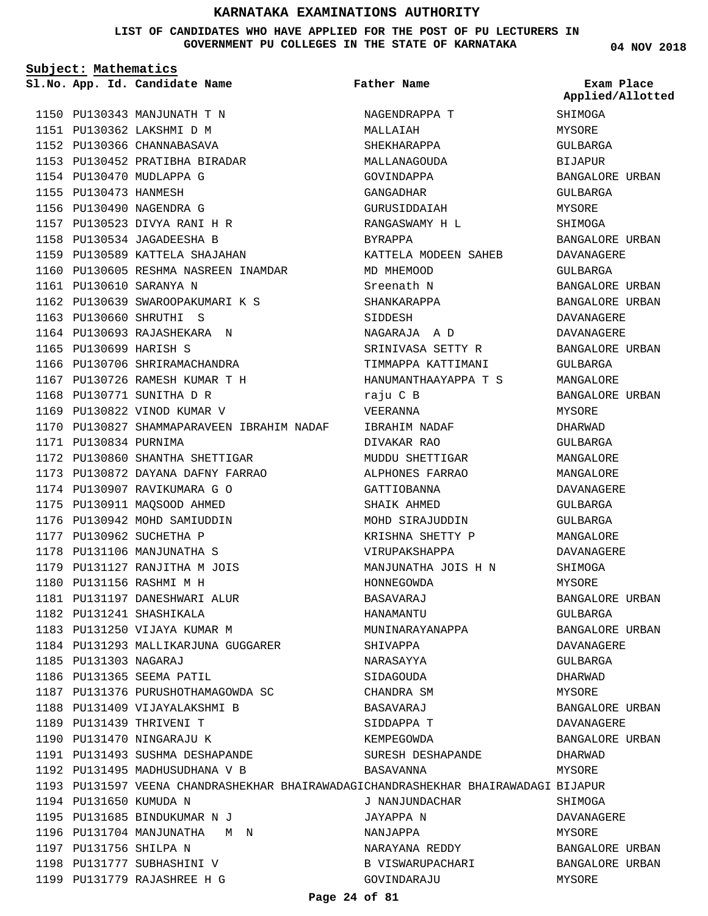**LIST OF CANDIDATES WHO HAVE APPLIED FOR THE POST OF PU LECTURERS IN GOVERNMENT PU COLLEGES IN THE STATE OF KARNATAKA**

**Subject: Mathematics**

**App. Id. Candidate Name Sl.No. Exam Place**

PU130343 MANJUNATH T N 1150 PU130362 LAKSHMI D M 1151 1152 PU130366 CHANNABASAVA PU130452 PRATIBHA BIRADAR 1153

1154 PU130470 MUDLAPPA G 1155 PU130473 HANMESH 1156 PU130490 NAGENDRA G PU130523 DIVYA RANI H R 1157 PU130534 JAGADEESHA B 1158 1159 PU130589 KATTELA SHAJAHAN

PU130610 SARANYA N 1161

PU130660 SHRUTHI S 1163 1164 PU130693 RAJASHEKARA N

1168 PU130771 SUNITHA D R 1169 PU130822 VINOD KUMAR V

1165 PU130699 HARISH S

1171 PU130834 PURNIMA

1160 PU130605 RESHMA NASREEN INAMDAR

1170 PU130827 SHAMMAPARAVEEN IBRAHIM NADAF

PU130639 SWAROOPAKUMARI K S 1162

1166 PU130706 SHRIRAMACHANDRA PU130726 RAMESH KUMAR T H 1167

1172 PU130860 SHANTHA SHETTIGAR PU130872 DAYANA DAFNY FARRAO 1173

1174 PU130907 RAVIKUMARA G O 1175 PU130911 MAQSOOD AHMED 1176 PU130942 MOHD SAMIUDDIN 1177 PU130962 SUCHETHA P 1178 PU131106 MANJUNATHA S 1179 PU131127 RANJITHA M JOIS

1180 PU131156 RASHMI M H

PU131241 SHASHIKALA 1182 1183 PU131250 VIJAYA KUMAR M

PU131303 NAGARAJ 1185 1186 PU131365 SEEMA PATIL

1181 PU131197 DANESHWARI ALUR

1184 PU131293 MALLIKARJUNA GUGGARER

1187 PU131376 PURUSHOTHAMAGOWDA SC

1188 PU131409 VIJAYALAKSHMI B

PU131493 SUSHMA DESHAPANDE 1191 1192 PU131495 MADHUSUDHANA V B

PU131685 BINDUKUMAR N J 1195 1196 PU131704 MANJUNATHA M N

1189 PU131439 THRIVENI T 1190 PU131470 NINGARAJU K

1194 PU131650 KUMUDA N

1197 PU131756 SHILPA N 1198 PU131777 SUBHASHINI V PU131779 RAJASHREE H G 1199 **Father Name**

1193 PU131597 VEENA CHANDRASHEKHAR BHAIRAWADAGICHANDRASHEKHAR BHAIRAWADAGI BIJAPUR NAGENDRAPPA T MALLAIAH SHEKHARAPPA MALLANAGOUDA GOVINDAPPA GANGADHAR GURUSIDDAIAH RANGASWAMY H L BYRAPPA KATTELA MODEEN SAHEB MD MHEMOOD Sreenath N SHANKARAPPA SIDDESH NAGARAJA A D SRINIVASA SETTY R TIMMAPPA KATTIMANI HANUMANTHAAYAPPA T S raju C B VEERANNA IBRAHIM NADAF DIVAKAR RAO MUDDU SHETTIGAR ALPHONES FARRAO GATTIOBANNA SHAIK AHMED MOHD SIRAJUDDIN KRISHNA SHETTY P VIRUPAKSHAPPA MANJUNATHA JOIS H N HONNEGOWDA BASAVARAJ HANAMANTU MUNINARAYANAPPA SHIVAPPA NARASAYYA SIDAGOUDA CHANDRA SM BASAVARAJ SIDDAPPA T KEMPEGOWDA SURESH DESHAPANDE BASAVANNA J NANJUNDACHAR JAYAPPA N NANJAPPA NARAYANA REDDY

**04 NOV 2018**

SHIMOGA MYSORE GULBARGA BIJAPUR BANGALORE URBAN GULBARGA MYSORE SHIMOGA BANGALORE URBAN DAVANAGERE GULBARGA BANGALORE URBAN BANGALORE URBAN DAVANAGERE DAVANAGERE BANGALORE URBAN GULBARGA MANCALORE BANGALORE URBAN MYSORE DHARWAD GULBARGA MANGALORE MANGALORE DAVANAGERE GULBARGA GULBARGA MANGALORE DAVANAGERE SHIMOGA MYSORE BANGALORE URBAN GULBARGA BANGALORE URBAN DAVANAGERE GULBARGA DHARWAD MYSORE BANGALORE URBAN DAVANAGERE BANGALORE URBAN DHARWAD MYSORE **SHIMOGA** DAVANAGERE MYSORE BANGALORE URBAN BANGALORE URBAN **Applied/Allotted**

MYSORE

**Page 24 of 81**

B VISWARUPACHARI

GOVINDARAJU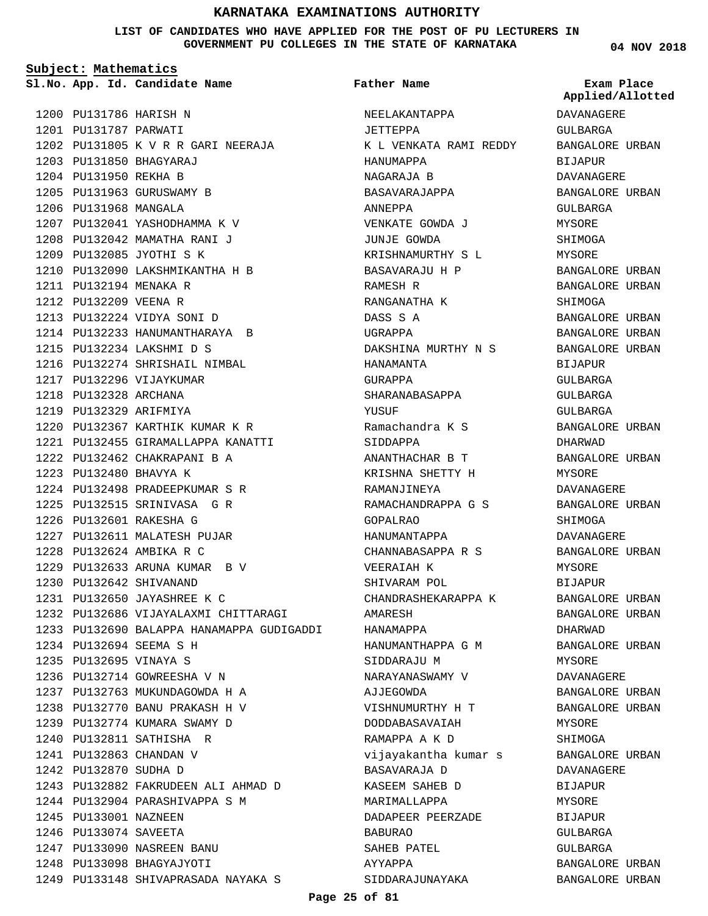**LIST OF CANDIDATES WHO HAVE APPLIED FOR THE POST OF PU LECTURERS IN GOVERNMENT PU COLLEGES IN THE STATE OF KARNATAKA**

**Subject: Mathematics**

**App. Id. Candidate Name Sl.No. Exam Place**

1200 PU131786 HARISH N PU131787 PARWATI 1201

PU131805 K V R R GARI NEERAJA 1202 PU131850 BHAGYARAJ 1203 1204 PU131950 REKHA B 1205 PU131963 GURUSWAMY B 1206 PU131968 MANGALA 1207 PU132041 YASHODHAMMA K V 1208 PU132042 MAMATHA RANI J 1209 PU132085 JYOTHI S K PU132090 LAKSHMIKANTHA H B 1210 PU132194 MENAKA R 1211 1212 PU132209 VEENA R PU132224 VIDYA SONI D 1213 1214 PU132233 HANUMANTHARAYA B PU132234 LAKSHMI D S 1215 1216 PU132274 SHRISHAIL NIMBAL 1217 PU132296 VIJAYKUMAR 1218 PU132328 ARCHANA 1219 PU132329 ARIFMIYA 1220 PU132367 KARTHIK KUMAR K R PU132455 GIRAMALLAPPA KANATTI 1221 1222 PU132462 CHAKRAPANI B A PU132480 BHAVYA K 1223 PU132498 PRADEEPKUMAR S R 1224 1225 PU132515 SRINIVASA G R PU132601 RAKESHA G 1226 1227 PU132611 MALATESH PUJAR PU132624 AMBIKA R C 1228 PU132633 ARUNA KUMAR B V 1229 PU132642 SHIVANAND 1230 PU132650 JAYASHREE K C 1231 1232 PU132686 VIJAYALAXMI CHITTARAGI 1233 PU132690 BALAPPA HANAMAPPA GUDIGADDI PU132694 SEEMA S H 1234 PU132695 VINAYA S 1235 1236 PU132714 GOWREESHA V N 1237 PU132763 MUKUNDAGOWDA H A PU132770 BANU PRAKASH H V 1238 1239 PU132774 KUMARA SWAMY D PU132811 SATHISHA R 1240 PU132863 CHANDAN V 1241 1242 PU132870 SUDHA D PU132882 FAKRUDEEN ALI AHMAD D 1243 1244 PU132904 PARASHIVAPPA S M 1245 PU133001 NAZNEEN 1246 PU133074 SAVEETA PU133090 NASREEN BANU 1247 1248 PU133098 BHAGYAJYOTI

PU133148 SHIVAPRASADA NAYAKA S 1249

NEELAKANTAPPA JETTEPPA K L VENKATA RAMI REDDY HANUMAPPA NAGARAJA B BASAVARAJAPPA ANNEPPA VENKATE GOWDA J JUNJE GOWDA KRISHNAMURTHY S L BASAVARAJU H P RAMESH R RANGANATHA K DASS S A UGRAPPA DAKSHINA MURTHY N S HANAMANTA GURAPPA SHARANABASAPPA YUSUF Ramachandra K S SIDDAPPA ANANTHACHAR B T KRISHNA SHETTY H RAMANJINEYA RAMACHANDRAPPA G S GOPALRAO HANUMANTAPPA CHANNABASAPPA R S VEERAIAH K SHIVARAM POL CHANDRASHEKARAPPA K AMARESH HANAMAPPA HANUMANTHAPPA G M SIDDARAJU M NARAYANASWAMY V AJJEGOWDA VISHNUMURTHY H T DODDABASAVAIAH RAMAPPA A K D vijayakantha kumar s BASAVARAJA D KASEEM SAHEB D MARIMALLAPPA DADAPEER PEERZADE BABURAO SAHEB PATEL AYYAPPA SIDDARAJUNAYAKA **Father Name**

**04 NOV 2018**

**Applied/Allotted**

# DAVANAGERE GULBARGA BANGALORE URBAN BIJAPUR DAVANAGERE BANGALORE URBAN GULBARGA MYSORE SHIMOGA MYSORE BANGALORE URBAN BANGALORE URBAN SHIMOGA BANGALORE URBAN BANGALORE URBAN BANGALORE URBAN BIJAPUR GULBARGA GULBARGA GULBARGA BANGALORE URBAN DHARWAD BANGALORE URBAN MYSORE DAVANAGERE BANGALORE URBAN **SHIMOGA** DAVANAGERE BANGALORE URBAN MYSORE BIJAPUR BANGALORE URBAN BANGALORE URBAN DHARWAD BANGALORE URBAN MYSORE DAVANAGERE BANGALORE URBAN BANGALORE URBAN MYSORE SHIMOGA BANGALORE URBAN DAVANAGERE **BIJAPUR MYSORE** BIJAPUR GULBARGA GULBARGA BANGALORE URBAN

BANGALORE URBAN

**Page 25 of 81**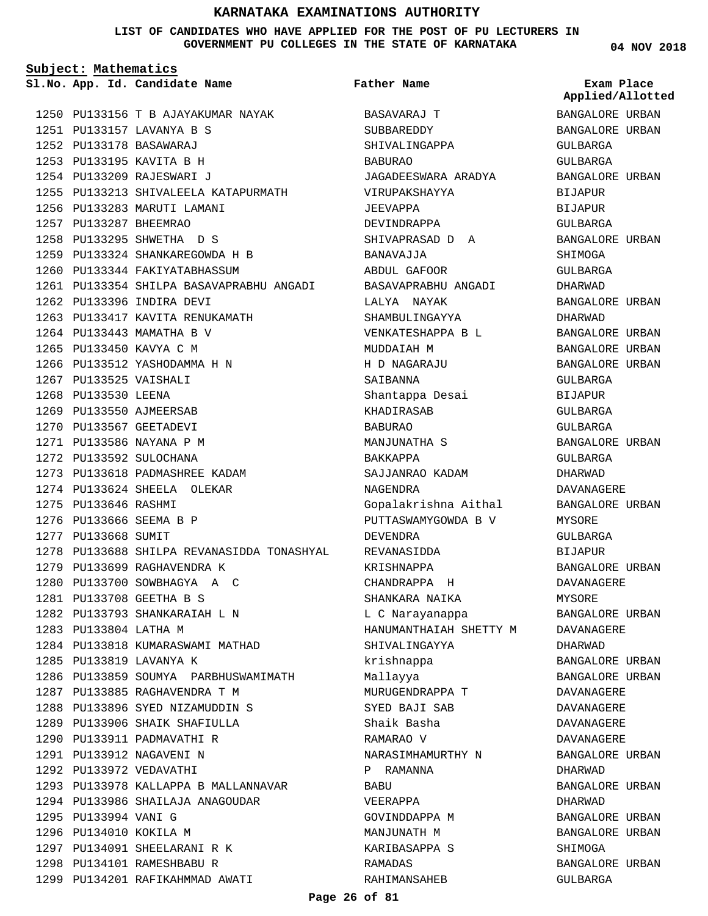### **LIST OF CANDIDATES WHO HAVE APPLIED FOR THE POST OF PU LECTURERS IN GOVERNMENT PU COLLEGES IN THE STATE OF KARNATAKA**

**Subject: Mathematics**

1250 PU133156 T B AJAYAKUMAR NAYAK PU133157 LAVANYA B S 1251 PU133178 BASAWARAJ 1252 1253 PU133195 KAVITA B H PU133209 RAJESWARI J 1254 1255 PU133213 SHIVALEELA KATAPURMATH 1256 PU133283 MARUTI LAMANI PU133287 BHEEMRAO 1257 1258 PU133295 SHWETHA D S PU133324 SHANKAREGOWDA H B 1259 1260 PU133344 FAKIYATABHASSUM PU133354 SHILPA BASAVAPRABHU ANGADI 1261 1262 PU133396 INDIRA DEVI 1263 PU133417 KAVITA RENUKAMATH 1264 PU133443 MAMATHA B V 1265 PU133450 KAVYA C M 1266 PU133512 YASHODAMMA H N 1267 PU133525 VAISHALI 1268 PU133530 LEENA 1269 PU133550 AJMEERSAB 1270 PU133567 GEETADEVI 1271 PU133586 NAYANA P M 1272 PU133592 SULOCHANA 1273 PU133618 PADMASHREE KADAM 1274 PU133624 SHEELA OLEKAR 1275 PU133646 RASHMI 1276 PU133666 SEEMA B P 1277 PU133668 SUMIT 1278 PU133688 SHILPA REVANASIDDA TONASHYAL 1279 PU133699 RAGHAVENDRA K 1280 PU133700 SOWBHAGYA A C PU133708 GEETHA B S 1281 1282 PU133793 SHANKARAIAH L N 1283 PU133804 LATHA M 1284 PU133818 KUMARASWAMI MATHAD 1285 PU133819 LAVANYA K 1286 PU133859 SOUMYA PARBHUSWAMIMATH 1287 PU133885 RAGHAVENDRA T M PU133896 SYED NIZAMUDDIN S 1288 1289 PU133906 SHAIK SHAFIULLA 1290 PU133911 PADMAVATHI R 1291 PU133912 NAGAVENI N 1292 PU133972 VEDAVATHI 1293 PU133978 KALLAPPA B MALLANNAVAR 1294 PU133986 SHAILAJA ANAGOUDAR 1295 PU133994 VANI G 1296 PU134010 KOKILA M 1297 PU134091 SHEELARANI R K 1298 PU134101 RAMESHBABU R 1299 PU134201 RAFIKAHMMAD AWATI

**App. Id. Candidate Name Sl.No. Exam Place** BASAVARAJ T **SUBBAREDDY** SHIVALINGAPPA BABURAO JAGADEESWARA ARADYA VIRUPAKSHAYYA JEEVAPPA DEVINDRAPPA SHIVAPRASAD D A BANAVAJJA ABDUL GAFOOR BASAVAPRABHU ANGADI LALYA NAYAK SHAMBULINGAYYA VENKATESHAPPA B L MUDDAIAH M H D NAGARAJU SAIBANNA Shantappa Desai KHADIRASAB BABURAO MANJUNATHA S BAKKAPPA SAJJANRAO KADAM NAGENDRA Gopalakrishna Aithal PUTTASWAMYGOWDA B V DEVENDRA REVANASIDDA KRISHNAPPA CHANDRAPPA H SHANKARA NAIKA L C Narayanappa HANUMANTHAIAH SHETTY M SHIVALINGAYYA krishnappa Mallayya MURUGENDRAPPA T SYED BAJI SAB Shaik Basha RAMARAO V NARASIMHAMURTHY N P RAMANNA **BABU** VEERAPPA GOVINDDAPPA M MANJUNATH M KARIBASAPPA S RAMADAS RAHIMANSAHEB **Father Name**

**04 NOV 2018**

BANGALORE URBAN **Applied/Allotted**

# BANGALORE URBAN GULBARGA GULBARGA BANGALORE URBAN BIJAPUR BIJAPUR GULBARGA BANGALORE URBAN SHIMOGA GULBARGA DHARWAD BANGALORE URBAN DHARWAD BANGALORE URBAN BANGALORE URBAN BANGALORE URBAN GULBARGA BIJAPUR GULBARGA GULBARGA BANGALORE URBAN GULBARGA DHARWAD DAVANAGERE BANGALORE URBAN MYSORE GULBARGA BIJAPUR BANGALORE URBAN DAVANAGERE MYSORE BANGALORE URBAN DAVANAGERE DHARWAD BANGALORE URBAN BANGALORE URBAN DAVANAGERE DAVANAGERE DAVANAGERE DAVANAGERE BANGALORE URBAN DHARWAD BANGALORE URBAN DHARWAD BANGALORE URBAN BANGALORE URBAN SHIMOGA BANGALORE URBAN GULBARGA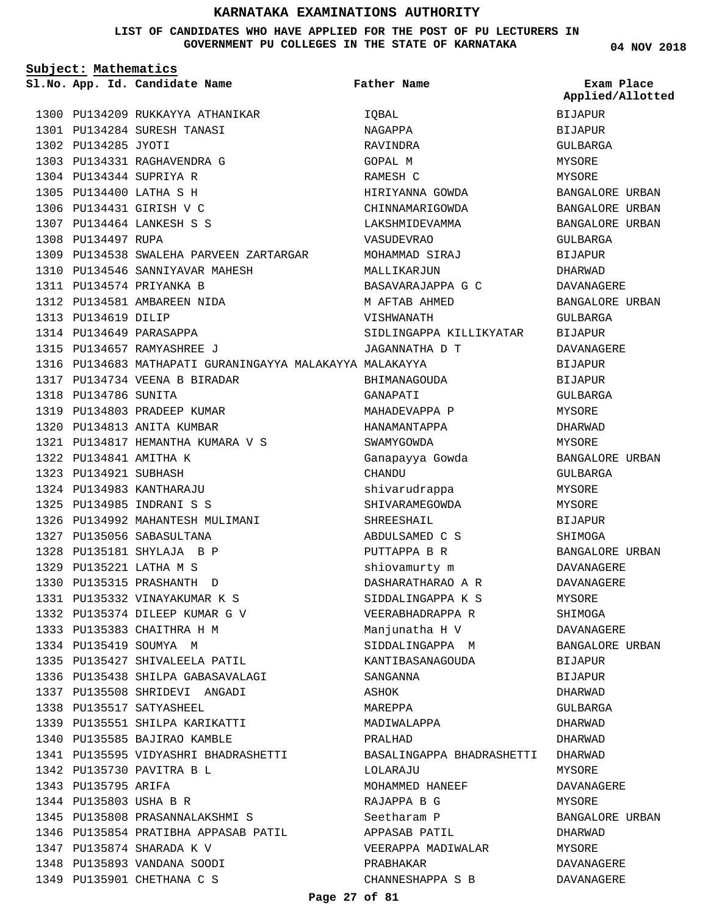### **LIST OF CANDIDATES WHO HAVE APPLIED FOR THE POST OF PU LECTURERS IN GOVERNMENT PU COLLEGES IN THE STATE OF KARNATAKA**

**Subject: Mathematics**

PU135893 VANDANA SOODI 1348 1349 PU135901 CHETHANA C S

1300 PU134209 RUKKAYYA ATHANIKAR PU134284 SURESH TANASI 1301 1302 PU134285 JYOTI PU134331 RAGHAVENDRA G 1303 1304 PU134344 SUPRIYA R PU134400 LATHA S H 1305 1306 PU134431 GIRISH V C PU134464 LANKESH S S 1307 1308 PU134497 RUPA 1309 PU134538 SWALEHA PARVEEN ZARTARGAR 1310 PU134546 SANNIYAVAR MAHESH 1311 PU134574 PRIYANKA B PU134581 AMBAREEN NIDA 1312 PU134619 DILIP 1313 1314 PU134649 PARASAPPA 1315 PU134657 RAMYASHREE J PU134683 MATHAPATI GURANINGAYYA MALAKAYYA MALAKAYYA 1316 1317 PU134734 VEENA B BIRADAR 1318 PU134786 SUNITA 1319 PU134803 PRADEEP KUMAR PU134813 ANITA KUMBAR 1320 1321 PU134817 HEMANTHA KUMARA V S 1322 PU134841 AMITHA K 1323 PU134921 SUBHASH PU134983 KANTHARAJU 1324 PU134985 INDRANI S S 1325 PU134992 MAHANTESH MULIMANI 1326 1327 PU135056 SABASULTANA PU135181 SHYLAJA B P 1328 PU135221 LATHA M S 1329 PU135315 PRASHANTH D 1330 PU135332 VINAYAKUMAR K S 1331 PU135374 DILEEP KUMAR G V 1332 1333 PU135383 CHAITHRA H M 1334 PU135419 SOUMYA M 1335 PU135427 SHIVALEELA PATIL 1336 PU135438 SHILPA GABASAVALAGI 1337 PU135508 SHRIDEVI ANGADI 1338 PU135517 SATYASHEEL 1339 PU135551 SHILPA KARIKATTI 1340 PU135585 BAJIRAO KAMBLE 1341 PU135595 VIDYASHRI BHADRASHETTI 1342 PU135730 PAVITRA B L 1343 PU135795 ARIFA 1344 PU135803 USHA B R PU135808 PRASANNALAKSHMI S 1345 1346 PU135854 PRATIBHA APPASAB PATIL 1347 PU135874 SHARADA K V **App. Id. Candidate Name Sl.No. Exam Place** IQBAL NAGAPPA RAVINDRA GOPAL M RAMESH C HIRIYANNA GOWDA CHINNAMARIGOWDA LAKSHMIDEVAMMA VASUDEVRAO MOHAMMAD SIRAJ MALLIKARJUN BASAVARAJAPPA G C M AFTAB AHMED VISHWANATH SIDLINGAPPA KILLIKYATAR JAGANNATHA D T BHIMANAGOUDA GANAPATI MAHADEVAPPA P HANAMANTAPPA SWAMYGOWDA Ganapayya Gowda **CHANDU** shivarudrappa SHIVARAMEGOWDA SHREESHAIL ABDULSAMED C S PUTTAPPA B R shiovamurty m DASHARATHARAO A R SIDDALINGAPPA K S VEERABHADRAPPA R Manjunatha H V SIDDALINGAPPA M KANTIBASANAGOUDA SANGANNA ASHOK MAREPPA MADIWALAPPA PRALHAD BASALINGAPPA BHADRASHETTI DHARWAD LOLARAJU MOHAMMED HANEEF RAJAPPA B G Seetharam P APPASAB PATIL VEERAPPA MADIWALAR **Father Name** BIJAPUR BIJAPUR GULBARGA MYSORE MYSORE BANGALORE URBAN BANGALORE URBAN BANGALORE URBAN GULBARGA BIJAPUR DHARWAD DAVANAGERE BANGALORE URBAN GULBARGA BIJAPUR DAVANAGERE BIJAPUR **BIJAPUR** GULBARGA **MYSORE** DHARWAD MYSORE BANGALORE URBAN GULBARGA MYSORE MYSORE BIJAPUR SHIMOGA BANGALORE URBAN DAVANAGERE DAVANAGERE MYSORE SHIMOGA DAVANAGERE BANGALORE URBAN BIJAPUR BIJAPUR DHARWAD GULBARGA DHARWAD DHARWAD MYSORE DAVANAGERE MYSORE BANGALORE URBAN DHARWAD MYSORE **Applied/Allotted**

PRABHAKAR

CHANNESHAPPA S B

DAVANAGERE DAVANAGERE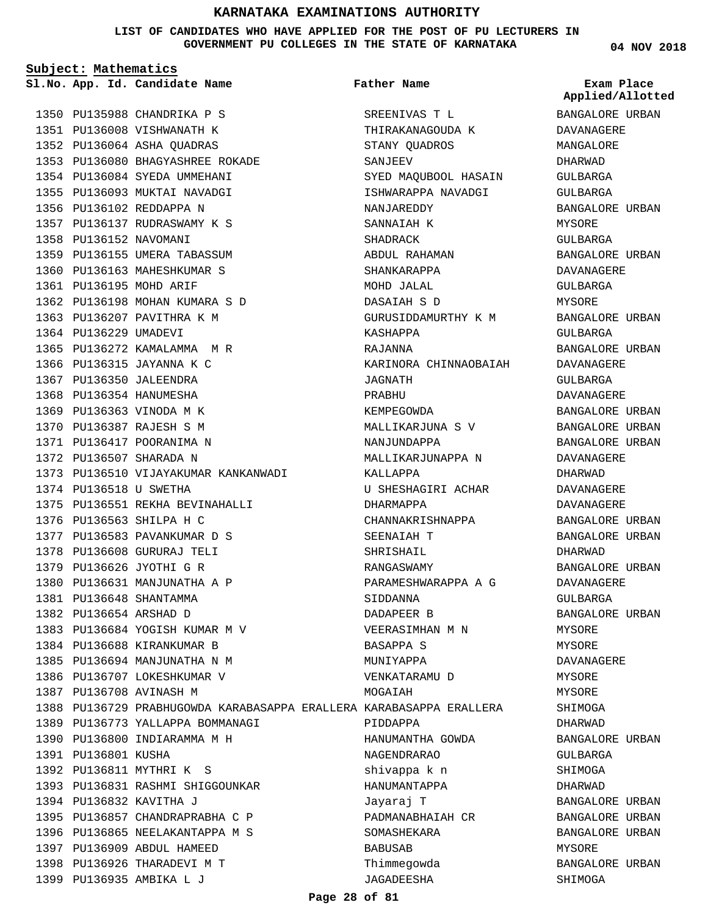**LIST OF CANDIDATES WHO HAVE APPLIED FOR THE POST OF PU LECTURERS IN GOVERNMENT PU COLLEGES IN THE STATE OF KARNATAKA**

**Subject: Mathematics** 1350 PU135988 CHANDRIKA P S 1351 PU136008 VISHWANATH K 1352 PU136064 ASHA QUADRAS PU136080 BHAGYASHREE ROKADE 1353 1354 PU136084 SYEDA UMMEHANI 1355 PU136093 MUKTAI NAVADGI 1356 PU136102 REDDAPPA N 1357 PU136137 RUDRASWAMY K S 1358 PU136152 NAVOMANI 1359 PU136155 UMERA TABASSUM 1360 PU136163 MAHESHKUMAR S 1361 PU136195 MOHD ARIF 1362 PU136198 MOHAN KUMARA S D 1363 PU136207 PAVITHRA K M 1364 PU136229 UMADEVI 1365 PU136272 KAMALAMMA M R 1366 PU136315 JAYANNA K C 1367 PU136350 JALEENDRA 1368 PU136354 HANUMESHA 1369 PU136363 VINODA M K PU136387 RAJESH S M 1370 1371 PU136417 POORANIMA N 1372 PU136507 SHARADA N 1373 PU136510 VIJAYAKUMAR KANKANWADI 1374 PU136518 U SWETHA 1375 PU136551 REKHA BEVINAHALLI 1376 PU136563 SHILPA H C 1377 PU136583 PAVANKUMAR D S PU136608 GURURAJ TELI 1378 1379 PU136626 JYOTHI G R 1380 PU136631 MANJUNATHA A P PU136648 SHANTAMMA 1381 1382 PU136654 ARSHAD D 1383 PU136684 YOGISH KUMAR M V 1384 PU136688 KIRANKUMAR B 1385 PU136694 MANJUNATHA N M 1386 PU136707 LOKESHKUMAR V **App. Id. Candidate Name Sl.No. Exam Place**

1387 PU136708 AVINASH M

1392 PU136811 MYTHRI K S

1397 PU136909 ABDUL HAMEED 1398 PU136926 THARADEVI M T 1399 PU136935 AMBIKA L J

1394 PU136832 KAVITHA J

1391 PU136801 KUSHA

1389 PU136773 YALLAPPA BOMMANAGI 1390 PU136800 INDIARAMMA M H

1393 PU136831 RASHMI SHIGGOUNKAR

1395 PU136857 CHANDRAPRABHA C P 1396 PU136865 NEELAKANTAPPA M S **Father Name**

1388 PU136729 PRABHUGOWDA KARABASAPPA ERALLERA KARABASAPPA ERALLERA SREENIVAS T L THIRAKANAGOUDA K STANY QUADROS SANJEEV SYED MAQUBOOL HASAIN ISHWARAPPA NAVADGI NANJAREDDY SANNAIAH K **SHADRACK** ABDUL RAHAMAN SHANKARAPPA MOHD JALAL DASAIAH S D GURUSIDDAMURTHY K M KASHAPPA RAJANNA KARINORA CHINNAOBAIAH JAGNATH PRABHU KEMPEGOWDA MALLIKARJUNA S V NANJUNDAPPA MALLIKARJUNAPPA N KALLAPPA U SHESHAGIRI ACHAR DHARMAPPA CHANNAKRISHNAPPA SEENAIAH T SHRISHAIL RANGASWAMY PARAMESHWARAPPA A G SIDDANNA DADAPEER B VEERASIMHAN M N BASAPPA S MUNIYAPPA VENKATARAMU D MOGAIAH PIDDAPPA HANUMANTHA GOWDA NAGENDRARAO shivappa k n HANUMANTAPPA Jayaraj T PADMANABHAIAH CR SOMASHEKARA BABUSAB Thimmegowda JAGADEESHA

**04 NOV 2018**

**Applied/Allotted**

BANGALORE URBAN DAVANAGERE MANGALORE DHARWAD GULBARGA GULBARGA BANGALORE URBAN MYSORE GULBARGA BANGALORE URBAN DAVANAGERE GULBARGA MYSORE BANGALORE URBAN GULBARGA BANGALORE URBAN DAVANAGERE GULBARGA DAVANAGERE BANGALORE URBAN BANGALORE URBAN BANGALORE URBAN DAVANAGERE DHARWAD DAVANAGERE DAVANAGERE BANGALORE URBAN BANGALORE URBAN DHARWAD BANGALORE URBAN DAVANAGERE GULBARGA BANGALORE URBAN MYSORE MYSORE DAVANAGERE MYSORE MYSORE SHIMOGA DHARWAD BANGALORE URBAN GULBARGA SHIMOGA DHARWAD BANGALORE URBAN BANGALORE URBAN BANGALORE URBAN MYSORE BANGALORE URBAN SHIMOGA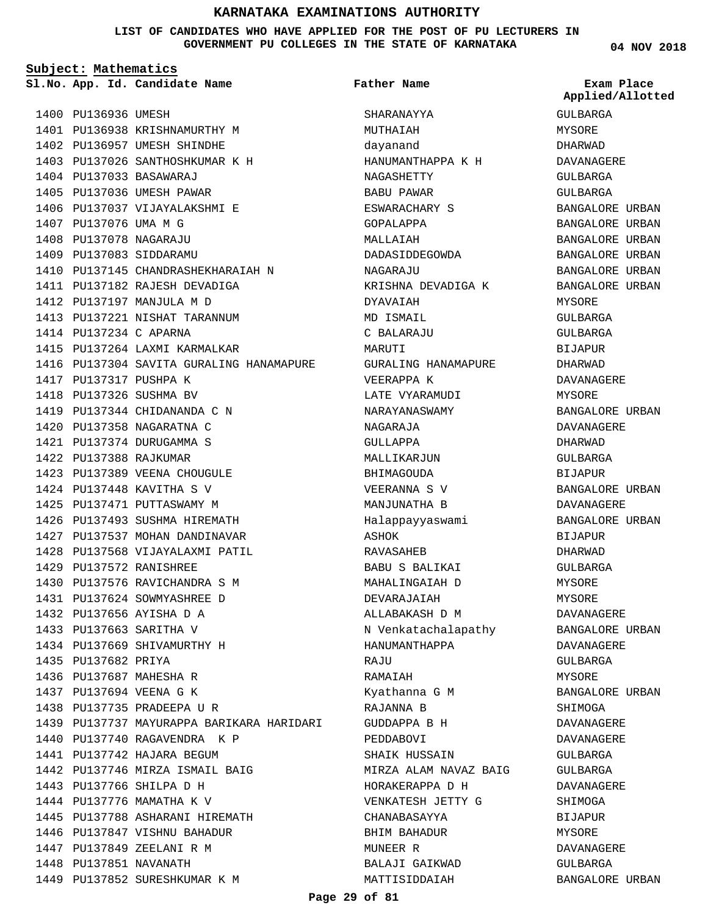### **LIST OF CANDIDATES WHO HAVE APPLIED FOR THE POST OF PU LECTURERS IN GOVERNMENT PU COLLEGES IN THE STATE OF KARNATAKA**

**Subject: Mathematics**

1400 PU136936 UMESH

PU137033 BASAWARAJ 1404 1405 PU137036 UMESH PAWAR 1406 PU137037 VIJAYALAKSHMI E

1407 PU137076 UMA M G PU137078 NAGARAJU 1408 1409 PU137083 SIDDARAMU

1414 PU137234 C APARNA

1417 PU137317 PUSHPA K 1418 PU137326 SUSHMA BV

**App. Id. Candidate Name Sl.No. Exam Place**

1401 PU136938 KRISHNAMURTHY M 1402 PU136957 UMESH SHINDHE 1403 PU137026 SANTHOSHKUMAR K H

1410 PU137145 CHANDRASHEKHARAIAH N

1416 PU137304 SAVITA GURALING HANAMAPURE

1411 PU137182 RAJESH DEVADIGA 1412 PU137197 MANJULA M D 1413 PU137221 NISHAT TARANNUM

1415 PU137264 LAXMI KARMALKAR

1419 PU137344 CHIDANANDA C N 1420 PU137358 NAGARATNA C PU137374 DURUGAMMA S 1421 1422 PU137388 RAJKUMAR

1423 PU137389 VEENA CHOUGULE 1424 PU137448 KAVITHA S V 1425 PU137471 PUTTASWAMY M 1426 PU137493 SUSHMA HIREMATH 1427 PU137537 MOHAN DANDINAVAR 1428 PU137568 VIJAYALAXMI PATIL

PU137572 RANISHREE 1429

1435 PU137682 PRIYA 1436 PU137687 MAHESHA R 1437 PU137694 VEENA G K 1438 PU137735 PRADEEPA U R

1430 PU137576 RAVICHANDRA S M 1431 PU137624 SOWMYASHREE D 1432 PU137656 AYISHA D A 1433 PU137663 SARITHA V 1434 PU137669 SHIVAMURTHY H

1440 PU137740 RAGAVENDRA K P 1441 PU137742 HAJARA BEGUM

1443 PU137766 SHILPA D H 1444 PU137776 MAMATHA K V

1442 PU137746 MIRZA ISMAIL BAIG

1445 PU137788 ASHARANI HIREMATH 1446 PU137847 VISHNU BAHADUR 1447 PU137849 ZEELANI R M 1448 PU137851 NAVANATH

1449 PU137852 SURESHKUMAR K M

1439 PU137737 MAYURAPPA BARIKARA HARIDARI

**Father Name**

SHARANAYYA MUTHAIAH dayanand

NAGASHETTY BABU PAWAR ESWARACHARY S GOPALAPPA MALLAIAH

DADASIDDEGOWDA

KRISHNA DEVADIGA K

GURALING HANAMAPURE

NAGARAJU

DYAVAIAH MD ISMAIL C BALARAJU MARUTI

VEERAPPA K LATE VYARAMUDI NARAYANASWAMY

NAGARAJA GULLAPPA MALLIKARJUN BHIMAGOUDA VEERANNA S V MANJUNATHA B Halappayyaswami

ASHOK RAVASAHEB

**RAJU** RAMAIAH

BABU S BALIKAI MAHALINGAIAH D DEVARAJAIAH ALLABAKASH D M N Venkatachalapathy

HANUMANTHAPPA

Kyathanna G M RAJANNA B GUDDAPPA B H PEDDABOVI SHAIK HUSSAIN

CHANABASAYYA BHIM BAHADUR MUNEER R

BALAJI GAIKWAD MATTISIDDAIAH

MIRZA ALAM NAVAZ BAIG HORAKERAPPA D H VENKATESH JETTY G

HANUMANTHAPPA K H

GULBARGA MYSORE DHARWAD DAVANAGERE GULBARGA GULBARGA BANGALORE URBAN BANGALORE URBAN BANGALORE URBAN BANGALORE URBAN BANGALORE URBAN BANGALORE URBAN MYSORE GULBARGA GULBARGA BIJAPUR DHARWAD DAVANAGERE MYSORE BANGALORE URBAN DAVANAGERE DHARWAD GULBARGA BIJAPUR BANGALORE URBAN DAVANAGERE BANGALORE URBAN BIJAPUR DHARWAD GULBARGA MYSORE MYSORE DAVANAGERE BANGALORE URBAN DAVANAGERE GULBARGA MYSORE BANGALORE URBAN SHIMOGA DAVANAGERE DAVANAGERE GULBARGA GULBARGA DAVANAGERE **SHIMOGA** BIJAPUR MYSORE DAVANAGERE **Applied/Allotted**

GULBARGA

BANGALORE URBAN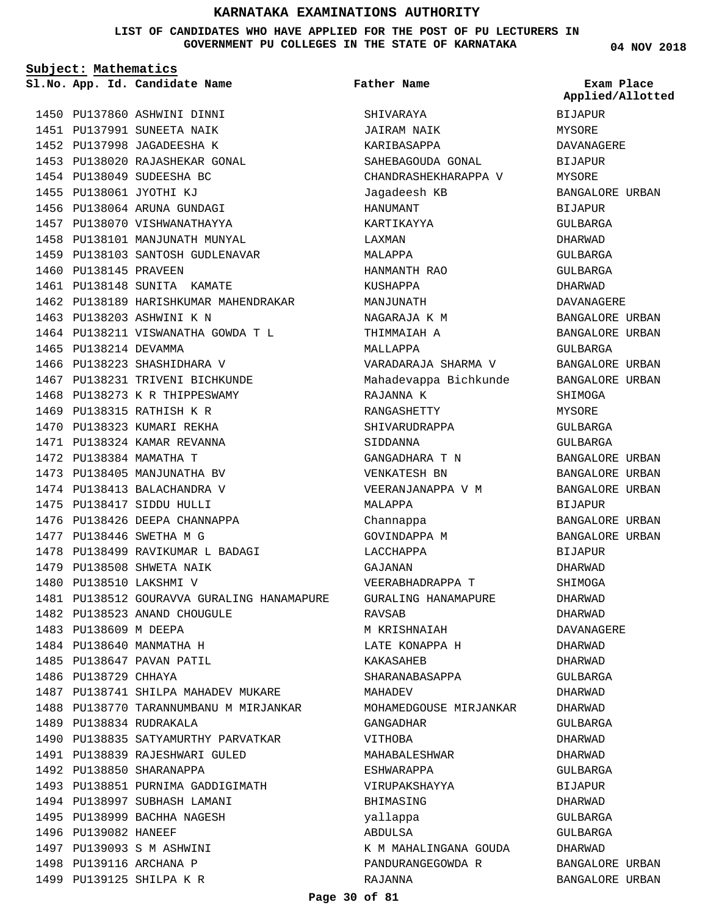**LIST OF CANDIDATES WHO HAVE APPLIED FOR THE POST OF PU LECTURERS IN GOVERNMENT PU COLLEGES IN THE STATE OF KARNATAKA**

**Subject: Mathematics**

**App. Id. Candidate Name Sl.No. Exam Place**

1454 PU138049 SUDEESHA BC 1455 PU138061 JYOTHI KJ 1456 PU138064 ARUNA GUNDAGI 1457 PU138070 VISHWANATHAYYA 1458 PU138101 MANJUNATH MUNYAL 1459 PU138103 SANTOSH GUDLENAVAR

1460 PU138145 PRAVEEN

1465 PU138214 DEVAMMA

1461 PU138148 SUNITA KAMATE

1463 PU138203 ASHWINI K N

1466 PU138223 SHASHIDHARA V 1467 PU138231 TRIVENI BICHKUNDE 1468 PU138273 K R THIPPESWAMY 1469 PU138315 RATHISH K R 1470 PU138323 KUMARI REKHA PU138324 KAMAR REVANNA 1471 1472 PU138384 MAMATHA T 1473 PU138405 MANJUNATHA BV 1474 PU138413 BALACHANDRA V PU138417 SIDDU HULLI 1475 1476 PU138426 DEEPA CHANNAPPA

PU138446 SWETHA M G 1477

1479 PU138508 SHWETA NAIK 1480 PU138510 LAKSHMI V

1483 PU138609 M DEEPA 1484 PU138640 MANMATHA H 1485 PU138647 PAVAN PATIL

1486 PU138729 CHHAYA

1489 PU138834 RUDRAKALA

1492 PU138850 SHARANAPPA

PU139093 S M ASHWINI 1497 1498 PU139116 ARCHANA P 1499 PU139125 SHILPA K R

1496 PU139082 HANEEF

1482 PU138523 ANAND CHOUGULE

1478 PU138499 RAVIKUMAR L BADAGI

1487 PU138741 SHILPA MAHADEV MUKARE 1488 PU138770 TARANNUMBANU M MIRJANKAR

1490 PU138835 SATYAMURTHY PARVATKAR

1493 PU138851 PURNIMA GADDIGIMATH

1491 PU138839 RAJESHWARI GULED

1494 PU138997 SUBHASH LAMANI 1495 PU138999 BACHHA NAGESH

1481 PU138512 GOURAVVA GURALING HANAMAPURE

1462 PU138189 HARISHKUMAR MAHENDRAKAR

1464 PU138211 VISWANATHA GOWDA T L

1450 PU137860 ASHWINI DINNI 1451 PU137991 SUNEETA NAIK 1452 PU137998 JAGADEESHA K 1453 PU138020 RAJASHEKAR GONAL **Father Name**

SHIVARAYA JAIRAM NAIK KARIBASAPPA SAHEBAGOUDA GONAL CHANDRASHEKHARAPPA V Jagadeesh KB HANUMANT KARTIKAYYA LAXMAN MALAPPA HANMANTH RAO KUSHAPPA MANJUNATH NAGARAJA K M THIMMAIAH A MALLAPPA VARADARAJA SHARMA V Mahadevappa Bichkunde RAJANNA K RANGASHETTY SHIVARUDRAPPA SIDDANNA GANGADHARA T N VENKATESH BN VEERANJANAPPA V M MALAPPA Channappa GOVINDAPPA M LACCHAPPA GAJANAN VEERABHADRAPPA T GURALING HANAMAPURE RAVSAB M KRISHNAIAH LATE KONAPPA H KAKASAHEB SHARANABASAPPA MAHADEV MOHAMEDGOUSE MIRJANKAR GANGADHAR VITHOBA MAHABALESHWAR ESHWARAPPA VIRUPAKSHAYYA BHIMASING yallappa ABDULSA K M MAHALINGANA GOUDA PANDURANGEGOWDA R RAJANNA

**04 NOV 2018**

BIJAPUR MYSORE DAVANAGERE BIJAPUR MYSORE BANGALORE URBAN BIJAPUR GULBARGA DHARWAD GULBARGA GULBARGA DHARWAD DAVANAGERE BANGALORE URBAN BANGALORE URBAN GULBARGA BANGALORE URBAN BANGALORE URBAN SHIMOGA MYSORE GULBARGA GULBARGA BANGALORE URBAN BANGALORE URBAN BANGALORE URBAN BIJAPUR BANGALORE URBAN BANGALORE URBAN BIJAPUR DHARWAD SHIMOGA DHARWAD DHARWAD DAVANAGERE DHARWAD DHARWAD GULBARGA DHARWAD DHARWAD GULBARGA DHARWAD DHARWAD GULBARGA **BIJAPUR** DHARWAD GULBARGA GULBARGA DHARWAD BANGALORE URBAN BANGALORE URBAN **Applied/Allotted**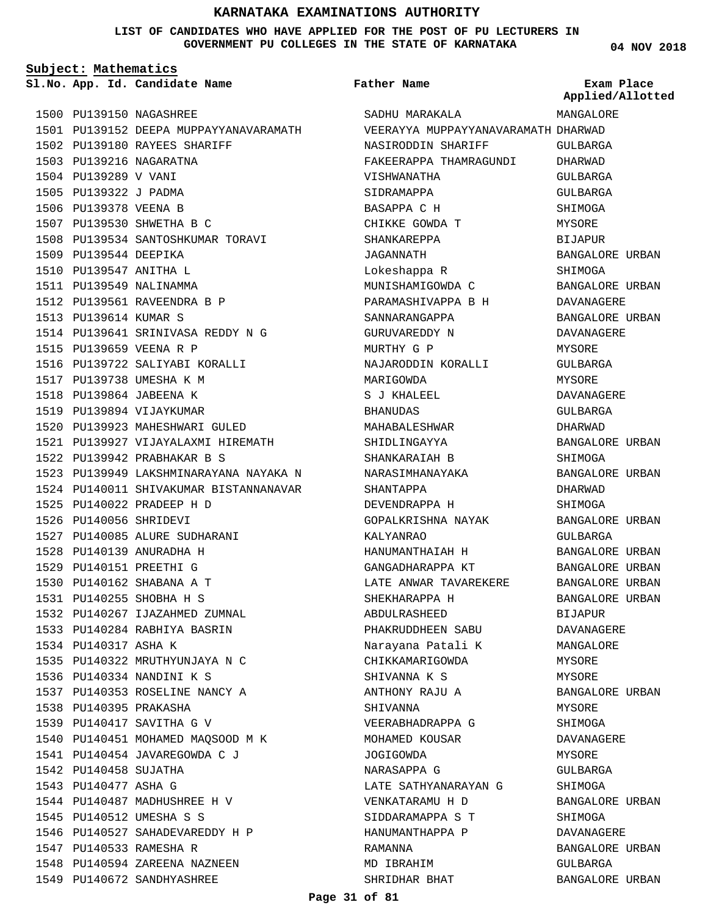**LIST OF CANDIDATES WHO HAVE APPLIED FOR THE POST OF PU LECTURERS IN GOVERNMENT PU COLLEGES IN THE STATE OF KARNATAKA**

**Subject: Mathematics**

**App. Id. Candidate Name Sl.No. Exam Place**

**Father Name**

**04 NOV 2018**

**Applied/Allotted**

|      |                        | 1500 PU139150 NAGASHREE                |
|------|------------------------|----------------------------------------|
|      |                        | 1501 PU139152 DEEPA MUPPAYYANAVARAMATH |
|      |                        | 1502 PU139180 RAYEES SHARIFF           |
|      | 1503 PU139216          | NAGARATNA                              |
| 1504 | PU139289 V VANI        |                                        |
| 1505 | PU139322 J PADMA       |                                        |
| 1506 | PU139378 VEENA B       |                                        |
|      |                        | 1507 PU139530 SHWETHA B C              |
|      |                        | 1508 PU139534 SANTOSHKUMAR TORAVI      |
|      | 1509 PU139544 DEEPIKA  |                                        |
| 1510 | PU139547 ANITHA L      |                                        |
|      |                        | 1511 PU139549 NALINAMMA                |
| 1512 |                        | PU139561 RAVEENDRA B P                 |
| 1513 | PU139614 KUMAR S       |                                        |
|      |                        | 1514 PU139641 SRINIVASA REDDY N G      |
|      |                        | 1515 PU139659 VEENA R P                |
|      |                        | 1516 PU139722 SALIYABI KORALLI         |
|      |                        | 1517 PU139738 UMESHA K M               |
| 1518 |                        | PU139864 JABEENA K                     |
|      |                        | 1519 PU139894 VIJAYKUMAR               |
|      |                        | 1520 PU139923 MAHESHWARI GULED         |
|      |                        | 1521 PU139927 VIJAYALAXMI HIREMATH     |
| 1522 | PU139942               | PRABHAKAR B S                          |
|      | 1523 PU139949          | LAKSHMINARAYANA NAYAKA N               |
|      |                        | 1524 PU140011 SHIVAKUMAR BISTANNANAVAR |
| 1525 |                        | PU140022 PRADEEP H D                   |
| 1526 | PU140056               | SHRIDEVI                               |
| 1527 | PU140085               | ALURE SUDHARANI                        |
| 1528 | PU140139               | ANURADHA H                             |
| 1529 |                        | PU140151 PREETHI G                     |
| 1530 | PU140162               | SHABANA A T                            |
|      |                        | 1531 PU140255 SHOBHA H S               |
|      |                        | 1532 PU140267 IJAZAHMED ZUMNAL         |
| 1533 |                        | PU140284 RABHIYA BASRIN                |
|      | 1534 PU140317 ASHA K   |                                        |
|      |                        | 1535 PU140322 MRUTHYUNJAYA N C         |
|      |                        | 1536 PU140334 NANDINI K S              |
|      |                        | 1537 PU140353 ROSELINE NANCY A         |
|      | 1538 PU140395 PRAKASHA |                                        |
|      |                        | 1539 PU140417 SAVITHA G V              |
| 1540 |                        | PU140451 MOHAMED MAQSOOD M K           |
| 1541 |                        | PU140454 JAVAREGOWDA C J               |
|      | 1542 PU140458 SUJATHA  |                                        |
|      | 1543 PU140477 ASHA G   |                                        |
|      |                        | 1544 PU140487 MADHUSHREE H V           |
|      |                        | 1545 PU140512 UMESHA S S               |
|      |                        | 1546 PU140527 SAHADEVAREDDY H P        |
|      |                        | 1547 PU140533 RAMESHA R                |
|      |                        | 1548 PU140594 ZAREENA NAZNEEN          |
|      |                        | 1549 PU140672 SANDHYASHREE             |

| SADHU MARAKALA                      | MANGALORE         |
|-------------------------------------|-------------------|
| VEERAYYA MUPPAYYANAVARAMATH DHARWAD |                   |
| NASIRODDIN SHARIFF                  | GULBARGA          |
| FAKEERAPPA THAMRAGUNDI              | DHARWAD           |
| VISHWANATHA                         | GULBARGA          |
| SIDRAMAPPA                          | GULBARGA          |
| BASAPPA C H                         | SHIMOGA           |
| CHIKKE GOWDA T                      | MYSORE            |
| SHANKAREPPA                         | <b>BIJAPUR</b>    |
| JAGANNATH                           | BANGALORE URBAN   |
| Lokeshappa R                        | SHIMOGA           |
| MUNISHAMIGOWDA C                    | BANGALORE URBAN   |
| PARAMASHIVAPPA B H                  | DAVANAGERE        |
| SANNARANGAPPA                       | BANGALORE URBAN   |
| GURUVAREDDY N                       | <b>DAVANAGERE</b> |
| MURTHY G P                          | MYSORE            |
| NAJARODDIN KORALLI                  | GULBARGA          |
| MARIGOWDA                           | MYSORE            |
| S J KHALEEL                         | <b>DAVANAGERE</b> |
| BHANUDAS                            | GULBARGA          |
| MAHABALESHWAR                       | DHARWAD           |
| SHIDLINGAYYA                        | BANGALORE URBAN   |
| SHANKARAIAH B                       | SHIMOGA           |
| NARASIMHANAYAKA                     | BANGALORE URBAN   |
| SHANTAPPA                           | DHARWAD           |
| DEVENDRAPPA H                       | SHIMOGA           |
| GOPALKRISHNA NAYAK                  | BANGALORE URBAN   |
| KALYANRAO                           | GULBARGA          |
| HANUMANTHAIAH H                     | BANGALORE URBAN   |
| GANGADHARAPPA KT                    | BANGALORE URBAN   |
| LATE ANWAR TAVAREKERE               | BANGALORE URBAN   |
| SHEKHARAPPA H                       | BANGALORE URBAN   |
| ABDULRASHEED                        | BIJAPUR           |
| PHAKRUDDHEEN SABU                   | DAVANAGERE        |
| Narayana Patali K                   | MANGALORE         |
| CHIKKAMARIGOWDA                     | MYSORE            |
| SHIVANNA K S                        | MYSORE            |
| ANTHONY RAJU A                      | BANGALORE URBAN   |
| SHIVANNA                            | MYSORE            |
| VEERABHADRAPPA G                    | SHIMOGA           |
| MOHAMED KOUSAR                      | DAVANAGERE        |
| JOGIGOWDA                           | MYSORE            |
| NARASAPPA G                         | GULBARGA          |
| LATE SATHYANARAYAN G                | SHIMOGA           |
| VENKATARAMU H D                     | BANGALORE URBAN   |
| SIDDARAMAPPA S T                    | SHIMOGA           |
| HANUMANTHAPPA P                     | DAVANAGERE        |
| RAMANNA                             | BANGALORE URBAN   |
| MD IBRAHIM                          | GULBARGA          |
|                                     |                   |
| SHRIDHAR BHAT                       | BANGALORE URBAN   |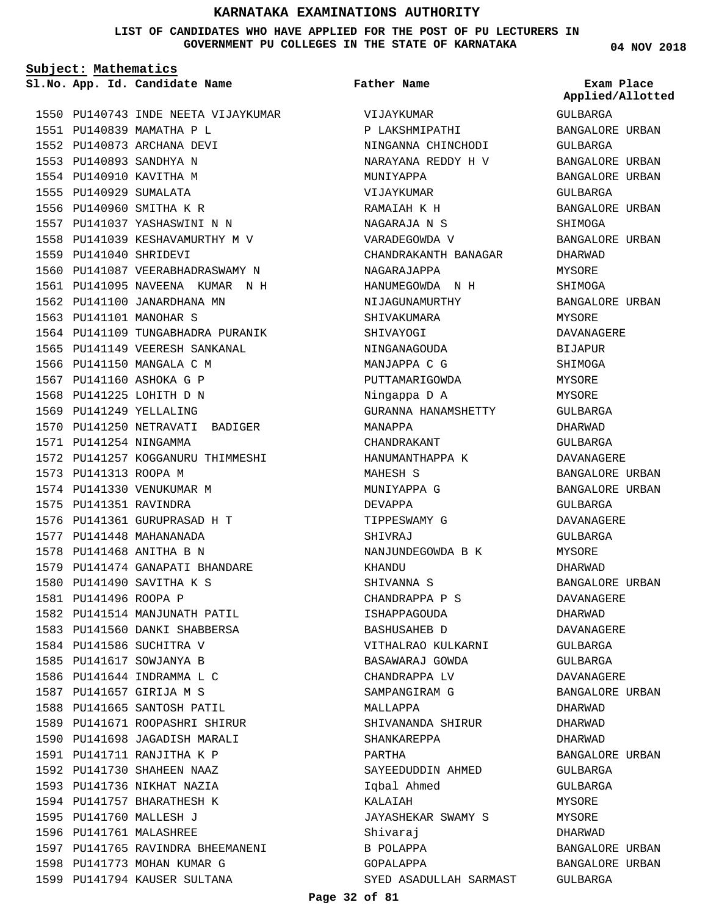**LIST OF CANDIDATES WHO HAVE APPLIED FOR THE POST OF PU LECTURERS IN GOVERNMENT PU COLLEGES IN THE STATE OF KARNATAKA**

**Subject: Mathematics**

**App. Id. Candidate Name Sl.No. Exam Place**

1550 PU140743 INDE NEETA VIJAYKUMAR PU140839 MAMATHA P L 1551 1552 PU140873 ARCHANA DEVI PU140893 SANDHYA N 1553 1554 PU140910 KAVITHA M 1555 PU140929 SUMALATA 1556 PU140960 SMITHA K R 1557 PU141037 YASHASWINI N N 1558 PU141039 KESHAVAMURTHY M V 1559 PU141040 SHRIDEVI 1560 PU141087 VEERABHADRASWAMY N 1561 PU141095 NAVEENA KUMAR N H 1562 PU141100 JANARDHANA MN 1563 PU141101 MANOHAR S 1564 PU141109 TUNGABHADRA PURANIK 1565 PU141149 VEERESH SANKANAL 1566 PU141150 MANGALA C M 1567 PU141160 ASHOKA G P 1568 PU141225 LOHITH D N 1569 PU141249 YELLALING 1570 PU141250 NETRAVATI BADIGER PU141254 NINGAMMA 1571 1572 PU141257 KOGGANURU THIMMESHI 1573 PU141313 ROOPA M 1574 PU141330 VENUKUMAR M 1575 PU141351 RAVINDRA 1576 PU141361 GURUPRASAD H T 1577 PU141448 MAHANANADA 1578 PU141468 ANITHA B N PU141474 GANAPATI BHANDARE 1579 1580 PU141490 SAVITHA K S 1581 PU141496 ROOPA P 1582 PU141514 MANJUNATH PATIL 1583 PU141560 DANKI SHABBERSA 1584 PU141586 SUCHITRA V 1585 PU141617 SOWJANYA B 1586 PU141644 INDRAMMA L C PU141657 GIRIJA M S 1587 1588 PU141665 SANTOSH PATIL 1589 PU141671 ROOPASHRI SHIRUR 1590 PU141698 JAGADISH MARALI PU141711 RANJITHA K P 1591 PU141730 SHAHEEN NAAZ 1592 1593 PU141736 NIKHAT NAZIA 1594 PU141757 BHARATHESH K 1595 PU141760 MALLESH J 1596 PU141761 MALASHREE 1597 PU141765 RAVINDRA BHEEMANENI 1598 PU141773 MOHAN KUMAR G 1599 PU141794 KAUSER SULTANA

VIJAYKUMAR P LAKSHMIPATHI NINGANNA CHINCHODI NARAYANA REDDY H V MUNIYAPPA VIJAYKUMAR RAMAIAH K H NAGARAJA N S VARADEGOWDA V CHANDRAKANTH BANAGAR NAGARAJAPPA HANUMEGOWDA N H NIJAGUNAMURTHY SHIVAKUMARA SHIVAYOGI NINGANAGOUDA MANJAPPA C G PUTTAMARIGOWDA Ningappa D A GURANNA HANAMSHETTY MANAPPA CHANDRAKANT HANUMANTHAPPA K MAHESH S MUNIYAPPA G DEVAPPA TIPPESWAMY G SHIVRAJ.T NANJUNDEGOWDA B K KHANDU SHIVANNA S CHANDRAPPA P S ISHAPPAGOUDA BASHUSAHEB D VITHALRAO KULKARNI BASAWARAJ GOWDA CHANDRAPPA LV SAMPANGIRAM G MALLAPPA SHIVANANDA SHIRUR SHANKAREPPA PARTHA SAYEEDUDDIN AHMED Iqbal Ahmed KALAIAH JAYASHEKAR SWAMY S Shivaraj B POLAPPA GOPALAPPA SYED ASADULLAH SARMAST **Father Name**

**04 NOV 2018**

GULBARGA BANGALORE URBAN GULBARGA BANGALORE URBAN BANGALORE URBAN GULBARGA BANGALORE URBAN SHIMOGA BANGALORE URBAN DHARWAD MYSORE SHIMOGA BANGALORE URBAN MYSORE DAVANAGERE BIJAPUR SHIMOGA MYSORE MYSORE GULBARGA DHARWAD GULBARGA DAVANAGERE BANGALORE URBAN BANGALORE URBAN GULBARGA DAVANAGERE GULBARGA MYSORE DHARWAD BANGALORE URBAN DAVANAGERE DHARWAD DAVANAGERE GULBARGA GULBARGA DAVANAGERE BANGALORE URBAN DHARWAD DHARWAD DHARWAD BANGALORE URBAN GULBARGA GULBARGA **MYSORE MYSORE** DHARWAD BANGALORE URBAN BANGALORE URBAN GULBARGA **Applied/Allotted**

**Page 32 of 81**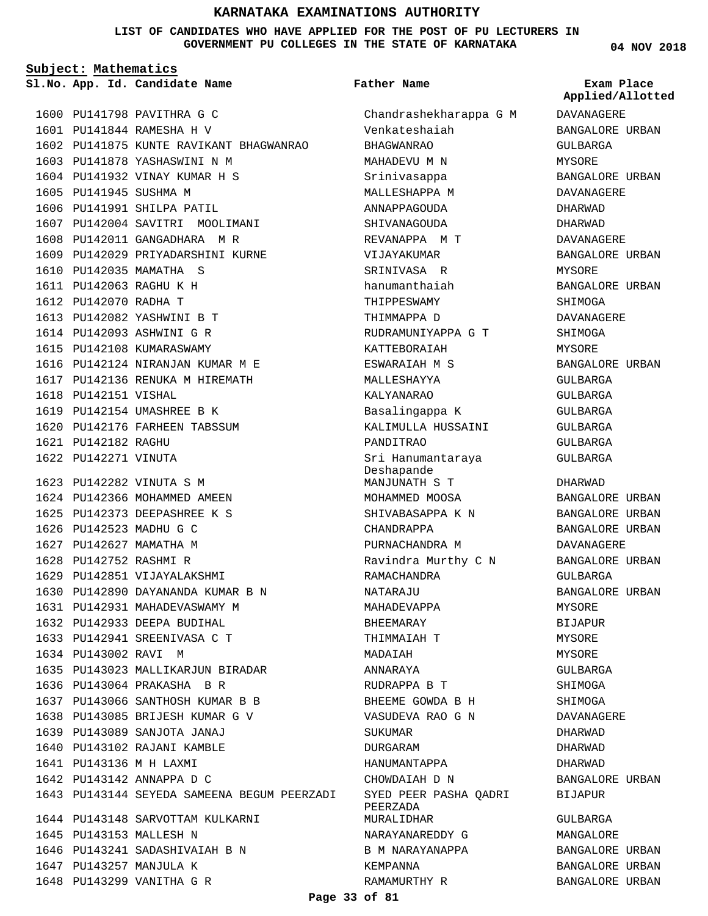### **LIST OF CANDIDATES WHO HAVE APPLIED FOR THE POST OF PU LECTURERS IN GOVERNMENT PU COLLEGES IN THE STATE OF KARNATAKA**

**Subject: Mathematics**

**App. Id. Candidate Name Sl.No. Exam Place**

1600 PU141798 PAVITHRA G C PU141844 RAMESHA H V 1601 1602 PU141875 KUNTE RAVIKANT BHAGWANRAO 1603 PU141878 YASHASWINI N M 1604 PU141932 VINAY KUMAR H S 1605 PU141945 SUSHMA M 1606 PU141991 SHILPA PATIL 1607 PU142004 SAVITRI MOOLIMANI 1608 PU142011 GANGADHARA M R 1609 PU142029 PRIYADARSHINI KURNE 1610 PU142035 MAMATHA S PU142063 RAGHU K H 1611 1612 PU142070 RADHA T PU142082 YASHWINI B T 1613 1614 PU142093 ASHWINI G R 1615 PU142108 KUMARASWAMY 1616 PU142124 NIRANJAN KUMAR M E 1617 PU142136 RENUKA M HIREMATH 1618 PU142151 VISHAL 1619 PU142154 UMASHREE B K 1620 PU142176 FARHEEN TABSSUM PU142182 RAGHU 1621 1622 PU142271 VINUTA PU142282 VINUTA S M 1623 1624 PU142366 MOHAMMED AMEEN 1625 PU142373 DEEPASHREE K S 1626 PU142523 MADHU G C 1627 PU142627 MAMATHA M 1628 PU142752 RASHMI R 1629 PU142851 VIJAYALAKSHMI 1630 PU142890 DAYANANDA KUMAR B N 1631 PU142931 MAHADEVASWAMY M 1632 PU142933 DEEPA BUDIHAL 1633 PU142941 SREENIVASA C T 1634 PU143002 RAVI M 1635 PU143023 MALLIKARJUN BIRADAR 1636 PU143064 PRAKASHA B R PU143066 SANTHOSH KUMAR B B 1637 1638 PU143085 BRIJESH KUMAR G V PU143089 SANJOTA JANAJ 1639 1640 PU143102 RAJANI KAMBLE PU143136 M H LAXMI 1641 1642 PU143142 ANNAPPA D C PU143144 SEYEDA SAMEENA BEGUM PEERZADI 1643 1644 PU143148 SARVOTTAM KULKARNI 1645 PU143153 MALLESH N 1646 PU143241 SADASHIVAIAH B N 1647 PU143257 MANJULA K 1648 PU143299 VANITHA G R

#### **Father Name**

Chandrashekharappa G M Venkateshaiah BHAGWANRAO MAHADEVU M N Srinivasappa MALLESHAPPA M ANNAPPAGOUDA **SHIVANAGOUDA** REVANAPPA M T VIJAYAKUMAR SRINIVASA R hanumanthaiah THIPPESWAMY THIMMAPPA D RUDRAMUNIYAPPA G T KATTEBORAIAH ESWARAIAH M S MALLESHAYYA KALYANARAO Basalingappa K KALIMULLA HUSSAINI PANDITRAO Sri Hanumantaraya Deshapande MANJUNATH S T MOHAMMED MOOSA SHIVABASAPPA K N CHANDRAPPA PURNACHANDRA M Ravindra Murthy C N RAMACHANDRA NATARAJU MAHADEVAPPA BHEEMARAY THIMMAIAH T MADAIAH ANNARAYA RUDRAPPA B T BHEEME GOWDA B H VASUDEVA RAO G N SUKUMAR DURGARAM HANUMANTAPPA CHOWDAIAH D N SYED PEER PASHA QADRI PEERZADA MURALIDHAR NARAYANAREDDY G B M NARAYANAPPA KEMPANNA RAMAMURTHY R

**04 NOV 2018**

**Applied/Allotted**

DAVANAGERE BANGALORE URBAN GULBARGA MYSORE BANGALORE URBAN DAVANAGERE DHARWAD DHARWAD DAVANAGERE BANGALORE URBAN MYSORE BANGALORE URBAN SHIMOGA DAVANAGERE SHIMOGA MYSORE BANGALORE URBAN GULBARGA GULBARGA GULBARGA GULBARGA GULBARGA GULBARGA DHARWAD BANGALORE URBAN BANGALORE URBAN BANGALORE URBAN DAVANAGERE BANGALORE URBAN GULBARGA BANGALORE URBAN MYSORE BIJAPUR MYSORE MYSORE. GULBARGA SHIMOGA SHIMOGA DAVANAGERE DHARWAD DHARWAD DHARWAD BANGALORE URBAN BIJAPUR GULBARGA MANGALORE BANGALORE URBAN BANGALORE URBAN BANGALORE URBAN

**Page 33 of 81**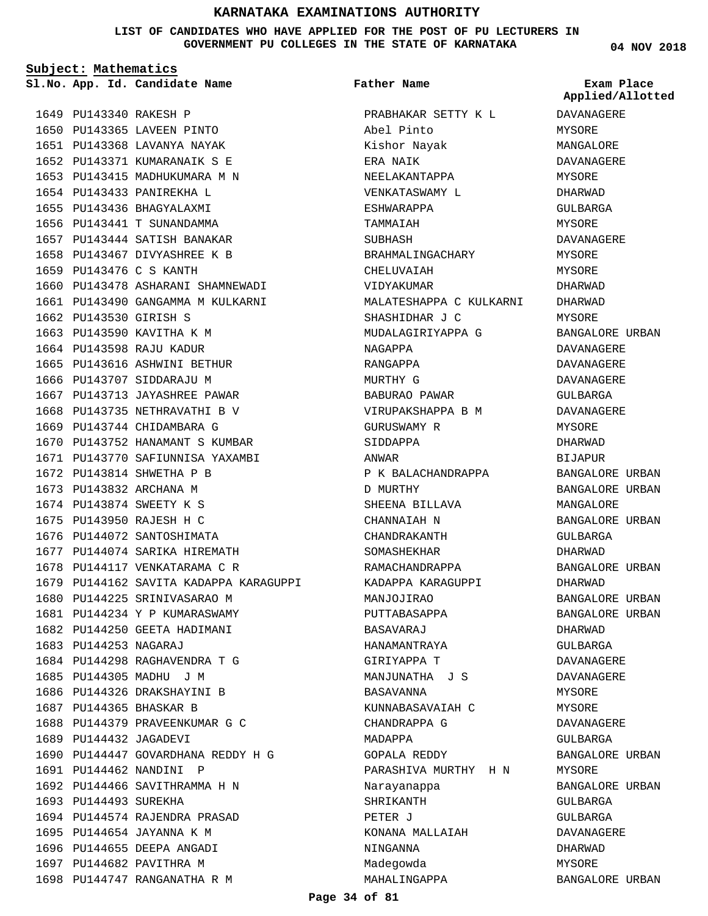**LIST OF CANDIDATES WHO HAVE APPLIED FOR THE POST OF PU LECTURERS IN GOVERNMENT PU COLLEGES IN THE STATE OF KARNATAKA**

**Subject: Mathematics**

**App. Id. Candidate Name Sl.No. Exam Place**

**Father Name**

1649 PU143340 RAKESH P 1650 PU143365 LAVEEN PINTO 1651 PU143368 LAVANYA NAYAK 1652 PU143371 KUMARANAIK S E 1653 PU143415 MADHUKUMARA M N 1654 PU143433 PANIREKHA L 1655 PU143436 BHAGYALAXMI PU143441 T SUNANDAMMA 1656 1657 PU143444 SATISH BANAKAR 1658 PU143467 DIVYASHREE K B 1659 PU143476 C S KANTH 1660 PU143478 ASHARANI SHAMNEWADI 1661 PU143490 GANGAMMA M KULKARNI 1662 PU143530 GIRISH S 1663 PU143590 KAVITHA K M 1664 PU143598 RAJU KADUR 1665 PU143616 ASHWINI BETHUR 1666 PU143707 SIDDARAJU M 1667 PU143713 JAYASHREE PAWAR 1668 PU143735 NETHRAVATHI B V 1669 PU143744 CHIDAMBARA G 1670 PU143752 HANAMANT S KUMBAR 1671 PU143770 SAFIUNNISA YAXAMBI 1672 PU143814 SHWETHA P B 1673 PU143832 ARCHANA M 1674 PU143874 SWEETY K S 1675 PU143950 RAJESH H C 1676 PU144072 SANTOSHIMATA 1677 PU144074 SARIKA HIREMATH 1678 PU144117 VENKATARAMA C R 1679 PU144162 SAVITA KADAPPA KARAGUPPI 1680 PU144225 SRINIVASARAO M 1681 PU144234 Y P KUMARASWAMY 1682 PU144250 GEETA HADIMANI 1683 PU144253 NAGARAJ 1684 PU144298 RAGHAVENDRA T G 1685 PU144305 MADHU J M 1686 PU144326 DRAKSHAYINI B 1687 PU144365 BHASKAR B 1688 PU144379 PRAVEENKUMAR G C 1689 PU144432 JAGADEVI 1690 PU144447 GOVARDHANA REDDY H G 1691 PU144462 NANDINI P 1692 PU144466 SAVITHRAMMA H N 1693 PU144493 SUREKHA 1694 PU144574 RAJENDRA PRASAD 1695 PU144654 JAYANNA K M 1696 PU144655 DEEPA ANGADI 1697 PU144682 PAVITHRA M 1698 PU144747 RANGANATHA R M

PRABHAKAR SETTY K L Abel Pinto Kishor Nayak ERA NAIK NEELAKANTAPPA VENKATASWAMY L ESHWARAPPA TAMMAIAH SUBHASH BRAHMALINGACHARY CHELUVAIAH VIDYAKUMAR MALATESHAPPA C KULKARNI SHASHIDHAR J C MUDALAGIRIYAPPA G NAGAPPA RANGAPPA MURTHY G BABURAO PAWAR VIRUPAKSHAPPA B M GURUSWAMY R SIDDAPPA ANWAR P K BALACHANDRAPPA D MURTHY SHEENA BILLAVA CHANNAIAH N CHANDRAKANTH SOMASHEKHAR RAMACHANDRAPPA KADAPPA KARAGUPPI MANJOJIRAO PUTTABASAPPA BASAVARAJ HANAMANTRAYA GIRIYAPPA T MANJUNATHA J S BASAVANNA KUNNABASAVAIAH C CHANDRAPPA G MADAPPA GOPALA REDDY PARASHIVA MURTHY H N Narayanappa SHRIKANTH **DETER J** KONANA MALLAIAH NINGANNA Madegowda MAHALINGAPPA

**04 NOV 2018**

**Applied/Allotted**

DAVANAGERE MYSORE MANGALORE DAVANAGERE MYSORE DHARWAD GULBARGA MYSORE DAVANAGERE MYSORE MYSORE DHARWAD DHARWAD MYSORE BANGALORE URBAN DAVANAGERE DAVANAGERE DAVANAGERE GULBARGA DAVANAGERE MYSORE DHARWAD BIJAPUR BANGALORE URBAN BANGALORE URBAN MANGALORE BANGALORE URBAN GULBARGA DHARWAD BANGALORE URBAN DHARWAD BANGALORE URBAN BANGALORE URBAN DHARWAD GULBARGA DAVANAGERE DAVANAGERE MYSORE MYSORE DAVANAGERE GULBARGA BANGALORE URBAN MYSORE BANGALORE URBAN GULBARGA GULBARGA DAVANAGERE DHARWAD MYSORE

BANGALORE URBAN

**Page 34 of 81**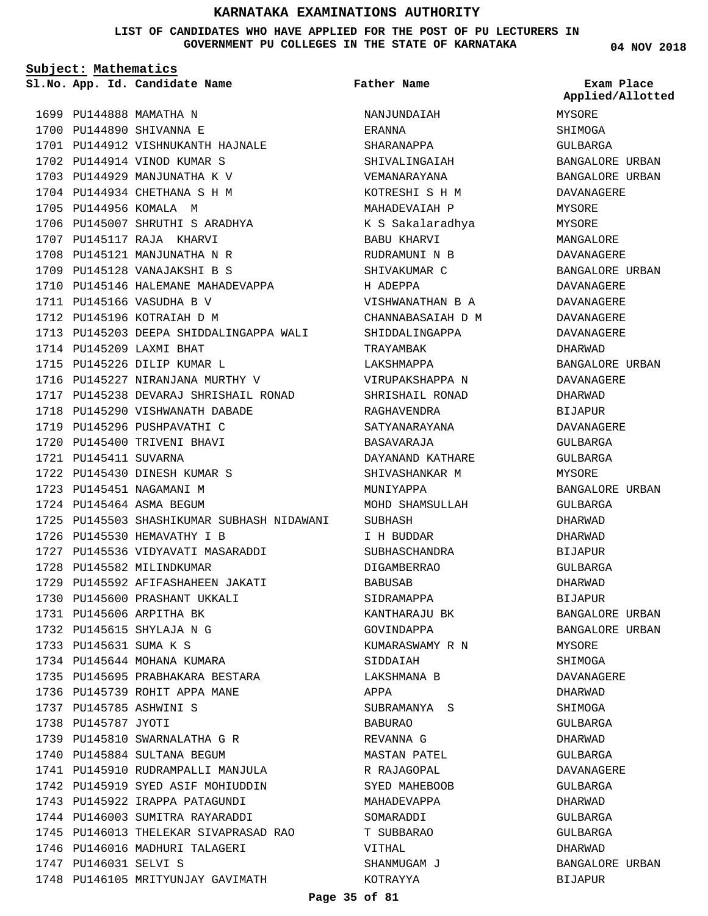**LIST OF CANDIDATES WHO HAVE APPLIED FOR THE POST OF PU LECTURERS IN GOVERNMENT PU COLLEGES IN THE STATE OF KARNATAKA**

**Subject: Mathematics**

**App. Id. Candidate Name Sl.No. Exam Place**

1702 PU144914 VINOD KUMAR S 1703 PU144929 MANJUNATHA K V 1704 PU144934 CHETHANA S H M

1701 PU144912 VISHNUKANTH HAJNALE

1706 PU145007 SHRUTHI S ARADHYA

1710 PU145146 HALEMANE MAHADEVAPPA

1716 PU145227 NIRANJANA MURTHY V

1718 PU145290 VISHWANATH DABADE 1719 PU145296 PUSHPAVATHI C 1720 PU145400 TRIVENI BHAVI

1722 PU145430 DINESH KUMAR S 1723 PU145451 NAGAMANI M 1724 PU145464 ASMA BEGUM

1726 PU145530 HEMAVATHY I B

1728 PU145582 MILINDKUMAR

1731 PU145606 ARPITHA BK PU145615 SHYLAJA N G 1732 PU145631 SUMA K S 1733

PU145785 ASHWINI S 1737 1738 PU145787 JYOTI

1734 PU145644 MOHANA KUMARA

1739 PU145810 SWARNALATHA G R 1740 PU145884 SULTANA BEGUM

1746 PU146016 MADHURI TALAGERI

1748 PU146105 MRITYUNJAY GAVIMATH

1747 PU146031 SELVI S

1741 PU145910 RUDRAMPALLI MANJULA 1742 PU145919 SYED ASIF MOHIUDDIN 1743 PU145922 IRAPPA PATAGUNDI 1744 PU146003 SUMITRA RAYARADDI

1745 PU146013 THELEKAR SIVAPRASAD RAO

1735 PU145695 PRABHAKARA BESTARA 1736 PU145739 ROHIT APPA MANE

1727 PU145536 VIDYAVATI MASARADDI

1729 PU145592 AFIFASHAHEEN JAKATI 1730 PU145600 PRASHANT UKKALI

1713 PU145203 DEEPA SHIDDALINGAPPA WALI

1717 PU145238 DEVARAJ SHRISHAIL RONAD

1725 PU145503 SHASHIKUMAR SUBHASH NIDAWANI

1699 PU144888 MAMATHA N 1700 PU144890 SHIVANNA E

1705 PU144956 KOMALA M

1707 PU145117 RAJA KHARVI 1708 PU145121 MANJUNATHA N R 1709 PU145128 VANAJAKSHI B S

1711 PU145166 VASUDHA B V 1712 PU145196 KOTRAIAH D M

1714 PU145209 LAXMI BHAT 1715 PU145226 DILIP KUMAR L

1721 PU145411 SUVARNA

NANJUNDAIAH ERANNA SHARANAPPA SHIVALINGAIAH VEMANARAYANA KOTRESHI S H M MAHADEVAIAH P K S Sakalaradhya BABU KHARVI RUDRAMUNI N B SHIVAKUMAR C H ADEPPA **Father Name**

VISHWANATHAN B A CHANNABASAIAH D M SHIDDALINGAPPA TRAYAMBAK LAKSHMAPPA VIRUPAKSHAPPA N SHRISHAIL RONAD RAGHAVENDRA SATYANARAYANA BASAVARAJA DAYANAND KATHARE SHIVASHANKAR M MUNIYAPPA MOHD SHAMSULLAH SUBHASH I H BUDDAR SUBHASCHANDRA DIGAMBERRAO BABUSAB SIDRAMAPPA KANTHARAJU BK GOVINDAPPA KUMARASWAMY R N SIDDAIAH LAKSHMANA B APPA SUBRAMANYA S BABURAO REVANNA G MASTAN PATEL R RAJAGOPAL SYED MAHEBOOB MAHADEVAPPA SOMARADDI T SUBBARAO VITHAL SHANMUGAM J KOTRAYYA

**04 NOV 2018**

MYSORE SHIMOGA GULBARGA BANGALORE URBAN BANGALORE URBAN DAVANAGERE MYSORE MYSORE MANGALORE DAVANAGERE BANGALORE URBAN DAVANAGERE DAVANAGERE DAVANAGERE DAVANAGERE DHARWAD BANGALORE URBAN DAVANAGERE DHARWAD BIJAPUR DAVANAGERE GULBARGA GULBARGA MYSORE BANGALORE URBAN GULBARGA DHARWAD DHARWAD BIJAPUR GULBARGA DHARWAD BIJAPUR BANGALORE URBAN BANGALORE URBAN MYSORE **SHIMOGA** DAVANAGERE DHARWAD SHIMOGA GULBARGA DHARWAD GULBARGA DAVANAGERE GIILBARGA DHARWAD GULBARGA GULBARGA DHARWAD BANGALORE URBAN BIJAPUR **Applied/Allotted**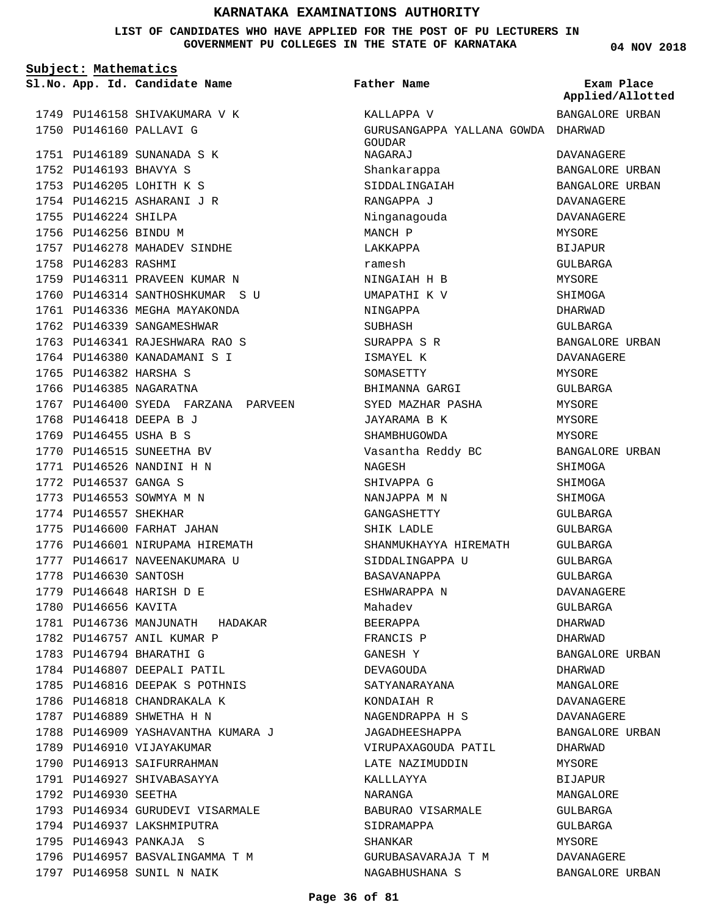**LIST OF CANDIDATES WHO HAVE APPLIED FOR THE POST OF PU LECTURERS IN GOVERNMENT PU COLLEGES IN THE STATE OF KARNATAKA**

**04 NOV 2018**

| Subject: Mathematics |                        |                                     |                                              |                                |
|----------------------|------------------------|-------------------------------------|----------------------------------------------|--------------------------------|
|                      |                        | Sl.No. App. Id. Candidate Name      | Father Name                                  | Exam Place<br>Applied/Allotted |
|                      |                        | 1749 PU146158 SHIVAKUMARA V K       | KALLAPPA V                                   | BANGALORE URBAN                |
|                      |                        | 1750 PU146160 PALLAVI G             | GURUSANGAPPA YALLANA GOWDA DHARWAD<br>GOUDAR |                                |
|                      |                        | 1751 PU146189 SUNANADA S K          | NAGARAJ                                      | DAVANAGERE                     |
|                      | 1752 PU146193 BHAVYA S |                                     | Shankarappa                                  | BANGALORE URBAN                |
|                      |                        | 1753 PU146205 LOHITH K S            | SIDDALINGAIAH                                | BANGALORE URBAN                |
|                      |                        | 1754 PU146215 ASHARANI J R          | RANGAPPA J                                   | DAVANAGERE                     |
|                      | 1755 PU146224 SHILPA   |                                     | Ninganagouda                                 | DAVANAGERE                     |
|                      | 1756 PU146256 BINDU M  |                                     | MANCH P                                      | <b>MYSORE</b>                  |
|                      |                        | 1757 PU146278 MAHADEV SINDHE        | LAKKAPPA                                     | <b>BIJAPUR</b>                 |
|                      | 1758 PU146283 RASHMI   |                                     | ramesh                                       | GULBARGA                       |
|                      |                        | 1759 PU146311 PRAVEEN KUMAR N       | NINGAIAH H B                                 | MYSORE                         |
|                      |                        | 1760 PU146314 SANTHOSHKUMAR S U     | UMAPATHI K V                                 | SHIMOGA                        |
|                      |                        | 1761 PU146336 MEGHA MAYAKONDA       | NINGAPPA                                     | <b>DHARWAD</b>                 |
|                      |                        | 1762 PU146339 SANGAMESHWAR          | SUBHASH                                      | GULBARGA                       |
|                      |                        | 1763 PU146341 RAJESHWARA RAO S      | SURAPPA S R                                  | BANGALORE URBAN                |
|                      |                        | 1764 PU146380 KANADAMANI S I        | ISMAYEL K                                    | <b>DAVANAGERE</b>              |
|                      | 1765 PU146382 HARSHA S |                                     | SOMASETTY                                    | MYSORE                         |
|                      |                        | 1766 PU146385 NAGARATNA             | BHIMANNA GARGI                               | GULBARGA                       |
|                      |                        | 1767 PU146400 SYEDA FARZANA PARVEEN | SYED MAZHAR PASHA                            | MYSORE                         |
|                      |                        | 1768 PU146418 DEEPA B J             | JAYARAMA B K                                 | MYSORE                         |
|                      | 1769 PU146455 USHA B S |                                     | SHAMBHUGOWDA                                 | MYSORE                         |
|                      |                        | 1770 PU146515 SUNEETHA BV           | Vasantha Reddy BC                            | BANGALORE URBAN                |
|                      |                        | 1771 PU146526 NANDINI H N           | NAGESH                                       | SHIMOGA                        |
|                      | 1772 PU146537 GANGA S  |                                     | SHIVAPPA G                                   | SHIMOGA                        |
|                      |                        | 1773 PU146553 SOWMYA M N            | NANJAPPA M N                                 | SHIMOGA                        |
|                      | 1774 PU146557 SHEKHAR  |                                     | GANGASHETTY                                  | GULBARGA                       |
|                      |                        | 1775 PU146600 FARHAT JAHAN          | SHIK LADLE                                   | GULBARGA                       |
|                      |                        | 1776 PU146601 NIRUPAMA HIREMATH     | SHANMUKHAYYA HIREMATH                        | <b>GULBARGA</b>                |
|                      |                        | 1777 PU146617 NAVEENAKUMARA U       | SIDDALINGAPPA U                              | GULBARGA                       |
|                      | 1778 PU146630 SANTOSH  |                                     | <b>BASAVANAPPA</b>                           | <b>GULBARGA</b>                |
|                      |                        | 1779 PU146648 HARISH D E            | ESHWARAPPA N                                 | <b>DAVANAGERE</b>              |
|                      | 1780 PU146656 KAVITA   |                                     | Mahadev                                      | GULBARGA                       |
|                      |                        | 1781 PU146736 MANJUNATH HADAKAR     | BEERAPPA                                     | DHARWAD                        |
|                      |                        | 1782 PU146757 ANIL KUMAR P          | FRANCIS P                                    | DHARWAD                        |
|                      |                        | 1783 PU146794 BHARATHI G            | GANESH Y                                     | BANGALORE URBAN                |
|                      |                        | 1784 PU146807 DEEPALI PATIL         | DEVAGOUDA                                    | DHARWAD                        |
|                      |                        | 1785 PU146816 DEEPAK S POTHNIS      | SATYANARAYANA                                | MANGALORE                      |
|                      |                        | 1786 PU146818 CHANDRAKALA K         | KONDAIAH R                                   | DAVANAGERE                     |
|                      |                        | 1787 PU146889 SHWETHA H N           | NAGENDRAPPA H S                              | DAVANAGERE                     |
|                      |                        | 1788 PU146909 YASHAVANTHA KUMARA J  | JAGADHEESHAPPA                               | BANGALORE URBAN                |
|                      |                        | 1789 PU146910 VIJAYAKUMAR           | VIRUPAXAGOUDA PATIL                          | DHARWAD                        |
|                      |                        | 1790 PU146913 SAIFURRAHMAN          | LATE NAZIMUDDIN                              | MYSORE                         |
|                      |                        | 1791 PU146927 SHIVABASAYYA          | KALLLAYYA                                    | BIJAPUR                        |
|                      | 1792 PU146930 SEETHA   |                                     | NARANGA                                      | MANGALORE                      |
|                      |                        | 1793 PU146934 GURUDEVI VISARMALE    | BABURAO VISARMALE                            | GULBARGA                       |
|                      |                        | 1794 PU146937 LAKSHMIPUTRA          | SIDRAMAPPA                                   | GULBARGA                       |
|                      |                        | 1795 PU146943 PANKAJA S             | SHANKAR                                      | MYSORE                         |
|                      |                        | 1796 PU146957 BASVALINGAMMA T M     | GURUBASAVARAJA T M                           | DAVANAGERE                     |
|                      |                        | 1797 PU146958 SUNIL N NAIK          | NAGABHUSHANA S                               | BANGALORE URBAN                |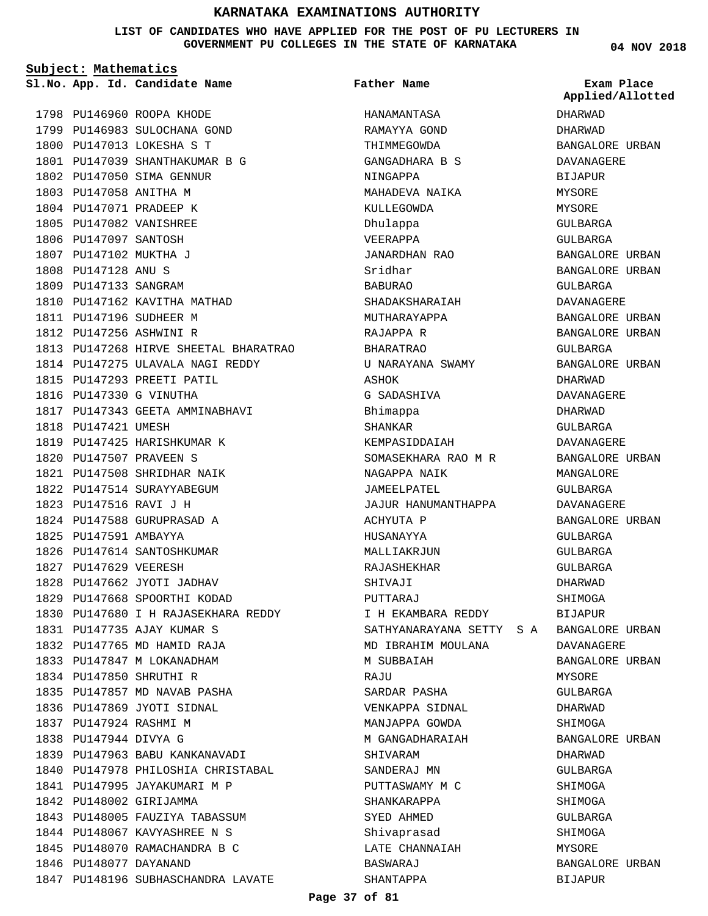**LIST OF CANDIDATES WHO HAVE APPLIED FOR THE POST OF PU LECTURERS IN GOVERNMENT PU COLLEGES IN THE STATE OF KARNATAKA**

**Subject: Mathematics**

**App. Id. Candidate Name Sl.No. Exam Place**

**Father Name**

1798 PU146960 ROOPA KHODE 1799 PU146983 SULOCHANA GOND 1800 PU147013 LOKESHA S T 1801 PU147039 SHANTHAKUMAR B G 1802 PU147050 SIMA GENNUR 1803 PU147058 ANITHA M 1804 PU147071 PRADEEP K 1805 PU147082 VANISHREE 1806 PU147097 SANTOSH 1807 PU147102 MUKTHA J 1808 PU147128 ANU S 1809 PU147133 SANGRAM 1810 PU147162 KAVITHA MATHAD 1811 PU147196 SUDHEER M PU147256 ASHWINI R 1812 1813 PU147268 HIRVE SHEETAL BHARATRAO 1814 PU147275 ULAVALA NAGI REDDY 1815 PU147293 PREETI PATIL 1816 PU147330 G VINUTHA 1817 PU147343 GEETA AMMINABHAVI 1818 PU147421 UMESH 1819 PU147425 HARISHKUMAR K PU147507 PRAVEEN S 1820 1821 PU147508 SHRIDHAR NAIK 1822 PU147514 SURAYYABEGUM PU147516 RAVI J H 1823 1824 PU147588 GURUPRASAD A 1825 PU147591 AMBAYYA 1826 PU147614 SANTOSHKUMAR 1827 PU147629 VEERESH 1828 PU147662 JYOTI JADHAV 1829 PU147668 SPOORTHI KODAD 1830 PU147680 I H RAJASEKHARA REDDY PU147735 AJAY KUMAR S 1831 1832 PU147765 MD HAMID RAJA 1833 PU147847 M LOKANADHAM PU147850 SHRUTHI R 1834 1835 PU147857 MD NAVAB PASHA 1836 PU147869 JYOTI SIDNAL 1837 PU147924 RASHMI M 1838 PU147944 DIVYA G 1839 PU147963 BABU KANKANAVADI 1840 PU147978 PHILOSHIA CHRISTABAL 1841 PU147995 JAYAKUMARI M P 1842 PU148002 GIRIJAMMA 1843 PU148005 FAUZIYA TABASSUM 1844 PU148067 KAVYASHREE N S 1845 PU148070 RAMACHANDRA B C 1846 PU148077 DAYANAND 1847 PU148196 SUBHASCHANDRA LAVATE

HANAMANTASA RAMAYYA GOND THIMMEGOWDA GANGADHARA B S NINGAPPA MAHADEVA NAIKA KULLEGOWDA Dhulappa VEERAPPA JANARDHAN RAO Sridhar BABURAO SHADAKSHARAIAH MUTHARAYAPPA RAJAPPA R BHARATRAO U NARAYANA SWAMY ASHOK G SADASHIVA Bhimappa SHANKAR KEMPASIDDAIAH SOMASEKHARA RAO M R NAGAPPA NAIK JAMEELPATEL JAJUR HANUMANTHAPPA ACHYUTA P HUSANAYYA MALLIAKRJUN RAJASHEKHAR SHIVAJI PUTTARAJ I H EKAMBARA REDDY SATHYANARAYANA SETTY S A BANGALORE URBAN MD IBRAHIM MOULANA M SURRATAH **RAJU** SARDAR PASHA VENKAPPA SIDNAL MANJAPPA GOWDA M GANGADHARAIAH SHIVARAM SANDERAJ MN PUTTASWAMY M C SHANKARAPPA SYED AHMED Shivaprasad LATE CHANNAIAH BASWARAJ SHANTAPPA

**04 NOV 2018**

DHARWAD DHARWAD BANGALORE URBAN DAVANAGERE BIJAPUR MYSORE MYSORE GULBARGA GULBARGA BANGALORE URBAN BANGALORE URBAN GULBARGA DAVANAGERE BANGALORE URBAN BANGALORE URBAN GULBARGA BANGALORE URBAN DHARWAD DAVANAGERE DHARWAD GULBARGA DAVANAGERE BANGALORE URBAN MANGALORE GULBARGA DAVANAGERE BANGALORE URBAN GULBARGA GULBARGA GULBARGA DHARWAD SHIMOGA **BIJAPUR** DAVANAGERE BANGALORE URBAN MYSORE GULBARGA DHARWAD SHIMOGA BANGALORE URBAN DHARWAD GULBARGA SHIMOGA **SHIMOGA** GULBARGA SHIMOGA MYSORE BANGALORE URBAN BIJAPUR **Applied/Allotted**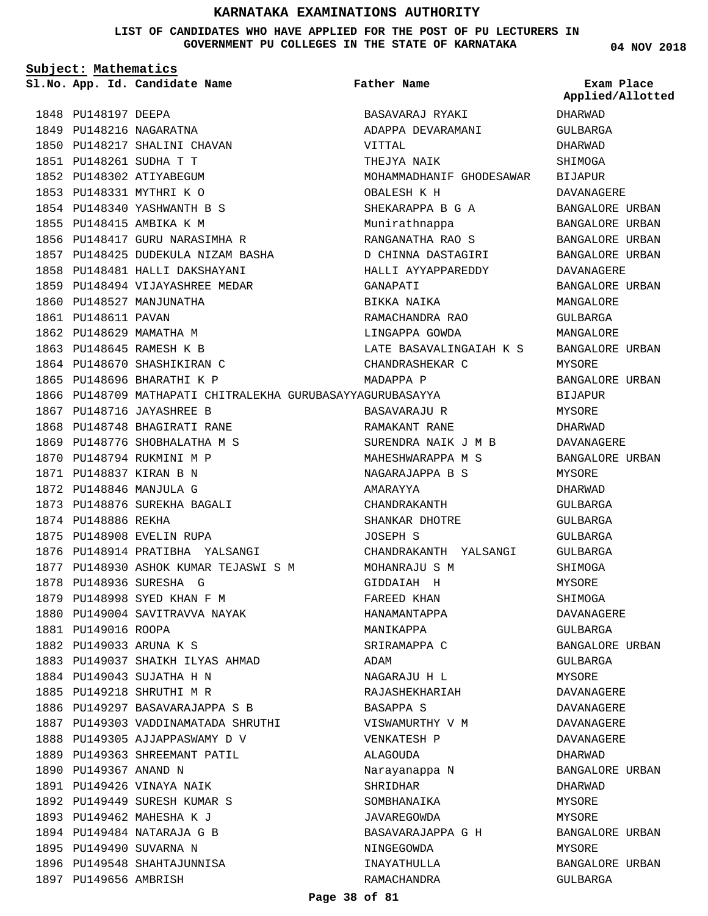**LIST OF CANDIDATES WHO HAVE APPLIED FOR THE POST OF PU LECTURERS IN GOVERNMENT PU COLLEGES IN THE STATE OF KARNATAKA**

**Subject: Mathematics**

1848 PU148197 DEEPA 1849 PU148216 NAGARATNA

**App. Id. Candidate Name Sl.No. Exam Place**

1850 PU148217 SHALINI CHAVAN

1856 PU148417 GURU NARASIMHA R 1857 PU148425 DUDEKULA NIZAM BASHA 1858 PU148481 HALLI DAKSHAYANI 1859 PU148494 VIJAYASHREE MEDAR

PU148261 SUDHA T T 1851 1852 PU148302 ATIYABEGUM 1853 PU148331 MYTHRI K O PU148340 YASHWANTH B S 1854 1855 PU148415 AMBIKA K M

1860 PU148527 MANJUNATHA

1867 PU148716 JAYASHREE B 1868 PU148748 BHAGIRATI RANE 1869 PU148776 SHOBHALATHA M S 1870 PU148794 RUKMINI M P PU148837 KIRAN B N 1871 PU148846 MANJULA G 1872

1873 PU148876 SUREKHA BAGALI

1876 PU148914 PRATIBHA YALSANGI

1883 PU149037 SHAIKH ILYAS AHMAD

1886 PU149297 BASAVARAJAPPA S B 1887 PU149303 VADDINAMATADA SHRUTHI

1888 PU149305 AJJAPPASWAMY D V 1889 PU149363 SHREEMANT PATIL

1877 PU148930 ASHOK KUMAR TEJASWI S M

1875 PU148908 EVELIN RUPA

1878 PU148936 SURESHA G 1879 PU148998 SYED KHAN F M 1880 PU149004 SAVITRAVVA NAYAK

1884 PU149043 SUJATHA H N 1885 PU149218 SHRUTHI M R

1890 PU149367 ANAND N 1891 PU149426 VINAYA NAIK 1892 PU149449 SURESH KUMAR S 1893 PU149462 MAHESHA K J 1894 PU149484 NATARAJA G B 1895 PU149490 SUVARNA N 1896 PU149548 SHAHTAJUNNISA

1897 PU149656 AMBRISH

1874 PU148886 REKHA

1881 PU149016 ROOPA PU149033 ARUNA K S 1882

1861 PU148611 PAVAN 1862 PU148629 MAMATHA M 1863 PU148645 RAMESH K B 1864 PU148670 SHASHIKIRAN C 1865 PU148696 BHARATHI K P

**Father Name**

1866 PU148709 MATHAPATI CHITRALEKHA GURUBASAYYAGURUBASAYYA BASAVARAJ RYAKI ADAPPA DEVARAMANI VITTAL THEJYA NAIK MOHAMMADHANIF GHODESAWAR OBALESH K H SHEKARAPPA B G A Munirathnappa RANGANATHA RAO S D CHINNA DASTAGIRI HALLI AYYAPPAREDDY GANAPATI BIKKA NAIKA RAMACHANDRA RAO LINGAPPA GOWDA LATE BASAVALINGAIAH K S CHANDRASHEKAR C MADAPPA P BASAVARAJU R RAMAKANT RANE SURENDRA NAIK J M B MAHESHWARAPPA M S NAGARAJAPPA B S AMARAYYA CHANDRAKANTH SHANKAR DHOTRE JOSEPH S CHANDRAKANTH YALSANGI MOHANRAJU S M GIDDAIAH H FAREED KHAN HANAMANTAPPA MANIKAPPA SRIRAMAPPA C ADAM NAGARAJU H L RAJASHEKHARIAH BASAPPA S VISWAMURTHY V M VENKATESH P ALAGOUDA Narayanappa N SHRIDHAR SOMBHANAIKA JAVAREGOWDA BASAVARAJAPPA G H NINGEGOWDA INAYATHULLA RAMACHANDRA

**04 NOV 2018**

DHARWAD GULBARGA DHARWAD SHIMOGA BIJAPUR DAVANAGERE BANGALORE URBAN BANGALORE URBAN BANGALORE URBAN BANGALORE URBAN DAVANAGERE BANGALORE URBAN MANGALORE GULBARGA MANGALORE BANGALORE URBAN MYSORE BANGALORE URBAN BIJAPUR MYSORE DHARWAD DAVANAGERE BANGALORE URBAN MYSORE DHARWAD GULBARGA  $CITIRARGA$ GULBARGA GULBARGA SHIMOGA MYSORE SHIMOGA DAVANAGERE GULBARGA BANGALORE URBAN GULBARGA MYSORE DAVANAGERE DAVANAGERE DAVANAGERE DAVANAGERE DHARWAD BANGALORE URBAN DHARWAD **MYSORE** MYSORE BANGALORE URBAN MYSORE BANGALORE URBAN GULBARGA **Applied/Allotted**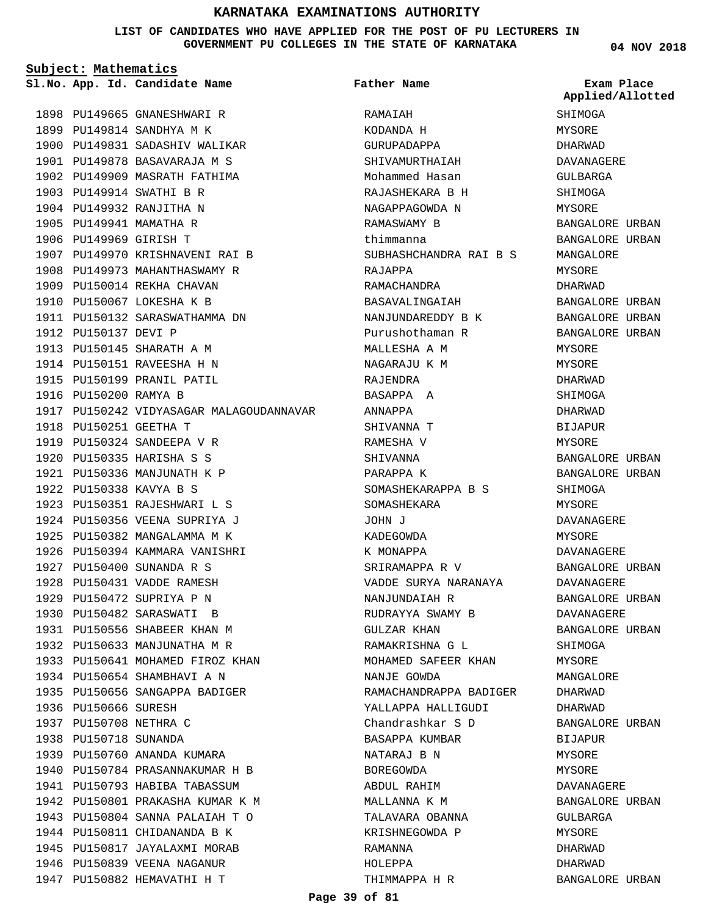#### **LIST OF CANDIDATES WHO HAVE APPLIED FOR THE POST OF PU LECTURERS IN GOVERNMENT PU COLLEGES IN THE STATE OF KARNATAKA**

**Subject: Mathematics**

**App. Id. Candidate Name Sl.No. Exam Place**

1903 PU149914 SWATHI B R 1904 PU149932 RANJITHA N 1905 PU149941 MAMATHA R 1906 PU149969 GIRISH T

1898 PU149665 GNANESHWARI R 1899 PU149814 SANDHYA M K

1900 PU149831 SADASHIV WALIKAR 1901 PU149878 BASAVARAJA M S 1902 PU149909 MASRATH FATHIMA

1907 PU149970 KRISHNAVENI RAI B 1908 PU149973 MAHANTHASWAMY R 1909 PU150014 REKHA CHAVAN 1910 PU150067 LOKESHA K B

1911 PU150132 SARASWATHAMMA DN

1917 PU150242 VIDYASAGAR MALAGOUDANNAVAR

1912 PU150137 DEVI P

1916 PU150200 RAMYA B

1918 PU150251 GEETHA T 1919 PU150324 SANDEEPA V R PU150335 HARISHA S S 1920 1921 PU150336 MANJUNATH K P PU150338 KAVYA B S 1922

1923 PU150351 RAJESHWARI L S 1924 PU150356 VEENA SUPRIYA J 1925 PU150382 MANGALAMMA M K 1926 PU150394 KAMMARA VANISHRI

PU150400 SUNANDA R S 1927 1928 PU150431 VADDE RAMESH 1929 PU150472 SUPRIYA P N 1930 PU150482 SARASWATI B 1931 PU150556 SHABEER KHAN M 1932 PU150633 MANJUNATHA M R 1933 PU150641 MOHAMED FIROZ KHAN

1934 PU150654 SHAMBHAVI A N 1935 PU150656 SANGAPPA BADIGER

1939 PU150760 ANANDA KUMARA PU150784 PRASANNAKUMAR H B 1940 1941 PU150793 HABIBA TABASSUM 1942 PU150801 PRAKASHA KUMAR K M PU150804 SANNA PALAIAH T O 1943 1944 PU150811 CHIDANANDA B K 1945 PU150817 JAYALAXMI MORAB 1946 PU150839 VEENA NAGANUR 1947 PU150882 HEMAVATHI H T

1936 PU150666 SURESH 1937 PU150708 NETHRA C 1938 PU150718 SUNANDA

1913 PU150145 SHARATH A M 1914 PU150151 RAVEESHA H N 1915 PU150199 PRANIL PATIL **Father Name**

**RAMATAH** KODANDA H GURUPADAPPA SHIVAMURTHAIAH Mohammed Hasan RAJASHEKARA B H NAGAPPAGOWDA N RAMASWAMY B thimmanna SUBHASHCHANDRA RAI B S RAJAPPA RAMACHANDRA BASAVALINGAIAH NANJUNDAREDDY B K Purushothaman R MALLESHA A M NAGARAJU K M RAJENDRA BASAPPA A ANNAPPA SHIVANNA T RAMESHA V SHIVANNA PARAPPA K SOMASHEKARAPPA B S SOMASHEKARA JOHN J KADEGOWDA K MONAPPA SRIRAMAPPA R V VADDE SURYA NARANAYA NANJUNDAIAH R RUDRAYYA SWAMY B GULZAR KHAN RAMAKRISHNA G L MOHAMED SAFEER KHAN NANJE GOWDA RAMACHANDRAPPA BADIGER YALLAPPA HALLIGUDI Chandrashkar S D BASAPPA KUMBAR NATARAJ B N BOREGOWDA ABDUL RAHIM MALLANNA K M TALAVARA OBANNA KRISHNEGOWDA P RAMANNA HOLEPPA THIMMAPPA H R

**04 NOV 2018**

SHIMOGA MYSORE DHARWAD DAVANAGERE GULBARGA SHIMOGA MYSORE BANGALORE URBAN BANGALORE URBAN MANGALORE MYSORE DHARWAD BANGALORE URBAN BANGALORE URBAN BANGALORE URBAN MYSORE MYSORE DHARWAD SHIMOGA DHARWAD BIJAPUR MYSORE BANGALORE URBAN BANGALORE URBAN SHIMOGA MYSORE DAVANAGERE MYSORE DAVANAGERE BANGALORE URBAN DAVANAGERE BANGALORE URBAN DAVANAGERE BANGALORE URBAN SHIMOGA MYSORE MANGALORE DHARWAD DHARWAD BANGALORE URBAN **BIJAPUR** MYSORE MYSORE DAVANAGERE BANGALORE URBAN GULBARGA MYSORE DHARWAD DHARWAD BANGALORE URBAN **Applied/Allotted**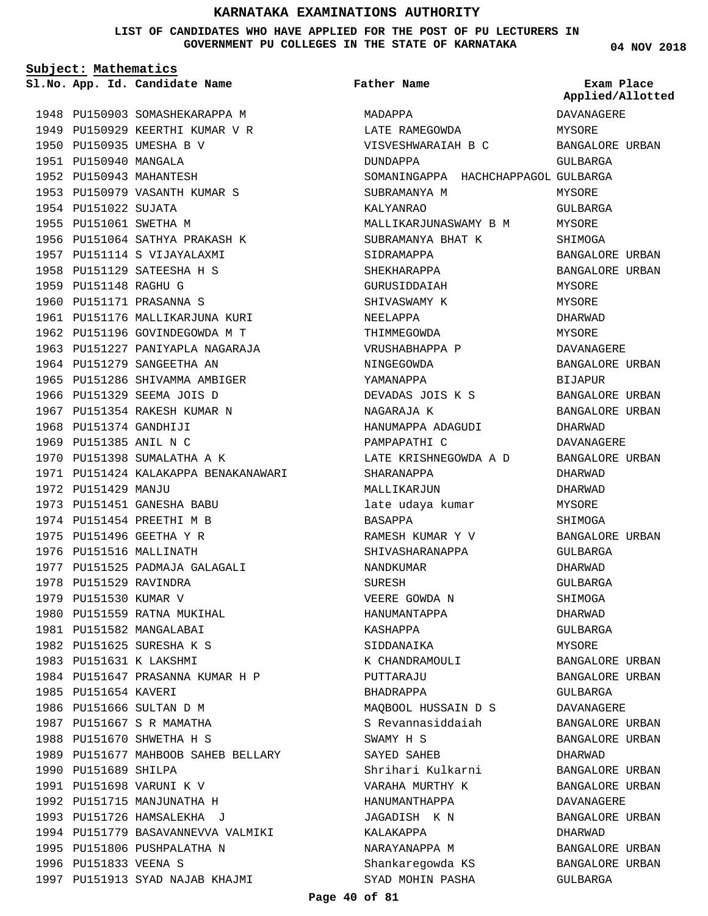#### **LIST OF CANDIDATES WHO HAVE APPLIED FOR THE POST OF PU LECTURERS IN GOVERNMENT PU COLLEGES IN THE STATE OF KARNATAKA**

**04 NOV 2018**

**Subject: Mathematics** 1948 PU150903 SOMASHEKARAPPA M 1949 PU150929 KEERTHI KUMAR V R 1950 PU150935 UMESHA B V 1951 PU150940 MANGALA 1952 PU150943 MAHANTESH 1953 PU150979 VASANTH KUMAR S 1954 PU151022 SUJATA 1955 PU151061 SWETHA M 1956 PU151064 SATHYA PRAKASH K 1957 PU151114 S VIJAYALAXMI 1958 PU151129 SATEESHA H S 1959 PU151148 RAGHU G 1960 PU151171 PRASANNA S 1961 PU151176 MALLIKARJUNA KURI 1962 PU151196 GOVINDEGOWDA M T 1963 PU151227 PANIYAPLA NAGARAJA 1964 PU151279 SANGEETHA AN 1965 PU151286 SHIVAMMA AMBIGER 1966 PU151329 SEEMA JOIS D 1967 PU151354 RAKESH KUMAR N 1968 PU151374 GANDHIJI 1969 PU151385 ANIL N C 1970 PU151398 SUMALATHA A K 1971 PU151424 KALAKAPPA BENAKANAWARI 1972 PU151429 MANJU 1973 PU151451 GANESHA BABU 1974 PU151454 PREETHI M B 1975 PU151496 GEETHA Y R 1976 PU151516 MALLINATH 1977 PU151525 PADMAJA GALAGALI 1978 PU151529 RAVINDRA 1979 PU151530 KUMAR V 1980 PU151559 RATNA MUKIHAL 1981 PU151582 MANGALABAI 1982 PU151625 SURESHA K S 1983 PU151631 K LAKSHMI 1984 PU151647 PRASANNA KUMAR H P 1985 PU151654 KAVERI 1986 PU151666 SULTAN D M 1987 PU151667 S R MAMATHA 1988 PU151670 SHWETHA H S 1989 PU151677 MAHBOOB SAHEB BELLARY 1990 PU151689 SHILPA 1991 PU151698 VARUNI K V 1992 PU151715 MANJUNATHA H 1993 PU151726 HAMSALEKHA J 1994 PU151779 BASAVANNEVVA VALMIKI 1995 PU151806 PUSHPALATHA N 1996 PU151833 VEENA S **App. Id. Candidate Name Sl.No. Exam Place**

1997 PU151913 SYAD NAJAB KHAJMI

MADAPPA LATE RAMEGOWDA VISVESHWARAIAH B C DUNDAPPA SOMANINGAPPA HACHCHAPPAGOL GULBARGA SUBRAMANYA M KALYANRAO MALLIKARJUNASWAMY B M SUBRAMANYA BHAT K SIDRAMAPPA SHEKHARAPPA GURUSIDDAIAH SHIVASWAMY K NEELAPPA THIMMEGOWDA VRUSHABHAPPA P NINGEGOWDA YAMANAPPA DEVADAS JOIS K S NAGARAJA K HANUMAPPA ADAGUDI PAMPAPATHI C LATE KRISHNEGOWDA A D SHARANAPPA MALLIKARJUN late udaya kumar BASAPPA RAMESH KUMAR Y V SHIVASHARANAPPA NANDKUMAR SURESH VEERE GOWDA N HANUMANTAPPA KASHAPPA SIDDANAIKA K CHANDRAMOULI PUTTARAJU BHADRAPPA MAQBOOL HUSSAIN D S S Revannasiddaiah SWAMY H S SAYED SAHEB Shrihari Kulkarni VARAHA MURTHY K HANUMANTHAPPA JAGADISH K N KALAKAPPA NARAYANAPPA M Shankaregowda KS **Father Name** DAVANAGERE MYSORE BANGALORE URBAN GULBARGA MYSORE GULBARGA MYSORE SHIMOGA BANGALORE URBAN BANGALORE URBAN MYSORE MYSORE DHARWAD MYSORE DAVANAGERE BANGALORE URBAN BIJAPUR BANGALORE URBAN BANGALORE URBAN DHARWAD DAVANAGERE BANGALORE URBAN DHARWAD DHARWAD MYSORE **SHIMOGA** BANGALORE URBAN GULBARGA DHARWAD GULBARGA SHIMOGA DHARWAD GULBARGA MYSORE BANGALORE URBAN BANGALORE URBAN GULBARGA DAVANAGERE BANGALORE URBAN BANGALORE URBAN DHARWAD BANGALORE URBAN BANGALORE URBAN DAVANAGERE BANGALORE URBAN DHARWAD BANGALORE URBAN BANGALORE URBAN **Applied/Allotted**

SYAD MOHIN PASHA

GULBARGA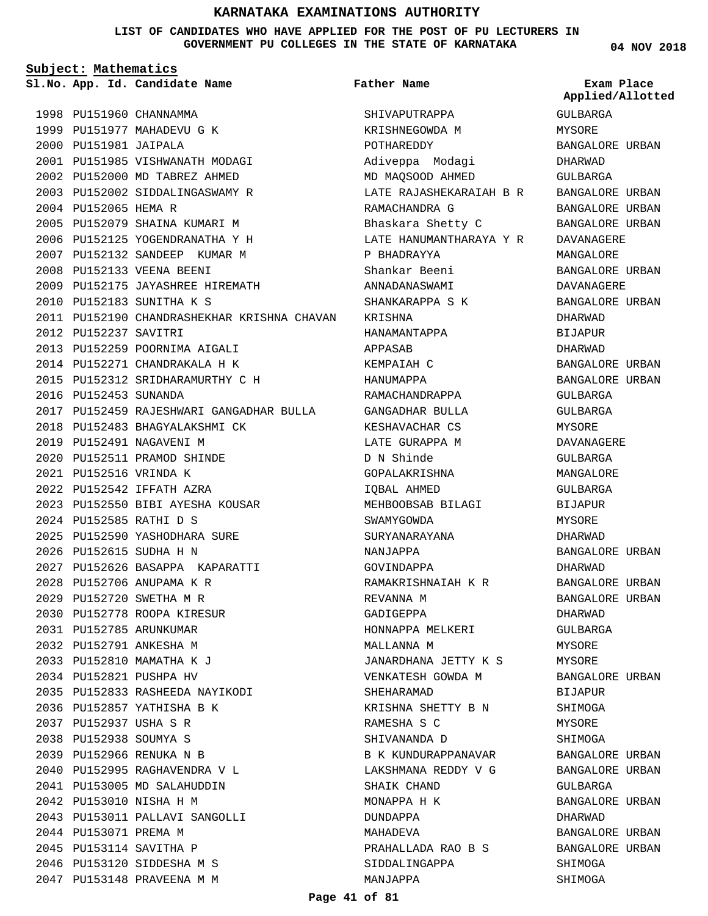**LIST OF CANDIDATES WHO HAVE APPLIED FOR THE POST OF PU LECTURERS IN GOVERNMENT PU COLLEGES IN THE STATE OF KARNATAKA**

**Subject: Mathematics**

**App. Id. Candidate Name Sl.No. Exam Place**

**Father Name**

1998 PU151960 CHANNAMMA 1999 PU151977 MAHADEVU G K 2000 PU151981 JAIPALA PU151985 VISHWANATH MODAGI 2001 2002 PU152000 MD TABREZ AHMED PU152002 SIDDALINGASWAMY R 2003 2004 PU152065 HEMA R 2005 PU152079 SHAINA KUMARI M PU152125 YOGENDRANATHA Y H 2006 2007 PU152132 SANDEEP KUMAR M 2008 PU152133 VEENA BEENI PU152175 JAYASHREE HIREMATH 2009 PU152183 SUNITHA K S 2010 2011 PU152190 CHANDRASHEKHAR KRISHNA CHAVAN 2012 PU152237 SAVITRI 2013 PU152259 POORNIMA AIGALI PU152271 CHANDRAKALA H K 2014 PU152312 SRIDHARAMURTHY C H 2015 2016 PU152453 SUNANDA PU152459 RAJESHWARI GANGADHAR BULLA 2017 2018 PU152483 BHAGYALAKSHMI CK 2019 PU152491 NAGAVENI M PU152511 PRAMOD SHINDE 2020 PU152516 VRINDA K 2021 PU152542 IFFATH AZRA 2022 PU152550 BIBI AYESHA KOUSAR 2023 PU152585 RATHI D S 2024 2025 PU152590 YASHODHARA SURE PU152615 SUDHA H N 2026 PU152626 BASAPPA KAPARATTI 2027 2028 PU152706 ANUPAMA K R PU152720 SWETHA M R 2029 PU152778 ROOPA KIRESUR 2030 PU152785 ARUNKUMAR 2031 PU152791 ANKESHA M 2032 2033 PU152810 MAMATHA K J PU152821 PUSHPA HV 2034 PU152833 RASHEEDA NAYIKODI 2035 2036 PU152857 YATHISHA B K PU152937 USHA S R 2037 PU152938 SOUMYA S 2038 PU152966 RENUKA N B 2039 PU152995 RAGHAVENDRA V L 2040 2041 PU153005 MD SALAHUDDIN PU153010 NISHA H M 2042 PU153011 PALLAVI SANGOLLI 2043 2044 PU153071 PREMA M PU153114 SAVITHA P 2045 2046 PU153120 SIDDESHA M S PU153148 PRAVEENA M M 2047

SHIVAPUTRAPPA KRISHNEGOWDA M POTHAREDDY Adiveppa Modagi MD MAQSOOD AHMED LATE RAJASHEKARAIAH B R RAMACHANDRA G Bhaskara Shetty C LATE HANUMANTHARAYA Y R P BHADRAYYA Shankar Beeni ANNADANASWAMI SHANKARAPPA S K KRISHNA HANAMANTAPPA APPASAB KEMPAIAH C HANUMAPPA RAMACHANDRAPPA GANGADHAR BULLA KESHAVACHAR CS LATE GURAPPA M D N Shinde GOPALAKRISHNA IQBAL AHMED MEHBOOBSAB BILAGI SWAMYGOWDA SURYANARAYANA NANJAPPA GOVINDAPPA RAMAKRISHNAIAH K R REVANNA M GADIGEPPA HONNAPPA MELKERI MALLANNA M JANARDHANA JETTY K S VENKATESH GOWDA M SHEHARAMAD KRISHNA SHETTY B N RAMESHA S C SHIVANANDA D B K KUNDURAPPANAVAR LAKSHMANA REDDY V G SHAIK CHAND MONAPPA H K DUNDAPPA MAHADEVA PRAHALLADA RAO B S SIDDALINGAPPA MANJAPPA

**04 NOV 2018**

GULBARGA MYSORE BANGALORE URBAN **Applied/Allotted**

DHARWAD GULBARGA BANGALORE URBAN BANGALORE URBAN BANGALORE URBAN DAVANAGERE MANGALORE BANGALORE URBAN DAVANAGERE BANGALORE URBAN DHARWAD BIJAPUR DHARWAD BANGALORE URBAN BANGALORE URBAN GULBARGA GULBARGA MYSORE DAVANAGERE GULBARGA MANGALORE GULBARGA BIJAPUR MYSORE DHARWAD BANGALORE URBAN DHARWAD BANGALORE URBAN BANGALORE URBAN DHARWAD GULBARGA MYSORE **MYSORE** BANGALORE URBAN BIJAPUR SHIMOGA MYSORE SHIMOGA BANGALORE URBAN BANGALORE URBAN GULBARGA BANGALORE URBAN DHARWAD BANGALORE URBAN BANGALORE URBAN SHIMOGA

SHIMOGA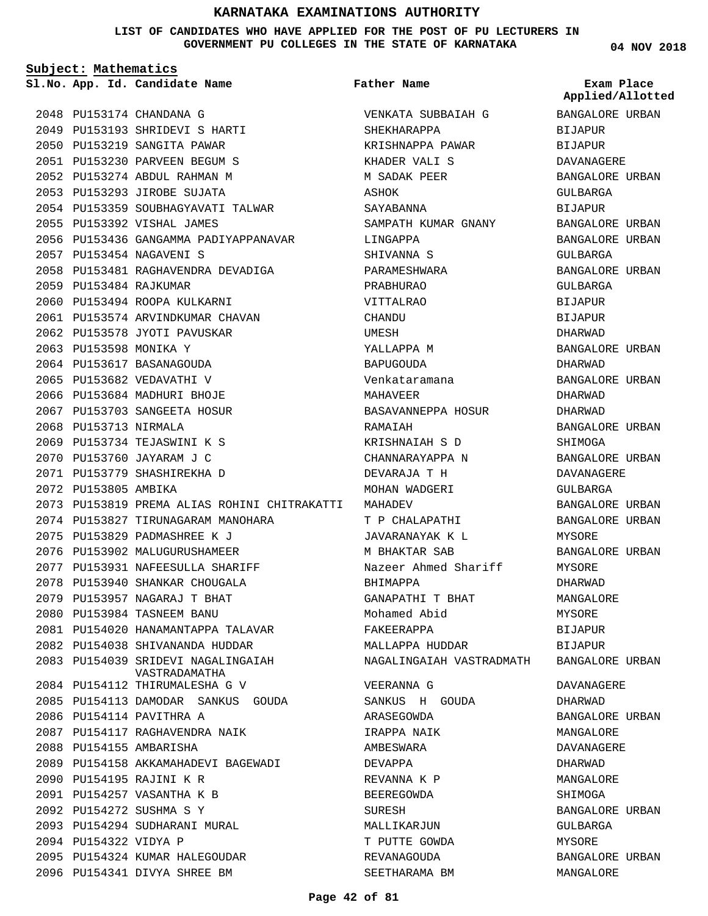**LIST OF CANDIDATES WHO HAVE APPLIED FOR THE POST OF PU LECTURERS IN GOVERNMENT PU COLLEGES IN THE STATE OF KARNATAKA**

**Father Name**

**Subject: Mathematics**

**App. Id. Candidate Name Sl.No. Exam Place**

2048 PU153174 CHANDANA G 2049 PU153193 SHRIDEVI S HARTI 2050 PU153219 SANGITA PAWAR PU153230 PARVEEN BEGUM S 2051 2052 PU153274 ABDUL RAHMAN M 2053 PU153293 JIROBE SUJATA 2054 PU153359 SOUBHAGYAVATI TALWAR 2055 PU153392 VISHAL JAMES 2056 PU153436 GANGAMMA PADIYAPPANAVAR PU153454 NAGAVENI S 2057 2058 PU153481 RAGHAVENDRA DEVADIGA PU153484 RAJKUMAR 2059 2060 PU153494 ROOPA KULKARNI 2061 PU153574 ARVINDKUMAR CHAVAN 2062 PU153578 JYOTI PAVUSKAR 2063 PU153598 MONIKA Y 2064 PU153617 BASANAGOUDA 2065 PU153682 VEDAVATHI V 2066 PU153684 MADHURI BHOJE 2067 PU153703 SANGEETA HOSUR 2068 PU153713 NIRMALA PU153734 TEJASWINI K S 2069 2070 PU153760 JAYARAM J C PU153779 SHASHIREKHA D 2071 2072 PU153805 AMBIKA PU153819 PREMA ALIAS ROHINI CHITRAKATTI 2073 2074 PU153827 TIRUNAGARAM MANOHARA PU153829 PADMASHREE K J 2075 2076 PU153902 MALUGURUSHAMEER PU153931 NAFEESULLA SHARIFF 2077 2078 PU153940 SHANKAR CHOUGALA 2079 PU153957 NAGARAJ T BHAT 2080 PU153984 TASNEEM BANU 2081 PU154020 HANAMANTAPPA TALAVAR PU154038 SHIVANANDA HUDDAR 2082 2083 PU154039 SRIDEVI NAGALINGAIAH 2084 PU154112 THIRUMALESHA G V 2085 PU154113 DAMODAR SANKUS GOUDA 2086 PU154114 PAVITHRA A 2087 PU154117 RAGHAVENDRA NAIK 2088 PU154155 AMBARISHA 2089 PU154158 AKKAMAHADEVI BAGEWADI 2090 PU154195 RAJINI K R PU154257 VASANTHA K B 2091 PU154272 SUSHMA S Y 2092 2093 PU154294 SUDHARANI MURAL 2094 PU154322 VIDYA P 2095 PU154324 KUMAR HALEGOUDAR 2096 PU154341 DIVYA SHREE BM VASTRADAMATHA

VENKATA SUBBAIAH G SHEKHARAPPA KRISHNAPPA PAWAR KHADER VALI S M SADAK PEER ASHOK SAYABANNA SAMPATH KUMAR GNANY LINGAPPA SHIVANNA S PARAMESHWARA PRABHURAO VITTALRAO **CHANDU** UMESH YALLAPPA M BAPUGOUDA Venkataramana MAHAVEER BASAVANNEPPA HOSUR RAMAIAH KRISHNAIAH S D CHANNARAYAPPA N DEVARAJA T H MOHAN WADGERI MAHADEV T P CHALAPATHI JAVARANAYAK K L M BHAKTAR SAB Nazeer Ahmed Shariff BHIMAPPA GANAPATHI T BHAT Mohamed Abid FAKEERAPPA MALLAPPA HUDDAR NAGALINGAIAH VASTRADMATH VEERANNA G SANKUS H GOUDA

ARASEGOWDA IRAPPA NAIK AMBESWARA DEVAPPA REVANNA K P BEEREGOWDA SURESH MALLIKARJUN T PUTTE GOWDA REVANAGOUDA SEETHARAMA BM

**04 NOV 2018**

BANGALORE URBAN BIJAPUR BIJAPUR DAVANAGERE BANGALORE URBAN GULBARGA BIJAPUR BANGALORE URBAN BANGALORE URBAN GULBARGA BANGALORE URBAN GULBARGA BIJAPUR BIJAPUR DHARWAD BANGALORE URBAN DHARWAD BANGALORE URBAN DHARWAD DHARWAD BANGALORE URBAN SHIMOGA BANGALORE URBAN DAVANAGERE GULBARGA BANGALORE URBAN BANGALORE URBAN MYSORE BANGALORE URBAN MYSORE DHARWAD MANGALORE MYSORE BIJAPUR BIJAPUR BANGALORE URBAN DAVANAGERE DHARWAD BANGALORE URBAN MANGALORE DAVANAGERE DHARWAD MANGALORE SHIMOGA BANGALORE URBAN GULBARGA MYSORE **Applied/Allotted**

BANGALORE URBAN

MANGALORE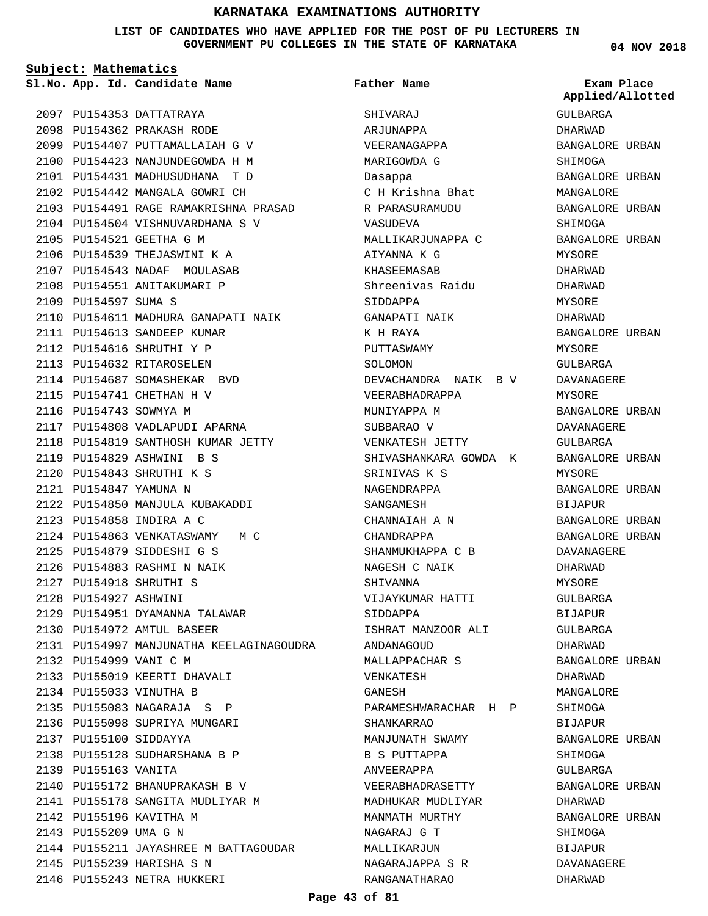**LIST OF CANDIDATES WHO HAVE APPLIED FOR THE POST OF PU LECTURERS IN GOVERNMENT PU COLLEGES IN THE STATE OF KARNATAKA**

**Subject: Mathematics**

2097 PU154353 DATTATRAYA PU154362 PRAKASH RODE 2098 2099 PU154407 PUTTAMALLAIAH G V PU154423 NANJUNDEGOWDA H M 2100 PU154431 MADHUSUDHANA T D 2101 2102 PU154442 MANGALA GOWRI CH 2103 PU154491 RAGE RAMAKRISHNA PRASAD 2104 PU154504 VISHNUVARDHANA S V 2105 PU154521 GEETHA G M 2106 PU154539 THEJASWINI K A 2107 PU154543 NADAF MOULASAB 2108 PU154551 ANITAKUMARI P 2109 PU154597 SUMA S 2110 PU154611 MADHURA GANAPATI NAIK 2111 PU154613 SANDEEP KUMAR 2112 PU154616 SHRUTHI Y P 2113 PU154632 RITAROSELEN 2114 PU154687 SOMASHEKAR BVD 2115 PU154741 CHETHAN H V 2116 PU154743 SOWMYA M 2117 PU154808 VADLAPUDI APARNA 2118 PU154819 SANTHOSH KUMAR JETTY PU154829 ASHWINI B S 2119 PU154843 SHRUTHI K S 2120 PU154847 YAMUNA N 2121 PU154850 MANJULA KUBAKADDI 2122 PU154858 INDIRA A C 2123 2124 PU154863 VENKATASWAMY M C PU154879 SIDDESHI G S 2125 PU154883 RASHMI N NAIK 2126 PU154918 SHRUTHI S 2127 2128 PU154927 ASHWINI 2129 PU154951 DYAMANNA TALAWAR PU154972 AMTUL BASEER 2130 PU154997 MANJUNATHA KEELAGINAGOUDRA 2131 2132 PU154999 VANI C M 2133 PU155019 KEERTI DHAVALI 2134 PU155033 VINUTHA B PU155083 NAGARAJA S P 2135 2136 PU155098 SUPRIYA MUNGARI PU155100 SIDDAYYA 2137 PU155128 SUDHARSHANA B P 2138 2139 PU155163 VANITA 2140 PU155172 BHANUPRAKASH B V 2141 PU155178 SANGITA MUDLIYAR M 2142 PU155196 KAVITHA M 2143 PU155209 UMA G N 2144 PU155211 JAYASHREE M BATTAGOUDAR 2145 PU155239 HARISHA S N 2146 PU155243 NETRA HUKKERI

**App. Id. Candidate Name Sl.No. Exam Place** SHIVARAJ ARJUNAPPA VEERANAGAPPA MARIGOWDA G Dasappa C H Krishna Bhat R PARASURAMUDU VASUDEVA MALLIKARJUNAPPA C AIYANNA K G KHASEEMASAB Shreenivas Raidu SIDDAPPA GANAPATI NAIK K H RAYA PUTTASWAMY SOLOMON DEVACHANDRA NAIK B V VEERABHADRAPPA MUNIYAPPA M SUBBARAO V VENKATESH JETTY SHIVASHANKARA GOWDA K SRINIVAS K S NAGENDRAPPA SANGAMESH CHANNAIAH A N CHANDRAPPA SHANMUKHAPPA C B NAGESH C NAIK SHIVANNA VIJAYKUMAR HATTI SIDDAPPA ISHRAT MANZOOR ALI ANDANAGOUD MALLAPPACHAR S VENKATESH GANESH PARAMESHWARACHAR H P SHANKARRAO MANJUNATH SWAMY B S PUTTAPPA ANVEERAPPA VEERABHADRASETTY MADHUKAR MUDLIYAR MANMATH MURTHY NAGARAJ G T MALLIKARJUN NAGARAJAPPA S R RANGANATHARAO **Father Name**

**04 NOV 2018**

GULBARGA DHARWAD BANGALORE URBAN SHIMOGA BANGALORE URBAN MANGALORE BANGALORE URBAN SHIMOGA BANGALORE URBAN MYSORE DHARWAD DHARWAD MYSORE DHARWAD BANGALORE URBAN MYSORE GULBARGA DAVANAGERE MYSORE BANGALORE URBAN DAVANAGERE GULBARGA BANGALORE URBAN MYSORE BANGALORE URBAN BIJAPUR BANGALORE URBAN BANGALORE URBAN DAVANAGERE DHARWAD MYSORE GULBARGA BIJAPUR GULBARGA DHARWAD BANGALORE URBAN DHARWAD MANGALORE SHIMOGA BIJAPUR BANGALORE URBAN SHIMOGA GULBARGA BANGALORE URBAN DHARWAD BANGALORE URBAN SHIMOGA BIJAPUR DAVANAGERE DHARWAD **Applied/Allotted**

#### **Page 43 of 81**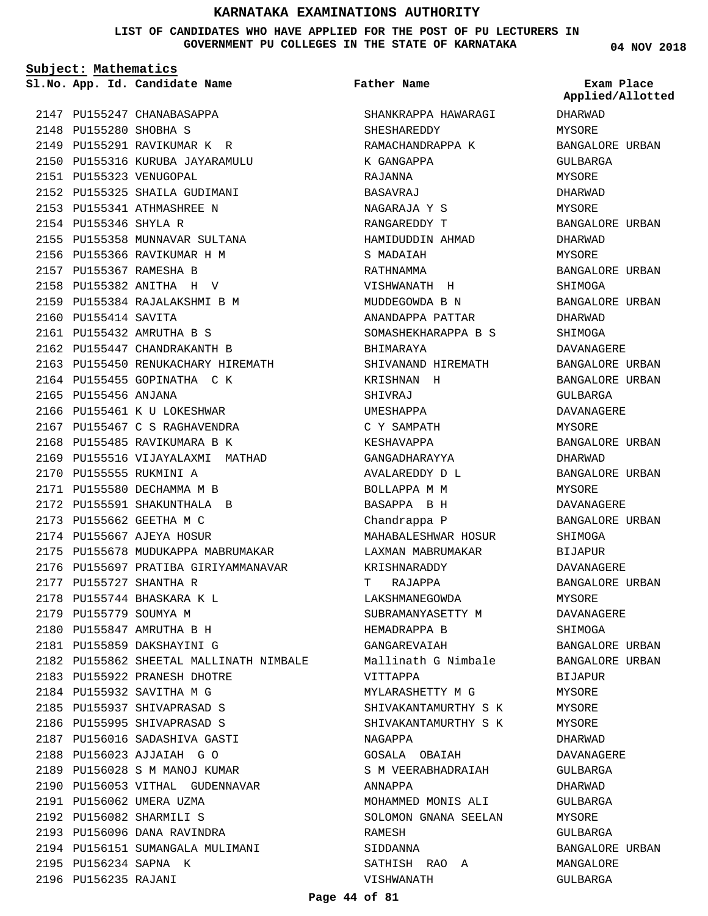**LIST OF CANDIDATES WHO HAVE APPLIED FOR THE POST OF PU LECTURERS IN GOVERNMENT PU COLLEGES IN THE STATE OF KARNATAKA**

**Subject: Mathematics**

**App. Id. Candidate Name Sl.No. Exam Place**

2147 PU155247 CHANABASAPPA 2148 PU155280 SHOBHA S 2149 PU155291 RAVIKUMAR K R 2150 PU155316 KURUBA JAYARAMULU 2151 PU155323 VENUGOPAL 2152 PU155325 SHAILA GUDIMANI 2153 PU155341 ATHMASHREE N 2154 PU155346 SHYLA R 2155 PU155358 MUNNAVAR SULTANA 2156 PU155366 RAVIKUMAR H M 2157 PU155367 RAMESHA B PU155382 ANITHA H V 2158 2159 PU155384 RAJALAKSHMI B M 2160 PU155414 SAVITA PU155432 AMRUTHA B S 2161 2162 PU155447 CHANDRAKANTH B 2163 PU155450 RENUKACHARY HIREMATH 2164 PU155455 GOPINATHA C K 2165 PU155456 ANJANA 2166 PU155461 K U LOKESHWAR 2167 PU155467 C S RAGHAVENDRA 2168 PU155485 RAVIKUMARA B K 2169 PU155516 VIJAYALAXMI MATHAD 2170 PU155555 RUKMINI A 2171 PU155580 DECHAMMA M B 2172 PU155591 SHAKUNTHALA B 2173 PU155662 GEETHA M C 2174 PU155667 AJEYA HOSUR 2175 PU155678 MUDUKAPPA MABRUMAKAR 2176 PU155697 PRATIBA GIRIYAMMANAVAR 2177 PU155727 SHANTHA R PU155744 BHASKARA K L 2178 2179 PU155779 SOUMYA M PU155847 AMRUTHA B H 2180 PU155859 DAKSHAYINI G 2181 2182 PU155862 SHEETAL MALLINATH NIMBALE 2183 PU155922 PRANESH DHOTRE 2184 PU155932 SAVITHA M G 2185 PU155937 SHIVAPRASAD S 2186 PU155995 SHIVAPRASAD S 2187 PU156016 SADASHIVA GASTI PU156023 AJJAIAH G O 2188 2189 PU156028 S M MANOJ KUMAR 2190 PU156053 VITHAL GUDENNAVAR 2191 PU156062 UMERA UZMA PU156082 SHARMILI S 2192 2193 PU156096 DANA RAVINDRA 2194 PU156151 SUMANGALA MULIMANI 2195 PU156234 SAPNA K 2196 PU156235 RAJANI

**Father Name**

SHANKRAPPA HAWARAGI SHESHAREDDY RAMACHANDRAPPA K K GANGAPPA RAJANNA BASAVRAJ NAGARAJA Y S RANGAREDDY T HAMIDUDDIN AHMAD S MADAIAH RATHNAMMA VISHWANATH H MUDDEGOWDA B N ANANDAPPA PATTAR SOMASHEKHARAPPA B S BHIMARAYA SHIVANAND HIREMATH KRISHNAN H SHIVRAJ UMESHAPPA C Y SAMPATH KESHAVAPPA GANGADHARAYYA AVALAREDDY D L BOLLAPPA M M BASAPPA B H Chandrappa P MAHABALESHWAR HOSUR LAXMAN MABRUMAKAR KRISHNARADDY T RAJAPPA LAKSHMANEGOWDA SUBRAMANYASETTY M HEMADRAPPA B GANGAREVAIAH Mallinath G Nimbale VITTAPPA MYLARASHETTY M G SHIVAKANTAMURTHY S K SHIVAKANTAMURTHY S K NAGAPPA GOSALA OBAIAH S M VEERABHADRAIAH ANNAPPA MOHAMMED MONIS ALI SOLOMON GNANA SEELAN RAMESH SIDDANNA SATHISH RAO A VISHWANATH

**04 NOV 2018**

DHARWAD MYSORE BANGALORE URBAN GULBARGA MYSORE DHARWAD MYSORE BANGALORE URBAN DHARWAD MYSORE BANGALORE URBAN SHIMOGA BANGALORE URBAN DHARWAD SHIMOGA DAVANAGERE BANGALORE URBAN BANGALORE URBAN GULBARGA DAVANAGERE MYSORE BANGALORE URBAN DHARWAD BANGALORE URBAN MYSORE DAVANAGERE BANGALORE URBAN SHIMOGA BIJAPUR DAVANAGERE BANGALORE URBAN MYSORE DAVANAGERE SHIMOGA BANGALORE URBAN BANGALORE URBAN BIJAPUR MYSORE MYSORE MYSORE DHARWAD DAVANAGERE GULBARGA DHARWAD GULBARGA **MYSORE** GULBARGA BANGALORE URBAN MANGALORE GULBARGA **Applied/Allotted**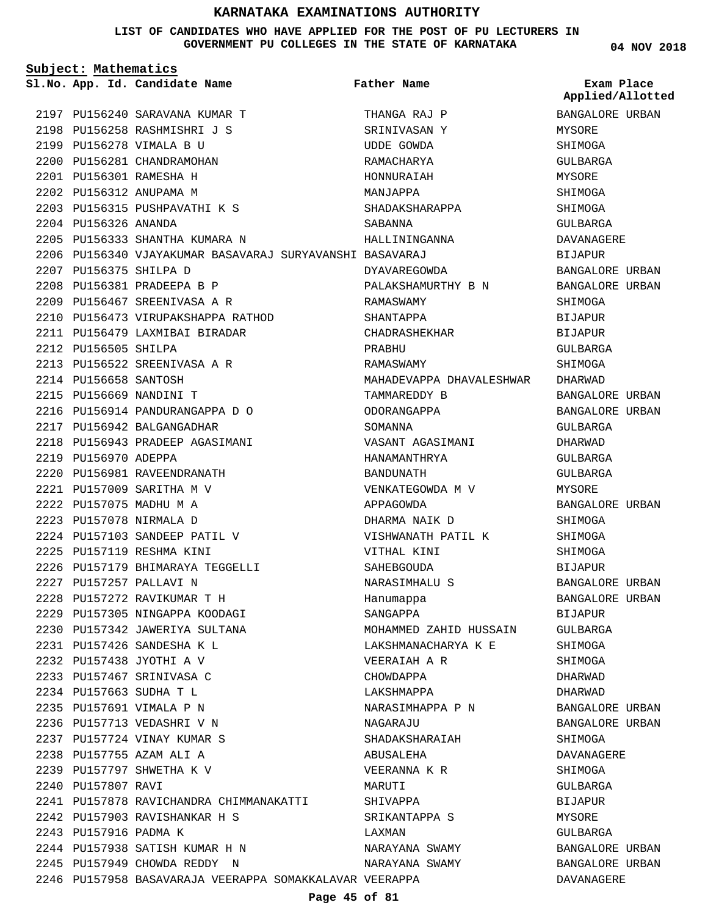#### **LIST OF CANDIDATES WHO HAVE APPLIED FOR THE POST OF PU LECTURERS IN GOVERNMENT PU COLLEGES IN THE STATE OF KARNATAKA**

**04 NOV 2018**

| Subject: Mathematics   |                                                          |                          |                                |  |
|------------------------|----------------------------------------------------------|--------------------------|--------------------------------|--|
|                        | Sl.No. App. Id. Candidate Name                           | <b>Father Name</b>       | Exam Place<br>Applied/Allotted |  |
|                        | 2197 PU156240 SARAVANA KUMAR T                           | THANGA RAJ P             | BANGALORE URBAN                |  |
|                        | 2198 PU156258 RASHMISHRI J S                             | SRINIVASAN Y             | MYSORE                         |  |
|                        | 2199 PU156278 VIMALA B U                                 | <b>UDDE GOWDA</b>        | SHIMOGA                        |  |
|                        | 2200 PU156281 CHANDRAMOHAN                               | RAMACHARYA               | GULBARGA                       |  |
|                        | 2201 PU156301 RAMESHA H                                  | HONNURAIAH               | <b>MYSORE</b>                  |  |
|                        | 2202 PU156312 ANUPAMA M                                  | MANJAPPA                 | SHIMOGA                        |  |
|                        | 2203 PU156315 PUSHPAVATHI K S                            | SHADAKSHARAPPA           | SHIMOGA                        |  |
| 2204 PU156326 ANANDA   |                                                          | SABANNA                  | GULBARGA                       |  |
|                        | 2205 PU156333 SHANTHA KUMARA N                           | HALLININGANNA            | DAVANAGERE                     |  |
|                        | 2206 PU156340 VJAYAKUMAR BASAVARAJ SURYAVANSHI BASAVARAJ |                          | BIJAPUR                        |  |
| 2207 PU156375 SHILPA D |                                                          | DYAVAREGOWDA             | BANGALORE URBAN                |  |
|                        | 2208 PU156381 PRADEEPA B P                               | PALAKSHAMURTHY B N       | BANGALORE URBAN                |  |
|                        | 2209 PU156467 SREENIVASA A R                             | RAMASWAMY                | SHIMOGA                        |  |
|                        | 2210 PU156473 VIRUPAKSHAPPA RATHOD                       | SHANTAPPA                | BIJAPUR                        |  |
|                        | 2211 PU156479 LAXMIBAI BIRADAR                           | CHADRASHEKHAR            | BIJAPUR                        |  |
| 2212 PU156505 SHILPA   |                                                          | PRABHU                   | GULBARGA                       |  |
|                        | 2213 PU156522 SREENIVASA A R                             | RAMASWAMY                | SHIMOGA                        |  |
| 2214 PU156658 SANTOSH  |                                                          | MAHADEVAPPA DHAVALESHWAR | DHARWAD                        |  |
|                        | 2215 PU156669 NANDINI T                                  | TAMMAREDDY B             | BANGALORE URBAN                |  |
|                        | 2216 PU156914 PANDURANGAPPA D O                          | ODORANGAPPA              | BANGALORE URBAN                |  |
|                        | 2217 PU156942 BALGANGADHAR                               | SOMANNA                  | GULBARGA                       |  |
|                        | 2218 PU156943 PRADEEP AGASIMANI                          | VASANT AGASIMANI         | DHARWAD                        |  |
| 2219 PU156970 ADEPPA   |                                                          | HANAMANTHRYA             | GULBARGA                       |  |
|                        | 2220 PU156981 RAVEENDRANATH                              | BANDUNATH                | GULBARGA                       |  |
|                        | 2221 PU157009 SARITHA M V                                | VENKATEGOWDA M V         | MYSORE                         |  |
|                        | 2222 PU157075 MADHU M A                                  | APPAGOWDA                | BANGALORE URBAN                |  |
|                        | 2223 PU157078 NIRMALA D                                  | DHARMA NAIK D            | SHIMOGA                        |  |
|                        | 2224 PU157103 SANDEEP PATIL V                            | VISHWANATH PATIL K       | SHIMOGA                        |  |
|                        | 2225 PU157119 RESHMA KINI                                | VITHAL KINI              | SHIMOGA                        |  |
|                        | 2226 PU157179 BHIMARAYA TEGGELLI                         | SAHEBGOUDA               | <b>BIJAPUR</b>                 |  |
|                        | 2227 PU157257 PALLAVI N                                  | NARASIMHALU S            | BANGALORE URBAN                |  |
|                        | 2228 PU157272 RAVIKUMAR T H                              | Hanumappa                | BANGALORE URBAN                |  |
|                        | 2229 PU157305 NINGAPPA KOODAGI                           | SANGAPPA                 | BIJAPUR                        |  |
|                        | 2230 PU157342 JAWERIYA SULTANA                           | MOHAMMED ZAHID HUSSAIN   | GULBARGA                       |  |
|                        | 2231 PU157426 SANDESHA K L                               | LAKSHMANACHARYA K E      | SHIMOGA                        |  |
|                        | 2232 PU157438 JYOTHI A V                                 | VEERAIAH A R             | SHIMOGA                        |  |
|                        | 2233 PU157467 SRINIVASA C                                | CHOWDAPPA                | DHARWAD                        |  |
|                        | 2234 PU157663 SUDHA T L                                  | LAKSHMAPPA               | DHARWAD                        |  |
|                        | 2235 PU157691 VIMALA P N                                 | NARASIMHAPPA P N         | BANGALORE URBAN                |  |
|                        | 2236 PU157713 VEDASHRI V N                               | NAGARAJU                 | BANGALORE URBAN                |  |
|                        | 2237 PU157724 VINAY KUMAR S                              | SHADAKSHARAIAH           |                                |  |
|                        | 2238 PU157755 AZAM ALI A                                 |                          | SHIMOGA                        |  |
|                        |                                                          | ABUSALEHA                | DAVANAGERE                     |  |
|                        | 2239 PU157797 SHWETHA K V                                | VEERANNA K R             | SHIMOGA                        |  |
| 2240 PU157807 RAVI     |                                                          | MARUTI                   | GULBARGA                       |  |
|                        | 2241 PU157878 RAVICHANDRA CHIMMANAKATTI                  | SHIVAPPA                 | BIJAPUR                        |  |
|                        | 2242 PU157903 RAVISHANKAR H S                            | SRIKANTAPPA S            | MYSORE                         |  |
| 2243 PU157916 PADMA K  |                                                          | LAXMAN                   | GULBARGA                       |  |
|                        | 2244 PU157938 SATISH KUMAR H N                           | NARAYANA SWAMY           | BANGALORE URBAN                |  |
|                        | 2245 PU157949 CHOWDA REDDY N                             | NARAYANA SWAMY           | BANGALORE URBAN                |  |
|                        | 2246 PU157958 BASAVARAJA VEERAPPA SOMAKKALAVAR VEERAPPA  |                          | DAVANAGERE                     |  |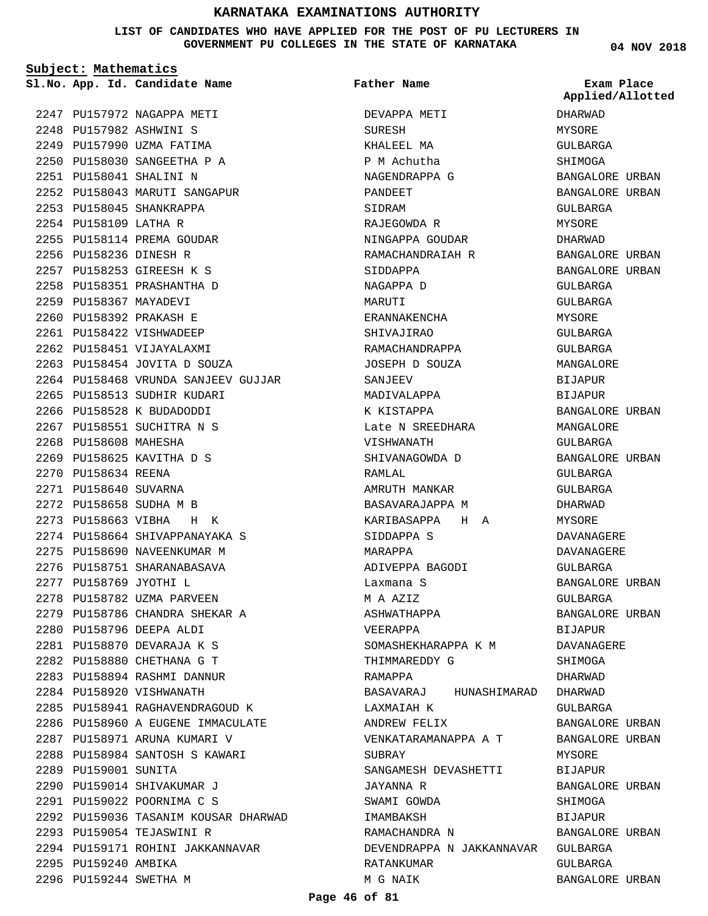**LIST OF CANDIDATES WHO HAVE APPLIED FOR THE POST OF PU LECTURERS IN GOVERNMENT PU COLLEGES IN THE STATE OF KARNATAKA**

**Subject: Mathematics**

2247 PU157972 NAGAPPA METI PU157982 ASHWINI S 2248 2249 PU157990 UZMA FATIMA PU158030 SANGEETHA P A 2250 PU158041 SHALINI N 2251 2252 PU158043 MARUTI SANGAPUR 2253 PU158045 SHANKRAPPA 2254 PU158109 LATHA R 2255 PU158114 PREMA GOUDAR 2256 PU158236 DINESH R PU158253 GIREESH K S 2257 2258 PU158351 PRASHANTHA D 2259 PU158367 MAYADEVI PU158392 PRAKASH E 2260 2261 PU158422 VISHWADEEP 2262 PU158451 VIJAYALAXMI PU158454 JOVITA D SOUZA 2263 2264 PU158468 VRUNDA SANJEEV GUJJAR 2265 PU158513 SUDHIR KUDARI 2266 PU158528 K BUDADODDI 2267 PU158551 SUCHITRA N S 2268 PU158608 MAHESHA 2269 PU158625 KAVITHA D S 2270 PU158634 REENA 2271 PU158640 SUVARNA PU158658 SUDHA M B 2272 PU158663 VIBHA H K 2273 2274 PU158664 SHIVAPPANAYAKA S 2275 PU158690 NAVEENKUMAR M 2276 PU158751 SHARANABASAVA PU158769 JYOTHI L 2277 2278 PU158782 UZMA PARVEEN 2279 PU158786 CHANDRA SHEKAR A PU158796 DEEPA ALDI 2280 PU158870 DEVARAJA K S 2281 PU158880 CHETHANA G T 2282 PU158894 RASHMI DANNUR 2283 2284 PU158920 VISHWANATH PU158941 RAGHAVENDRAGOUD K 2285 2286 PU158960 A EUGENE IMMACULATE 2287 PU158971 ARUNA KUMARI V 2288 PU158984 SANTOSH S KAWARI 2289 PU159001 SUNITA 2290 PU159014 SHIVAKUMAR J PU159022 POORNIMA C S 2291 2292 PU159036 TASANIM KOUSAR DHARWAD 2293 PU159054 TEJASWINI R 2294 PU159171 ROHINI JAKKANNAVAR 2295 PU159240 AMBIKA

2296 PU159244 SWETHA M

**App. Id. Candidate Name Sl.No. Exam Place** DEVAPPA METI SURESH KHALEEL MA P M Achutha NAGENDRAPPA G PANDEET SIDRAM RAJEGOWDA R NINGAPPA GOUDAR RAMACHANDRAIAH R SIDDAPPA NAGAPPA D MARUTI ERANNAKENCHA SHIVAJIRAO RAMACHANDRAPPA JOSEPH D SOUZA SANJEFV MADIVALAPPA K KISTAPPA Late N SREEDHARA VISHWANATH SHIVANAGOWDA D RAMLAL AMRUTH MANKAR BASAVARAJAPPA M KARIBASAPPA H A SIDDAPPA S MARAPPA ADIVEPPA BAGODI Laxmana S M A AZIZ ASHWATHAPPA VEERAPPA SOMASHEKHARAPPA K M THIMMAREDDY G RAMAPPA BASAVARAJ HUNASHIMARAD DHARWAD LAXMAIAH K ANDREW FELIX VENKATARAMANAPPA A T SUBRAY SANGAMESH DEVASHETTI JAYANNA R SWAMI GOWDA IMAMBAKSH RAMACHANDRA N DEVENDRAPPA N JAKKANNAVAR GULBARGA RATANKUMAR M G NAIK **Father Name**

**04 NOV 2018**

DHARWAD MYSORE GULBARGA SHIMOGA BANGALORE URBAN BANGALORE URBAN GULBARGA MYSORE DHARWAD BANGALORE URBAN BANGALORE URBAN GULBARGA GULBARGA MYSORE GULBARGA GULBARGA MANGALORE **BIJAPUR** BIJAPUR BANGALORE URBAN MANGALORE GULBARGA BANGALORE URBAN GULBARGA GULBARGA DHARWAD **MYSORE** DAVANAGERE DAVANAGERE GULBARGA BANGALORE URBAN GULBARGA BANGALORE URBAN BIJAPUR DAVANAGERE **SHIMOGA** DHARWAD GULBARGA BANGALORE URBAN BANGALORE URBAN MYSORE BIJAPUR BANGALORE URBAN **SHIMOGA** BIJAPUR BANGALORE URBAN GULBARGA BANGALORE URBAN **Applied/Allotted**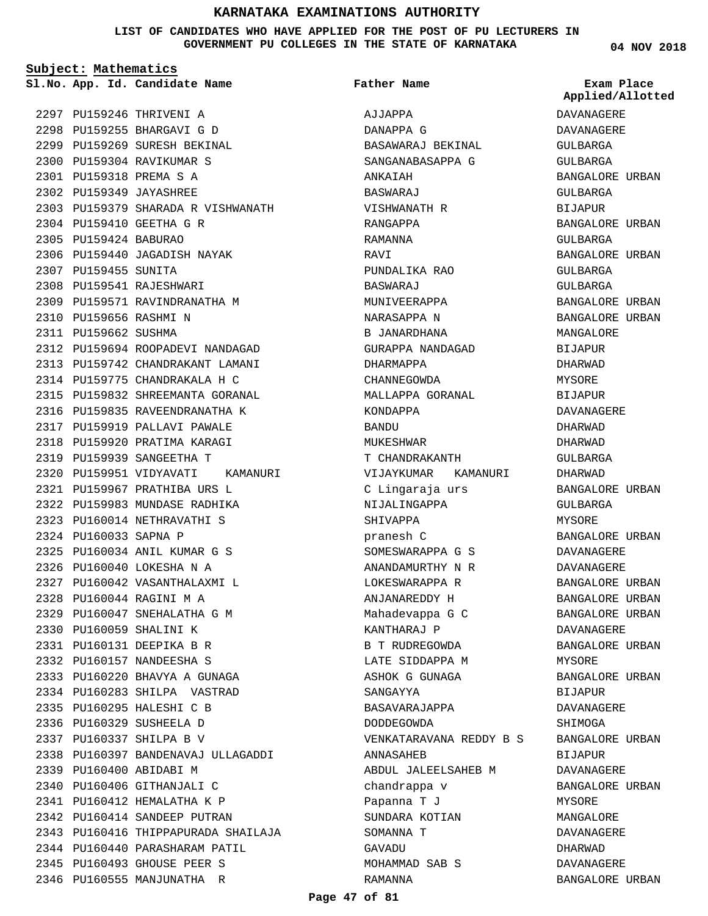**LIST OF CANDIDATES WHO HAVE APPLIED FOR THE POST OF PU LECTURERS IN GOVERNMENT PU COLLEGES IN THE STATE OF KARNATAKA**

**Subject: Mathematics**

2297 PU159246 THRIVENI A PU159255 BHARGAVI G D 2298 2299 PU159269 SURESH BEKINAL 2300 PU159304 RAVIKUMAR S PU159318 PREMA S A 2301 PU159349 JAYASHREE 2302 PU159379 SHARADA R VISHWANATH 2303 2304 PU159410 GEETHA G R 2305 PU159424 BABURAO 2306 PU159440 JAGADISH NAYAK 2307 PU159455 SUNITA 2308 PU159541 RAJESHWARI 2309 PU159571 RAVINDRANATHA M 2310 PU159656 RASHMI N 2311 PU159662 SUSHMA 2312 PU159694 ROOPADEVI NANDAGAD PU159742 CHANDRAKANT LAMANI 2313 2314 PU159775 CHANDRAKALA H C 2315 PU159832 SHREEMANTA GORANAL 2316 PU159835 RAVEENDRANATHA K 2317 PU159919 PALLAVI PAWALE 2318 PU159920 PRATIMA KARAGI 2319 PU159939 SANGEETHA T 2320 PU159951 VIDYAVATI KAMANURI PU159967 PRATHIBA URS L 2321 2322 PU159983 MUNDASE RADHIKA PU160014 NETHRAVATHI S 2323 2324 PU160033 SAPNA P PU160034 ANIL KUMAR G S 2325 PU160040 LOKESHA N A 2326 PU160042 VASANTHALAXMI L 2327 PU160044 RAGINI M A 2328 PU160047 SNEHALATHA G M 2329 2330 PU160059 SHALINI K PU160131 DEEPIKA B R 2331 PU160157 NANDEESHA S 2332 2333 PU160220 BHAVYA A GUNAGA 2334 PU160283 SHILPA VASTRAD 2335 PU160295 HALESHI C B 2336 PU160329 SUSHEELA D PU160337 SHILPA B V 2337 PU160397 BANDENAVAJ ULLAGADDI 2338 2339 PU160400 ABIDABI M 2340 PU160406 GITHANJALI C PU160412 HEMALATHA K P 2341 2342 PU160414 SANDEEP PUTRAN 2343 PU160416 THIPPAPURADA SHAILAJA 2344 PU160440 PARASHARAM PATIL 2345 PU160493 GHOUSE PEER S 2346 PU160555 MANJUNATHA R

**App. Id. Candidate Name Sl.No. Exam Place** AJJAPPA DANAPPA G BASAWARAJ BEKINAL SANGANABASAPPA G ANKAIAH BASWARAJ VISHWANATH R RANGAPPA RAMANNA **RAVI** PUNDALIKA RAO BASWARAJ MUNIVEERAPPA NARASAPPA N B JANARDHANA GURAPPA NANDAGAD DHARMAPPA CHANNEGOWDA MALLAPPA GORANAL KONDAPPA BANDU MUKESHWAR T CHANDRAKANTH VIJAYKUMAR KAMANURI C Lingaraja urs NIJALINGAPPA SHIVAPPA pranesh C SOMESWARAPPA G S ANANDAMURTHY N R LOKESWARAPPA R ANJANAREDDY H Mahadevappa G C KANTHARAJ P B T RUDREGOWDA LATE SIDDAPPA M ASHOK G GUNAGA SANGAYYA BASAVARAJAPPA DODDEGOWDA VENKATARAVANA REDDY B S ANNASAHEB ABDUL JALEELSAHEB M chandrappa v Papanna T J SUNDARA KOTIAN SOMANNA T GAVADU MOHAMMAD SAB S RAMANNA **Father Name**

**04 NOV 2018**

DAVANAGERE DAVANAGERE GULBARGA GULBARGA BANGALORE URBAN GULBARGA BIJAPUR BANGALORE URBAN GULBARGA BANGALORE URBAN GULBARGA GULBARGA BANGALORE URBAN BANGALORE URBAN MANGALORE BIJAPUR DHARWAD MYSORE BIJAPUR DAVANAGERE DHARWAD DHARWAD GULBARGA DHARWAD BANGALORE URBAN GULBARGA MYSORE BANGALORE URBAN DAVANAGERE DAVANAGERE BANGALORE URBAN BANGALORE URBAN BANGALORE URBAN DAVANAGERE BANGALORE URBAN **MYSORE** BANGALORE URBAN BIJAPUR DAVANAGERE SHIMOGA BANGALORE URBAN BIJAPUR DAVANAGERE BANGALORE URBAN MYSORE MANGALORE DAVANAGERE DHARWAD DAVANAGERE BANGALORE URBAN **Applied/Allotted**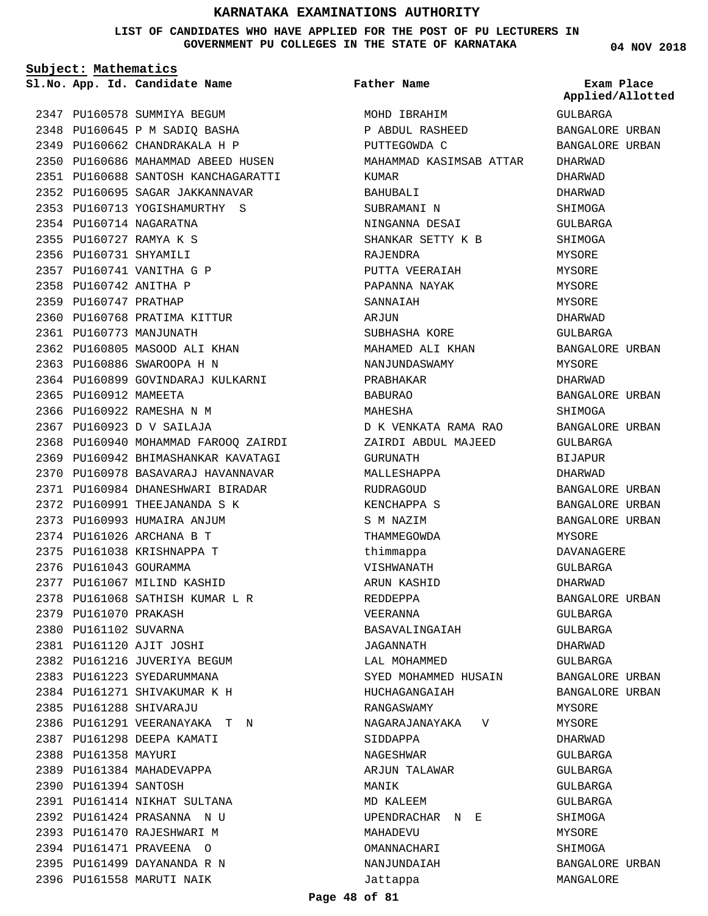**LIST OF CANDIDATES WHO HAVE APPLIED FOR THE POST OF PU LECTURERS IN GOVERNMENT PU COLLEGES IN THE STATE OF KARNATAKA**

**Subject: Mathematics**

**04 NOV 2018**

|      |                        | 2347 PU160578 SUMMIYA BEGUM          |
|------|------------------------|--------------------------------------|
|      |                        | 2348 PU160645 P M SADIQ BASHA        |
|      |                        | 2349 PU160662 CHANDRAKALA H P        |
|      |                        | 2350 PU160686 MAHAMMAD ABEED HUSEN   |
|      |                        | 2351 PU160688 SANTOSH KANCHAGARATTI  |
|      |                        | 2352 PU160695 SAGAR JAKKANNAVAR      |
|      |                        | 2353 PU160713 YOGISHAMURTHY S        |
|      |                        | 2354 PU160714 NAGARATNA              |
|      |                        | 2355 PU160727 RAMYA K S              |
|      | 2356 PU160731 SHYAMILI |                                      |
|      |                        | 2357 PU160741 VANITHA G P            |
|      | 2358 PU160742 ANITHA P |                                      |
|      | 2359 PU160747 PRATHAP  |                                      |
|      |                        | 2360 PU160768 PRATIMA KITTUR         |
|      |                        | 2361 PU160773 MANJUNATH              |
|      |                        | 2362 PU160805 MASOOD ALI KHAN        |
|      |                        | 2363 PU160886 SWAROOPA H N           |
|      |                        | 2364 PU160899 GOVINDARAJ KULKARNI    |
|      | 2365 PU160912 MAMEETA  |                                      |
|      |                        | 2366 PU160922 RAMESHA N M            |
|      |                        | 2367 PU160923 D V SAILAJA            |
|      |                        | 2368 PU160940 MOHAMMAD FAROOQ ZAIRDI |
|      |                        | 2369 PU160942 BHIMASHANKAR KAVATAGI  |
|      |                        | 2370 PU160978 BASAVARAJ HAVANNAVAR   |
|      |                        | 2371 PU160984 DHANESHWARI BIRADAR    |
|      |                        | 2372 PU160991 THEEJANANDA S K        |
|      |                        | 2373 PU160993 HUMAIRA ANJUM          |
|      |                        | 2374 PU161026 ARCHANA B T            |
|      |                        | 2375 PU161038 KRISHNAPPA T           |
|      |                        | 2376 PU161043 GOURAMMA               |
|      |                        | 2377 PU161067 MILIND KASHID          |
|      |                        | 2378 PU161068 SATHISH KUMAR L R      |
| 2379 | PU161070 PRAKASH       |                                      |
| 2380 | PU161102 SUVARNA       |                                      |
| 2381 |                        | PU161120 AJIT JOSHI                  |
| 2382 |                        | PU161216 JUVERIYA BEGUM              |
| 2383 |                        | PU161223 SYEDARUMMANA                |
|      |                        | 2384 PU161271 SHIVAKUMAR K H         |
|      |                        | 2385 PU161288 SHIVARAJU              |
|      |                        | 2386 PU161291 VEERANAYAKA T<br>Ν     |
| 2387 |                        | PU161298 DEEPA KAMATI                |
| 2388 | PU161358 MAYURI        |                                      |
| 2389 |                        | PU161384 MAHADEVAPPA                 |
| 2390 | PU161394 SANTOSH       |                                      |
| 2391 |                        | PU161414 NIKHAT SULTANA              |
|      |                        | 2392 PU161424 PRASANNA<br>N U        |
|      |                        | 2393 PU161470 RAJESHWARI M           |
|      |                        | 2394 PU161471 PRAVEENA O             |
|      |                        | 2395 PU161499 DAYANANDA R N          |
|      |                        | 2396 PU161558 MARUTI NAIK            |

| Page 48 of 81 |  |  |  |
|---------------|--|--|--|
|---------------|--|--|--|

**App. Id. Candidate Name Sl.No. Exam Place** MOHD IBRAHIM P ABDUL RASHEED PUTTEGOWDA C MAHAMMAD KASIMSAB ATTAR KUMAR BAHUBALI SUBRAMANI N NINGANNA DESAI SHANKAR SETTY K B RAJENDRA PUTTA VEERAIAH PAPANNA NAYAK SANNAIAH ARJUN SUBHASHA KORE MAHAMED ALI KHAN NANJUNDASWAMY PRABHAKAR BABURAO MAHESHA D K VENKATA RAMA RAO ZAIRDI ABDUL MAJEED GURUNATH MALLESHAPPA RUDRAGOUD KENCHAPPA S S M NAZIM THAMMEGOWDA thimmappa VISHWANATH ARUN KASHID REDDEPPA VEERANNA BASAVALINGAIAH JAGANNATH LAL MOHAMMED SYED MOHAMMED HUSAIN HUCHAGANGAIAH RANGASWAMY NAGARAJANAYAKA V SIDDAPPA NAGESHWAR ARJUN TALAWAR MANIK MD KALEEM UPENDRACHAR N E MAHADEVU OMANNACHARI NANJUNDAIAH Jattappa **Father Name** GULBARGA BANGALORE URBAN BANGALORE URBAN DHARWAD DHARWAD DHARWAD SHIMOGA GULBARGA **SHIMOGA** MYSORE MYSORE MYSORE MYSORE DHARWAD GULBARGA BANGALORE URBAN MYSORE DHARWAD BANGALORE URBAN SHIMOGA BANGALORE URBAN GULBARGA BIJAPUR DHARWAD BANGALORE URBAN BANGALORE URBAN BANGALORE URBAN MYSORE DAVANAGERE GULBARGA DHARWAD BANGALORE URBAN GULBARGA GULBARGA DHARWAD GULBARGA BANGALORE URBAN BANGALORE URBAN MYSORE MYSORE DHARWAD GULBARGA GULBARGA GULBARGA GULBARGA SHIMOGA MYSORE SHIMOGA BANGALORE URBAN MANGALORE **Applied/Allotted**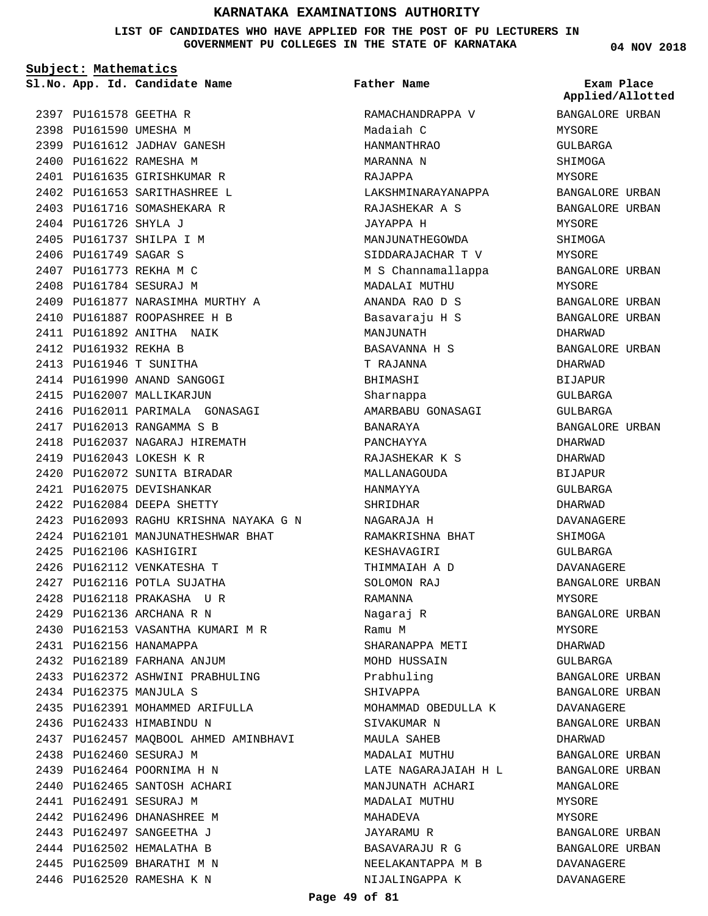**LIST OF CANDIDATES WHO HAVE APPLIED FOR THE POST OF PU LECTURERS IN GOVERNMENT PU COLLEGES IN THE STATE OF KARNATAKA**

**Subject: Mathematics**

2397 PU161578 GEETHA R 2398 PU161590 UMESHA M 2399 PU161612 JADHAV GANESH 2400 PU161622 RAMESHA M 2401 PU161635 GIRISHKUMAR R

PU161726 SHYLA J 2404 2405 PU161737 SHILPA I M 2406 PU161749 SAGAR S 2407 PU161773 REKHA M C 2408 PU161784 SESURAJ M

2412 PU161932 REKHA B PU161946 T SUNITHA 2413 2414 PU161990 ANAND SANGOGI 2415 PU162007 MALLIKARJUN

2402 PU161653 SARITHASHREE L 2403 PU161716 SOMASHEKARA R

2409 PU161877 NARASIMHA MURTHY A PU161887 ROOPASHREE H B 2410 2411 PU161892 ANITHA NAIK

2416 PU162011 PARIMALA GONASAGI

PU162093 RAGHU KRISHNA NAYAKA G N 2423 2424 PU162101 MANJUNATHESHWAR BHAT

2430 PU162153 VASANTHA KUMARI M R

2433 PU162372 ASHWINI PRABHULING

2435 PU162391 MOHAMMED ARIFULLA

2437 PU162457 MAQBOOL AHMED AMINBHAVI

PU162013 RANGAMMA S B 2417 2418 PU162037 NAGARAJ HIREMATH

PU162043 LOKESH K R 2419 2420 PU162072 SUNITA BIRADAR 2421 PU162075 DEVISHANKAR 2422 PU162084 DEEPA SHETTY

PU162106 KASHIGIRI 2425 2426 PU162112 VENKATESHA T 2427 PU162116 POTLA SUJATHA PU162118 PRAKASHA U R 2428 PU162136 ARCHANA R N 2429

2431 PU162156 HANAMAPPA 2432 PU162189 FARHANA ANJUM

PU162375 MANJULA S 2434

2438 PU162460 SESURAJ M PU162464 POORNIMA H N 2439 2440 PU162465 SANTOSH ACHARI

2441 PU162491 SESURAJ M 2442 PU162496 DHANASHREE M 2443 PU162497 SANGEETHA J 2444 PU162502 HEMALATHA B 2445 PU162509 BHARATHI M N 2446 PU162520 RAMESHA K N

2436 PU162433 HIMABINDU N

**App. Id. Candidate Name Sl.No. Exam Place Father Name**

> RAMACHANDRAPPA V Madaiah C HANMANTHRAO MARANNA N RAJAPPA LAKSHMINARAYANAPPA RAJASHEKAR A S JAYAPPA H MANJUNATHEGOWDA SIDDARAJACHAR T V M S Channamallappa MADALAI MUTHU ANANDA RAO D S Basavaraju H S MANJUNATH BASAVANNA H S T RAJANNA BHIMASHI Sharnappa AMARBABU GONASAGI BANARAYA PANCHAYYA RAJASHEKAR K S MALLANAGOUDA HANMAYYA SHRIDHAR NAGARAJA H RAMAKRISHNA BHAT KESHAVAGIRI THIMMAIAH A D SOLOMON RAJ RAMANNA Nagaraj R Ramu M SHARANAPPA METI MOHD HUSSAIN Prabhuling SHIVAPPA MOHAMMAD OBEDULLA K SIVAKUMAR N MAULA SAHEB MADALAI MUTHU LATE NAGARAJAIAH H L MANJIINATH ACHARI MADALAI MUTHU MAHADEVA JAYARAMU R BASAVARAJU R G NEELAKANTAPPA M B NIJALINGAPPA K

**04 NOV 2018**

BANGALORE URBAN MYSORE GULBARGA SHIMOGA MYSORE BANGALORE URBAN BANGALORE URBAN MYSORE SHIMOGA MYSORE BANGALORE URBAN MYSORE BANGALORE URBAN BANGALORE URBAN DHARWAD BANGALORE URBAN DHARWAD **BIJAPUR** GULBARGA GULBARGA BANGALORE URBAN DHARWAD DHARWAD BIJAPUR GULBARGA DHARWAD DAVANAGERE SHIMOGA GULBARGA DAVANAGERE BANGALORE URBAN MYSORE BANGALORE URBAN MYSORE DHARWAD GULBARGA BANGALORE URBAN BANGALORE URBAN DAVANAGERE BANGALORE URBAN DHARWAD BANGALORE URBAN BANGALORE URBAN **MANGALORE** MYSORE MYSORE BANGALORE URBAN BANGALORE URBAN DAVANAGERE DAVANAGERE **Applied/Allotted**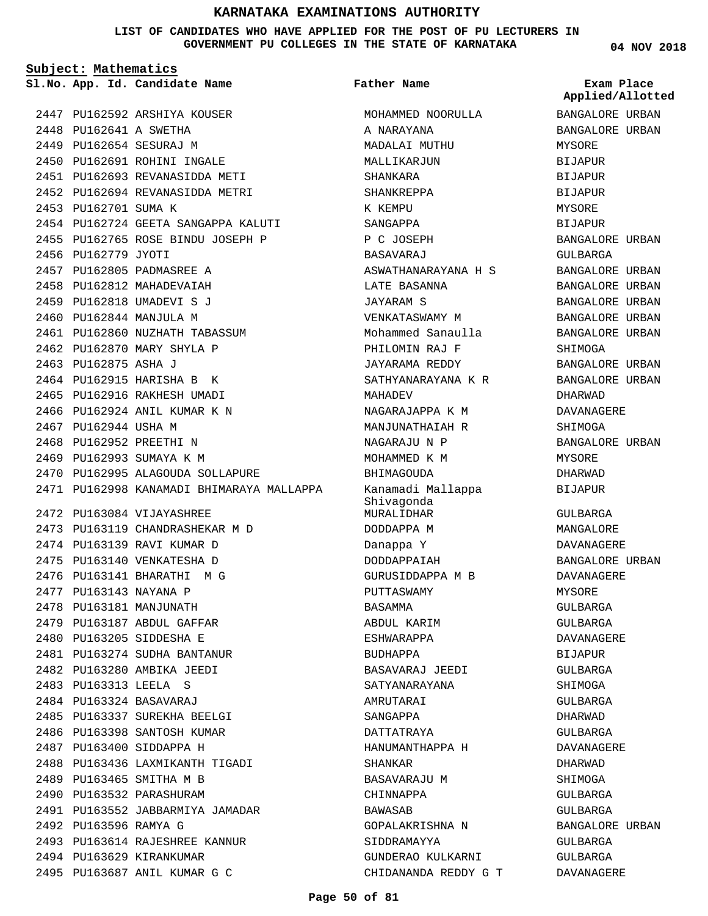**LIST OF CANDIDATES WHO HAVE APPLIED FOR THE POST OF PU LECTURERS IN GOVERNMENT PU COLLEGES IN THE STATE OF KARNATAKA**

**Subject: Mathematics**

2447 PU162592 ARSHIYA KOUSER

**Father Name**

A NARAYANA MADALAI MUTHU MALLIKARJUN SHANKARA

MOHAMMED NOORULLA

**App. Id. Candidate Name Sl.No. Exam Place** BANGALORE URBAN BANGALORE URBAN MYSORE BIJAPUR BIJAPUR BIJAPUR MYSORE BIJAPUR BANGALORE URBAN GULBARGA BANGALORE URBAN BANGALORE URBAN BANGALORE URBAN BANGALORE URBAN BANGALORE URBAN SHIMOGA BANGALORE URBAN BANGALORE URBAN DHARWAD DAVANAGERE SHIMOGA BANGALORE URBAN MYSORE DHARWAD BIJAPUR GULBARGA MANGALORE DAVANAGERE BANGALORE URBAN DAVANAGERE **Applied/Allotted**

> MYSORE GULBARGA GULBARGA DAVANAGERE BIJAPUR GULBARGA SHIMOGA GULBARGA DHARWAD GULBARGA DAVANAGERE DHARWAD SHIMOGA GULBARGA GULBARGA

BANGALORE URBAN

GULBARGA GULBARGA DAVANAGERE

2448 PU162641 A SWETHA 2449 PU162654 SESURAJ M 2450 PU162691 ROHINI INGALE 2451 PU162693 REVANASIDDA METI 2452 PU162694 REVANASIDDA METRI 2453 PU162701 SUMA K 2454 PU162724 GEETA SANGAPPA KALUTI 2455 PU162765 ROSE BINDU JOSEPH P 2456 PU162779 JYOTI 2457 PU162805 PADMASREE A 2458 PU162812 MAHADEVAIAH 2459 PU162818 UMADEVI S J 2460 PU162844 MANJULA M 2461 PU162860 NUZHATH TABASSUM 2462 PU162870 MARY SHYLA P 2463 PU162875 ASHA J 2464 PU162915 HARISHA B K 2465 PU162916 RAKHESH UMADI 2466 PU162924 ANIL KUMAR K N 2467 PU162944 USHA M 2468 PU162952 PREETHI N 2469 PU162993 SUMAYA K M 2470 PU162995 ALAGOUDA SOLLAPURE 2471 PU162998 KANAMADI BHIMARAYA MALLAPPA PU163084 VIJAYASHREE 2472 2473 PU163119 CHANDRASHEKAR M D 2474 PU163139 RAVI KUMAR D 2475 PU163140 VENKATESHA D 2476 PU163141 BHARATHI M G 2477 PU163143 NAYANA P 2478 PU163181 MANJUNATH 2479 PU163187 ABDUL GAFFAR PU163205 SIDDESHA E 2480 2481 PU163274 SUDHA BANTANUR PU163280 AMBIKA JEEDI 2482 PU163313 LEELA S 2483 PU163324 BASAVARAJ 2484 2485 PU163337 SUREKHA BEELGI 2486 PU163398 SANTOSH KUMAR 2487 PU163400 SIDDAPPA H 2488 PU163436 LAXMIKANTH TIGADI 2489 PU163465 SMITHA M B 2490 PU163532 PARASHURAM 2491 PU163552 JABBARMIYA JAMADAR 2492 PU163596 RAMYA G 2493 PU163614 RAJESHREE KANNUR 2494 PU163629 KIRANKUMAR 2495 PU163687 ANIL KUMAR G C

SHANKREPPA K KEMPU SANGAPPA P C JOSEPH **BASAVARAJ** ASWATHANARAYANA H S LATE BASANNA JAYARAM S VENKATASWAMY M Mohammed Sanaulla PHILOMIN RAJ F JAYARAMA REDDY SATHYANARAYANA K R MAHADEV NAGARAJAPPA K M MANJUNATHAIAH R NAGARAJU N P MOHAMMED K M BHIMAGOUDA Kanamadi Mallappa Shivagonda MURALIDHAR DODDAPPA M Danappa Y DODDAPPAIAH GURUSIDDAPPA M B PUTTASWAMY BASAMMA ABDUL KARIM ESHWARAPPA BUDHAPPA BASAVARAJ JEEDI SATYANARAYANA AMRUTARAI SANGAPPA DATTATRAYA HANUMANTHAPPA H SHANKAR BASAVARAJU M CHINNAPPA BAWASAB GOPALAKRISHNA N SIDDRAMAYYA GUNDERAO KULKARNI CHIDANANDA REDDY G T **04 NOV 2018**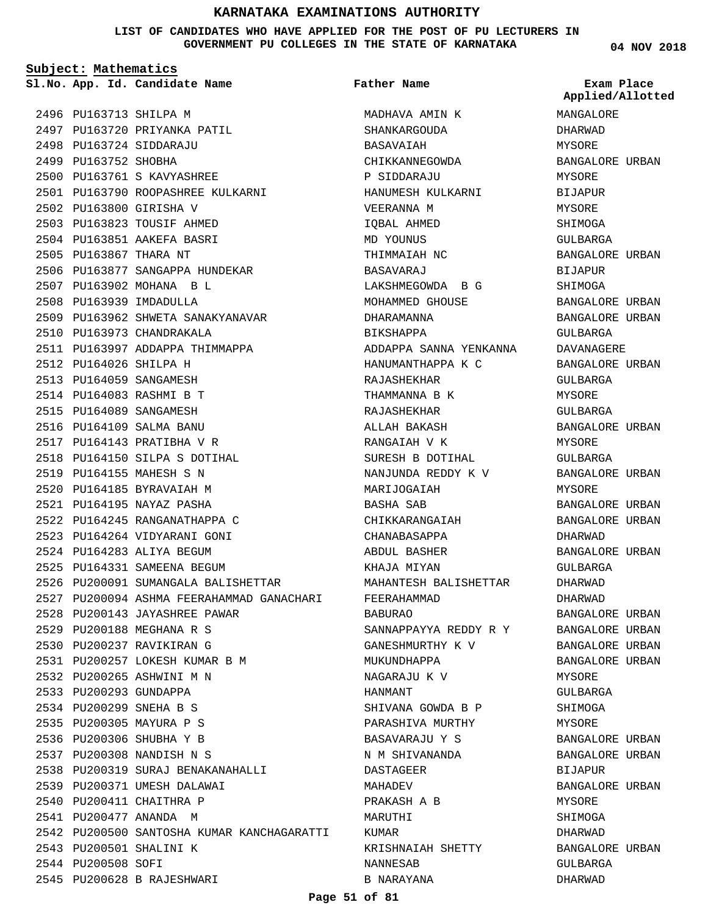**LIST OF CANDIDATES WHO HAVE APPLIED FOR THE POST OF PU LECTURERS IN GOVERNMENT PU COLLEGES IN THE STATE OF KARNATAKA**

**Subject: Mathematics**

**App. Id. Candidate Name Sl.No. Exam Place**

2497 PU163720 PRIYANKA PATIL

PU163761 S KAVYASHREE 2500

2501 PU163790 ROOPASHREE KULKARNI

2506 PU163877 SANGAPPA HUNDEKAR

2509 PU163962 SHWETA SANAKYANAVAR

2526 PU200091 SUMANGALA BALISHETTAR

2528 PU200143 JAYASHREE PAWAR PU200188 MEGHANA R S 2529 PU200237 RAVIKIRAN G 2530

PU200257 LOKESH KUMAR B M 2531

2538 PU200319 SURAJ BENAKANAHALLI

2542 PU200500 SANTOSHA KUMAR KANCHAGARATTI

2539 PU200371 UMESH DALAWAI 2540 PU200411 CHAITHRA P 2541 PU200477 ANANDA M

2543 PU200501 SHALINI K

PU200628 B RAJESHWARI 2545

2544 PU200508 SOFI

PU200265 ASHWINI M N 2532 2533 PU200293 GUNDAPPA PU200299 SNEHA B S 2534 2535 PU200305 MAYURA P S 2536 PU200306 SHUBHA Y B PU200308 NANDISH N S 2537

2527 PU200094 ASHMA FEERAHAMMAD GANACHARI

2511 PU163997 ADDAPPA THIMMAPPA

2496 PU163713 SHILPA M

PU163724 SIDDARAJU 2498 2499 PU163752 SHOBHA

PU163800 GIRISHA V 2502 2503 PU163823 TOUSIF AHMED 2504 PU163851 AAKEFA BASRI 2505 PU163867 THARA NT

2507 PU163902 MOHANA B L 2508 PU163939 IMDADULLA

2510 PU163973 CHANDRAKALA

PU164026 SHILPA H 2512 2513 PU164059 SANGAMESH PU164083 RASHMI B T 2514 2515 PU164089 SANGAMESH 2516 PU164109 SALMA BANU 2517 PU164143 PRATIBHA V R 2518 PU164150 SILPA S DOTIHAL

2519 PU164155 MAHESH S N 2520 PU164185 BYRAVAIAH M PU164195 NAYAZ PASHA 2521 2522 PU164245 RANGANATHAPPA C 2523 PU164264 VIDYARANI GONI PU164283 ALIYA BEGUM 2524 2525 PU164331 SAMEENA BEGUM

**Father Name**

MADHAVA AMIN K SHANKARGOUDA BASAVAIAH CHIKKANNEGOWDA P SIDDARAJU HANUMESH KULKARNI VEERANNA M IQBAL AHMED MD YOUNUS THIMMAIAH NC BASAVARAJ LAKSHMEGOWDA B G MOHAMMED GHOUSE DHARAMANNA BIKSHAPPA ADDAPPA SANNA YENKANNA HANUMANTHAPPA K C RAJASHEKHAR THAMMANNA B K RAJASHEKHAR ALLAH BAKASH RANGAIAH V K SURESH B DOTIHAL NANJUNDA REDDY K V MARIJOGAIAH BASHA SAB CHIKKARANGAIAH CHANABASAPPA ABDUL BASHER KHAJA MIYAN MAHANTESH BALISHETTAR FEERAHAMMAD BABURAO SANNAPPAYYA REDDY R Y GANESHMURTHY K V MUKUNDHAPPA NAGARAJU K V HANMANT SHIVANA GOWDA B P PARASHIVA MURTHY BASAVARAJU Y S N M SHIVANANDA DASTAGEER MAHADEV PRAKASH A B MARUTHI KUMAR KRISHNAIAH SHETTY NANNESAB B NARAYANA

**04 NOV 2018**

**Applied/Allotted**

MANGALORE DHARWAD

# MYSORE BANGALORE URBAN MYSORE BIJAPUR MYSORE SHIMOGA GULBARGA BANGALORE URBAN BIJAPUR SHIMOGA BANGALORE URBAN BANGALORE URBAN GULBARGA DAVANAGERE BANGALORE URBAN GULBARGA MYSORE GULBARGA BANGALORE URBAN MYSORE GULBARGA BANGALORE URBAN MYSORE BANGALORE URBAN BANGALORE URBAN DHARWAD BANGALORE URBAN GULBARGA DHARWAD DHARWAD BANGALORE URBAN BANGALORE URBAN BANGALORE URBAN BANGALORE URBAN MYSORE GULBARGA SHIMOGA MYSORE BANGALORE URBAN BANGALORE URBAN BIJAPUR BANGALORE URBAN MYSORE SHIMOGA DHARWAD BANGALORE URBAN GULBARGA DHARWAD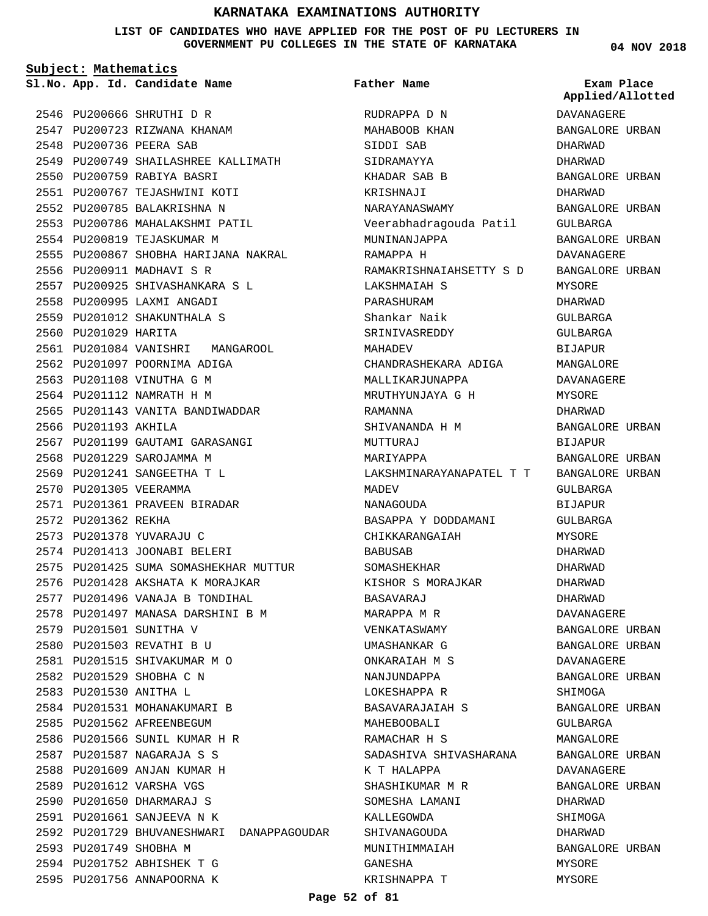**LIST OF CANDIDATES WHO HAVE APPLIED FOR THE POST OF PU LECTURERS IN GOVERNMENT PU COLLEGES IN THE STATE OF KARNATAKA**

**Subject: Mathematics**

2546 PU200666 SHRUTHI D R 2547 PU200723 RIZWANA KHANAM 2548 PU200736 PEERA SAB 2549 PU200749 SHAILASHREE KALLIMATH 2550 PU200759 RABIYA BASRI 2551 PU200767 TEJASHWINI KOTI 2552 PU200785 BALAKRISHNA N 2553 PU200786 MAHALAKSHMI PATIL 2554 PU200819 TEJASKUMAR M 2555 PU200867 SHOBHA HARIJANA NAKRAL 2556 PU200911 MADHAVI S R PU200925 SHIVASHANKARA S L 2557 2558 PU200995 LAXMI ANGADI 2559 PU201012 SHAKUNTHALA S 2560 PU201029 HARITA 2561 PU201084 VANISHRI MANGAROOL 2562 PU201097 POORNIMA ADIGA 2563 PU201108 VINUTHA G M 2564 PU201112 NAMRATH H M 2565 PU201143 VANITA BANDIWADDAR 2566 PU201193 AKHILA 2567 PU201199 GAUTAMI GARASANGI 2568 PU201229 SAROJAMMA M PU201241 SANGEETHA T L 2569 2570 PU201305 VEERAMMA 2571 PU201361 PRAVEEN BIRADAR 2572 PU201362 REKHA 2573 PU201378 YUVARAJU C 2574 PU201413 JOONABI BELERI 2575 PU201425 SUMA SOMASHEKHAR MUTTUR 2576 PU201428 AKSHATA K MORAJKAR 2577 PU201496 VANAJA B TONDIHAL 2578 PU201497 MANASA DARSHINI B M 2579 PU201501 SUNITHA V 2580 PU201503 REVATHI B U 2581 PU201515 SHIVAKUMAR M O 2582 PU201529 SHOBHA C N PU201530 ANITHA L 2583 2584 PU201531 MOHANAKUMARI B 2585 PU201562 AFREENBEGUM 2586 PU201566 SUNIL KUMAR H R PU201587 NAGARAJA S S 2587 2588 PU201609 ANJAN KUMAR H 2589 PU201612 VARSHA VGS 2590 PU201650 DHARMARAJ S PU201661 SANJEEVA N K 2591 2592 PU201729 BHUVANESHWARI DANAPPAGOUDAR 2593 PU201749 SHOBHA M 2594 PU201752 ABHISHEK T G 2595 PU201756 ANNAPOORNA K

**App. Id. Candidate Name Sl.No. Exam Place** RUDRAPPA D N MAHABOOB KHAN SIDDI SAB SIDRAMAYYA KHADAR SAB B KRISHNAJI NARAYANASWAMY Veerabhadragouda Patil MININANJAPPA RAMAPPA H RAMAKRISHNAIAHSETTY S D LAKSHMAIAH S PARASHURAM Shankar Naik SRINIVASREDDY MAHADEV CHANDRASHEKARA ADIGA MALLIKARJIINAPPA MRUTHYUNJAYA G H RAMANNA SHIVANANDA H M MUTTURAJ MARIYAPPA LAKSHMINARAYANAPATEL T T MADEV NANAGOUDA BASAPPA Y DODDAMANI CHIKKARANGAIAH BABUSAB SOMASHEKHAR KISHOR S MORAJKAR BASAVARAJ MARAPPA M R VENKATASWAMY UMASHANKAR G ONKARAIAH M S NANJUNDAPPA LOKESHAPPA R BASAVARAJAIAH S MAHEBOOBALI RAMACHAR H S SADASHIVA SHIVASHARANA K T HALAPPA SHASHIKUMAR M R SOMESHA LAMANI KALLEGOWDA SHIVANAGOUDA MUNITHIMMAIAH GANESHA KRISHNAPPA T **Father Name** MYSORE

**04 NOV 2018**

**Applied/Allotted**

# DAVANAGERE BANGALORE URBAN DHARWAD DHARWAD BANGALORE URBAN DHARWAD BANGALORE URBAN GULBARGA BANGALORE URBAN DAVANAGERE BANGALORE URBAN MYSORE DHARWAD GULBARGA GULBARGA BIJAPUR MANGALORE DAVANAGERE MYSORE DHARWAD BANGALORE URBAN BIJAPUR BANGALORE URBAN BANGALORE URBAN GULBARGA BIJAPUR  $CITIRARCA$ MYSORE DHARWAD DHARWAD DHARWAD DHARWAD DAVANAGERE BANGALORE URBAN BANGALORE URBAN DAVANAGERE BANGALORE URBAN SHIMOGA BANGALORE URBAN GULBARGA MANGALORE BANGALORE URBAN DAVANAGERE BANGALORE URBAN DHARWAD SHIMOGA DHARWAD BANGALORE URBAN MYSORE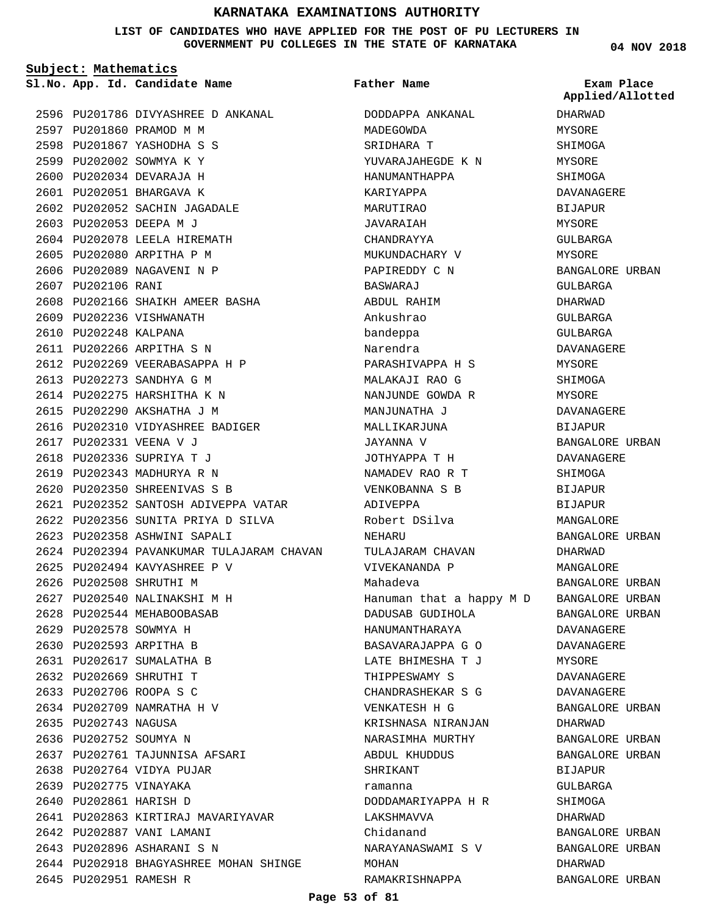#### **LIST OF CANDIDATES WHO HAVE APPLIED FOR THE POST OF PU LECTURERS IN GOVERNMENT PU COLLEGES IN THE STATE OF KARNATAKA**

**Subject: Mathematics**

**App. Id. Candidate Name Sl.No. Exam Place**

2596 PU201786 DIVYASHREE D ANKANAL

2597 PU201860 PRAMOD M M PU201867 YASHODHA S S 2598 2599 PU202002 SOWMYA K Y 2600 PU202034 DEVARAJA H 2601 PU202051 BHARGAVA K 2602 PU202052 SACHIN JAGADALE PU202053 DEEPA M J 2603 2604 PU202078 LEELA HIREMATH 2605 PU202080 ARPITHA P M 2606 PU202089 NAGAVENI N P 2607 PU202106 RANI 2608 PU202166 SHAIKH AMEER BASHA 2609 PU202236 VISHWANATH 2610 PU202248 KALPANA 2611 PU202266 ARPITHA S N PU202269 VEERABASAPPA H P 2612 2613 PU202273 SANDHYA G M 2614 PU202275 HARSHITHA K N 2615 PU202290 AKSHATHA J M 2616 PU202310 VIDYASHREE BADIGER 2617 PU202331 VEENA V J PU202336 SUPRIYA T J 2618 2619 PU202343 MADHURYA R N 2620 PU202350 SHREENIVAS S B 2621 PU202352 SANTOSH ADIVEPPA VATAR 2622 PU202356 SUNITA PRIYA D SILVA 2623 PU202358 ASHWINI SAPALI 2624 PU202394 PAVANKUMAR TULAJARAM CHAVAN PU202494 KAVYASHREE P V 2625 2626 PU202508 SHRUTHI M 2627 PU202540 NALINAKSHI M H 2628 PU202544 MEHABOOBASAB PU202578 SOWMYA H 2629 2630 PU202593 ARPITHA B PU202617 SUMALATHA B 2631 PU202669 SHRUTHI T 2632 PU202706 ROOPA S C 2633 2634 PU202709 NAMRATHA H V 2635 PU202743 NAGUSA 2636 PU202752 SOUMYA N 2637 PU202761 TAJUNNISA AFSARI 2638 PU202764 VIDYA PUJAR 2639 PU202775 VINAYAKA 2640 PU202861 HARISH D 2641 PU202863 KIRTIRAJ MAVARIYAVAR 2642 PU202887 VANI LAMANI 2643 PU202896 ASHARANI S N 2644 PU202918 BHAGYASHREE MOHAN SHINGE 2645 PU202951 RAMESH R

DODDAPPA ANKANAL MADEGOWDA SRIDHARA T YUVARAJAHEGDE K N HANUMANTHAPPA KARIYAPPA MARUTIRAO JAVARAIAH CHANDRAYYA MUKUNDACHARY V PAPIREDDY C N BASWARAJ ABDUL RAHIM Ankushrao bandeppa Narendra PARASHIVAPPA H S MALAKAJI RAO G NANJUNDE GOWDA R MANJUNATHA J MALLIKARJUNA JAYANNA V JOTHYAPPA T H NAMADEV RAO R T VENKOBANNA S B ADIVEPPA Robert DSilva NEHARU TULAJARAM CHAVAN VIVEKANANDA P Mahadeva Hanuman that a happy M D DADUSAB GUDIHOLA HANUMANTHARAYA BASAVARAJAPPA G O LATE BHIMESHA T J THIPPESWAMY S CHANDRASHEKAR S G VENKATESH H G KRISHNASA NIRANJAN NARASIMHA MURTHY ABDUL KHUDDUS SHRIKANT ramanna DODDAMARIYAPPA H R LAKSHMAVVA Chidanand NARAYANASWAMI S V MOHAN RAMAKRISHNAPPA **Father Name**

#### **04 NOV 2018**

**Applied/Allotted**

DHARWAD MYSORE SHIMOGA MYSORE SHIMOGA DAVANAGERE BIJAPUR MYSORE GULBARGA MYSORE BANGALORE URBAN GULBARGA DHARWAD GULBARGA GULBARGA DAVANAGERE MYSORE **SHIMOGA** MYSORE DAVANAGERE BIJAPUR BANGALORE URBAN DAVANAGERE SHIMOGA BIJAPUR BIJAPUR MANGALOR**E** BANGALORE URBAN DHARWAD MANGALORE BANGALORE URBAN BANGALORE URBAN BANGALORE URBAN DAVANAGERE DAVANAGERE MYSORE DAVANAGERE DAVANAGERE BANGALORE URBAN DHARWAD BANGALORE URBAN BANGALORE URBAN BIJAPUR GULBARGA SHIMOGA DHARWAD BANGALORE URBAN BANGALORE URBAN DHARWAD

BANGALORE URBAN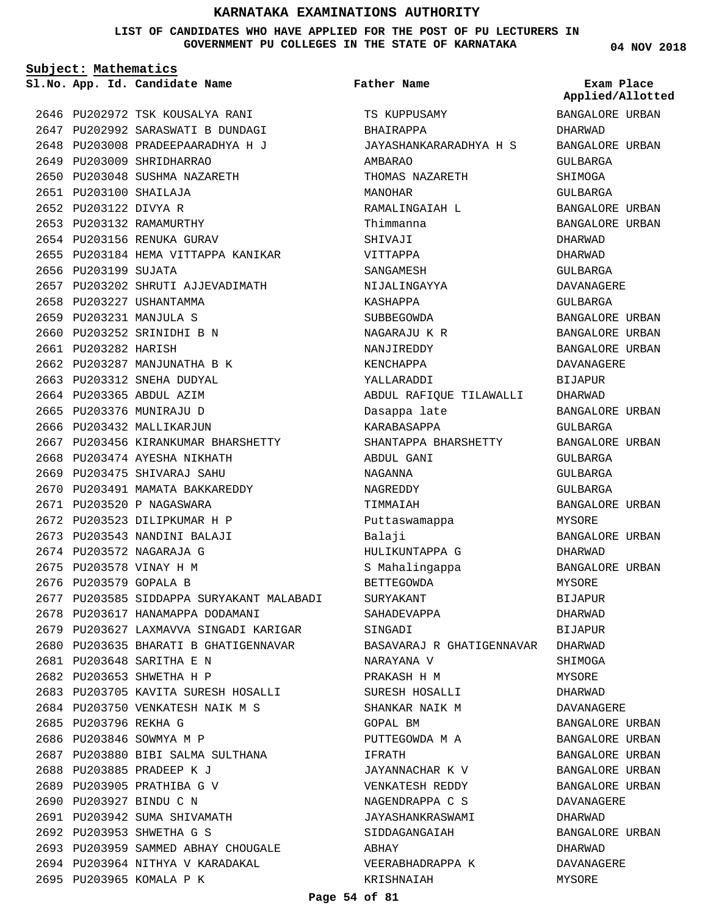**LIST OF CANDIDATES WHO HAVE APPLIED FOR THE POST OF PU LECTURERS IN GOVERNMENT PU COLLEGES IN THE STATE OF KARNATAKA**

**Subject: Mathematics**

**App. Id. Candidate Name Sl.No. Exam Place**

2649 PU203009 SHRIDHARRAO 2650 PU203048 SUSHMA NAZARETH

PU203100 SHAILAJA 2651 2652 PU203122 DIVYA R 2653 PU203132 RAMAMURTHY 2654 PU203156 RENUKA GURAV

2656 PU203199 SUJATA

2661 PU203282 HARISH

2658 PU203227 USHANTAMMA PU203231 MANJULA S 2659 PU203252 SRINIDHI B N 2660

2662 PU203287 MANJUNATHA B K 2663 PU203312 SNEHA DUDYAL 2664 PU203365 ABDUL AZIM 2665 PU203376 MUNIRAJU D 2666 PU203432 MALLIKARJUN

2668 PU203474 AYESHA NIKHATH PU203475 SHIVARAJ SAHU 2669 2670 PU203491 MAMATA BAKKAREDDY

2671 PU203520 P NAGASWARA 2672 PU203523 DILIPKUMAR H P 2673 PU203543 NANDINI BALAJI 2674 PU203572 NAGARAJA G 2675 PU203578 VINAY H M 2676 PU203579 GOPALA B

PU203648 SARITHA E N 2681 PU203653 SHWETHA H P 2682

2688 PU203885 PRADEEP K J 2689 PU203905 PRATHIBA G V PU203927 BINDU C N 2690

2695 PU203965 KOMALA P K

2691 PU203942 SUMA SHIVAMATH PU203953 SHWETHA G S 2692

2685 PU203796 REKHA G 2686 PU203846 SOWMYA M P

2646 PU202972 TSK KOUSALYA RANI 2647 PU202992 SARASWATI B DUNDAGI PU203008 PRADEEPAARADHYA H J 2648

2655 PU203184 HEMA VITTAPPA KANIKAR

2667 PU203456 KIRANKUMAR BHARSHETTY

2677 PU203585 SIDDAPPA SURYAKANT MALABADI

2679 PU203627 LAXMAVVA SINGADI KARIGAR 2680 PU203635 BHARATI B GHATIGENNAVAR

2683 PU203705 KAVITA SURESH HOSALLI 2684 PU203750 VENKATESH NAIK M S

2687 PU203880 BIBI SALMA SULTHANA

2693 PU203959 SAMMED ABHAY CHOUGALE 2694 PU203964 NITHYA V KARADAKAL

2678 PU203617 HANAMAPPA DODAMANI

2657 PU203202 SHRUTI AJJEVADIMATH

**Father Name**

TS KUPPUSAMY BHAIRAPPA JAYASHANKARARADHYA H S AMBARAO THOMAS NAZARETH MANOHAR RAMALINGAIAH L Thimmanna SHIVAJI VITTAPPA SANGAMESH NIJALINGAYYA KASHAPPA SUBBEGOWDA NAGARAJU K R NANJIREDDY KENCHAPPA YALLARADDI ABDUL RAFIQUE TILAWALLI Dasappa late KARABASAPPA SHANTAPPA BHARSHETTY ABDUL GANI NAGANNA NAGREDDY TIMMAIAH Puttaswamappa Balaji HULIKUNTAPPA G S Mahalingappa BETTEGOWDA SURYAKANT SAHADEVAPPA SINGADI BASAVARAJ R GHATIGENNAVAR DHARWAD NARAYANA V PRAKASH H M SURESH HOSALLI SHANKAR NAIK M GOPAL BM PUTTEGOWDA M A IFRATH JAYANNACHAR K V VENKATESH REDDY NAGENDRAPPA C S JAYASHANKRASWAMI SIDDAGANGAIAH **ARHAY** VEERABHADRAPPA K KRISHNAIAH

**04 NOV 2018**

BANGALORE URBAN

**Applied/Allotted**

DHARWAD

# BANGALORE URBAN GULBARGA SHIMOGA GULBARGA BANGALORE URBAN BANGALORE URBAN DHARWAD DHARWAD GULBARGA DAVANAGERE GULBARGA BANGALORE URBAN BANGALORE URBAN BANGALORE URBAN DAVANAGERE BIJAPUR DHARWAD BANGALORE URBAN GULBARGA BANGALORE URBAN GULBARGA GULBARGA GULBARGA BANGALORE URBAN MYSORE BANGALORE URBAN DHARWAD BANGALORE URBAN MYSORE BIJAPUR DHARWAD BIJAPUR **SHIMOGA** MYSORE DHARWAD DAVANAGERE BANGALORE URBAN BANGALORE URBAN BANGALORE URBAN BANGALORE URBAN BANGALORE URBAN DAVANAGERE DHARWAD BANGALORE URBAN DHARWAD DAVANAGERE MYSORE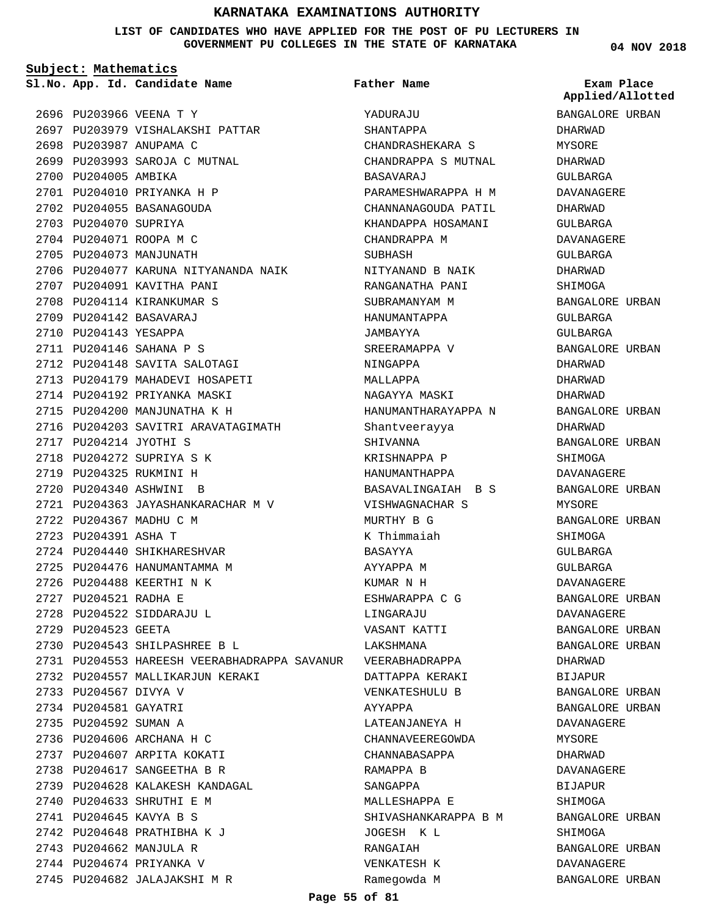**LIST OF CANDIDATES WHO HAVE APPLIED FOR THE POST OF PU LECTURERS IN GOVERNMENT PU COLLEGES IN THE STATE OF KARNATAKA**

**Father Name**

**Subject: Mathematics**

**App. Id. Candidate Name Sl.No. Exam Place**

2696 PU203966 VEENA T Y 2697 PU203979 VISHALAKSHI PATTAR 2698 PU203987 ANUPAMA C 2699 PU203993 SAROJA C MUTNAL 2700 PU204005 AMBIKA 2701 PU204010 PRIYANKA H P 2702 PU204055 BASANAGOUDA 2703 PU204070 SUPRIYA 2704 PU204071 ROOPA M C 2705 PU204073 MANJUNATH 2706 PU204077 KARUNA NITYANANDA NAIK 2707 PU204091 KAVITHA PANI 2708 PU204114 KIRANKUMAR S PU204142 BASAVARAJ 2709 2710 PU204143 YESAPPA PU204146 SAHANA P S 2711 2712 PU204148 SAVITA SALOTAGI 2713 PU204179 MAHADEVI HOSAPETI 2714 PU204192 PRIYANKA MASKI 2715 PU204200 MANJUNATHA K H 2716 PU204203 SAVITRI ARAVATAGIMATH 2717 PU204214 JYOTHI S 2718 PU204272 SUPRIYA S K 2719 PU204325 RUKMINI H PU204340 ASHWINI B 2720 2721 PU204363 JAYASHANKARACHAR M V 2722 PU204367 MADHU C M 2723 PU204391 ASHA T 2724 PU204440 SHIKHARESHVAR 2725 PU204476 HANUMANTAMMA M 2726 PU204488 KEERTHI N K 2727 PU204521 RADHA E PU204522 SIDDARAJU L 2728 2729 PU204523 GEETA PU204543 SHILPASHREE B L 2730 PU204553 HAREESH VEERABHADRAPPA SAVANUR 2731 2732 PU204557 MALLIKARJUN KERAKI 2733 PU204567 DIVYA V 2734 PU204581 GAYATRI 2735 PU204592 SUMAN A 2736 PU204606 ARCHANA H C 2737 PU204607 ARPITA KOKATI PU204617 SANGEETHA B R 2738 2739 PU204628 KALAKESH KANDAGAL 2740 PU204633 SHRUTHI E M PU204645 KAVYA B S 2741 PU204648 PRATHIBHA K J 2742 2743 PU204662 MANJULA R 2744 PU204674 PRIYANKA V 2745 PU204682 JALAJAKSHI M R

YADURAJU SHANTAPPA CHANDRASHEKARA S CHANDRAPPA S MUTNAL BASAVARAJ PARAMESHWARAPPA H M CHANNANAGOUDA PATIL KHANDAPPA HOSAMANI CHANDRAPPA M SUBHASH NITYANAND B NAIK RANGANATHA PANI SUBRAMANYAM M HANUMANTAPPA JAMBAYYA SREERAMAPPA V NINGAPPA MALLAPPA NAGAYYA MASKI HANUMANTHARAYAPPA N Shantveerayya SHIVANNA KRISHNAPPA P HANUMANTHAPPA BASAVALINGAIAH B S VISHWAGNACHAR S MURTHY B G K Thimmaiah BASAYYA AYYAPPA M KUMAR N H ESHWARAPPA C G LINGARAJU VASANT KATTI LAKSHMANA VEERABHADRAPPA DATTAPPA KERAKI VENKATESHULU B AYYAPPA LATEANJANEYA H CHANNAVEEREGOWDA CHANNABASAPPA RAMAPPA B SANGAPPA MALLESHAPPA E SHIVASHANKARAPPA B M JOGESH K L RANGAIAH VENKATESH K Ramegowda M

**04 NOV 2018**

**Applied/Allotted**

BANGALORE URBAN DHARWAD MYSORE DHARWAD GULBARGA DAVANAGERE DHARWAD GULBARGA DAVANAGERE  $CITIRARCA$ DHARWAD SHIMOGA BANGALORE URBAN GULBARGA GULBARGA BANGALORE URBAN DHARWAD DHARWAD DHARWAD BANGALORE URBAN DHARWAD BANGALORE URBAN SHIMOGA DAVANAGERE BANGALORE URBAN MYSORE BANGALORE URBAN **SHIMOGA** GULBARGA GULBARGA DAVANAGERE BANGALORE URBAN DAVANAGERE BANGALORE URBAN BANGALORE URBAN DHARWAD BIJAPUR BANGALORE URBAN BANGALORE URBAN DAVANAGERE MYSORE DHARWAD DAVANAGERE **BIJAPUR SHIMOGA** BANGALORE URBAN SHIMOGA BANGALORE URBAN DAVANAGERE BANGALORE URBAN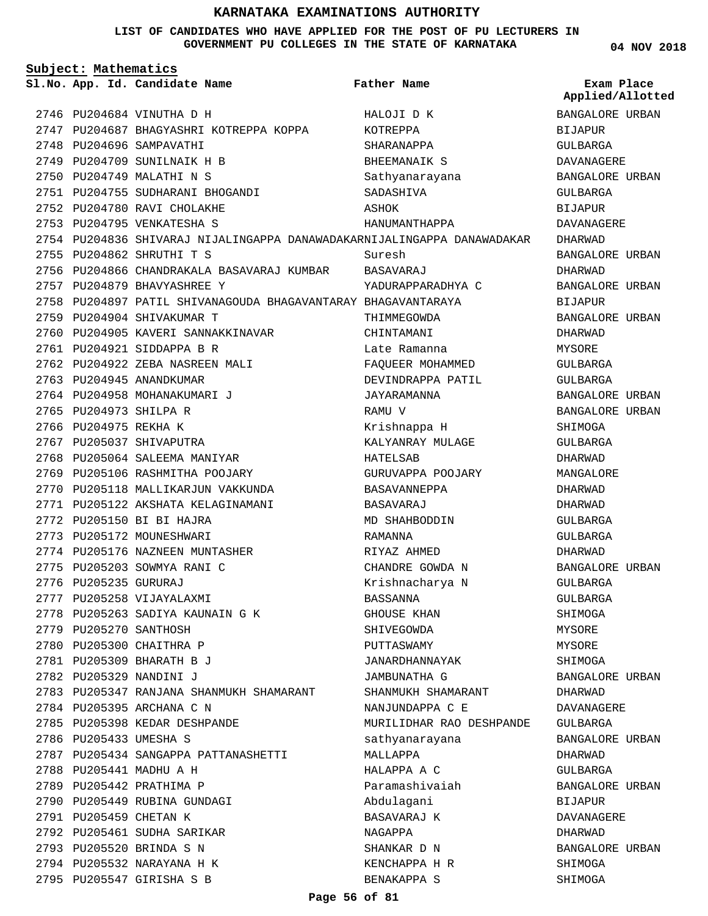#### **LIST OF CANDIDATES WHO HAVE APPLIED FOR THE POST OF PU LECTURERS IN GOVERNMENT PU COLLEGES IN THE STATE OF KARNATAKA**

**04 NOV 2018**

| Subject: Mathematics |                        |                                                                         |                          |                                |
|----------------------|------------------------|-------------------------------------------------------------------------|--------------------------|--------------------------------|
|                      |                        | Sl.No. App. Id. Candidate Name                                          | Father Name              | Exam Place<br>Applied/Allotted |
|                      |                        | 2746 PU204684 VINUTHA D H                                               | HALOJI D K               | BANGALORE URBAN                |
|                      |                        | 2747 PU204687 BHAGYASHRI KOTREPPA KOPPA                                 | KOTREPPA                 | BIJAPUR                        |
|                      |                        | 2748 PU204696 SAMPAVATHI                                                | SHARANAPPA               | <b>GULBARGA</b>                |
|                      |                        | 2749 PU204709 SUNILNAIK H B                                             | BHEEMANAIK S             | DAVANAGERE                     |
|                      |                        | 2750 PU204749 MALATHI N S                                               | Sathyanarayana           | BANGALORE URBAN                |
|                      |                        | 2751 PU204755 SUDHARANI BHOGANDI                                        | SADASHIVA                | GULBARGA                       |
|                      |                        | 2752 PU204780 RAVI CHOLAKHE                                             | ASHOK                    | <b>BIJAPUR</b>                 |
|                      |                        | 2753 PU204795 VENKATESHA S                                              | HANUMANTHAPPA            | DAVANAGERE                     |
|                      |                        | 2754 PU204836 SHIVARAJ NIJALINGAPPA DANAWADAKARNIJALINGAPPA DANAWADAKAR |                          | DHARWAD                        |
|                      |                        | 2755 PU204862 SHRUTHI T S                                               | Suresh                   | BANGALORE URBAN                |
|                      |                        | 2756 PU204866 CHANDRAKALA BASAVARAJ KUMBAR BASAVARAJ                    |                          | DHARWAD                        |
|                      |                        | 2757 PU204879 BHAVYASHREE Y                                             | YADURAPPARADHYA C        | BANGALORE URBAN                |
|                      |                        | 2758 PU204897 PATIL SHIVANAGOUDA BHAGAVANTARAY BHAGAVANTARAYA           |                          | <b>BIJAPUR</b>                 |
|                      |                        | 2759 PU204904 SHIVAKUMAR T                                              | THIMMEGOWDA              | BANGALORE URBAN                |
|                      |                        | 2760 PU204905 KAVERI SANNAKKINAVAR                                      | CHINTAMANI               | DHARWAD                        |
|                      |                        | 2761 PU204921 SIDDAPPA B R                                              | Late Ramanna             | MYSORE                         |
|                      |                        | 2762 PU204922 ZEBA NASREEN MALI                                         | FAQUEER MOHAMMED         | GULBARGA                       |
|                      |                        | 2763 PU204945 ANANDKUMAR                                                | DEVINDRAPPA PATIL        | GULBARGA                       |
|                      |                        | 2764 PU204958 MOHANAKUMARI J                                            | JAYARAMANNA              | BANGALORE URBAN                |
|                      | 2765 PU204973 SHILPA R |                                                                         | RAMU V                   | BANGALORE URBAN                |
|                      | 2766 PU204975 REKHA K  |                                                                         | Krishnappa H             | SHIMOGA                        |
|                      |                        | 2767 PU205037 SHIVAPUTRA                                                | KALYANRAY MULAGE         | GULBARGA                       |
|                      |                        | 2768 PU205064 SALEEMA MANIYAR                                           | HATELSAB                 | DHARWAD                        |
|                      |                        | 2769 PU205106 RASHMITHA POOJARY                                         | GURUVAPPA POOJARY        | MANGALORE                      |
|                      |                        | 2770 PU205118 MALLIKARJUN VAKKUNDA                                      | BASAVANNEPPA             | DHARWAD                        |
|                      |                        | 2771 PU205122 AKSHATA KELAGINAMANI                                      | BASAVARAJ                | DHARWAD                        |
|                      |                        | 2772 PU205150 BI BI HAJRA                                               | MD SHAHBODDIN            | <b>GULBARGA</b>                |
|                      |                        | 2773 PU205172 MOUNESHWARI                                               | RAMANNA                  | GULBARGA                       |
|                      |                        | 2774 PU205176 NAZNEEN MUNTASHER                                         | RIYAZ AHMED              | DHARWAD                        |
|                      |                        | 2775 PU205203 SOWMYA RANI C                                             | CHANDRE GOWDA N          | BANGALORE URBAN                |
|                      | 2776 PU205235 GURURAJ  |                                                                         | Krishnacharya N          | GULBARGA                       |
|                      |                        | 2777 PU205258 VIJAYALAXMI                                               | BASSANNA                 | GULBARGA                       |
|                      |                        | 2778 PU205263 SADIYA KAUNAIN G K                                        | GHOUSE KHAN              | SHIMOGA                        |
|                      | 2779 PU205270 SANTHOSH |                                                                         | SHIVEGOWDA               | MYSORE                         |
|                      |                        | 2780 PU205300 CHAITHRA P                                                | PUTTASWAMY               | MYSORE                         |
|                      |                        | 2781 PU205309 BHARATH B J                                               | JANARDHANNAYAK           | SHIMOGA                        |
|                      |                        | 2782 PU205329 NANDINI J                                                 | JAMBUNATHA G             | BANGALORE URBAN                |
|                      |                        | 2783 PU205347 RANJANA SHANMUKH SHAMARANT                                | SHANMUKH SHAMARANT       | DHARWAD                        |
|                      |                        | 2784 PU205395 ARCHANA C N                                               | NANJUNDAPPA C E          | DAVANAGERE                     |
|                      |                        | 2785 PU205398 KEDAR DESHPANDE                                           | MURILIDHAR RAO DESHPANDE | GULBARGA                       |
|                      | 2786 PU205433 UMESHA S |                                                                         | sathyanarayana           | BANGALORE URBAN                |
|                      |                        | 2787 PU205434 SANGAPPA PATTANASHETTI                                    | MALLAPPA                 | DHARWAD                        |
|                      |                        | 2788 PU205441 MADHU A H                                                 | HALAPPA A C              | GULBARGA                       |
|                      |                        | 2789 PU205442 PRATHIMA P                                                | Paramashivaiah           | BANGALORE URBAN                |
|                      |                        | 2790 PU205449 RUBINA GUNDAGI                                            | Abdulagani               | BIJAPUR                        |
|                      | 2791 PU205459 CHETAN K |                                                                         | BASAVARAJ K              | DAVANAGERE                     |
|                      |                        | 2792 PU205461 SUDHA SARIKAR                                             | NAGAPPA                  | DHARWAD                        |
|                      |                        | 2793 PU205520 BRINDA S N                                                | SHANKAR D N              | BANGALORE URBAN                |
|                      |                        | 2794 PU205532 NARAYANA H K                                              | KENCHAPPA H R            | SHIMOGA                        |
|                      |                        | 2795 PU205547 GIRISHA S B                                               | BENAKAPPA S              | SHIMOGA                        |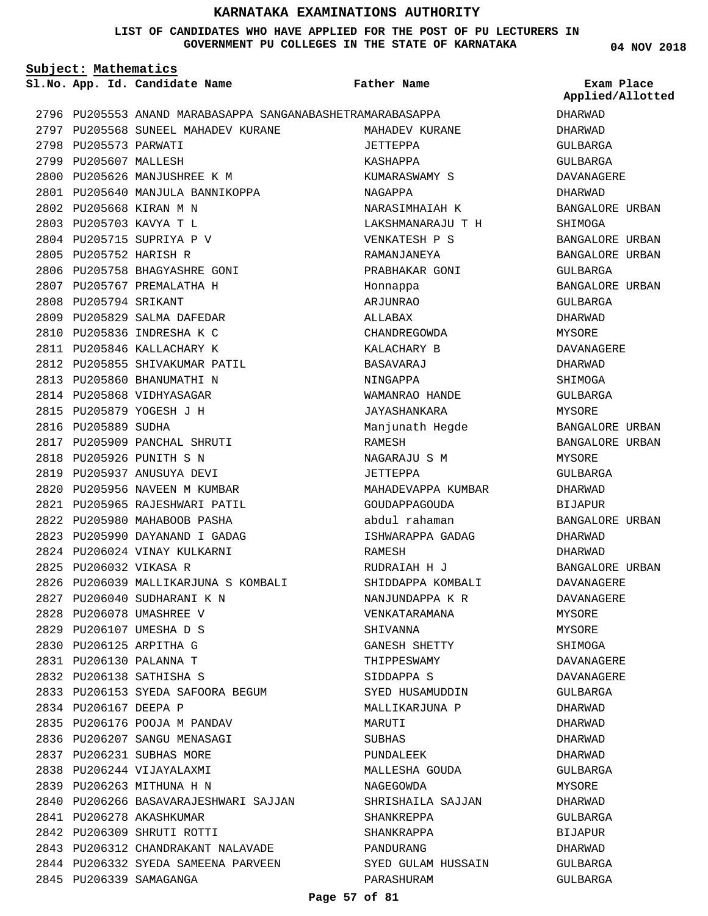**LIST OF CANDIDATES WHO HAVE APPLIED FOR THE POST OF PU LECTURERS IN GOVERNMENT PU COLLEGES IN THE STATE OF KARNATAKA**

**Subject: Mathematics** PU205553 ANAND MARABASAPPA SANGANABASHETRA MARABASAPPA 2796 2797 PU205568 SUNEEL MAHADEV KURANE 2798 PU205573 PARWATI 2799 PU205607 MALLESH 2800 PU205626 MANJUSHREE K M PU205640 MANJULA BANNIKOPPA 2801 2802 PU205668 KIRAN M N PU205703 KAVYA T L 2803 2804 PU205715 SUPRIYA P V 2805 PU205752 HARISH R 2806 PU205758 BHAGYASHRE GONI 2807 PU205767 PREMALATHA H 2808 PU205794 SRIKANT 2809 PU205829 SALMA DAFEDAR 2810 PU205836 INDRESHA K C 2811 PU205846 KALLACHARY K 2812 PU205855 SHIVAKUMAR PATIL 2813 PU205860 BHANUMATHI N 2814 PU205868 VIDHYASAGAR 2815 PU205879 YOGESH J H 2816 PU205889 SUDHA 2817 PU205909 PANCHAL SHRUTI 2818 PU205926 PUNITH S N 2819 PU205937 ANUSUYA DEVI 2820 PU205956 NAVEEN M KUMBAR PU205965 RAJESHWARI PATIL 2821 2822 PU205980 MAHABOOB PASHA 2823 PU205990 DAYANAND I GADAG 2824 PU206024 VINAY KULKARNI 2825 PU206032 VIKASA R 2826 PU206039 MALLIKARJUNA S KOMBALI PU206040 SUDHARANI K N 2827 2828 PU206078 UMASHREE V PU206107 UMESHA D S 2829 PU206125 ARPITHA G 2830 PU206130 PALANNA T 2831 PU206138 SATHISHA S 2832 2833 PU206153 SYEDA SAFOORA BEGUM 2834 PU206167 DEEPA P 2835 PU206176 POOJA M PANDAV 2836 PU206207 SANGU MENASAGI 2837 PU206231 SUBHAS MORE 2838 PU206244 VIJAYALAXMI 2839 PU206263 MITHUNA H N 2840 PU206266 BASAVARAJESHWARI SAJJAN 2841 PU206278 AKASHKUMAR PU206309 SHRUTI ROTTI 2842 2843 PU206312 CHANDRAKANT NALAVADE **App. Id. Candidate Name Sl.No. Exam Place** MAHADEV KURANE JETTEPPA KASHAPPA KUMARASWAMY S NAGAPPA NARASIMHAIAH K LAKSHMANARAJU T H VENKATESH P S RAMANJANEYA PRABHAKAR GONI Honnappa ARJUNRAO ALLABAX CHANDREGOWDA KALACHARY B BASAVARAJ NINGAPPA WAMANRAO HANDE JAYASHANKARA Manjunath Hegde RAMESH NAGARAJU S M JETTEPPA MAHADEVAPPA KUMBAR GOUDAPPAGOUDA abdul rahaman ISHWARAPPA GADAG RAMESH RUDRAIAH H J SHIDDAPPA KOMBALI NANJUNDAPPA K R VENKATARAMANA SHIVANNA GANESH SHETTY THIPPESWAMY SIDDAPPA S SYED HUSAMUDDIN MALLIKARJUNA P MARUTI SUBHAS PUNDALEEK MALLESHA GOUDA NAGEGOWDA SHRISHAILA SAJJAN SHANKREPPA SHANKRAPPA PANDURANG **Father Name** DHARWAD DHARWAD GULBARGA GULBARGA DAVANAGERE DHARWAD BANGALORE URBAN SHIMOGA BANGALORE URBAN BANGALORE URBAN GULBARGA BANGALORE URBAN GULBARGA DHARWAD MYSORE DAVANAGERE DHARWAD SHIMOGA GULBARGA **MYSORE** BANGALORE URBAN BANGALORE URBAN MYSORE GULBARGA DHARWAD BIJAPUR BANGALORE URBAN DHARWAD DHARWAD BANGALORE URBAN DAVANAGERE DAVANAGERE MYSORE MYSORE SHIMOGA DAVANAGERE DAVANAGERE GULBARGA DHARWAD DHARWAD DHARWAD DHARWAD GULBARGA **MYSORE** DHARWAD GULBARGA BIJAPUR DHARWAD **Applied/Allotted**

SYED GULAM HUSSAIN

GULBARGA GULBARGA

PARASHURAM

2844 PU206332 SYEDA SAMEENA PARVEEN

2845 PU206339 SAMAGANGA

**04 NOV 2018**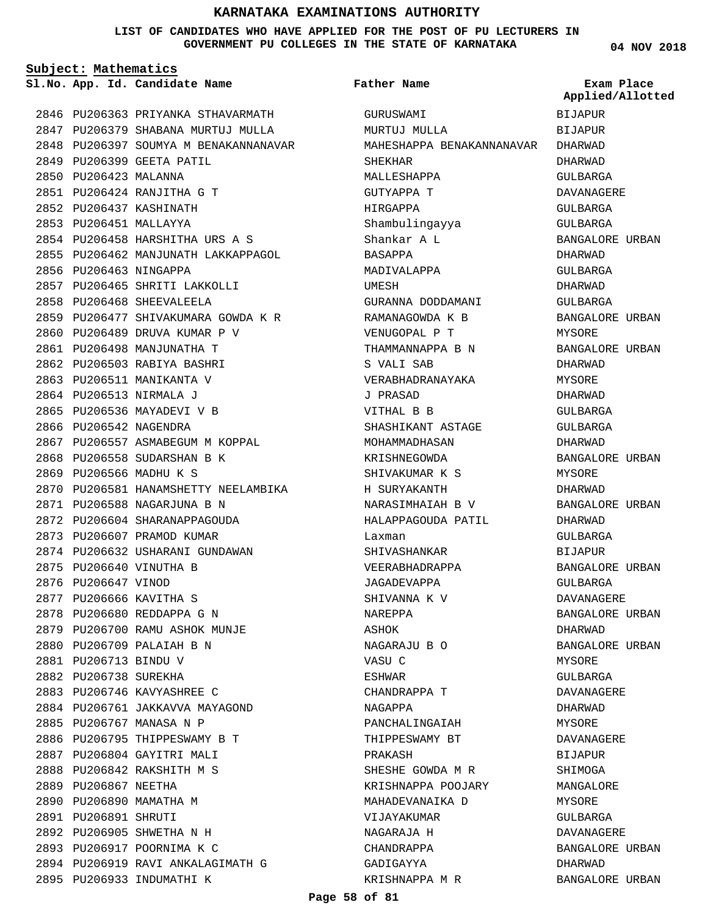#### **LIST OF CANDIDATES WHO HAVE APPLIED FOR THE POST OF PU LECTURERS IN GOVERNMENT PU COLLEGES IN THE STATE OF KARNATAKA**

**Subject: Mathematics**

**App. Id. Candidate Name Sl.No. Exam Place**

2846 PU206363 PRIYANKA STHAVARMATH 2847 PU206379 SHABANA MURTUJ MULLA 2848 PU206397 SOUMYA M BENAKANNANAVAR **Father Name**

GURUSWAMI MURTUJ MULLA

MAHESHAPPA BENAKANNANAVAR

BIJAPUR BIJAPUR DHARWAD DHARWAD GULBARGA **Applied/Allotted**

| 2849 | PU206399              | GEETA PATIL                       |
|------|-----------------------|-----------------------------------|
| 2850 | PU206423              | MALANNA                           |
|      |                       | 2851 PU206424 RANJITHA G T        |
|      |                       | 2852 PU206437 KASHINATH           |
| 2853 | PU206451 MALLAYYA     |                                   |
|      | 2854 PU206458         | HARSHITHA URS A S                 |
|      | 2855 PU206462         | MANJUNATH LAKKAPPAGOL             |
| 2856 | PU206463              | NINGAPPA                          |
| 2857 |                       | PU206465 SHRITI LAKKOLLI          |
| 2858 | PU206468              | SHEEVALEELA                       |
| 2859 | PU206477              | SHIVAKUMARA GOWDA K R             |
| 2860 |                       | PU206489 DRUVA KUMAR P V          |
| 2861 | PU206498              | MANJUNATHA T                      |
| 2862 | PU206503              | RABIYA BASHRI                     |
| 2863 | PU206511              | MANIKANTA V                       |
| 2864 | PU206513              | NIRMALA J                         |
| 2865 |                       | PU206536 MAYADEVI V B             |
| 2866 |                       | PU206542 NAGENDRA                 |
| 2867 | PU206557              | ASMABEGUM M KOPPAL                |
| 2868 |                       | PU206558 SUDARSHAN B K            |
| 2869 |                       | PU206566 MADHU K S                |
| 2870 |                       | PU206581 HANAMSHETTY NEELAMBIKA   |
| 2871 | PU206588              | NAGARJUNA B N                     |
| 2872 | PU206604              | SHARANAPPAGOUDA                   |
| 2873 |                       | PU206607 PRAMOD KUMAR             |
| 2874 | PU206632              | USHARANI GUNDAWAN                 |
| 2875 | PU206640              | VINUTHA B                         |
| 2876 | PU206647              | VINOD                             |
| 2877 | PU206666              | KAVITHA S                         |
| 2878 |                       | PU206680 REDDAPPA G N             |
|      |                       | 2879 PU206700 RAMU ASHOK MUNJE    |
|      |                       | 2880 PU206709 PALAIAH B N         |
|      | 2881 PU206713 BINDU V |                                   |
| 2882 | PU206738 SUREKHA      |                                   |
|      |                       | 2883 PU206746 KAVYASHREE C        |
|      |                       | 2884 PU206761 JAKKAVVA MAYAGOND   |
| 2885 |                       | PU206767 MANASA N P               |
| 2886 |                       | PU206795 THIPPESWAMY B T          |
|      |                       | 2887 PU206804 GAYITRI MALI        |
|      |                       | 2888 PU206842 RAKSHITH M S        |
|      | 2889 PU206867 NEETHA  |                                   |
| 2890 |                       | PU206890 MAMATHA M                |
|      | 2891 PU206891 SHRUTI  |                                   |
|      |                       | 2892 PU206905 SHWETHA N H         |
| 2893 |                       | PU206917 POORNIMA K C             |
|      |                       | 2894 PU206919 RAVI ANKALAGIMATH G |
|      |                       | 2895 PU206933 INDUMATHI K         |
|      |                       |                                   |

SHEKHAR MALLESHAPPA GUTYAPPA T HIRGAPPA Shambulingayya Shankar A L BASAPPA MADIVALAPPA UMESH GURANNA DODDAMANI RAMANAGOWDA K B VENUGOPAL P T THAMMANNAPPA B N S VALI SAB VERABHADRANAYAKA J PRASAD VITHAL B B SHASHIKANT ASTAGE MOHAMMADHASAN KRISHNEGOWDA SHIVAKUMAR K S H SURYAKANTH NARASIMHAIAH B V HALAPPAGOUDA PATIL Laxman SHIVASHANKAR VEERABHADRAPPA JAGADEVAPPA SHIVANNA K V NAREPPA ASHOK NAGARAJU B O VASU C ESHWAR CHANDRAPPA T NAGAPPA PANCHALINGAIAH THIPPESWAMY BT PRAKASH SHESHE GOWDA M R KRISHNAPPA POOJARY MAHADEVANAIKA D VIJAYAKUMAR NAGARAJA H CHANDRAPPA GADIGAYYA KRISHNAPPA M R

DAVANAGERE GULBARGA GULBARGA BANGALORE URBAN DHARWAD GULBARGA DHARWAD GULBARGA BANGALORE URBAN MYSORE BANGALORE URBAN DHARWAD MYSORE DHARWAD GULBARGA GULBARGA DHARWAD BANGALORE URBAN MYSORE DHARWAD BANGALORE URBAN DHARWAD GULBARGA BIJAPUR BANGALORE URBAN GULBARGA DAVANAGERE BANGALORE URBAN DHARWAD BANGALORE URBAN MYSORE GULBARGA DAVANAGERE DHARWAD MYSORE DAVANAGERE BIJAPUR SHIMOGA MANGALORE MYSORE GULBARGA DAVANAGERE BANGALORE URBAN DHARWAD BANGALORE URBAN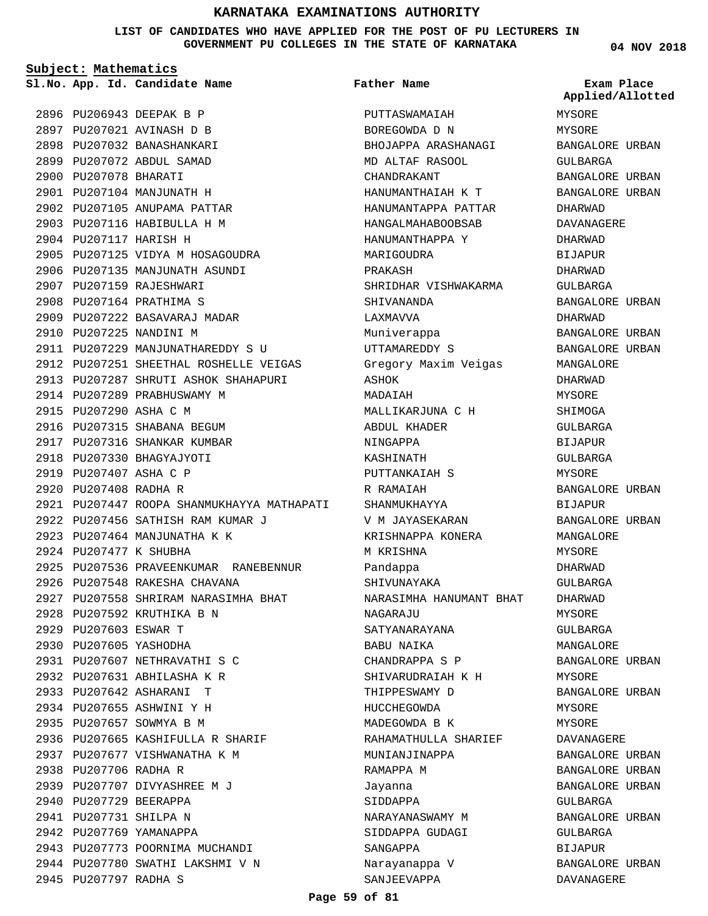**LIST OF CANDIDATES WHO HAVE APPLIED FOR THE POST OF PU LECTURERS IN GOVERNMENT PU COLLEGES IN THE STATE OF KARNATAKA**

PUTTASWAMAIAH

**Father Name**

**Subject: Mathematics** 2896 PU206943 DEEPAK B P PU207021 AVINASH D B 2897 2898 PU207032 BANASHANKARI PU207072 ABDUL SAMAD 2899 2900 PU207078 BHARATI 2901 PU207104 MANJUNATH H 2902 PU207105 ANUPAMA PATTAR 2903 PU207116 HABIBULLA H M 2904 PU207117 HARISH H 2905 PU207125 VIDYA M HOSAGOUDRA 2906 PU207135 MANJUNATH ASUNDI 2907 PU207159 RAJESHWARI 2908 PU207164 PRATHIMA S 2909 PU207222 BASAVARAJ MADAR 2910 PU207225 NANDINI M 2911 PU207229 MANJUNATHAREDDY S U 2912 PU207251 SHEETHAL ROSHELLE VEIGAS 2913 PU207287 SHRUTI ASHOK SHAHAPURI 2914 PU207289 PRABHUSWAMY M 2915 PU207290 ASHA C M 2916 PU207315 SHABANA BEGUM 2917 PU207316 SHANKAR KUMBAR 2918 PU207330 BHAGYAJYOTI 2919 PU207407 ASHA C P 2920 PU207408 RADHA R 2921 PU207447 ROOPA SHANMUKHAYYA MATHAPATI PU207456 SATHISH RAM KUMAR J 2922 2923 PU207464 MANJUNATHA K K 2924 PU207477 K SHUBHA 2925 PU207536 PRAVEENKUMAR RANEBENNUR 2926 PU207548 RAKESHA CHAVANA 2927 PU207558 SHRIRAM NARASIMHA BHAT 2928 PU207592 KRUTHIKA B N 2929 PU207603 ESWAR T 2930 PU207605 YASHODHA PU207607 NETHRAVATHI S C 2931 PU207631 ABHILASHA K R 2932 PU207642 ASHARANI T 2933 2934 PU207655 ASHWINI Y H 2935 PU207657 SOWMYA B M 2936 PU207665 KASHIFULLA R SHARIF 2937 PU207677 VISHWANATHA K M 2938 PU207706 RADHA R 2939 PU207707 DIVYASHREE M J 2940 PU207729 BEERAPPA 2941 PU207731 SHILPA N 2942 PU207769 YAMANAPPA 2943 PU207773 POORNIMA MUCHANDI 2944 PU207780 SWATHI LAKSHMI V N **App. Id. Candidate Name Sl.No. Exam Place**

2945 PU207797 RADHA S

BOREGOWDA D N BHOJAPPA ARASHANAGI MD ALTAF RASOOL CHANDRAKANT HANUMANTHAIAH K T HANUMANTAPPA PATTAR HANGALMAHABOOBSAB HANIJMANTHAPPA Y MARIGOUDRA PRAKASH SHRIDHAR VISHWAKARMA SHIVANANDA LAXMAVVA Muniverappa UTTAMAREDDY S Gregory Maxim Veigas ASHOK MADAIAH MALLIKARJUNA C H ABDUL KHADER NINGAPPA KASHINATH PUTTANKAIAH S R RAMAIAH SHANMUKHAYYA V M JAYASEKARAN KRISHNAPPA KONERA M KRISHNA Pandappa SHIVUNAYAKA NARASIMHA HANUMANT BHAT NAGARAJU SATYANARAYANA BABU NAIKA CHANDRAPPA S P SHIVARUDRAIAH K H THIPPESWAMY D HUCCHEGOWDA MADEGOWDA B K RAHAMATHULLA SHARIEF MUNIANJINAPPA RAMAPPA M Jayanna SIDDAPPA NARAYANASWAMY M SIDDAPPA GUDAGI SANGAPPA Narayanappa V

**04 NOV 2018**

MYSORE MYSORE BANGALORE URBAN GULBARGA BANGALORE URBAN BANGALORE URBAN DHARWAD DAVANAGERE DHARWAD BIJAPUR DHARWAD GULBARGA BANGALORE URBAN DHARWAD BANGALORE URBAN BANGALORE URBAN MANGALORE DHARWAD **MYSORE SHIMOGA** GULBARGA BIJAPUR GULBARGA MYSORE BANGALORE URBAN BIJAPUR BANGALORE URBAN MANGALORE MYSORE DHARWAD GULBARGA DHARWAD **MYSORE** GULBARGA MANGALORE BANGALORE URBAN MYSORE BANGALORE URBAN MYSORE MYSORE DAVANAGERE BANGALORE URBAN BANGALORE URBAN BANGALORE URBAN GULBARGA BANGALORE URBAN GULBARGA BIJAPUR BANGALORE URBAN DAVANAGERE **Applied/Allotted**

#### **Page 59 of 81**

SANJEEVAPPA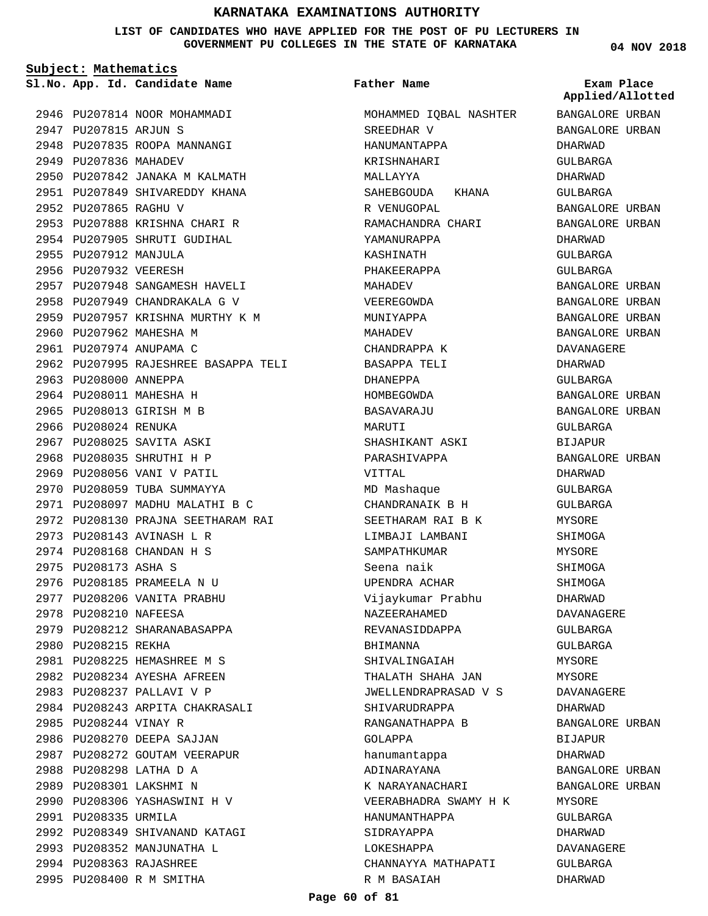**LIST OF CANDIDATES WHO HAVE APPLIED FOR THE POST OF PU LECTURERS IN GOVERNMENT PU COLLEGES IN THE STATE OF KARNATAKA**

**Subject: Mathematics**

**App. Id. Candidate Name Sl.No. Exam Place**

2946 PU207814 NOOR MOHAMMADI

2947 PU207815 ARJUN S 2948 PU207835 ROOPA MANNANGI 2949 PU207836 MAHADEV 2950 PU207842 JANAKA M KALMATH 2951 PU207849 SHIVAREDDY KHANA 2952 PU207865 RAGHU V 2953 PU207888 KRISHNA CHARI R 2954 PU207905 SHRUTI GUDIHAL 2955 PU207912 MANJULA 2956 PU207932 VEERESH 2957 PU207948 SANGAMESH HAVELI 2958 PU207949 CHANDRAKALA G V 2959 PU207957 KRISHNA MURTHY K M 2960 PU207962 MAHESHA M 2961 PU207974 ANUPAMA C 2962 PU207995 RAJESHREE BASAPPA TELI 2963 PU208000 ANNEPPA 2964 PU208011 MAHESHA H 2965 PU208013 GIRISH M B 2966 PU208024 RENUKA 2967 PU208025 SAVITA ASKI 2968 PU208035 SHRUTHI H P 2969 PU208056 VANI V PATIL 2970 PU208059 TUBA SUMMAYYA PU208097 MADHU MALATHI B C 2971 PU208130 PRAJNA SEETHARAM RAI 2972 2973 PU208143 AVINASH L R 2974 PU208168 CHANDAN H S 2975 PU208173 ASHA S 2976 PU208185 PRAMEELA N U 2977 PU208206 VANITA PRABHU 2978 PU208210 NAFEESA 2979 PU208212 SHARANABASAPPA 2980 PU208215 REKHA PU208225 HEMASHREE M S 2981 PU208234 AYESHA AFREEN 2982 2983 PU208237 PALLAVI V P 2984 PU208243 ARPITA CHAKRASALI 2985 PU208244 VINAY R 2986 PU208270 DEEPA SAJJAN 2987 PU208272 GOUTAM VEERAPUR PU208298 LATHA D A 2988 2989 PU208301 LAKSHMI N 2990 PU208306 YASHASWINI H V 2991 PU208335 URMILA 2992 PU208349 SHIVANAND KATAGI 2993 PU208352 MANJUNATHA L PU208363 RAJASHREE 2994 2995 PU208400 R M SMITHA

#### **Father Name**

MOHAMMED IQBAL NASHTER SREEDHAR V HANUMANTAPPA KRISHNAHARI MALLAYYA SAHEBGOUDA KHANA R VENUGOPAL RAMACHANDRA CHARI YAMANURAPPA KASHINATH PHAKEERAPPA MAHADEV VEEREGOWDA MUNIYAPPA MAHADEV CHANDRAPPA K BASAPPA TELI DHANEPPA HOMBEGOWDA BASAVARAJU MARUTI SHASHIKANT ASKI PARASHIVAPPA VITTAL MD Mashaque CHANDRANAIK B H SEETHARAM RAI B K LIMBAJI LAMBANI SAMPATHKUMAR Seena naik UPENDRA ACHAR Vijaykumar Prabhu NAZEERAHAMED REVANASIDDAPPA BHIMANNA SHIVALINGAIAH THALATH SHAHA JAN JWELLENDRAPRASAD V S SHIVARUDRAPPA RANGANATHAPPA B GOLAPPA hanumantappa ADINARAYANA K NARAYANACHARI VEERABHADRA SWAMY H K HANUMANTHAPPA SIDRAYAPPA LOKESHAPPA CHANNAYYA MATHAPATI R M BASAIAH

**04 NOV 2018**

BANGALORE URBAN BANGALORE URBAN DHARWAD GULBARGA DHARWAD GULBARGA BANGALORE URBAN BANGALORE URBAN DHARWAD GULBARGA GULBARGA BANGALORE URBAN BANGALORE URBAN BANGALORE URBAN BANGALORE URBAN DAVANAGERE DHARWAD GULBARGA BANGALORE URBAN BANGALORE URBAN GULBARGA BIJAPUR BANGALORE URBAN DHARWAD GULBARGA GULBARGA MYSORE SHIMOGA MYSORE SHIMOGA SHIMOGA DHARWAD DAVANAGERE GULBARGA GULBARGA MYSORE MYSORE DAVANAGERE DHARWAD BANGALORE URBAN BIJAPUR DHARWAD BANGALORE URBAN BANGALORE URBAN MYSORE GULBARGA DHARWAD DAVANAGERE GULBARGA DHARWAD **Applied/Allotted**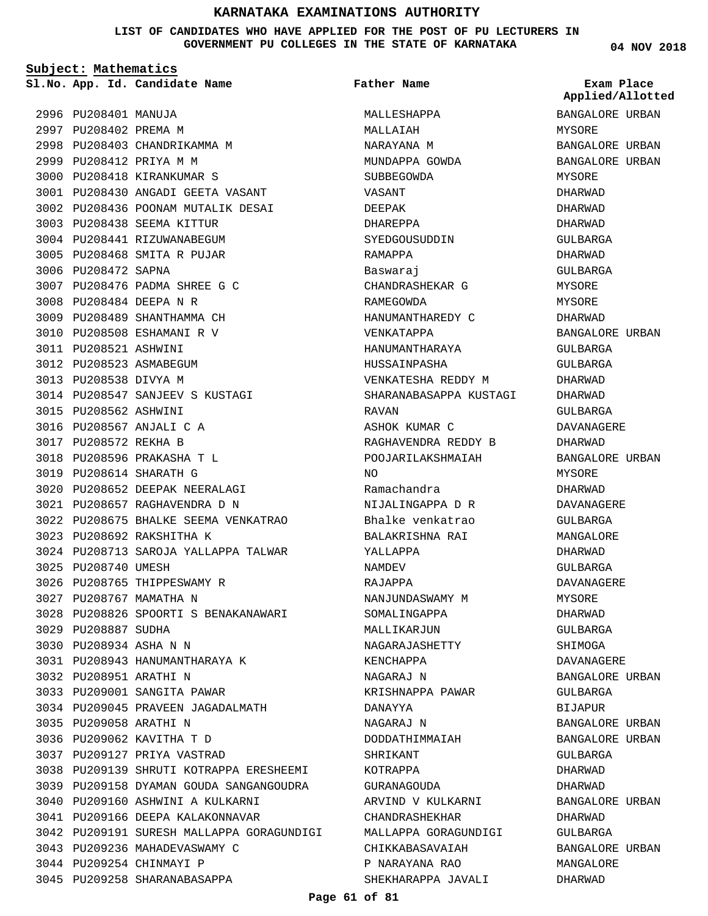**LIST OF CANDIDATES WHO HAVE APPLIED FOR THE POST OF PU LECTURERS IN GOVERNMENT PU COLLEGES IN THE STATE OF KARNATAKA**

**Subject: Mathematics**

2996 PU208401 MANUJA 2997 PU208402 PREMA M

2999 PU208412 PRIYA M M 3000 PU208418 KIRANKUMAR S

**App. Id. Candidate Name Sl.No. Exam Place**

2998 PU208403 CHANDRIKAMMA M

3003 PU208438 SEEMA KITTUR 3004 PU208441 RIZUWANABEGUM PU208468 SMITA R PUJAR 3005

PU208476 PADMA SHREE G C 3007

PU208547 SANJEEV S KUSTAGI 3014

3006 PU208472 SAPNA

PU208484 DEEPA N R 3008 3009 PU208489 SHANTHAMMA CH 3010 PU208508 ESHAMANI R V

3011 PU208521 ASHWINI 3012 PU208523 ASMABEGUM 3013 PU208538 DIVYA M

3015 PU208562 ASHWINI 3016 PU208567 ANJALI C A 3017 PU208572 REKHA B

PU208596 PRAKASHA T L 3018 3019 PU208614 SHARATH G

PU208692 RAKSHITHA K 3023

3026 PU208765 THIPPESWAMY R 3027 PU208767 MAMATHA N

PU208943 HANUMANTHARAYA K 3031

3034 PU209045 PRAVEEN JAGADALMATH

PU209160 ASHWINI A KULKARNI 3040 3041 PU209166 DEEPA KALAKONNAVAR

3043 PU209236 MAHADEVASWAMY C

3044 PU209254 CHINMAYI P 3045 PU209258 SHARANABASAPPA

3038 PU209139 SHRUTI KOTRAPPA ERESHEEMI 3039 PU209158 DYAMAN GOUDA SANGANGOUDRA

3042 PU209191 SURESH MALLAPPA GORAGUNDIGI

3033 PU209001 SANGITA PAWAR

3025 PU208740 UMESH

3029 PU208887 SUDHA PU208934 ASHA N N 3030

3032 PU208951 ARATHI N

3035 PU209058 ARATHI N 3036 PU209062 KAVITHA T D PU209127 PRIYA VASTRAD 3037

3020 PU208652 DEEPAK NEERALAGI PU208657 RAGHAVENDRA D N 3021

PU208675 BHALKE SEEMA VENKATRAO 3022

3024 PU208713 SAROJA YALLAPPA TALWAR

3028 PU208826 SPOORTI S BENAKANAWARI

PU208430 ANGADI GEETA VASANT 3001 3002 PU208436 POONAM MUTALIK DESAI **Father Name**

MALLESHAPPA MALLAIAH NARAYANA M MUNDAPPA GOWDA SUBBEGOWDA VASANT DEEPAK DHAREPPA SYEDGOUSUDDIN RAMAPPA Baswaraj CHANDRASHEKAR G RAMEGOWDA HANUMANTHAREDY C VENKATAPPA HANUMANTHARAYA HUSSAINPASHA VENKATESHA REDDY M SHARANABASAPPA KUSTAGI RAVAN ASHOK KUMAR C RAGHAVENDRA REDDY B POOJARILAKSHMAIAH  $N<sub>O</sub>$ Ramachandra NIJALINGAPPA D R Bhalke venkatrao BALAKRISHNA RAI YALLAPPA NAMDEV RAJAPPA NANJUNDASWAMY M SOMALINGAPPA MALLIKARJUN NAGARAJASHETTY KENCHAPPA NAGARAJ N KRISHNAPPA PAWAR DANAYYA NAGARAJ N DODDATHIMMAIAH SHRIKANT KOTRAPPA GURANAGOUDA ARVIND V KULKARNI CHANDRASHEKHAR MALLAPPA GORAGUNDIGI CHIKKABASAVAIAH P NARAYANA RAO SHEKHARAPPA JAVALI

**04 NOV 2018**

BANGALORE URBAN MYSORE BANGALORE URBAN BANGALORE URBAN MYSORE DHARWAD DHARWAD DHARWAD GULBARGA DHARWAD GULBARGA MYSORE MYSORE DHARWAD BANGALORE URBAN GULBARGA GULBARGA DHARWAD DHARWAD GULBARGA DAVANAGERE DHARWAD BANGALORE URBAN MYSORE DHARWAD DAVANAGERE  $CITIRARCA$ MANGALORE DHARWAD GULBARGA DAVANAGERE MYSORE DHARWAD GULBARGA SHIMOGA DAVANAGERE BANGALORE URBAN GULBARGA BIJAPUR BANGALORE URBAN BANGALORE URBAN GULBARGA DHARWAD DHARWAD BANGALORE URBAN DHARWAD GULBARGA BANGALORE URBAN MANGALORE DHARWAD **Applied/Allotted**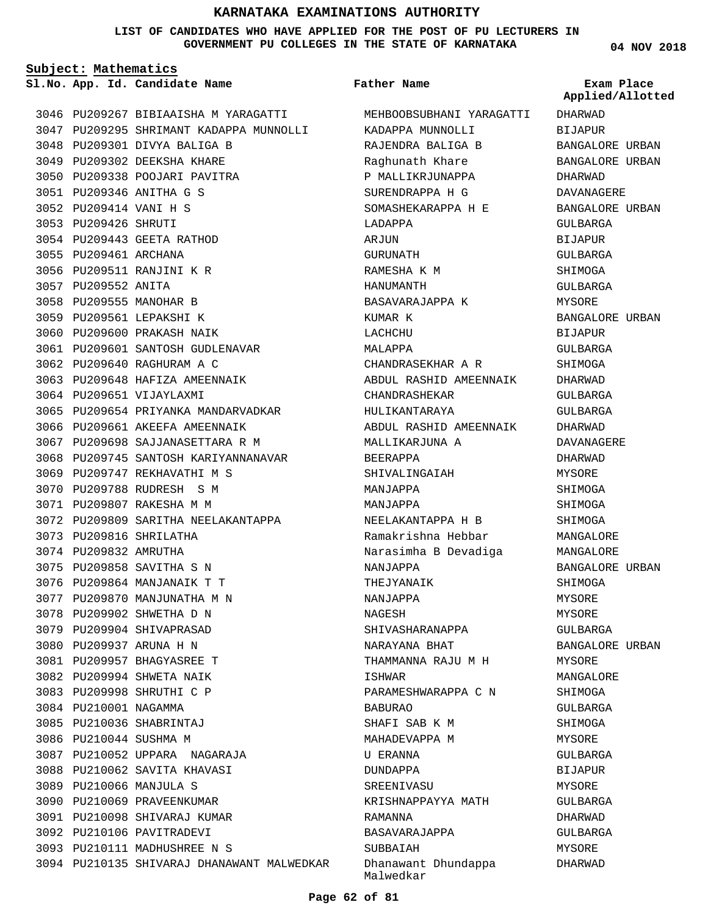**LIST OF CANDIDATES WHO HAVE APPLIED FOR THE POST OF PU LECTURERS IN GOVERNMENT PU COLLEGES IN THE STATE OF KARNATAKA**

**Father Name**

**Subject: Mathematics**

**App. Id. Candidate Name Sl.No. Exam Place**

**04 NOV 2018**

|      |                        | 3046 PU209267 BIBIAAISHA M YARAGATTI       |
|------|------------------------|--------------------------------------------|
|      |                        | 3047 PU209295 SHRIMANT KADAPPA MUNNOLLI    |
|      |                        | 3048 PU209301 DIVYA BALIGA B               |
|      |                        | 3049 PU209302 DEEKSHA KHARE                |
|      |                        | 3050 PU209338 POOJARI PAVITRA              |
|      |                        | 3051 PU209346 ANITHA G S                   |
|      | 3052 PU209414 VANI H S |                                            |
|      | 3053 PU209426 SHRUTI   |                                            |
|      |                        | 3054 PU209443 GEETA RATHOD                 |
|      | 3055 PU209461 ARCHANA  |                                            |
|      |                        | 3056 PU209511 RANJINI K R                  |
|      | 3057 PU209552 ANITA    |                                            |
|      |                        | 3058 PU209555 MANOHAR B                    |
|      |                        | 3059 PU209561 LEPAKSHI K                   |
|      |                        | 3060 PU209600 PRAKASH NAIK                 |
|      |                        | 3061 PU209601 SANTOSH GUDLENAVAR           |
|      |                        | 3062 PU209640 RAGHURAM A C                 |
|      |                        | 3063 PU209648 HAFIZA AMEENNAIK             |
|      |                        | 3064 PU209651 VIJAYLAXMI                   |
|      |                        | 3065 PU209654 PRIYANKA MANDARVADKAR        |
|      |                        | 3066 PU209661 AKEEFA AMEENNAIK             |
|      |                        | 3067 PU209698 SAJJANASETTARA R M           |
|      |                        | 3068 PU209745 SANTOSH KARIYANNANAVAR       |
|      |                        | 3069 PU209747 REKHAVATHI M S               |
|      | 3070 PU209788          | RUDRESH S M                                |
| 3071 |                        | PU209807 RAKESHA M M                       |
|      |                        | 3072 PU209809 SARITHA NEELAKANTAPPA        |
|      |                        | 3073 PU209816 SHRILATHA                    |
|      | 3074 PU209832 AMRUTHA  |                                            |
|      |                        | 3075 PU209858 SAVITHA S N                  |
|      |                        | 3076 PU209864 MANJANAIK T T                |
|      |                        | 3077 PU209870 MANJUNATHA M N               |
|      |                        | 3078 PU209902 SHWETHA D N                  |
|      |                        | 3079 PU209904 SHIVAPRASAD                  |
|      |                        | 3080 PU209937 ARUNA H N                    |
|      |                        | 3081 PU209957 BHAGYASREE T                 |
|      |                        | 3082 PU209994 SHWETA NAIK                  |
| 3083 |                        | PU209998 SHRUTHI C P                       |
| 3084 | PU210001 NAGAMMA       |                                            |
| 3085 |                        | PU210036 SHABRINTAJ                        |
| 3086 | PU210044 SUSHMA M      |                                            |
|      |                        | 3087 PU210052 UPPARA NAGARAJA              |
| 3088 |                        | PU210062 SAVITA KHAVASI                    |
| 3089 |                        | PU210066 MANJULA S                         |
| 3090 |                        | PU210069 PRAVEENKUMAR                      |
| 3091 |                        | PU210098 SHIVARAJ KUMAR                    |
|      |                        | 3092 PU210106 PAVITRADEVI                  |
|      |                        | 3093 PU210111 MADHUSHREE N S               |
|      |                        | 3094 PU210135 SHIVARAJ DHANAWANT MALWEDKAR |

MEHBOOBSUBHANI YARAGATTI KADAPPA MUNNOLLI RAJENDRA BALIGA B Raghunath Khare P MALLIKRJUNAPPA SURENDRAPPA H G SOMASHEKARAPPA H E LADAPPA **ARJIJN** GURUNATH RAMESHA K M HANUMANTH BASAVARAJAPPA K KUMAR K LACHCHU MALAPPA CHANDRASEKHAR A R ABDUL RASHID AMEENNAIK CHANDRASHEKAR HULIKANTARAYA ABDUL RASHID AMEENNAIK MALLIKARJUNA A BEERAPPA SHIVALINGAIAH MANJAPPA MANJAPPA NEELAKANTAPPA H B Ramakrishna Hebbar Narasimha B Devadiga NANJAPPA THEJYANAIK NANJAPPA NAGESH SHIVASHARANAPPA NARAYANA BHAT THAMMANNA RAJU M H ISHWAR PARAMESHWARAPPA C N BABURAO SHAFI SAB K M MAHADEVAPPA M U ERANNA DUNDAPPA **SREENIVASU** KRISHNAPPAYYA MATH RAMANNA BASAVARAJAPPA SUBBAIAH Dhanawant Dhundappa Malwedkar DHARWAD BIJAPUR BANGALORE URBAN BANGALORE URBAN DHARWAD DAVANAGERE BANGALORE URBAN GULBARGA BIJAPUR GULBARGA SHIMOGA GULBARGA MYSORE BANGALORE URBAN BIJAPUR GULBARGA SHIMOGA DHARWAD GULBARGA GULBARGA DHARWAD DAVANAGERE DHARWAD MYSORE SHIMOGA SHIMOGA SHIMOGA MANGALORE MANGALORE BANGALORE URBAN SHIMOGA MYSORE MYSORE GULBARGA BANGALORE URBAN MYSORE MANGALORE SHIMOGA GULBARGA SHIMOGA MYSORE GULBARGA BIJAPUR MYSORE GULBARGA DHARWAD GULBARGA MYSORE DHARWAD **Applied/Allotted**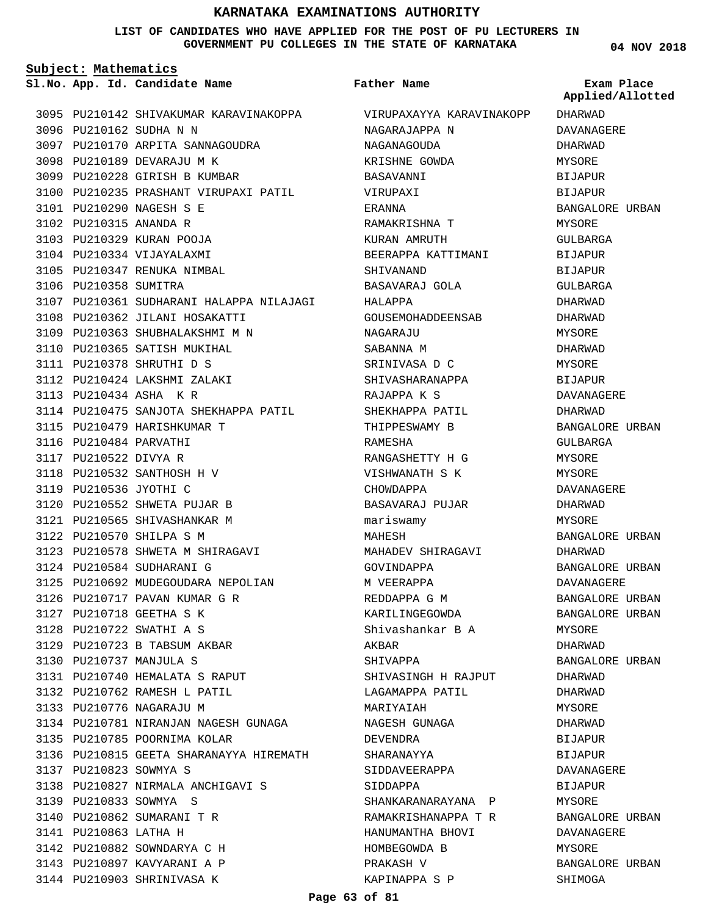#### **LIST OF CANDIDATES WHO HAVE APPLIED FOR THE POST OF PU LECTURERS IN GOVERNMENT PU COLLEGES IN THE STATE OF KARNATAKA**

**Father Name**

**Subject: Mathematics**

**App. Id. Candidate Name Sl.No. Exam Place**

 $\overline{D}$ **Applied/Allotted**

|      |                        | 3095 PU210142 SHIVAKUMAR KARAVINAKOPPA   |
|------|------------------------|------------------------------------------|
|      |                        | 3096 PU210162 SUDHA N N                  |
|      |                        | 3097 PU210170 ARPITA SANNAGOUDRA         |
|      |                        | 3098 PU210189 DEVARAJU M K               |
|      |                        | 3099 PU210228 GIRISH B KUMBAR            |
|      |                        | 3100 PU210235 PRASHANT VIRUPAXI PATIL    |
|      |                        | 3101 PU210290 NAGESH S E                 |
|      | 3102 PU210315 ANANDA R |                                          |
|      |                        | 3103 PU210329 KURAN POOJA                |
|      |                        | 3104 PU210334 VIJAYALAXMI                |
|      |                        | 3105 PU210347 RENUKA NIMBAL              |
|      | 3106 PU210358 SUMITRA  |                                          |
|      |                        | 3107 PU210361 SUDHARANI HALAPPA NILAJAGI |
|      |                        | 3108 PU210362 JILANI HOSAKATTI           |
|      |                        | 3109 PU210363 SHUBHALAKSHMI M N          |
|      |                        | 3110 PU210365 SATISH MUKIHAL             |
|      |                        | 3111 PU210378 SHRUTHI D S                |
|      |                        | 3112 PU210424 LAKSHMI ZALAKI             |
|      |                        | 3113 PU210434 ASHA KR                    |
|      |                        | 3114 PU210475 SANJOTA SHEKHAPPA PATIL    |
|      |                        | 3115 PU210479 HARISHKUMAR T              |
|      | 3116 PU210484 PARVATHI |                                          |
|      | 3117 PU210522 DIVYA R  |                                          |
|      |                        | 3118 PU210532 SANTHOSH H V               |
|      | 3119 PU210536 JYOTHI C |                                          |
|      |                        |                                          |
|      |                        | 3120 PU210552 SHWETA PUJAR B             |
|      |                        | 3121 PU210565 SHIVASHANKAR M             |
|      |                        | 3122 PU210570 SHILPA S M                 |
|      |                        | 3123 PU210578 SHWETA M SHIRAGAVI         |
|      |                        | 3124 PU210584 SUDHARANI G                |
|      |                        | 3125 PU210692 MUDEGOUDARA NEPOLIAN       |
|      |                        | 3126 PU210717 PAVAN KUMAR G R            |
|      |                        | 3127 PU210718 GEETHA S K                 |
| 3128 |                        | PU210722 SWATHI A S                      |
|      |                        | 3129 PU210723 B TABSUM AKBAR             |
|      |                        | 3130 PU210737 MANJULA S                  |
|      |                        | 3131 PU210740 HEMALATA S RAPUT           |
|      |                        | 3132 PU210762 RAMESH L PATIL             |
|      |                        | 3133 PU210776 NAGARAJU M                 |
|      |                        | 3134 PU210781 NIRANJAN NAGESH GUNAGA     |
|      |                        | 3135 PU210785 POORNIMA KOLAR             |
| 3136 |                        | PU210815 GEETA SHARANAYYA HIREMATH       |
|      | 3137 PU210823 SOWMYA S |                                          |
|      |                        | 3138 PU210827 NIRMALA ANCHIGAVI S        |
|      |                        | 3139 PU210833 SOWMYA S                   |
|      |                        | 3140 PU210862 SUMARANI T R               |
|      | 3141 PU210863 LATHA H  |                                          |
|      |                        | 3142 PU210882 SOWNDARYA C H              |
|      |                        | 3143 PU210897 KAVYARANI A P              |
|      |                        | 3144 PU210903 SHRINIVASA K               |

| VIRUPAXAYYA KARAVINAKOPP | DHARWAD           |
|--------------------------|-------------------|
| NAGARAJAPPA N            | DAVANAGERE        |
| NAGANAGOUDA              | DHARWAD           |
| KRISHNE GOWDA            | MYSORE            |
| BASAVANNI                | <b>BIJAPUR</b>    |
| VIRUPAXI                 | <b>BIJAPUR</b>    |
| ERANNA                   | BANGALORE URBAN   |
| RAMAKRISHNA T            | MYSORE            |
| KURAN AMRUTH             | GULBARGA          |
| BEERAPPA KATTIMANI       | <b>BIJAPUR</b>    |
| SHIVANAND                | BIJAPUR           |
| BASAVARAJ GOLA           | GULBARGA          |
| HALAPPA                  | DHARWAD           |
| GOUSEMOHADDEENSAB        | DHARWAD           |
| NAGARAJU                 | <b>MYSORE</b>     |
| SABANNA M                | DHARWAD           |
| SRINIVASA D C            | MYSORE            |
| SHIVASHARANAPPA          | BIJAPUR           |
| RAJAPPA K S              | <b>DAVANAGERE</b> |
| SHEKHAPPA PATIL          | DHARWAD           |
| THIPPESWAMY B            | BANGALORE URBAN   |
| RAMESHA                  | GULBARGA          |
| RANGASHETTY H G          | MYSORE            |
| VISHWANATH S K           | MYSORE            |
| CHOWDAPPA                | DAVANAGERE        |
| BASAVARAJ PUJAR          | DHARWAD           |
| mariswamy                | MYSORE            |
| MAHESH                   | BANGALORE URBAN   |
| MAHADEV SHIRAGAVI        | DHARWAD           |
| GOVINDAPPA               | BANGALORE URBAN   |
| M VEERAPPA               | DAVANAGERE        |
| REDDAPPA G M             | BANGALORE URBAN   |
| KARILINGEGOWDA           | BANGALORE URBAN   |
| Shivashankar B A         | MYSORE            |
| AKBAR                    | DHARWAD           |
| SHIVAPPA                 | BANGALORE URBAN   |
| SHIVASINGH H RAJPUT      | DHARWAD           |
| LAGAMAPPA PATIL          | DHARWAD           |
| MARIYAIAH                | MYSORE            |
| NAGESH GUNAGA            | DHARWAD           |
| DEVENDRA                 | <b>BIJAPUR</b>    |
| SHARANAYYA               | BIJAPUR           |
| SIDDAVEERAPPA            | DAVANAGERE        |
| SIDDAPPA                 | BIJAPUR           |
| SHANKARANARAYANA<br>P    | MYSORE            |
| RAMAKRISHANAPPA T R      | BANGALORE URBAN   |
| HANUMANTHA BHOVI         | DAVANAGERE        |
| HOMBEGOWDA B             | MYSORE            |
| PRAKASH V                | BANGALORE URBAN   |
| KAPINAPPA S P            | SHIMOGA           |
|                          |                   |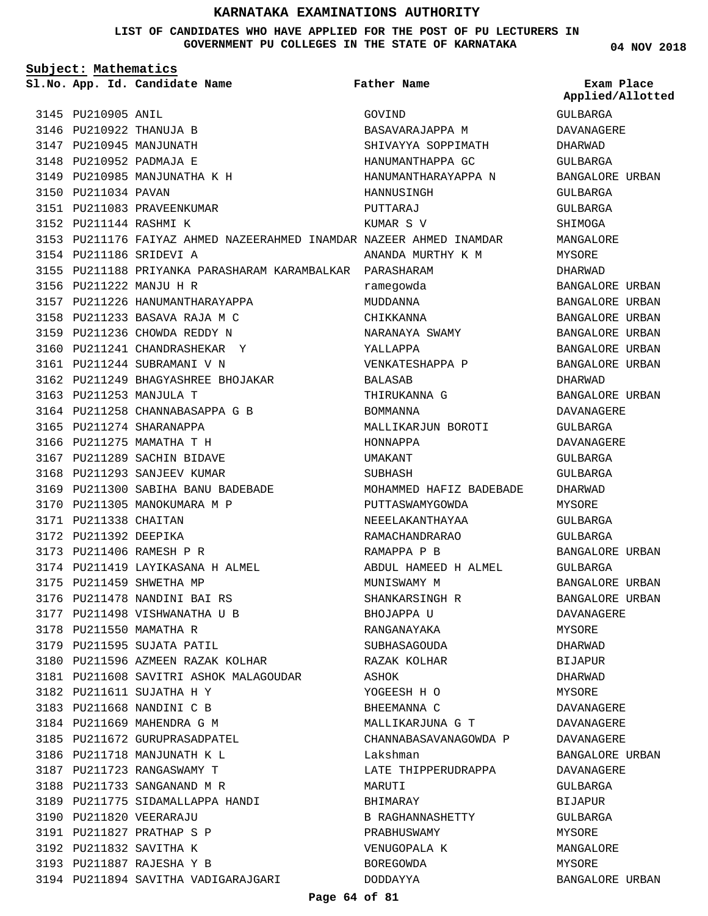**LIST OF CANDIDATES WHO HAVE APPLIED FOR THE POST OF PU LECTURERS IN GOVERNMENT PU COLLEGES IN THE STATE OF KARNATAKA**

**04 NOV 2018**

| Subject: Mathematics |                        |                                                                     |                         |                                |
|----------------------|------------------------|---------------------------------------------------------------------|-------------------------|--------------------------------|
|                      |                        | Sl.No. App. Id. Candidate Name                                      | Father Name             | Exam Place<br>Applied/Allotted |
|                      | 3145 PU210905 ANIL     |                                                                     | GOVIND                  | GULBARGA                       |
|                      |                        | 3146 PU210922 THANUJA B                                             | BASAVARAJAPPA M         | DAVANAGERE                     |
|                      |                        | 3147 PU210945 MANJUNATH                                             | SHIVAYYA SOPPIMATH      | DHARWAD                        |
|                      |                        | 3148 PU210952 PADMAJA E                                             | HANUMANTHAPPA GC        | GULBARGA                       |
|                      |                        | 3149 PU210985 MANJUNATHA K H                                        | HANUMANTHARAYAPPA N     | BANGALORE URBAN                |
|                      | 3150 PU211034 PAVAN    |                                                                     | HANNUSINGH              | GULBARGA                       |
|                      |                        | 3151 PU211083 PRAVEENKUMAR                                          | PUTTARAJ                | GULBARGA                       |
|                      | 3152 PU211144 RASHMI K |                                                                     | KUMAR S V               | SHIMOGA                        |
|                      |                        | 3153 PU211176 FAIYAZ AHMED NAZEERAHMED INAMDAR NAZEER AHMED INAMDAR |                         | MANGALORE                      |
|                      |                        | 3154 PU211186 SRIDEVI A                                             | ANANDA MURTHY K M       | MYSORE                         |
|                      |                        | 3155 PU211188 PRIYANKA PARASHARAM KARAMBALKAR PARASHARAM            |                         | DHARWAD                        |
|                      |                        | 3156 PU211222 MANJU H R                                             | ramegowda               | BANGALORE URBAN                |
|                      |                        | 3157 PU211226 HANUMANTHARAYAPPA                                     | MUDDANNA                | BANGALORE URBAN                |
|                      |                        | 3158 PU211233 BASAVA RAJA M C                                       | CHIKKANNA               | BANGALORE URBAN                |
|                      |                        | 3159 PU211236 CHOWDA REDDY N                                        | NARANAYA SWAMY          | BANGALORE URBAN                |
|                      |                        | 3160 PU211241 CHANDRASHEKAR Y                                       | YALLAPPA                | BANGALORE URBAN                |
|                      |                        | 3161 PU211244 SUBRAMANI V N                                         | VENKATESHAPPA P         | BANGALORE URBAN                |
|                      |                        | 3162 PU211249 BHAGYASHREE BHOJAKAR                                  | BALASAB                 | DHARWAD                        |
|                      |                        | 3163 PU211253 MANJULA T                                             | THIRUKANNA G            | BANGALORE URBAN                |
|                      |                        | 3164 PU211258 CHANNABASAPPA G B                                     | <b>BOMMANNA</b>         | DAVANAGERE                     |
|                      |                        | 3165 PU211274 SHARANAPPA                                            | MALLIKARJUN BOROTI      | GULBARGA                       |
|                      |                        | 3166 PU211275 MAMATHA T H                                           | HONNAPPA                | DAVANAGERE                     |
|                      |                        | 3167 PU211289 SACHIN BIDAVE                                         | UMAKANT                 | GULBARGA                       |
|                      |                        | 3168 PU211293 SANJEEV KUMAR                                         | SUBHASH                 | GULBARGA                       |
|                      |                        | 3169 PU211300 SABIHA BANU BADEBADE                                  | MOHAMMED HAFIZ BADEBADE | DHARWAD                        |
|                      |                        | 3170 PU211305 MANOKUMARA M P                                        | PUTTASWAMYGOWDA         | MYSORE                         |
|                      | 3171 PU211338 CHAITAN  |                                                                     | NEEELAKANTHAYAA         | GULBARGA                       |
|                      | 3172 PU211392 DEEPIKA  |                                                                     | RAMACHANDRARAO          | GULBARGA                       |
|                      |                        | 3173 PU211406 RAMESH P R                                            | RAMAPPA P B             | BANGALORE URBAN                |
|                      |                        | 3174 PU211419 LAYIKASANA H ALMEL                                    | ABDUL HAMEED H ALMEL    | GULBARGA                       |
|                      |                        | 3175 PU211459 SHWETHA MP                                            | MUNISWAMY M             | BANGALORE URBAN                |
|                      |                        | 3176 PU211478 NANDINI BAI RS                                        | SHANKARSINGH R          | BANGALORE URBAN                |
|                      |                        | 3177 PU211498 VISHWANATHA U B                                       | BHOJAPPA U              |                                |
|                      |                        |                                                                     | RANGANAYAKA             | DAVANAGERE                     |
|                      |                        | 3178 PU211550 MAMATHA R                                             |                         | MYSORE                         |
|                      |                        | 3179 PU211595 SUJATA PATIL                                          | SUBHASAGOUDA            | DHARWAD                        |
|                      |                        | 3180 PU211596 AZMEEN RAZAK KOLHAR                                   | RAZAK KOLHAR            | BIJAPUR                        |
|                      |                        | 3181 PU211608 SAVITRI ASHOK MALAGOUDAR                              | ASHOK                   | DHARWAD                        |
|                      |                        | 3182 PU211611 SUJATHA H Y                                           | YOGEESH H O             | MYSORE                         |
|                      |                        | 3183 PU211668 NANDINI C B                                           | BHEEMANNA C             | DAVANAGERE                     |
|                      |                        | 3184 PU211669 MAHENDRA G M                                          | MALLIKARJUNA G T        | DAVANAGERE                     |
|                      |                        | 3185 PU211672 GURUPRASADPATEL                                       | CHANNABASAVANAGOWDA P   | DAVANAGERE                     |
|                      |                        | 3186 PU211718 MANJUNATH K L                                         | Lakshman                | BANGALORE URBAN                |
|                      |                        | 3187 PU211723 RANGASWAMY T                                          | LATE THIPPERUDRAPPA     | DAVANAGERE                     |
|                      |                        | 3188 PU211733 SANGANAND M R                                         | MARUTI                  | GULBARGA                       |
|                      |                        | 3189 PU211775 SIDAMALLAPPA HANDI                                    | BHIMARAY                | BIJAPUR                        |
|                      |                        | 3190 PU211820 VEERARAJU                                             | B RAGHANNASHETTY        | GULBARGA                       |
|                      |                        | 3191 PU211827 PRATHAP S P                                           | PRABHUSWAMY             | MYSORE                         |
|                      |                        | 3192 PU211832 SAVITHA K                                             | VENUGOPALA K            | MANGALORE                      |
|                      |                        | 3193 PU211887 RAJESHA Y B                                           | BOREGOWDA               | MYSORE                         |
|                      |                        | 3194 PU211894 SAVITHA VADIGARAJGARI                                 | DODDAYYA                | BANGALORE URBAN                |

#### **Page 64 of 81**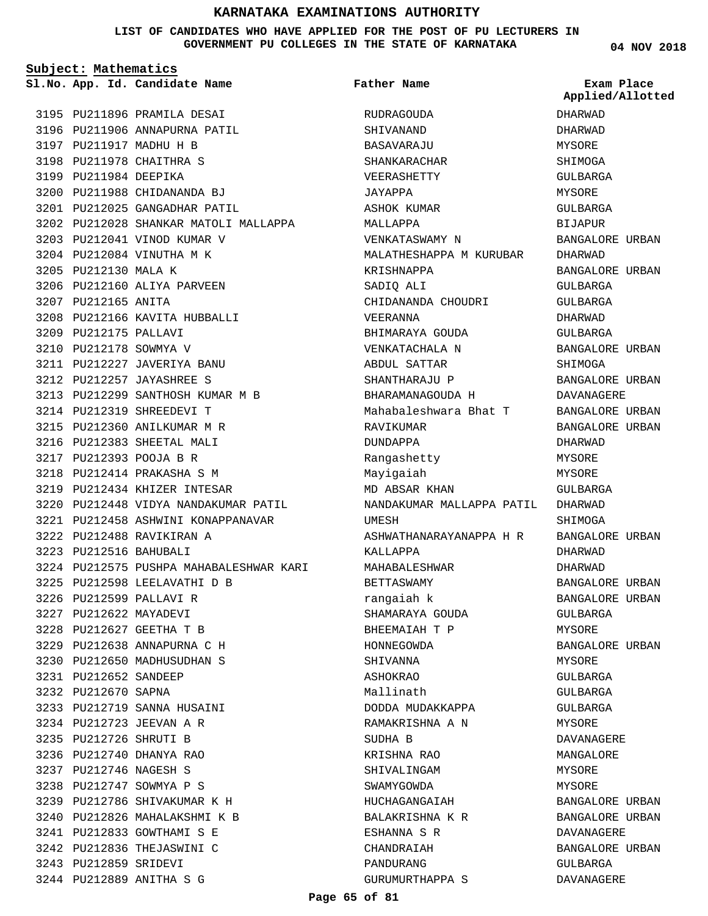#### **LIST OF CANDIDATES WHO HAVE APPLIED FOR THE POST OF PU LECTURERS IN GOVERNMENT PU COLLEGES IN THE STATE OF KARNATAKA**

**04 NOV 2018**

| Subject: Mathematics |                        |                                         |                           |                  |
|----------------------|------------------------|-----------------------------------------|---------------------------|------------------|
|                      |                        | Sl.No. App. Id. Candidate Name          | <b>Father Name</b>        | Exam Place       |
|                      |                        |                                         |                           | Applied/Allotted |
|                      |                        | 3195 PU211896 PRAMILA DESAI             | RUDRAGOUDA                | DHARWAD          |
|                      |                        | 3196 PU211906 ANNAPURNA PATIL           | SHIVANAND                 | DHARWAD          |
|                      |                        | 3197 PU211917 MADHU H B                 | BASAVARAJU                | MYSORE           |
|                      |                        | 3198 PU211978 CHAITHRA S                | SHANKARACHAR              | SHIMOGA          |
|                      | 3199 PU211984 DEEPIKA  |                                         | VEERASHETTY               | GULBARGA         |
|                      |                        | 3200 PU211988 CHIDANANDA BJ             | JAYAPPA                   | MYSORE           |
|                      |                        | 3201 PU212025 GANGADHAR PATIL           | ASHOK KUMAR               | GULBARGA         |
|                      |                        | 3202 PU212028 SHANKAR MATOLI MALLAPPA   | MALLAPPA                  | <b>BIJAPUR</b>   |
|                      |                        | 3203 PU212041 VINOD KUMAR V             | VENKATASWAMY N            | BANGALORE URBAN  |
|                      |                        | 3204 PU212084 VINUTHA M K               | MALATHESHAPPA M KURUBAR   | DHARWAD          |
|                      | 3205 PU212130 MALA K   |                                         | KRISHNAPPA                | BANGALORE URBAN  |
|                      |                        | 3206 PU212160 ALIYA PARVEEN             | SADIQ ALI                 | GULBARGA         |
|                      | 3207 PU212165 ANITA    |                                         | CHIDANANDA CHOUDRI        | GULBARGA         |
|                      |                        | 3208 PU212166 KAVITA HUBBALLI           | VEERANNA                  | DHARWAD          |
|                      | 3209 PU212175 PALLAVI  |                                         | BHIMARAYA GOUDA           | GULBARGA         |
|                      | 3210 PU212178 SOWMYA V |                                         | VENKATACHALA N            | BANGALORE URBAN  |
|                      |                        | 3211 PU212227 JAVERIYA BANU             | ABDUL SATTAR              | SHIMOGA          |
|                      |                        | 3212 PU212257 JAYASHREE S               | SHANTHARAJU P             | BANGALORE URBAN  |
|                      |                        | 3213 PU212299 SANTHOSH KUMAR M B        | BHARAMANAGOUDA H          | DAVANAGERE       |
|                      |                        | 3214 PU212319 SHREEDEVI T               | Mahabaleshwara Bhat T     | BANGALORE URBAN  |
|                      |                        | 3215 PU212360 ANILKUMAR M R             | RAVIKUMAR                 | BANGALORE URBAN  |
|                      |                        | 3216 PU212383 SHEETAL MALI              | DUNDAPPA                  | DHARWAD          |
|                      |                        | 3217 PU212393 POOJA B R                 | Rangashetty               | MYSORE           |
|                      |                        | 3218 PU212414 PRAKASHA S M              | Mayigaiah                 | MYSORE           |
|                      |                        | 3219 PU212434 KHIZER INTESAR            | MD ABSAR KHAN             | GULBARGA         |
|                      |                        | 3220 PU212448 VIDYA NANDAKUMAR PATIL    | NANDAKUMAR MALLAPPA PATIL | DHARWAD          |
|                      |                        | 3221 PU212458 ASHWINI KONAPPANAVAR      | UMESH                     | SHIMOGA          |
|                      |                        | 3222 PU212488 RAVIKIRAN A               | ASHWATHANARAYANAPPA H R   | BANGALORE URBAN  |
|                      | 3223 PU212516 BAHUBALI |                                         | KALLAPPA                  | DHARWAD          |
|                      |                        | 3224 PU212575 PUSHPA MAHABALESHWAR KARI | MAHABALESHWAR             | DHARWAD          |
|                      |                        | 3225 PU212598 LEELAVATHI D B            | BETTASWAMY                | BANGALORE URBAN  |
|                      |                        | 3226 PU212599 PALLAVI R                 | rangaiah k                | BANGALORE URBAN  |
|                      | 3227 PU212622 MAYADEVI |                                         | SHAMARAYA GOUDA           | GULBARGA         |
|                      |                        | 3228 PU212627 GEETHA T B                | BHEEMAIAH T P             | MYSORE           |
|                      |                        | 3229 PU212638 ANNAPURNA C H             | HONNEGOWDA                | BANGALORE URBAN  |
|                      |                        | 3230 PU212650 MADHUSUDHAN S             | SHIVANNA                  | <b>MYSORE</b>    |
|                      | 3231 PU212652 SANDEEP  |                                         | ASHOKRAO                  | GULBARGA         |
|                      | 3232 PU212670 SAPNA    |                                         | Mallinath                 | GULBARGA         |
|                      |                        | 3233 PU212719 SANNA HUSAINI             | DODDA MUDAKKAPPA          | GULBARGA         |
|                      |                        | 3234 PU212723 JEEVAN A R                | RAMAKRISHNA A N           | MYSORE           |
|                      | 3235 PU212726 SHRUTI B |                                         | SUDHA B                   | DAVANAGERE       |
|                      |                        | 3236 PU212740 DHANYA RAO                | KRISHNA RAO               | MANGALORE        |
|                      | 3237 PU212746 NAGESH S |                                         | SHIVALINGAM               | MYSORE           |
|                      |                        | 3238 PU212747 SOWMYA P S                | SWAMYGOWDA                | MYSORE           |
|                      |                        | 3239 PU212786 SHIVAKUMAR K H            | HUCHAGANGAIAH             | BANGALORE URBAN  |
|                      |                        | 3240 PU212826 MAHALAKSHMI K B           | BALAKRISHNA K R           | BANGALORE URBAN  |
|                      |                        | 3241 PU212833 GOWTHAMI S E              | ESHANNA S R               | DAVANAGERE       |
|                      |                        | 3242 PU212836 THEJASWINI C              | CHANDRAIAH                | BANGALORE URBAN  |
|                      | 3243 PU212859 SRIDEVI  |                                         | PANDURANG                 | GULBARGA         |
|                      |                        | 3244 PU212889 ANITHA S G                | GURUMURTHAPPA S           | DAVANAGERE       |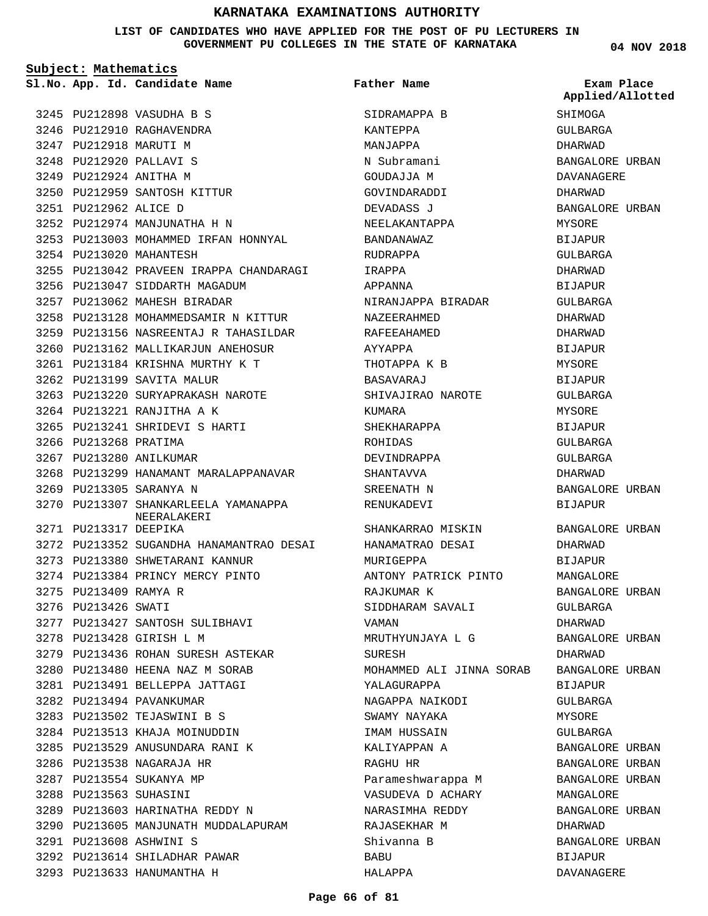#### **LIST OF CANDIDATES WHO HAVE APPLIED FOR THE POST OF PU LECTURERS IN GOVERNMENT PU COLLEGES IN THE STATE OF KARNATAKA**

**Subject: Mathematics**

**Father Name**

**04 NOV 2018**

|                        | Sl.No. App. Id. Candidate Name           | Father Name              | Exam Place<br>Applied/Allotted |
|------------------------|------------------------------------------|--------------------------|--------------------------------|
|                        | 3245 PU212898 VASUDHA B S                | SIDRAMAPPA B             | SHIMOGA                        |
|                        | 3246 PU212910 RAGHAVENDRA                | KANTEPPA                 | GULBARGA                       |
|                        | 3247 PU212918 MARUTI M                   | MANJAPPA                 | DHARWAD                        |
|                        | 3248 PU212920 PALLAVI S                  | N Subramani              | BANGALORE URBAN                |
| 3249 PU212924 ANITHA M |                                          | GOUDAJJA M               | DAVANAGERE                     |
|                        | 3250 PU212959 SANTOSH KITTUR             | GOVINDARADDI             | DHARWAD                        |
| 3251 PU212962 ALICE D  |                                          | DEVADASS J               | BANGALORE URBAN                |
|                        | 3252 PU212974 MANJUNATHA H N             | NEELAKANTAPPA            | MYSORE                         |
|                        | 3253 PU213003 MOHAMMED IRFAN HONNYAL     | <b>BANDANAWAZ</b>        | <b>BIJAPUR</b>                 |
|                        | 3254 PU213020 MAHANTESH                  | RUDRAPPA                 | GULBARGA                       |
|                        | 3255 PU213042 PRAVEEN IRAPPA CHANDARAGI  | IRAPPA                   | DHARWAD                        |
|                        | 3256 PU213047 SIDDARTH MAGADUM           | APPANNA                  | BIJAPUR                        |
|                        | 3257 PU213062 MAHESH BIRADAR             | NIRANJAPPA BIRADAR       | GULBARGA                       |
|                        | 3258 PU213128 MOHAMMEDSAMIR N KITTUR     | NAZEERAHMED              | DHARWAD                        |
|                        | 3259 PU213156 NASREENTAJ R TAHASILDAR    | RAFEEAHAMED              | DHARWAD                        |
|                        | 3260 PU213162 MALLIKARJUN ANEHOSUR       | AYYAPPA                  | BIJAPUR                        |
|                        | 3261 PU213184 KRISHNA MURTHY K T         | THOTAPPA K B             | MYSORE                         |
|                        | 3262 PU213199 SAVITA MALUR               | BASAVARAJ                | <b>BIJAPUR</b>                 |
|                        | 3263 PU213220 SURYAPRAKASH NAROTE        | SHIVAJIRAO NAROTE        | GULBARGA                       |
|                        | 3264 PU213221 RANJITHA A K               | KUMARA                   | MYSORE                         |
|                        | 3265 PU213241 SHRIDEVI S HARTI           | SHEKHARAPPA              | <b>BIJAPUR</b>                 |
| 3266 PU213268 PRATIMA  |                                          | ROHIDAS                  | GULBARGA                       |
|                        | 3267 PU213280 ANILKUMAR                  | DEVINDRAPPA              | GULBARGA                       |
|                        | 3268 PU213299 HANAMANT MARALAPPANAVAR    | SHANTAVVA                | DHARWAD                        |
|                        | 3269 PU213305 SARANYA N                  | SREENATH N               | BANGALORE URBAN                |
|                        | 3270 PU213307 SHANKARLEELA YAMANAPPA     | RENUKADEVI               | <b>BIJAPUR</b>                 |
| 3271 PU213317 DEEPIKA  | NEERALAKERI                              | SHANKARRAO MISKIN        | BANGALORE URBAN                |
|                        | 3272 PU213352 SUGANDHA HANAMANTRAO DESAI | HANAMATRAO DESAI         | DHARWAD                        |
|                        | 3273 PU213380 SHWETARANI KANNUR          | MURIGEPPA                | <b>BIJAPUR</b>                 |
|                        | 3274 PU213384 PRINCY MERCY PINTO         | ANTONY PATRICK PINTO     | MANGALORE                      |
| 3275 PU213409 RAMYA R  |                                          | RAJKUMAR K               | BANGALORE URBAN                |
| 3276 PU213426 SWATI    |                                          | SIDDHARAM SAVALI         | GULBARGA                       |
|                        | 3277 PU213427 SANTOSH SULIBHAVI          | VAMAN                    | DHARWAD                        |
|                        | 3278 PU213428 GIRISH L M                 | MRUTHYUNJAYA L G         | BANGALORE URBAN                |
|                        | 3279 PU213436 ROHAN SURESH ASTEKAR       | SURESH                   | DHARWAD                        |
|                        | 3280 PU213480 HEENA NAZ M SORAB          | MOHAMMED ALI JINNA SORAB | BANGALORE URBAN                |
|                        | 3281 PU213491 BELLEPPA JATTAGI           | YALAGURAPPA              | <b>BIJAPUR</b>                 |
|                        | 3282 PU213494 PAVANKUMAR                 | NAGAPPA NAIKODI          | GULBARGA                       |
|                        | 3283 PU213502 TEJASWINI B S              | SWAMY NAYAKA             | MYSORE                         |
|                        | 3284 PU213513 KHAJA MOINUDDIN            | IMAM HUSSAIN             | GULBARGA                       |
|                        | 3285 PU213529 ANUSUNDARA RANI K          | KALIYAPPAN A             | BANGALORE URBAN                |
|                        | 3286 PU213538 NAGARAJA HR                | RAGHU HR                 | BANGALORE URBAN                |
|                        | 3287 PU213554 SUKANYA MP                 | Parameshwarappa M        | BANGALORE URBAN                |
| 3288 PU213563 SUHASINI |                                          | VASUDEVA D ACHARY        | MANGALORE                      |
|                        | 3289 PU213603 HARINATHA REDDY N          | NARASIMHA REDDY          | BANGALORE URBAN                |
|                        | 3290 PU213605 MANJUNATH MUDDALAPURAM     | RAJASEKHAR M             | DHARWAD                        |
|                        | 3291 PU213608 ASHWINI S                  | Shivanna B               | BANGALORE URBAN                |
|                        | 3292 PU213614 SHILADHAR PAWAR            | <b>BABU</b>              | BIJAPUR                        |
|                        | 3293 PU213633 HANUMANTHA H               | HALAPPA                  | DAVANAGERE                     |
|                        |                                          |                          |                                |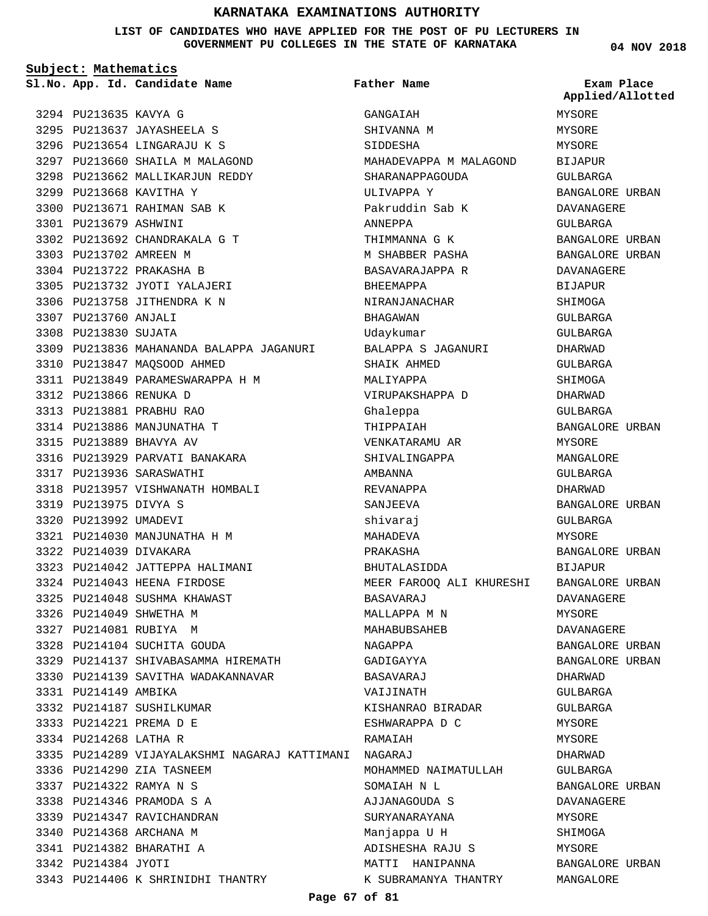#### **LIST OF CANDIDATES WHO HAVE APPLIED FOR THE POST OF PU LECTURERS IN GOVERNMENT PU COLLEGES IN THE STATE OF KARNATAKA**

**Subject: Mathematics**

3294 PU213635 KAVYA G

3299 PU213668 KAVITHA Y 3300 PU213671 RAHIMAN SAB K

PU213692 CHANDRAKALA G T 3302

3310 PU213847 MAQSOOD AHMED

PU213849 PARAMESWARAPPA H M 3311

3316 PU213929 PARVATI BANAKARA

PU214030 MANJUNATHA H M 3321

3323 PU214042 JATTEPPA HALIMANI PU214043 HEENA FIRDOSE 3324 3325 PU214048 SUSHMA KHAWAST

PU214137 SHIVABASAMMA HIREMATH 3329 3330 PU214139 SAVITHA WADAKANNAVAR

3318 PU213957 VISHWANATH HOMBALI

3309 PU213836 MAHANANDA BALAPPA JAGANURI

3301 PU213679 ASHWINI

3303 PU213702 AMREEN M 3304 PU213722 PRAKASHA B 3305 PU213732 JYOTI YALAJERI 3306 PU213758 JITHENDRA K N

3307 PU213760 ANJALI 3308 PU213830 SUJATA

PU213866 RENUKA D 3312 PU213881 PRABHU RAO 3313 3314 PU213886 MANJUNATHA T PU213889 BHAVYA AV 3315

3317 PU213936 SARASWATHI

3319 PU213975 DIVYA S 3320 PU213992 UMADEVI

3322 PU214039 DIVAKARA

3326 PU214049 SHWETHA M 3327 PU214081 RUBIYA M PU214104 SUCHITA GOUDA 3328

3331 PU214149 AMBIKA

3342 PU214384 JYOTI

3332 PU214187 SUSHILKUMAR PU214221 PREMA D E 3333 3334 PU214268 LATHA R

3336 PU214290 ZIA TASNEEM PU214322 RAMYA N S 3337 PU214346 PRAMODA S A 3338 3339 PU214347 RAVICHANDRAN 3340 PU214368 ARCHANA M PU214382 BHARATHI A 3341

3343 PU214406 K SHRINIDHI THANTRY

**App. Id. Candidate Name Sl.No. Exam Place**

PU213637 JAYASHEELA S 3295 3296 PU213654 LINGARAJU K S 3297 PU213660 SHAILA M MALAGOND 3298 PU213662 MALLIKARJUN REDDY **Father Name**

PU214289 VIJAYALAKSHMI NAGARAJ KATTIMANI NAGARAJ 3335 GANGAIAH SHIVANNA M SIDDESHA MAHADEVAPPA M MALAGOND SHARANAPPAGOUDA ULIVAPPA Y Pakruddin Sab K ANNEPPA THIMMANNA G K M SHABBER PASHA BASAVARAJAPPA R BHEEMAPPA NIRANJANACHAR BHAGAWAN Udaykumar BALAPPA S JAGANURI SHAIK AHMED MALIYADDA VIRUPAKSHAPPA D Ghaleppa THIPPAIAH VENKATARAMU AR SHIVALINGAPPA AMBANNA REVANAPPA SANJEEVA shivaraj MAHADEVA PRAKASHA BHUTALASIDDA MEER FAROOQ ALI KHURESHI BANGALORE URBAN BASAVARAJ MALLAPPA M N MAHABUBSAHEB NAGAPPA GADIGAYYA BASAVARAJ VAIJINATH KISHANRAO BIRADAR ESHWARAPPA D C RAMAIAH MOHAMMED NAIMATULLAH SOMATAH N L AJJANAGOUDA S SURYANARAYANA Manjappa U H ADISHESHA RAJU S MATTI HANIPANNA K SUBRAMANYA THANTRY

**04 NOV 2018**

**Applied/Allotted**

MYSORE

MYSORE MYSORE BIJAPUR GULBARGA BANGALORE URBAN DAVANAGERE GULBARGA BANGALORE URBAN BANGALORE URBAN DAVANAGERE **BIJAPUR** SHIMOGA GULBARGA GULBARGA DHARWAD GULBARGA **SHIMOGA** DHARWAD GULBARGA BANGALORE URBAN MYSORE MANGALORE GULBARGA DHARWAD BANGALORE URBAN GULBARGA MYSORE BANGALORE URBAN BIJAPUR DAVANAGERE MYSORE DAVANAGERE BANGALORE URBAN BANGALORE URBAN DHARWAD GULBARGA GULBARGA MYSORE MYSORE DHARWAD GULBARGA BANGALORE URBAN DAVANAGERE MYSORE SHIMOGA MYSORE BANGALORE URBAN MANGALORE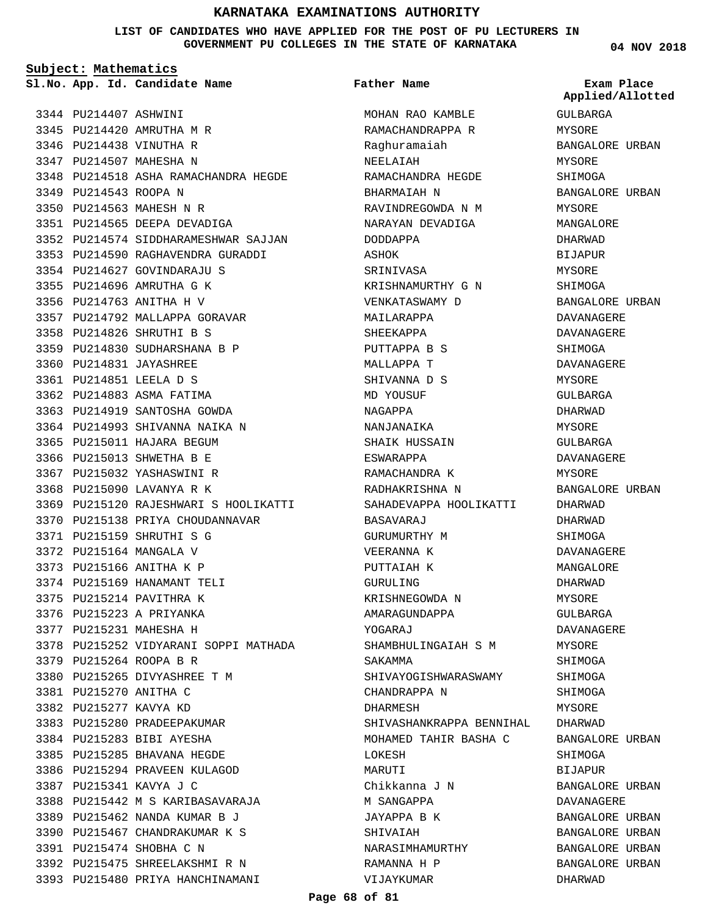**LIST OF CANDIDATES WHO HAVE APPLIED FOR THE POST OF PU LECTURERS IN GOVERNMENT PU COLLEGES IN THE STATE OF KARNATAKA**

> MOHAN RAO KAMBLE RAMACHANDRAPPA R

**Father Name**

**Subject: Mathematics**

**App. Id. Candidate Name Sl.No. Exam Place**

3344 PU214407 ASHWINI 3345 PU214420 AMRUTHA M R 3346 PU214438 VINUTHA R 3347 PU214507 MAHESHA N PU214518 ASHA RAMACHANDRA HEGDE 3348 3349 PU214543 ROOPA N 3350 PU214563 MAHESH N R 3351 PU214565 DEEPA DEVADIGA 3352 PU214574 SIDDHARAMESHWAR SAJJAN 3353 PU214590 RAGHAVENDRA GURADDI 3354 PU214627 GOVINDARAJU S 3355 PU214696 AMRUTHA G K 3356 PU214763 ANITHA H V 3357 PU214792 MALLAPPA GORAVAR PU214826 SHRUTHI B S 3358 3359 PU214830 SUDHARSHANA B P 3360 PU214831 JAYASHREE PU214851 LEELA D S 3361 3362 PU214883 ASMA FATIMA 3363 PU214919 SANTOSHA GOWDA 3364 PU214993 SHIVANNA NAIKA N 3365 PU215011 HAJARA BEGUM 3366 PU215013 SHWETHA B E 3367 PU215032 YASHASWINI R 3368 PU215090 LAVANYA R K 3369 PU215120 RAJESHWARI S HOOLIKATTI 3370 PU215138 PRIYA CHOUDANNAVAR PU215159 SHRUTHI S G 3371 3372 PU215164 MANGALA V 3373 PU215166 ANITHA K P 3374 PU215169 HANAMANT TELI 3375 PU215214 PAVITHRA K 3376 PU215223 A PRIYANKA 3377 PU215231 MAHESHA H 3378 PU215252 VIDYARANI SOPPI MATHADA 3379 PU215264 ROOPA B R 3380 PU215265 DIVYASHREE T M PU215270 ANITHA C 3381 3382 PU215277 KAVYA KD 3383 PU215280 PRADEEPAKUMAR 3384 PU215283 BIBI AYESHA 3385 PU215285 BHAVANA HEGDE 3386 PU215294 PRAVEEN KULAGOD 3387 PU215341 KAVYA J C 3388 PU215442 M S KARIBASAVARAJA PU215462 NANDA KUMAR B J 3389 3390 PU215467 CHANDRAKUMAR K S PU215474 SHOBHA C N 3391 3392 PU215475 SHREELAKSHMI R N 3393 PU215480 PRIYA HANCHINAMANI

Raghuramaiah NEELAIAH RAMACHANDRA HEGDE BHARMAIAH N RAVINDREGOWDA N M NARAYAN DEVADIGA DODDAPPA ASHOK SRINIVASA KRISHNAMURTHY G N VENKATASWAMY D MAILARAPPA SHEEKAPPA PUTTAPPA B S MALLAPPA T SHIVANNA D S MD YOUSUF NAGAPPA NANJANAIKA SHAIK HUSSAIN ESWARAPPA RAMACHANDRA K RADHAKRISHNA N SAHADEVAPPA HOOLIKATTI BASAVARAJ GURUMURTHY M VEERANNA K PUTTAIAH K GURULING KRISHNEGOWDA N AMARAGUNDAPPA YOGARAJ SHAMBHULINGAIAH S M **SAKAMMA** SHIVAYOGISHWARASWAMY CHANDRAPPA N DHARMESH SHIVASHANKRAPPA BENNIHAL MOHAMED TAHIR BASHA C LOKESH MARUTI Chikkanna J N M SANGAPPA JAYAPPA B K SHIVAIAH NARASIMHAMURTHY RAMANNA H P VIJAYKUMAR

**04 NOV 2018**

GULBARGA MYSORE BANGALORE URBAN MYSORE SHIMOGA BANGALORE URBAN MYSORE MANGALORE DHARWAD BIJAPUR MYSORE SHIMOGA BANGALORE URBAN DAVANAGERE DAVANAGERE SHIMOGA DAVANAGERE **MYSORE** GULBARGA DHARWAD MYSORE GULBARGA DAVANAGERE MYSORE BANGALORE URBAN DHARWAD DHARWAD SHIMOGA DAVANAGERE MANGALORE DHARWAD MYSORE GULBARGA DAVANAGERE MYSORE **SHIMOGA** SHIMOGA SHIMOGA MYSORE DHARWAD BANGALORE URBAN SHIMOGA BIJAPUR BANGALORE URBAN **DAVANAGERE** BANGALORE URBAN BANGALORE URBAN BANGALORE URBAN BANGALORE URBAN DHARWAD **Applied/Allotted**

**Page 68 of 81**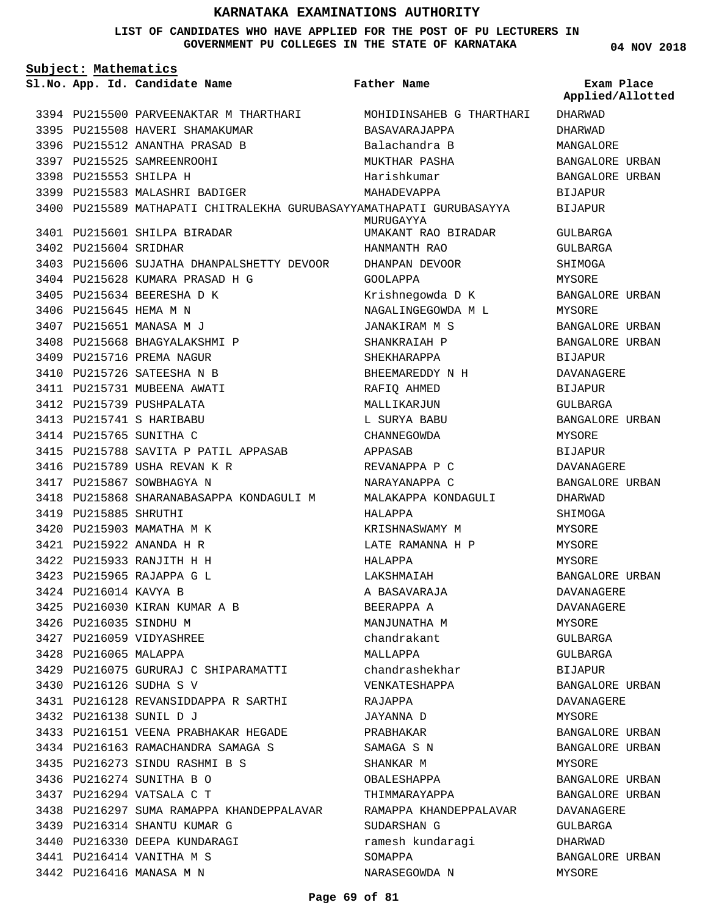#### **LIST OF CANDIDATES WHO HAVE APPLIED FOR THE POST OF PU LECTURERS IN GOVERNMENT PU COLLEGES IN THE STATE OF KARNATAKA**

**04 NOV 2018**

| Subject: Mathematics |                        |                                                                      |                          |                                |
|----------------------|------------------------|----------------------------------------------------------------------|--------------------------|--------------------------------|
|                      |                        | Sl.No. App. Id. Candidate Name                                       | Father Name              | Exam Place<br>Applied/Allotted |
|                      |                        | 3394 PU215500 PARVEENAKTAR M THARTHARI                               | MOHIDINSAHEB G THARTHARI | DHARWAD                        |
|                      |                        | 3395 PU215508 HAVERI SHAMAKUMAR                                      | BASAVARAJAPPA            | DHARWAD                        |
|                      |                        | 3396 PU215512 ANANTHA PRASAD B                                       | Balachandra B            | MANGALORE                      |
|                      |                        | 3397 PU215525 SAMREENROOHI                                           | MUKTHAR PASHA            | BANGALORE URBAN                |
|                      | 3398 PU215553 SHILPA H |                                                                      | Harishkumar              | BANGALORE URBAN                |
|                      |                        | 3399 PU215583 MALASHRI BADIGER                                       | MAHADEVAPPA              | BIJAPUR                        |
|                      |                        | 3400 PU215589 MATHAPATI CHITRALEKHA GURUBASAYYAMATHAPATI GURUBASAYYA | MURUGAYYA                | BIJAPUR                        |
|                      |                        | 3401 PU215601 SHILPA BIRADAR                                         | UMAKANT RAO BIRADAR      | GULBARGA                       |
|                      | 3402 PU215604 SRIDHAR  |                                                                      | HANMANTH RAO             | GULBARGA                       |
|                      |                        | 3403 PU215606 SUJATHA DHANPALSHETTY DEVOOR                           | DHANPAN DEVOOR           | SHIMOGA                        |
|                      |                        | 3404 PU215628 KUMARA PRASAD H G                                      | GOOLAPPA                 | MYSORE                         |
|                      |                        | 3405 PU215634 BEERESHA D K                                           | Krishnegowda D K         | BANGALORE URBAN                |
|                      | 3406 PU215645 HEMA M N |                                                                      | NAGALINGEGOWDA M L       | MYSORE                         |
|                      |                        | 3407 PU215651 MANASA M J                                             | <b>JANAKIRAM M S</b>     | BANGALORE URBAN                |
|                      |                        | 3408 PU215668 BHAGYALAKSHMI P                                        | SHANKRAIAH P             | BANGALORE URBAN                |
|                      |                        | 3409 PU215716 PREMA NAGUR                                            | SHEKHARAPPA              | BIJAPUR                        |
|                      |                        | 3410 PU215726 SATEESHA N B                                           | BHEEMAREDDY N H          | DAVANAGERE                     |
|                      |                        | 3411 PU215731 MUBEENA AWATI                                          | RAFIQ AHMED              | BIJAPUR                        |
|                      |                        | 3412 PU215739 PUSHPALATA                                             | MALLIKARJUN              | GULBARGA                       |
|                      |                        | 3413 PU215741 S HARIBABU                                             | L SURYA BABU             | BANGALORE URBAN                |
|                      |                        | 3414 PU215765 SUNITHA C                                              | CHANNEGOWDA              | MYSORE                         |
|                      |                        | 3415 PU215788 SAVITA P PATIL APPASAB                                 | APPASAB                  | BIJAPUR                        |
|                      |                        | 3416 PU215789 USHA REVAN K R                                         | REVANAPPA P C            | DAVANAGERE                     |
|                      |                        | 3417 PU215867 SOWBHAGYA N                                            | NARAYANAPPA C            | BANGALORE URBAN                |
|                      |                        | 3418 PU215868 SHARANABASAPPA KONDAGULI M                             | MALAKAPPA KONDAGULI      | DHARWAD                        |
|                      | 3419 PU215885 SHRUTHI  |                                                                      | HALAPPA                  | SHIMOGA                        |
|                      |                        | 3420 PU215903 MAMATHA M K                                            | KRISHNASWAMY M           | MYSORE                         |
|                      |                        | 3421 PU215922 ANANDA H R                                             | LATE RAMANNA H P         | MYSORE                         |
|                      |                        | 3422 PU215933 RANJITH H H                                            | HALAPPA                  | MYSORE                         |
|                      |                        | 3423 PU215965 RAJAPPA G L                                            | LAKSHMAIAH               | BANGALORE URBAN                |
|                      | 3424 PU216014 KAVYA B  |                                                                      | A BASAVARAJA             | DAVANAGERE                     |
|                      |                        | 3425 PU216030 KIRAN KUMAR A B                                        | BEERAPPA A               | DAVANAGERE                     |
|                      | 3426 PU216035 SINDHU M |                                                                      | MANJUNATHA M             | MYSORE                         |
|                      |                        | 3427 PU216059 VIDYASHREE                                             | chandrakant              | GULBARGA                       |
|                      | 3428 PU216065 MALAPPA  |                                                                      | MALLAPPA                 | GULBARGA                       |
|                      |                        | 3429 PU216075 GURURAJ C SHIPARAMATTI                                 | chandrashekhar           | BIJAPUR                        |
|                      |                        | 3430 PU216126 SUDHA S V                                              | VENKATESHAPPA            | BANGALORE URBAN                |
|                      |                        | 3431 PU216128 REVANSIDDAPPA R SARTHI                                 | RAJAPPA                  | DAVANAGERE                     |
|                      |                        | 3432 PU216138 SUNIL D J                                              | JAYANNA D                | MYSORE                         |
|                      |                        | 3433 PU216151 VEENA PRABHAKAR HEGADE                                 | PRABHAKAR                | BANGALORE URBAN                |
|                      |                        | 3434 PU216163 RAMACHANDRA SAMAGA S                                   | SAMAGA S N               | BANGALORE URBAN                |
|                      |                        | 3435 PU216273 SINDU RASHMI B S                                       | SHANKAR M                | MYSORE                         |
|                      |                        | 3436 PU216274 SUNITHA B O                                            | OBALESHAPPA              | BANGALORE URBAN                |
|                      |                        | 3437 PU216294 VATSALA C T                                            | THIMMARAYAPPA            | BANGALORE URBAN                |
|                      |                        | 3438 PU216297 SUMA RAMAPPA KHANDEPPALAVAR                            | RAMAPPA KHANDEPPALAVAR   | DAVANAGERE                     |
|                      |                        | 3439 PU216314 SHANTU KUMAR G                                         | SUDARSHAN G              | GULBARGA                       |
|                      |                        | 3440 PU216330 DEEPA KUNDARAGI                                        | ramesh kundaragi         | DHARWAD                        |
|                      |                        | 3441 PU216414 VANITHA M S                                            | SOMAPPA                  | BANGALORE URBAN                |
|                      |                        | 3442 PU216416 MANASA M N                                             | NARASEGOWDA N            | MYSORE                         |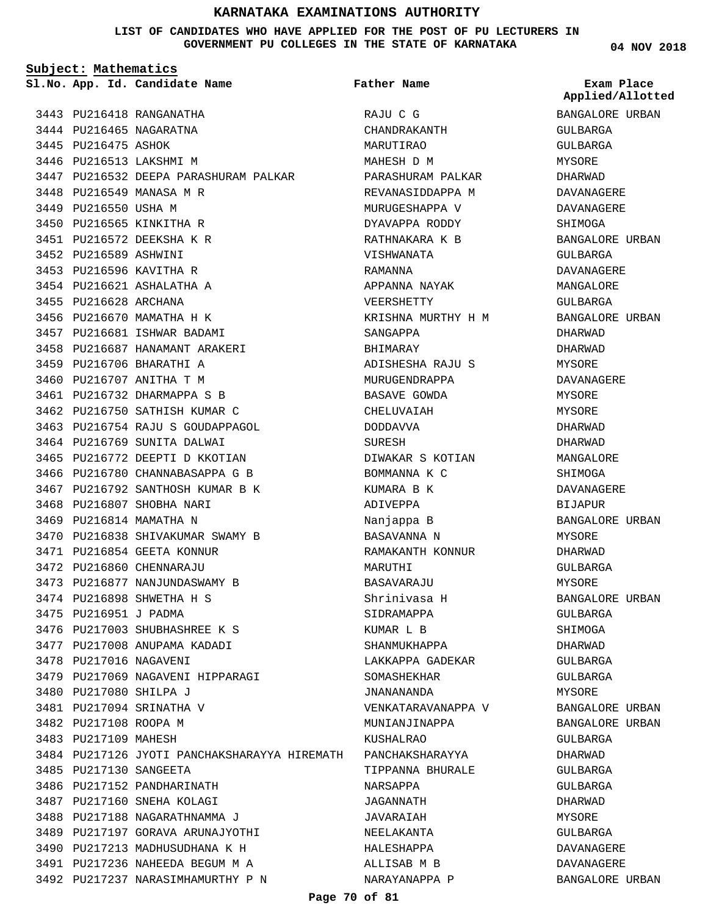**LIST OF CANDIDATES WHO HAVE APPLIED FOR THE POST OF PU LECTURERS IN GOVERNMENT PU COLLEGES IN THE STATE OF KARNATAKA**

**Father Name**

**Subject: Mathematics**

**App. Id. Candidate Name Sl.No. Exam Place**

3443 PU216418 RANGANATHA 3444 PU216465 NAGARATNA 3445 PU216475 ASHOK 3446 PU216513 LAKSHMI M 3447 PU216532 DEEPA PARASHURAM PALKAR 3448 PU216549 MANASA M R 3449 PU216550 USHA M 3450 PU216565 KINKITHA R PU216572 DEEKSHA K R 3451 3452 PU216589 ASHWINI 3453 PU216596 KAVITHA R 3454 PU216621 ASHALATHA A 3455 PU216628 ARCHANA 3456 PU216670 MAMATHA H K 3457 PU216681 ISHWAR BADAMI 3458 PU216687 HANAMANT ARAKERI 3459 PU216706 BHARATHI A 3460 PU216707 ANITHA T M PU216732 DHARMAPPA S B 3461 3462 PU216750 SATHISH KUMAR C 3463 PU216754 RAJU S GOUDAPPAGOL 3464 PU216769 SUNITA DALWAI 3465 PU216772 DEEPTI D KKOTIAN 3466 PU216780 CHANNABASAPPA G B 3467 PU216792 SANTHOSH KUMAR B K 3468 PU216807 SHOBHA NARI 3469 PU216814 MAMATHA N 3470 PU216838 SHIVAKUMAR SWAMY B 3471 PU216854 GEETA KONNUR 3472 PU216860 CHENNARAJU 3473 PU216877 NANJUNDASWAMY B 3474 PU216898 SHWETHA H S 3475 PU216951 J PADMA 3476 PU217003 SHUBHASHREE K S 3477 PU217008 ANUPAMA KADADI 3478 PU217016 NAGAVENI 3479 PU217069 NAGAVENI HIPPARAGI 3480 PU217080 SHILPA J 3481 PU217094 SRINATHA V 3482 PU217108 ROOPA M 3483 PU217109 MAHESH 3484 PU217126 JYOTI PANCHAKSHARAYYA HIREMATH PANCHAKSHARAYYA 3485 PU217130 SANGEETA 3486 PU217152 PANDHARINATH 3487 PU217160 SNEHA KOLAGI 3488 PU217188 NAGARATHNAMMA J 3489 PU217197 GORAVA ARUNAJYOTHI 3490 PU217213 MADHUSUDHANA K H PU217236 NAHEEDA BEGUM M A 3491 3492 PU217237 NARASIMHAMURTHY P N

RAJU C G CHANDRAKANTH MARUTIRAO MAHESH D M PARASHURAM PALKAR REVANASIDDAPPA M MURUGESHAPPA V DYAVAPPA RODDY RATHNAKARA K B VISHWANATA RAMANNA APPANNA NAYAK VEERSHETTY KRISHNA MURTHY H M SANGAPPA BHIMARAY ADISHESHA RAJU S MURUGENDRAPPA BASAVE GOWDA CHELUVAIAH DODDAVVA SURESH DIWAKAR S KOTIAN BOMMANNA K C KUMARA B K ADIVEPPA Nanjappa B BASAVANNA N RAMAKANTH KONNUR MARUTHI BASAVARAJU Shrinivasa H SIDRAMAPPA KUMAR L B SHANMUKHAPPA LAKKAPPA GADEKAR SOMASHEKHAR JNANANANDA VENKATARAVANAPPA V MUNIANJINAPPA KUSHALRAO TIPPANNA BHURALE NARSAPPA JAGANNATH JAVARAIAH NEELAKANTA HALESHAPPA ALLISAB M B NARAYANAPPA P

#### **04 NOV 2018**

**Applied/Allotted**

# BANGALORE URBAN GULBARGA GULBARGA MYSORE DHARWAD DAVANAGERE DAVANAGERE SHIMOGA BANGALORE URBAN GULBARGA DAVANAGERE MANGALORE GULBARGA BANGALORE URBAN DHARWAD DHARWAD MYSORE DAVANAGERE MYSORE MYSORE DHARWAD DHARWAD MANGALORE SHIMOGA DAVANAGERE BIJAPUR BANGALORE URBAN MYSORE DHARWAD GULBARGA MYSORE BANGALORE URBAN GULBARGA SHIMOGA DHARWAD GULBARGA GULBARGA MYSORE BANGALORE URBAN BANGALORE URBAN GULBARGA DHARWAD GULBARGA GULBARGA DHARWAD MYSORE GULBARGA DAVANAGERE DAVANAGERE BANGALORE URBAN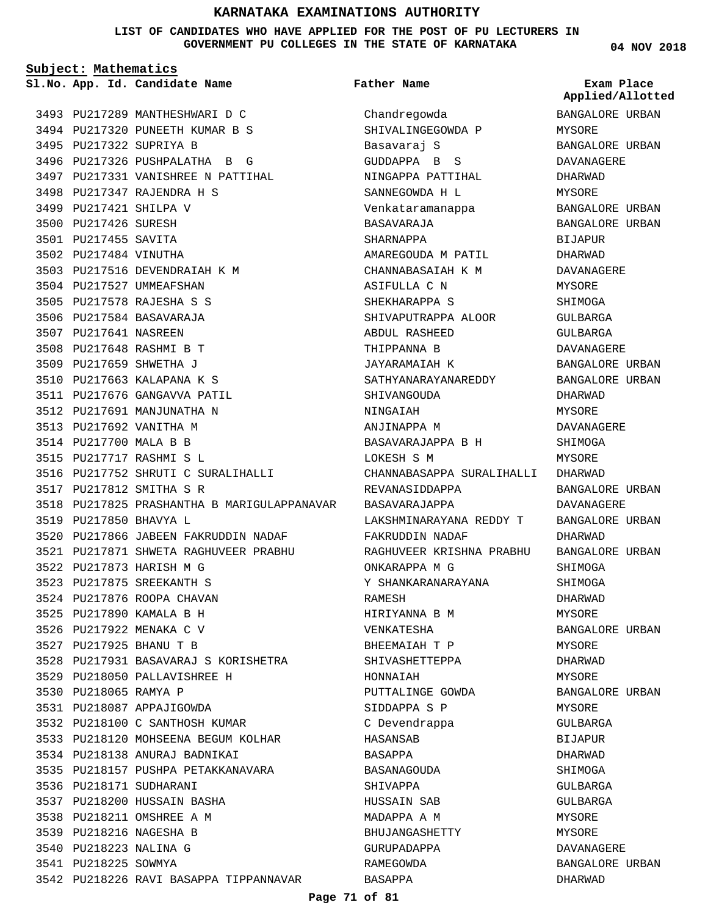**LIST OF CANDIDATES WHO HAVE APPLIED FOR THE POST OF PU LECTURERS IN GOVERNMENT PU COLLEGES IN THE STATE OF KARNATAKA**

**Subject: Mathematics**

**App. Id. Candidate Name Sl.No. Exam Place**

3493 PU217289 MANTHESHWARI D C 3494 PU217320 PUNEETH KUMAR B S 3495 PU217322 SUPRIYA B 3496 PU217326 PUSHPALATHA B G 3497 PU217331 VANISHREE N PATTIHAL PU217347 RAJENDRA H S 3498 3499 PU217421 SHILPA V 3500 PU217426 SURESH 3501 PU217455 SAVITA 3502 PU217484 VINUTHA 3503 PU217516 DEVENDRAIAH K M 3504 PU217527 UMMEAFSHAN PU217578 RAJESHA S S 3505 3506 PU217584 BASAVARAJA 3507 PU217641 NASREEN 3508 PU217648 RASHMI B T 3509 PU217659 SHWETHA J 3510 PU217663 KALAPANA K S 3511 PU217676 GANGAVVA PATIL 3512 PU217691 MANJUNATHA N 3513 PU217692 VANITHA M 3514 PU217700 MALA B B PU217717 RASHMI S L 3515 3516 PU217752 SHRUTI C SURALIHALLI PU217812 SMITHA S R 3517 3518 PU217825 PRASHANTHA B MARIGULAPPANAVAR 3519 PU217850 BHAVYA L 3520 PU217866 JABEEN FAKRUDDIN NADAF PU217871 SHWETA RAGHUVEER PRABHU 3521 3522 PU217873 HARISH M G PU217875 SREEKANTH S 3523 3524 PU217876 ROOPA CHAVAN PU217890 KAMALA B H 3525 3526 PU217922 MENAKA C V PU217925 BHANU T B 3527 PU217931 BASAVARAJ S KORISHETRA 3528 3529 PU218050 PALLAVISHREE H 3530 PU218065 RAMYA P 3531 PU218087 APPAJIGOWDA 3532 PU218100 C SANTHOSH KUMAR 3533 PU218120 MOHSEENA BEGUM KOLHAR 3534 PU218138 ANURAJ BADNIKAI 3535 PU218157 PUSHPA PETAKKANAVARA 3536 PU218171 SUDHARANI PU218200 HUSSAIN BASHA 3537 3538 PU218211 OMSHREE A M 3539 PU218216 NAGESHA B 3540 PU218223 NALINA G 3541 PU218225 SOWMYA 3542 PU218226 RAVI BASAPPA TIPPANNAVAR

## **Father Name**

Chandregowda SHIVALINGEGOWDA P Basavaraj S GUDDAPPA B S NINGAPPA PATTIHAL SANNEGOWDA H L Venkataramanappa BASAVARAJA SHARNAPPA AMAREGOUDA M PATIL CHANNABASAIAH K M ASIFULLA C N SHEKHARAPPA S SHIVAPUTRAPPA ALOOR ABDUL RASHEED THIPPANNA B JAYARAMAIAH K SATHYANARAYANAREDDY SHIVANGOUDA NINGAIAH ANJINAPPA M BASAVARAJAPPA B H LOKESH S M CHANNABASAPPA SURALIHALLI DHARWAD REVANASIDDAPPA BASAVARAJAPPA LAKSHMINARAYANA REDDY T FAKRUDDIN NADAF RAGHUVEER KRISHNA PRABHU BANGALORE URBAN ONKARAPPA M G Y SHANKARANARAYANA RAMESH HIRIYANNA B M VENKATESHA BHEEMAIAH T P SHIVASHETTEPPA HONNAIAH PUTTALINGE GOWDA SIDDAPPA S P C Devendrappa HASANSAB BASAPPA BASANAGOUDA SHIVAPPA HUSSAIN SAB MADAPPA A M BHUJANGASHETTY GURUPADAPPA RAMEGOWDA BASAPPA

#### **04 NOV 2018**

**Applied/Allotted**

BANGALORE URBAN MYSORE BANGALORE URBAN DAVANAGERE DHARWAD MYSORE BANGALORE URBAN BANGALORE URBAN **BIJAPUR** DHARWAD DAVANAGERE MYSORE SHIMOGA GULBARGA GULBARGA DAVANAGERE BANGALORE URBAN BANGALORE URBAN DHARWAD MYSORE DAVANAGERE SHIMOGA MYSORE BANGALORE URBAN DAVANAGERE BANGALORE URBAN DHARWAD SHIMOGA SHIMOGA DHARWAD MYSORE BANGALORE URBAN MYSORE DHARWAD MYSORE BANGALORE URBAN MYSORE GULBARGA BIJAPUR DHARWAD SHIMOGA GULBARGA GULBARGA MYSORE MYSORE DAVANAGERE BANGALORE URBAN DHARWAD

#### **Page 71 of 81**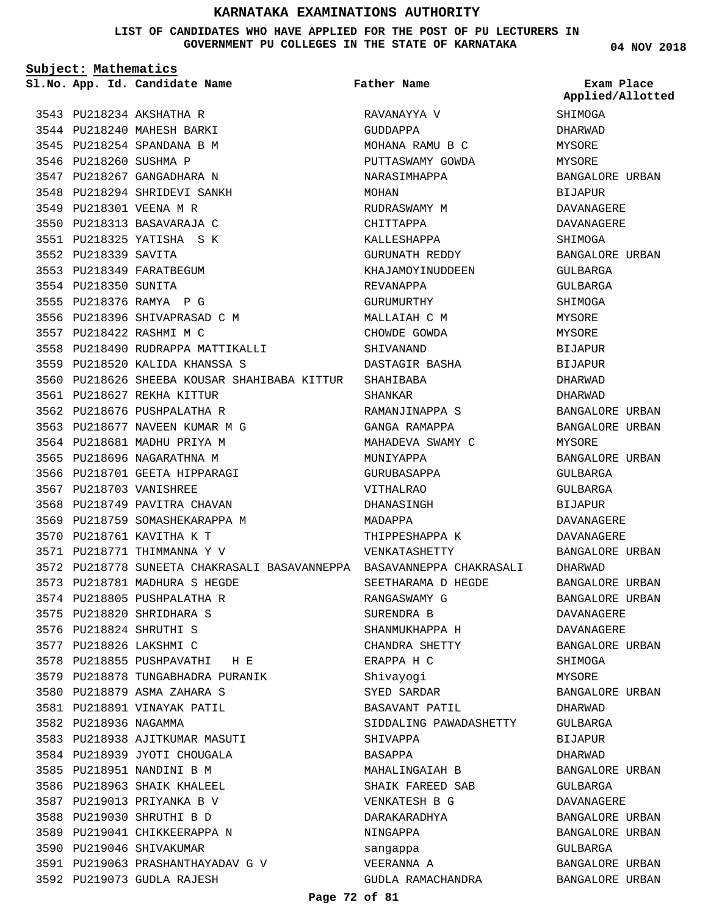**LIST OF CANDIDATES WHO HAVE APPLIED FOR THE POST OF PU LECTURERS IN GOVERNMENT PU COLLEGES IN THE STATE OF KARNATAKA**

**Subject: Mathematics**

3543 PU218234 AKSHATHA R

**App. Id. Candidate Name Sl.No. Exam Place Father Name**

RAVANAYYA V

**04 NOV 2018 SHIMOGA** DHARWAD **Applied/Allotted**

MYSORE

3544 PU218240 MAHESH BARKI 3545 PU218254 SPANDANA B M 3546 PU218260 SUSHMA P 3547 PU218267 GANGADHARA N 3548 PU218294 SHRIDEVI SANKH 3549 PU218301 VEENA M R 3550 PU218313 BASAVARAJA C PU218325 YATISHA S K 3551 3552 PU218339 SAVITA 3553 PU218349 FARATBEGUM 3554 PU218350 SUNITA 3555 PU218376 RAMYA P G 3556 PU218396 SHIVAPRASAD C M 3557 PU218422 RASHMI M C 3558 PU218490 RUDRAPPA MATTIKALLI PU218520 KALIDA KHANSSA S 3559 PU218626 SHEEBA KOUSAR SHAHIBABA KITTUR SHAHIBABA 3560 PU218627 REKHA KITTUR 3561 3562 PU218676 PUSHPALATHA R 3563 PU218677 NAVEEN KUMAR M G 3564 PU218681 MADHU PRIYA M 3565 PU218696 NAGARATHNA M 3566 PU218701 GEETA HIPPARAGI 3567 PU218703 VANISHREE 3568 PU218749 PAVITRA CHAVAN 3569 PU218759 SOMASHEKARAPPA M 3570 PU218761 KAVITHA K T 3571 PU218771 THIMMANNA Y V 3572 PU218778 SUNEETA CHAKRASALI BASAVANNEPPA BASAVANNEPPA CHAKRASALI 3573 PU218781 MADHURA S HEGDE 3574 PU218805 PUSHPALATHA R 3575 PU218820 SHRIDHARA S 3576 PU218824 SHRUTHI S 3577 PU218826 LAKSHMI C 3578 PU218855 PUSHPAVATHI H E 3579 PU218878 TUNGABHADRA PURANIK PU218879 ASMA ZAHARA S 3580 3581 PU218891 VINAYAK PATIL 3582 PU218936 NAGAMMA 3583 PU218938 AJITKUMAR MASUTI 3584 PU218939 JYOTI CHOUGALA 3585 PU218951 NANDINI B M 3586 PU218963 SHAIK KHALEEL 3587 PU219013 PRIYANKA B V 3588 PU219030 SHRUTHI B D 3589 PU219041 CHIKKEERAPPA N 3590 PU219046 SHIVAKUMAR PU219063 PRASHANTHAYADAV G V 3591 3592 PU219073 GUDLA RAJESH

GUDDAPPA MOHANA RAMU B C PUTTASWAMY GOWDA NARASIMHAPPA MOHAN RUDRASWAMY M CHITTAPPA KALLESHAPPA GURUNATH REDDY KHAJAMOYINUDDEEN REVANAPPA GURUMURTHY MALLAIAH C M CHOWDE GOWDA SHIVANAND DASTAGIR BASHA SHANKAR RAMANJINAPPA S GANGA RAMAPPA MAHADEVA SWAMY C MUNIYAPPA GURUBASAPPA VITHALRAO DHANASINGH MADAPPA THIPPESHAPPA K VENKATASHETTY SEETHARAMA D HEGDE RANGASWAMY G SURENDRA B SHANMUKHAPPA H CHANDRA SHETTY ERAPPA H C Shivayogi SYED SARDAR BASAVANT PATIL SIDDALING PAWADASHETTY SHIVAPPA BASAPPA MAHALINGAIAH B SHAIK FAREED SAB VENKATESH B G DARAKARADHYA NINGAPPA sangappa VEERANNA A GUDLA RAMACHANDRA

MYSORE BANGALORE URBAN BIJAPUR DAVANAGERE DAVANAGERE SHIMOGA BANGALORE URBAN GULBARGA GULBARGA SHIMOGA MYSORE MYSORE BIJAPUR BIJAPUR DHARWAD DHARWAD BANGALORE URBAN BANGALORE URBAN MYSORE BANGALORE URBAN GULBARGA GULBARGA BIJAPUR DAVANAGERE DAVANAGERE BANGALORE URBAN DHARWAD BANGALORE URBAN BANGALORE URBAN DAVANAGERE DAVANAGERE BANGALORE URBAN **SHIMOGA** MYSORE BANGALORE URBAN DHARWAD GULBARGA BIJAPUR DHARWAD BANGALORE URBAN GULBARGA DAVANAGERE BANGALORE URBAN BANGALORE URBAN GULBARGA BANGALORE URBAN BANGALORE URBAN

#### **Page 72 of 81**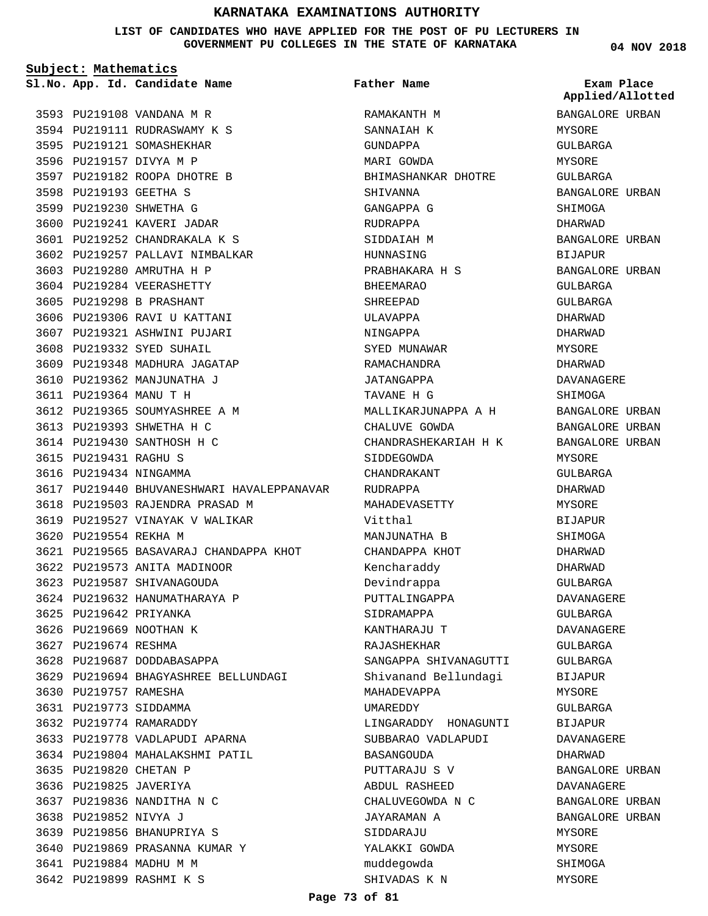**LIST OF CANDIDATES WHO HAVE APPLIED FOR THE POST OF PU LECTURERS IN GOVERNMENT PU COLLEGES IN THE STATE OF KARNATAKA**

**Subject: Mathematics**

3593 PU219108 VANDANA M R

3594 PU219111 RUDRASWAMY K S 3595 PU219121 SOMASHEKHAR 3596 PU219157 DIVYA M P

3597 PU219182 ROOPA DHOTRE B

3598 PU219193 GEETHA S 3599 PU219230 SHWETHA G 3600 PU219241 KAVERI JADAR PU219252 CHANDRAKALA K S 3601 3602 PU219257 PALLAVI NIMBALKAR

3603 PU219280 AMRUTHA H P 3604 PU219284 VEERASHETTY 3605 PU219298 B PRASHANT 3606 PU219306 RAVI U KATTANI 3607 PU219321 ASHWINI PUJARI 3608 PU219332 SYED SUHAIL 3609 PU219348 MADHURA JAGATAP 3610 PU219362 MANJUNATHA J PU219364 MANU T H 3611

3612 PU219365 SOUMYASHREE A M 3613 PU219393 SHWETHA H C 3614 PU219430 SANTHOSH H C

3618 PU219503 RAJENDRA PRASAD M 3619 PU219527 VINAYAK V WALIKAR

3622 PU219573 ANITA MADINOOR 3623 PU219587 SHIVANAGOUDA 3624 PU219632 HANUMATHARAYA P

3617 PU219440 BHUVANESHWARI HAVALEPPANAVAR

PU219565 BASAVARAJ CHANDAPPA KHOT 3621

PU219694 BHAGYASHREE BELLUNDAGI 3629

3615 PU219431 RAGHU S 3616 PU219434 NINGAMMA

3620 PU219554 REKHA M

3625 PU219642 PRIYANKA 3626 PU219669 NOOTHAN K 3627 PU219674 RESHMA

3630 PU219757 RAMESHA PU219773 SIDDAMMA 3631 3632 PU219774 RAMARADDY

3635 PU219820 CHETAN P 3636 PU219825 JAVERIYA 3637 PU219836 NANDITHA N C

3638 PU219852 NIVYA J

3641 PU219884 MADHU M M 3642 PU219899 RASHMI K S

3639 PU219856 BHANUPRIYA S 3640 PU219869 PRASANNA KUMAR Y

3628 PU219687 DODDABASAPPA

3633 PU219778 VADLAPUDI APARNA 3634 PU219804 MAHALAKSHMI PATIL

**App. Id. Candidate Name Sl.No. Exam Place** RAMAKANTH M SANNATAH K GUNDAPPA MARI GOWDA BHIMASHANKAR DHOTRE SHIVANNA GANGAPPA G RUDRAPPA SIDDAIAH M HUNNASING PRABHAKARA H S BHEEMARAO SHREEPAD ULAVAPPA NINGAPPA SYED MUNAWAR RAMACHANDRA JATANGAPPA TAVANE H G MALLIKARJUNAPPA A H CHALUVE GOWDA CHANDRASHEKARIAH H K SIDDEGOWDA CHANDRAKANT RUDRAPPA MAHADEVASETTY Vitthal MANJUNATHA B CHANDAPPA KHOT Kencharaddy Devindrappa PUTTALINGAPPA SIDRAMAPPA KANTHARAJU T RAJASHEKHAR SANGAPPA SHIVANAGUTTI Shivanand Bellundagi MAHADEVAPPA UMAREDDY LINGARADDY HONAGUNTI SUBBARAO VADLAPUDI BASANGOUDA PUTTARAJU S V ABDUL RASHEED CHALUVEGOWDA N C JAYARAMAN A SIDDARAJU YALAKKI GOWDA muddegowda **Father Name**

**04 NOV 2018**

BANGALORE URBAN MYSORE GULBARGA MYSORE GULBARGA BANGALORE URBAN SHIMOGA DHARWAD BANGALORE URBAN BIJAPUR BANGALORE URBAN GULBARGA GULBARGA DHARWAD DHARWAD MYSORE DHARWAD DAVANAGERE SHIMOGA BANGALORE URBAN BANGALORE URBAN BANGALORE URBAN MYSORE GULBARGA DHARWAD MYSORE BIJAPUR SHIMOGA DHARWAD DHARWAD GULBARGA DAVANAGERE GULBARGA DAVANAGERE GULBARGA GULBARGA BIJAPUR MYSORE GULBARGA BIJAPUR DAVANAGERE DHARWAD BANGALORE URBAN DAVANAGERE BANGALORE URBAN BANGALORE URBAN MYSORE MYSORE SHIMOGA MYSORE **Applied/Allotted**

SHIVADAS K N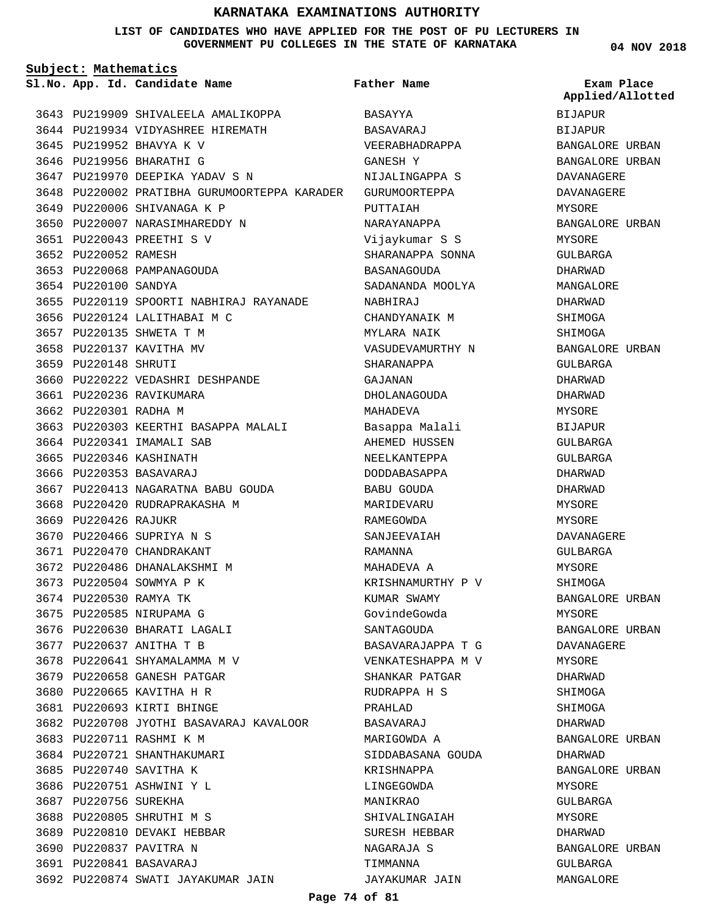**LIST OF CANDIDATES WHO HAVE APPLIED FOR THE POST OF PU LECTURERS IN GOVERNMENT PU COLLEGES IN THE STATE OF KARNATAKA**

**Subject: Mathematics**

**App. Id. Candidate Name Sl.No. Exam Place**

**Father Name**

3643 PU219909 SHIVALEELA AMALIKOPPA 3644 PU219934 VIDYASHREE HIREMATH 3645 PU219952 BHAVYA K V 3646 PU219956 BHARATHI G 3647 PU219970 DEEPIKA YADAV S N PU220002 PRATIBHA GURUMOORTEPPA KARADER GURUMOORTEPPA 3648 3649 PU220006 SHIVANAGA K P 3650 PU220007 NARASIMHAREDDY N PU220043 PREETHI S V 3651 3652 PU220052 RAMESH 3653 PU220068 PAMPANAGOUDA 3654 PU220100 SANDYA 3655 PU220119 SPOORTI NABHIRAJ RAYANADE 3656 PU220124 LALITHABAI M C 3657 PU220135 SHWETA T M 3658 PU220137 KAVITHA MV 3659 PU220148 SHRUTI 3660 PU220222 VEDASHRI DESHPANDE 3661 PU220236 RAVIKUMARA 3662 PU220301 RADHA M 3663 PU220303 KEERTHI BASAPPA MALALI 3664 PU220341 IMAMALI SAB 3665 PU220346 KASHINATH 3666 PU220353 BASAVARAJ 3667 PU220413 NAGARATNA BABU GOUDA 3668 PU220420 RUDRAPRAKASHA M 3669 PU220426 RAJUKR 3670 PU220466 SUPRIYA N S 3671 PU220470 CHANDRAKANT 3672 PU220486 DHANALAKSHMI M 3673 PU220504 SOWMYA P K 3674 PU220530 RAMYA TK 3675 PU220585 NIRUPAMA G 3676 PU220630 BHARATI LAGALI 3677 PU220637 ANITHA T B 3678 PU220641 SHYAMALAMMA M V 3679 PU220658 GANESH PATGAR 3680 PU220665 KAVITHA H R PU220693 KIRTI BHINGE 3681 3682 PU220708 JYOTHI BASAVARAJ KAVALOOR 3683 PU220711 RASHMI K M 3684 PU220721 SHANTHAKUMARI 3685 PU220740 SAVITHA K 3686 PU220751 ASHWINI Y L 3687 PU220756 SUREKHA 3688 PU220805 SHRUTHI M S 3689 PU220810 DEVAKI HEBBAR 3690 PU220837 PAVITRA N PU220841 BASAVARAJ 3691 3692 PU220874 SWATI JAYAKUMAR JAIN

BASAYYA BASAVARAJ VEERABHADRAPPA GANESH Y NIJALINGAPPA S PUTTAIAH NARAYANAPPA Vijaykumar S S SHARANAPPA SONNA BASANAGOUDA SADANANDA MOOLYA NABHIRAJ CHANDYANAIK M MYLARA NAIK VASUDEVAMURTHY N SHARANAPPA GAJANAN DHOLANAGOUDA MAHADEVA Basappa Malali AHEMED HUSSEN NEELKANTEPPA DODDABASAPPA BABU GOUDA MARIDEVARU RAMEGOWDA SANJEEVAIAH RAMANNA MAHADEVA A KRISHNAMURTHY P V KUMAR SWAMY GovindeGowda **SANTAGOUDA** BASAVARAJAPPA T G VENKATESHAPPA M V SHANKAR PATGAR RUDRAPPA H S PRAHLAD BASAVARAJ MARIGOWDA A SIDDABASANA GOUDA KRISHNAPPA LINGEGOWDA MANIKRAO SHIVALINGAIAH SURESH HEBBAR NAGARAJA S TIMMANNA JAYAKUMAR JAIN

**04 NOV 2018**

BIJAPUR BIJAPUR BANGALORE URBAN BANGALORE URBAN DAVANAGERE DAVANAGERE MYSORE BANGALORE URBAN MYSORE GULBARGA DHARWAD MANGALORE DHARWAD SHIMOGA SHIMOGA BANGALORE URBAN GULBARGA DHARWAD DHARWAD MYSORE BIJAPUR GULBARGA GULBARGA DHARWAD DHARWAD MYSORE **MYSORE** DAVANAGERE GULBARGA MYSORE SHIMOGA BANGALORE URBAN MYSORE BANGALORE URBAN DAVANAGERE MYSORE DHARWAD SHIMOGA SHIMOGA DHARWAD BANGALORE URBAN DHARWAD BANGALORE URBAN MYSORE GULBARGA MYSORE DHARWAD BANGALORE URBAN GULBARGA MANGALORE **Applied/Allotted**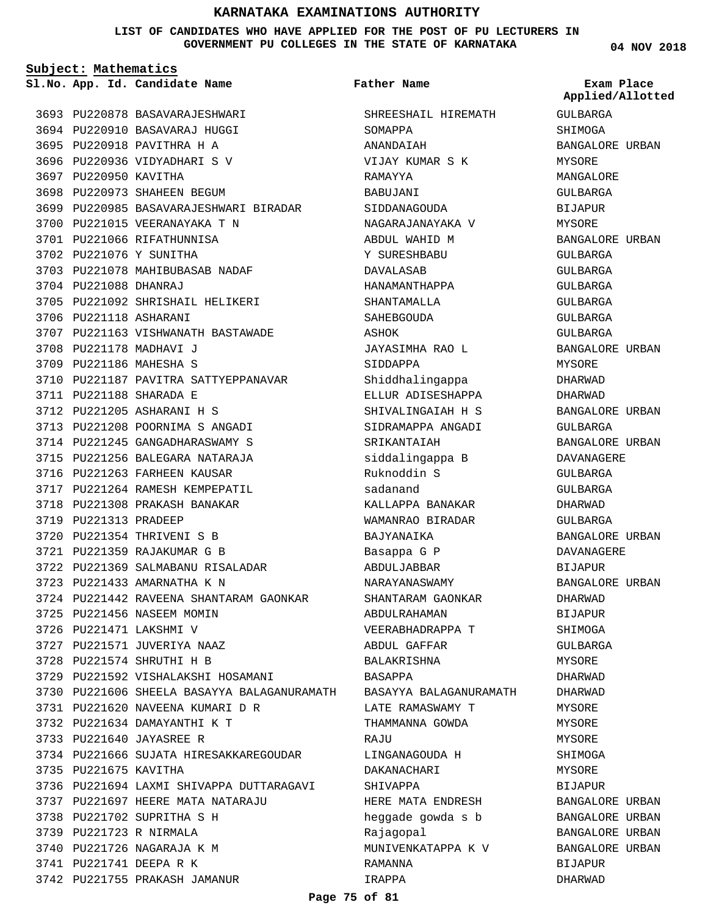**LIST OF CANDIDATES WHO HAVE APPLIED FOR THE POST OF PU LECTURERS IN GOVERNMENT PU COLLEGES IN THE STATE OF KARNATAKA**

**Subject: Mathematics**

**App. Id. Candidate Name Sl.No. Exam Place**

3693 PU220878 BASAVARAJESHWARI 3694 PU220910 BASAVARAJ HUGGI 3695 PU220918 PAVITHRA H A 3696 PU220936 VIDYADHARI S V 3697 PU220950 KAVITHA 3698 PU220973 SHAHEEN BEGUM 3699 PU220985 BASAVARAJESHWARI BIRADAR 3700 PU221015 VEERANAYAKA T N 3701 PU221066 RIFATHUNNISA 3702 PU221076 Y SUNITHA 3703 PU221078 MAHIBUBASAB NADAF 3704 PU221088 DHANRAJ 3705 PU221092 SHRISHAIL HELIKERI 3706 PU221118 ASHARANI 3707 PU221163 VISHWANATH BASTAWADE 3708 PU221178 MADHAVI J 3709 PU221186 MAHESHA S 3710 PU221187 PAVITRA SATTYEPPANAVAR PU221188 SHARADA E 3711 PU221205 ASHARANI H S 3712 3713 PU221208 POORNIMA S ANGADI 3714 PU221245 GANGADHARASWAMY S 3715 PU221256 BALEGARA NATARAJA 3716 PU221263 FARHEEN KAUSAR 3717 PU221264 RAMESH KEMPEPATIL 3718 PU221308 PRAKASH BANAKAR PU221313 PRADEEP 3719 PU221354 THRIVENI S B 3720 PU221359 RAJAKUMAR G B 3721 3722 PU221369 SALMABANU RISALADAR PU221433 AMARNATHA K N 3723 3724 PU221442 RAVEENA SHANTARAM GAONKAR 3725 PU221456 NASEEM MOMIN 3726 PU221471 LAKSHMI V PU221571 JUVERIYA NAAZ 3727 3728 PU221574 SHRUTHI H B 3729 PU221592 VISHALAKSHI HOSAMANI 3730 PU221606 SHEELA BASAYYA BALAGANURAMATH PU221620 NAVEENA KUMARI D R 3731 3732 PU221634 DAMAYANTHI K T 3733 PU221640 JAYASREE R 3734 PU221666 SUJATA HIRESAKKAREGOUDAR 3735 PU221675 KAVITHA 3736 PU221694 LAXMI SHIVAPPA DUTTARAGAVI 3737 PU221697 HEERE MATA NATARAJU 3738 PU221702 SUPRITHA S H 3739 PU221723 R NIRMALA 3740 PU221726 NAGARAJA K M 3741 PU221741 DEEPA R K 3742 PU221755 PRAKASH JAMANUR

SHREESHAIL HIREMATH SOMAPPA ANANDAIAH VIJAY KUMAR S K RAMAYYA BABUJANI SIDDANAGOUDA NAGARAJANAYAKA V ABDUL WAHID M Y SURESHBABU DAVALASAB HANAMANTHAPPA SHANTAMALLA SAHEBGOUDA ASHOK JAYASIMHA RAO L SIDDAPPA Shiddhalingappa ELLUR ADISESHAPPA SHIVALINGAIAH H S SIDRAMAPPA ANGADI SRIKANTAIAH siddalingappa B Ruknoddin S sadanand KALLAPPA BANAKAR WAMANRAO BIRADAR BAJYANAIKA Basappa G P ABDULJABBAR NARAYANASWAMY SHANTARAM GAONKAR ABDULRAHAMAN VEERABHADRAPPA T ABDUL GAFFAR BALAKRISHNA BASAPPA BASAYYA BALAGANURAMATH LATE RAMASWAMY T THAMMANNA GOWDA **RAJU** LINGANAGOUDA H DAKANACHARI SHIVAPPA HERE MATA ENDRESH heggade gowda s b Rajagopal MUNIVENKATAPPA K V RAMANNA IRAPPA **Father Name**

**04 NOV 2018**

GULBARGA **SHIMOGA** BANGALORE URBAN MYSORE MANGALORE GULBARGA BIJAPUR MYSORE BANGALORE URBAN GULBARGA GULBARGA GULBARGA GULBARGA GULBARGA GULBARGA BANGALORE URBAN MYSORE DHARWAD DHARWAD BANGALORE URBAN GULBARGA BANGALORE URBAN DAVANAGERE GULBARGA GULBARGA DHARWAD GULBARGA BANGALORE URBAN DAVANAGERE BIJAPUR BANGALORE URBAN DHARWAD BIJAPUR SHIMOGA GULBARGA MYSORE DHARWAD DHARWAD MYSORE MYSORE MYSORE SHIMOGA MYSORE **BIJAPUR** BANGALORE URBAN BANGALORE URBAN BANGALORE URBAN BANGALORE URBAN BIJAPUR DHARWAD **Applied/Allotted**

#### **Page 75 of 81**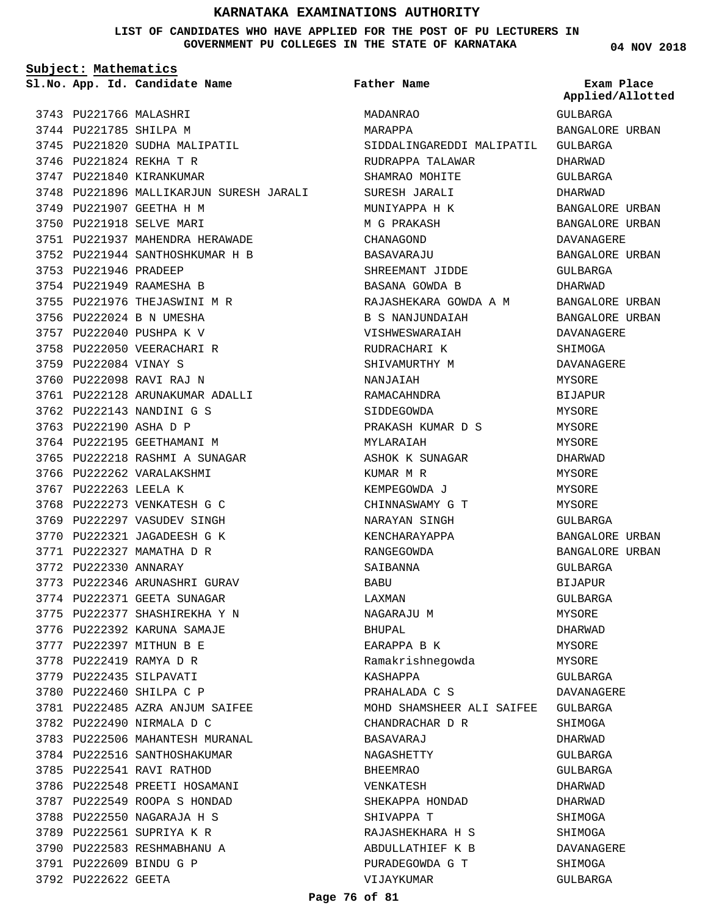**LIST OF CANDIDATES WHO HAVE APPLIED FOR THE POST OF PU LECTURERS IN GOVERNMENT PU COLLEGES IN THE STATE OF KARNATAKA**

**Subject: Mathematics**

**App. Id. Candidate Name Sl.No. Exam Place**

3745 PU221820 SUDHA MALIPATIL

PU221937 MAHENDRA HERAWADE 3751 PU221944 SANTHOSHKUMAR H B 3752

3761 PU222128 ARUNAKUMAR ADALLI

3748 PU221896 MALLIKARJUN SURESH JARALI

3743 PU221766 MALASHRI 3744 PU221785 SHILPA M

3746 PU221824 REKHA T R 3747 PU221840 KIRANKUMAR

3749 PU221907 GEETHA H M 3750 PU221918 SELVE MARI

3753 PU221946 PRADEEP 3754 PU221949 RAAMESHA B 3755 PU221976 THEJASWINI M R 3756 PU222024 B N UMESHA 3757 PU222040 PUSHPA K V 3758 PU222050 VEERACHARI R

3759 PU222084 VINAY S 3760 PU222098 RAVI RAJ N

3762 PU222143 NANDINI G S 3763 PU222190 ASHA D P 3764 PU222195 GEETHAMANI M 3765 PU222218 RASHMI A SUNAGAR

3766 PU222262 VARALAKSHMI 3767 PU222263 LEELA K

3768 PU222273 VENKATESH G C 3769 PU222297 VASUDEV SINGH 3770 PU222321 JAGADEESH G K 3771 PU222327 MAMATHA D R 3772 PU222330 ANNARAY

3773 PU222346 ARUNASHRI GURAV 3774 PU222371 GEETA SUNAGAR 3775 PU222377 SHASHIREKHA Y N 3776 PU222392 KARUNA SAMAJE 3777 PU222397 MITHUN B E 3778 PU222419 RAMYA D R 3779 PU222435 SILPAVATI 3780 PU222460 SHILPA C P

PU222485 AZRA ANJUM SAIFEE 3781

3783 PU222506 MAHANTESH MURANAL 3784 PU222516 SANTHOSHAKUMAR 3785 PU222541 RAVI RATHOD 3786 PU222548 PREETI HOSAMANI 3787 PU222549 ROOPA S HONDAD 3788 PU222550 NAGARAJA H S 3789 PU222561 SUPRIYA K R 3790 PU222583 RESHMABHANU A PU222609 BINDU G P 3791 3792 PU222622 GEETA

3782 PU222490 NIRMALA D C

**Father Name**

MADANRAO MARAPPA SIDDALINGAREDDI MALIPATIL GULBARGA RUDRAPPA TALAWAR SHAMRAO MOHITE SURESH JARALI MUNIYAPPA H K M G PRAKASH CHANAGOND BASAVARAJU SHREEMANT JIDDE BASANA GOWDA B RAJASHEKARA GOWDA A M B S NANJUNDAIAH VISHWESWARAIAH RUDRACHARI K SHIVAMURTHY M NANJAIAH RAMACAHNDRA SIDDEGOWDA PRAKASH KUMAR D S MYLARAIAH ASHOK K SUNAGAR KUMAR M R KEMPEGOWDA J CHINNASWAMY G T NARAYAN SINGH KENCHARAYAPPA RANGEGOWDA SAIBANNA BABU LAXMAN NAGARAJU M BHUPAL EARAPPA B K Ramakrishnegowda KASHAPPA PRAHALADA C S MOHD SHAMSHEER ALI SAIFEE GULBARGA CHANDRACHAR D R BASAVARAJ NAGASHETTY BHEEMRAO VENKATESH SHEKAPPA HONDAD SHIVAPPA T RAJASHEKHARA H S ABDULLATHIEF K B PURADEGOWDA G T VIJAYKUMAR GULBARGA **Applied/Allotted**

**04 NOV 2018**

# BANGALORE URBAN DHARWAD GULBARGA DHARWAD BANGALORE URBAN BANGALORE URBAN DAVANAGERE BANGALORE URBAN GULBARGA DHARWAD BANGALORE URBAN BANGALORE URBAN DAVANAGERE SHIMOGA DAVANAGERE MYSORE BIJAPUR **MYSORE** MYSORE MYSORE DHARWAD **MYSORE** MYSORE MYSORE GULBARGA BANGALORE URBAN BANGALORE URBAN GULBARGA BIJAPUR GULBARGA MYSORE DHARWAD MYSORE MYSORE GULBARGA DAVANAGERE SHIMOGA DHARWAD GULBARGA GULBARGA DHARWAD DHARWAD SHIMOGA SHIMOGA DAVANAGERE SHIMOGA GULBARGA

#### **Page 76 of 81**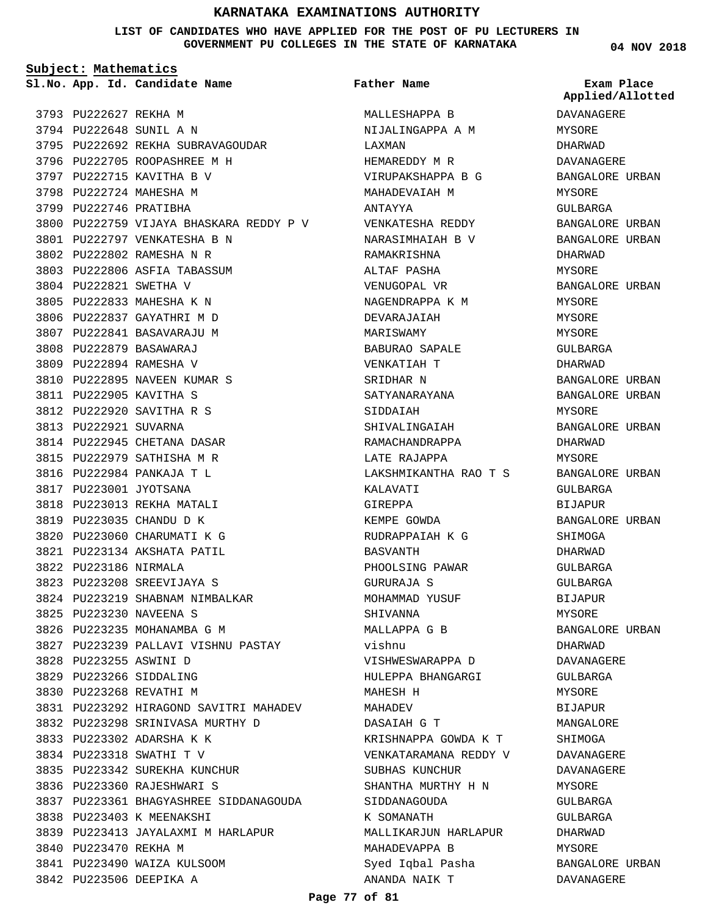**LIST OF CANDIDATES WHO HAVE APPLIED FOR THE POST OF PU LECTURERS IN GOVERNMENT PU COLLEGES IN THE STATE OF KARNATAKA**

**Subject: Mathematics**

**App. Id. Candidate Name Sl.No. Exam Place**

3793 PU222627 REKHA M 3794 PU222648 SUNIL A N 3795 PU222692 REKHA SUBRAVAGOUDAR 3796 PU222705 ROOPASHREE M H 3797 PU222715 KAVITHA B V 3798 PU222724 MAHESHA M 3799 PU222746 PRATIBHA 3800 PU222759 VIJAYA BHASKARA REDDY P V 3801 PU222797 VENKATESHA B N PU222802 RAMESHA N R 3802 3803 PU222806 ASFIA TABASSUM 3804 PU222821 SWETHA V 3805 PU222833 MAHESHA K N 3806 PU222837 GAYATHRI M D 3807 PU222841 BASAVARAJU M PU222879 BASAWARAJ 3808 3809 PU222894 RAMESHA V 3810 PU222895 NAVEEN KUMAR S PU222905 KAVITHA S 3811 PU222920 SAVITHA R S 3812 3813 PU222921 SUVARNA 3814 PU222945 CHETANA DASAR 3815 PU222979 SATHISHA M R 3816 PU222984 PANKAJA T L 3817 PU223001 JYOTSANA 3818 PU223013 REKHA MATALI 3819 PU223035 CHANDU D K 3820 PU223060 CHARUMATI K G PU223134 AKSHATA PATIL 3821 3822 PU223186 NIRMALA PU223208 SREEVIJAYA S 3823 3824 PU223219 SHABNAM NIMBALKAR PU223230 NAVEENA S 3825 3826 PU223235 MOHANAMBA G M 3827 PU223239 PALLAVI VISHNU PASTAY PU223255 ASWINI D 3828 3829 PU223266 SIDDALING 3830 PU223268 REVATHI M PU223292 HIRAGOND SAVITRI MAHADEV 3831 PU223298 SRINIVASA MURTHY D 3832 3833 PU223302 ADARSHA K K PU223318 SWATHI T V 3834 3835 PU223342 SUREKHA KUNCHUR 3836 PU223360 RAJESHWARI S PU223361 BHAGYASHREE SIDDANAGOUDA 3837 3838 PU223403 K MEENAKSHI 3839 PU223413 JAYALAXMI M HARLAPUR 3840 PU223470 REKHA M 3841 PU223490 WAIZA KULSOOM 3842 PU223506 DEEPIKA A

**Father Name**

MALLESHAPPA B NIJALINGAPPA A M LAXMAN HEMAREDDY M R VIRUPAKSHAPPA B G MAHADEVAIAH M ANTAYYA VENKATESHA REDDY NARASIMHAIAH B V RAMAKRISHNA ALTAF PASHA VENUGOPAL VR NAGENDRAPPA K M DEVARAJAIAH MARISWAMY BABURAO SAPALE VENKATIAH T SRIDHAR N SATYANARAYANA SIDDAIAH SHIVALINGAIAH RAMACHANDRAPPA LATE RAJAPPA LAKSHMIKANTHA RAO T S KALAVATI GIREPPA KEMPE GOWDA RUDRAPPAIAH K G BASVANTH PHOOLSING PAWAR GURURAJA S MOHAMMAD YUSUF SHIVANNA MALLAPPA G B vishnu VISHWESWARAPPA D HULEPPA BHANGARGI MAHESH H MAHADEV DASAIAH G T KRISHNAPPA GOWDA K T VENKATARAMANA REDDY V SUBHAS KUNCHUR SHANTHA MURTHY H N SIDDANAGOUDA K SOMANATH MALLIKARJUN HARLAPUR MAHADEVAPPA B Syed Iqbal Pasha ANANDA NAIK T

**04 NOV 2018**

DAVANAGERE MYSORE DHARWAD DAVANAGERE BANGALORE URBAN MYSORE GULBARGA BANGALORE URBAN BANGALORE URBAN DHARWAD MYSORE BANGALORE URBAN MYSORE MYSORE MYSORE GULBARGA DHARWAD BANGALORE URBAN BANGALORE URBAN MYSORE BANGALORE URBAN DHARWAD MYSORE BANGALORE URBAN GULBARGA BIJAPUR BANGALORE URBAN SHIMOGA DHARWAD GULBARGA GULBARGA BIJAPUR MYSORE BANGALORE URBAN DHARWAD DAVANAGERE GULBARGA MYSORE BIJAPUR MANGALORE SHIMOGA DAVANAGERE DAVANAGERE **MYSORE** GULBARGA GULBARGA DHARWAD MYSORE BANGALORE URBAN DAVANAGERE **Applied/Allotted**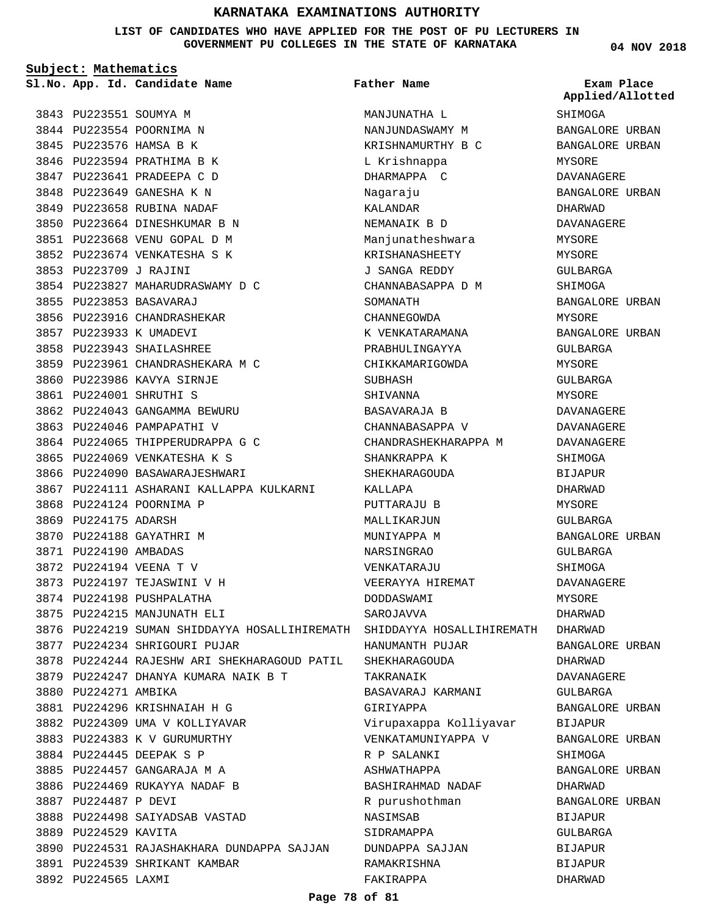**LIST OF CANDIDATES WHO HAVE APPLIED FOR THE POST OF PU LECTURERS IN GOVERNMENT PU COLLEGES IN THE STATE OF KARNATAKA**

**Subject: Mathematics** 3843 PU223551 SOUMYA M 3844 PU223554 POORNIMA N 3845 PU223576 HAMSA B K 3846 PU223594 PRATHIMA B K PU223641 PRADEEPA C D 3847 3848 PU223649 GANESHA K N 3849 PU223658 RUBINA NADAF 3850 PU223664 DINESHKUMAR B N PU223668 VENU GOPAL D M 3851 3852 PU223674 VENKATESHA S K PU223709 J RAJINI 3853 PU223827 MAHARUDRASWAMY D C 3854 PU223853 BASAVARAJ 3855 3856 PU223916 CHANDRASHEKAR 3857 PU223933 K UMADEVI 3858 PU223943 SHAILASHREE PU223961 CHANDRASHEKARA M C 3859 3860 PU223986 KAVYA SIRNJE PU224001 SHRUTHI S 3861 3862 PU224043 GANGAMMA BEWURU 3863 PU224046 PAMPAPATHI V 3864 PU224065 THIPPERUDRAPPA G C 3865 PU224069 VENKATESHA K S 3866 PU224090 BASAWARAJESHWARI 3867 PU224111 ASHARANI KALLAPPA KULKARNI 3868 PU224124 POORNIMA P 3869 PU224175 ADARSH **App. Id. Candidate Name Sl.No. Exam Place**

3870 PU224188 GAYATHRI M PU224190 AMBADAS 3871 PU224194 VEENA T V 3872 3873 PU224197 TEJASWINI V H 3874 PU224198 PUSHPALATHA 3875 PU224215 MANJUNATH ELI

3877 PU224234 SHRIGOURI PUJAR

PU224296 KRISHNAIAH H G 3881 3882 PU224309 UMA V KOLLIYAVAR 3883 PU224383 K V GURUMURTHY PU224445 DEEPAK S P 3884 PU224457 GANGARAJA M A 3885 3886 PU224469 RUKAYYA NADAF B

3888 PU224498 SAIYADSAB VASTAD

3891 PU224539 SHRIKANT KAMBAR

3880 PU224271 AMBIKA

3887 PU224487 P DEVI

3889 PU224529 KAVITA

3892 PU224565 LAXMI

PU224247 DHANYA KUMARA NAIK B T 3879

PU224244 RAJESHW ARI SHEKHARAGOUD PATIL 3878

3890 PU224531 RAJASHAKHARA DUNDAPPA SAJJAN

3876 PU224219 SUMAN SHIDDAYYA HOSALLIHIREMATH SHIDDAYYA HOSALLIHIREMATH DHARWAD MANJUNATHA L NANJUNDASWAMY M KRISHNAMURTHY B C L Krishnappa DHARMAPPA C Nagaraju KALANDAR NEMANAIK B D Manjunatheshwara KRISHANASHEETY J SANGA REDDY CHANNABASAPPA D M SOMANATH CHANNEGOWDA K VENKATARAMANA PRABHULINGAYYA CHIKKAMARIGOWDA **SUBHASH** SHIVANNA BASAVARAJA B CHANNABASAPPA V CHANDRASHEKHARAPPA M SHANKRAPPA K SHEKHARAGOUDA KALLAPA PUTTARAJU B MALLIKARJUN MUNIYAPPA M NARSINGRAO VENKATARAJU VEERAYYA HIREMAT DODDASWAMI **SAROJAVVA** HANUMANTH PUJAR SHEKHARAGOUDA TAKRANAIK BASAVARAJ KARMANI GIRIYAPPA Virupaxappa Kolliyavar VENKATAMUNIYAPPA V R P SALANKI ASHWATHAPPA BASHIRAHMAD NADAF R purushothman NASIMSAB SIDRAMAPPA DUNDAPPA SAJJAN RAMAKRISHNA FAKIRAPPA **Father Name**

**04 NOV 2018**

SHIMOGA

BANGALORE URBAN

**Applied/Allotted**

# BANGALORE URBAN MYSORE DAVANAGERE BANGALORE URBAN DHARWAD DAVANAGERE MYSORE MYSORE GULBARGA SHIMOGA BANGALORE URBAN MYSORE BANGALORE URBAN GULBARGA MYSORE GULBARGA MYSORE DAVANAGERE DAVANAGERE DAVANAGERE SHIMOGA BIJAPUR DHARWAD MYSORE GULBARGA BANGALORE URBAN GULBARGA SHIMOGA DAVANAGERE MYSORE DHARWAD BANGALORE URBAN DHARWAD DAVANAGERE GULBARGA BANGALORE URBAN BIJAPUR BANGALORE URBAN SHIMOGA BANGALORE URBAN DHARWAD BANGALORE URBAN BIJAPUR GULBARGA BIJAPUR BIJAPUR DHARWAD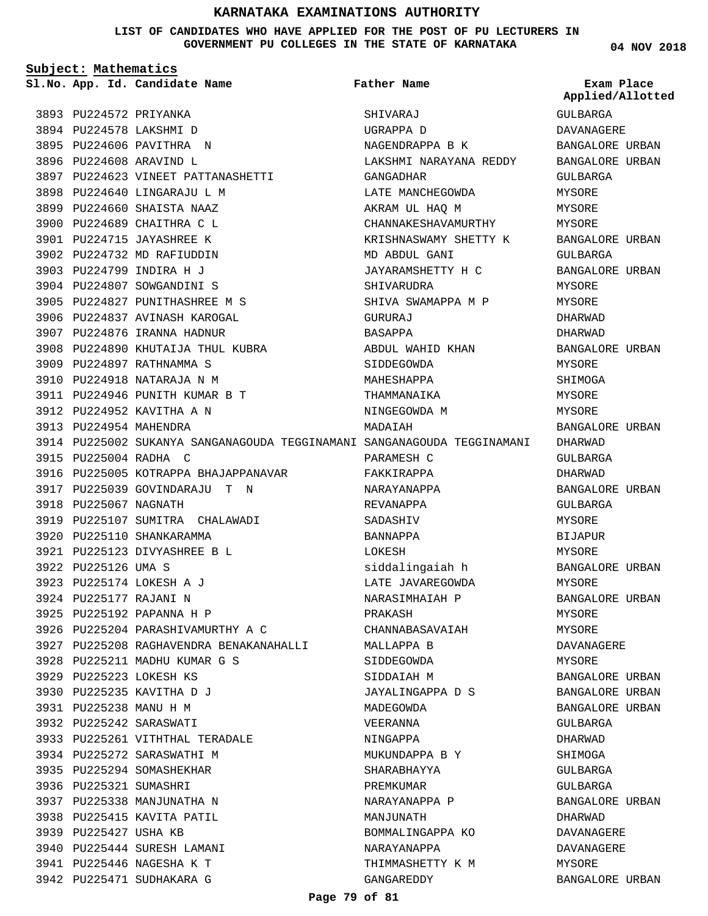**LIST OF CANDIDATES WHO HAVE APPLIED FOR THE POST OF PU LECTURERS IN GOVERNMENT PU COLLEGES IN THE STATE OF KARNATAKA**

**Subject: Mathematics**

**App. Id. Candidate Name Sl.No. Exam Place**

**Father Name**

**04 NOV 2018**

|                        |                                                                         |                        | Applied/Allotted |
|------------------------|-------------------------------------------------------------------------|------------------------|------------------|
| 3893 PU224572 PRIYANKA |                                                                         | SHIVARAJ               | GULBARGA         |
|                        | 3894 PU224578 LAKSHMI D                                                 | UGRAPPA D              | DAVANAGERE       |
|                        | 3895 PU224606 PAVITHRA N                                                | NAGENDRAPPA B K        | BANGALORE URBAN  |
|                        | 3896 PU224608 ARAVIND L                                                 | LAKSHMI NARAYANA REDDY | BANGALORE URBAN  |
|                        | 3897 PU224623 VINEET PATTANASHETTI                                      | GANGADHAR              | GULBARGA         |
|                        | 3898 PU224640 LINGARAJU L M                                             | LATE MANCHEGOWDA       | MYSORE           |
|                        | 3899 PU224660 SHAISTA NAAZ                                              | AKRAM UL HAO M         | MYSORE           |
|                        | 3900 PU224689 CHAITHRA C L                                              | CHANNAKESHAVAMURTHY    | MYSORE           |
|                        | 3901 PU224715 JAYASHREE K                                               | KRISHNASWAMY SHETTY K  | BANGALORE URBAN  |
|                        | 3902 PU224732 MD RAFIUDDIN                                              | MD ABDUL GANI          | GULBARGA         |
|                        | 3903 PU224799 INDIRA H J                                                | JAYARAMSHETTY H C      | BANGALORE URBAN  |
|                        | 3904 PU224807 SOWGANDINI S                                              | SHIVARUDRA             | MYSORE           |
|                        | 3905 PU224827 PUNITHASHREE M S                                          | SHIVA SWAMAPPA M P     | MYSORE           |
|                        | 3906 PU224837 AVINASH KAROGAL                                           | GURURAJ                | DHARWAD          |
|                        | 3907 PU224876 IRANNA HADNUR                                             | BASAPPA                | DHARWAD          |
|                        | 3908 PU224890 KHUTALJA THUL KUBRA                                       | ABDUL WAHID KHAN       | BANGALORE URBAN  |
|                        | 3909 PU224897 RATHNAMMA S                                               | SIDDEGOWDA             | MYSORE           |
|                        | 3910 PU224918 NATARAJA N M                                              | MAHESHAPPA             | SHIMOGA          |
|                        | 3911 PU224946 PUNITH KUMAR B T                                          | THAMMANAIKA            | MYSORE           |
|                        | 3912 PU224952 KAVITHA A N                                               | NINGEGOWDA M           | MYSORE           |
| 3913 PU224954 MAHENDRA |                                                                         | MADAIAH                | BANGALORE URBAN  |
|                        | 3914 PU225002 SUKANYA SANGANAGOUDA TEGGINAMANI SANGANAGOUDA TEGGINAMANI |                        | DHARWAD          |
| 3915 PU225004 RADHA C  |                                                                         | PARAMESH C             | GULBARGA         |
|                        | 3916 PU225005 KOTRAPPA BHAJAPPANAVAR                                    | FAKKIRAPPA             | DHARWAD          |
|                        | 3917 PU225039 GOVINDARAJU T N                                           | NARAYANAPPA            | BANGALORE URBAN  |
| 3918 PU225067 NAGNATH  |                                                                         | REVANAPPA              | GULBARGA         |
|                        | 3919 PU225107 SUMITRA CHALAWADI                                         | SADASHIV               | MYSORE           |
|                        | 3920 PU225110 SHANKARAMMA                                               | <b>BANNAPPA</b>        | <b>BIJAPUR</b>   |
|                        | 3921 PU225123 DIVYASHREE B L                                            | LOKESH                 | MYSORE           |
| 3922 PU225126 UMA S    |                                                                         | siddalingaiah h        | BANGALORE URBAN  |
|                        | 3923 PU225174 LOKESH A J                                                | LATE JAVAREGOWDA       | MYSORE           |
| 3924 PU225177 RAJANI N |                                                                         | NARASIMHAIAH P         | BANGALORE URBAN  |
|                        | 3925 PU225192 PAPANNA H P                                               | PRAKASH                | MYSORE           |
|                        | 3926 PU225204 PARASHIVAMURTHY A C                                       | CHANNABASAVAIAH        | MYSORE           |
|                        | 3927 PU225208 RAGHAVENDRA BENAKANAHALLI                                 | MALLAPPA B             | DAVANAGERE       |
|                        | 3928 PU225211 MADHU KUMAR G S                                           | SIDDEGOWDA             | MYSORE           |
|                        | 3929 PU225223 LOKESH KS                                                 | SIDDAIAH M             | BANGALORE URBAN  |
|                        | 3930 PU225235 KAVITHA D J                                               | JAYALINGAPPA D S       | BANGALORE URBAN  |
| 3931 PU225238 MANU H M |                                                                         | MADEGOWDA              | BANGALORE URBAN  |
|                        | 3932 PU225242 SARASWATI                                                 | VEERANNA               | GULBARGA         |
|                        | 3933 PU225261 VITHTHAL TERADALE                                         | NINGAPPA               | DHARWAD          |
|                        | 3934 PU225272 SARASWATHI M                                              | MUKUNDAPPA B Y         | SHIMOGA          |
|                        | 3935 PU225294 SOMASHEKHAR                                               | SHARABHAYYA            | GULBARGA         |
| 3936 PU225321 SUMASHRI |                                                                         | PREMKUMAR              | GULBARGA         |
|                        | 3937 PU225338 MANJUNATHA N                                              | NARAYANAPPA P          | BANGALORE URBAN  |
|                        | 3938 PU225415 KAVITA PATIL                                              | MANJUNATH              | DHARWAD          |
| 3939 PU225427 USHA KB  |                                                                         | BOMMALINGAPPA KO       | DAVANAGERE       |
|                        | 3940 PU225444 SURESH LAMANI                                             | NARAYANAPPA            | DAVANAGERE       |
|                        | 3941 PU225446 NAGESHA K T                                               | THIMMASHETTY K M       | MYSORE           |
|                        | 3942 PU225471 SUDHAKARA G                                               | GANGAREDDY             | BANGALORE URBAN  |
|                        |                                                                         |                        |                  |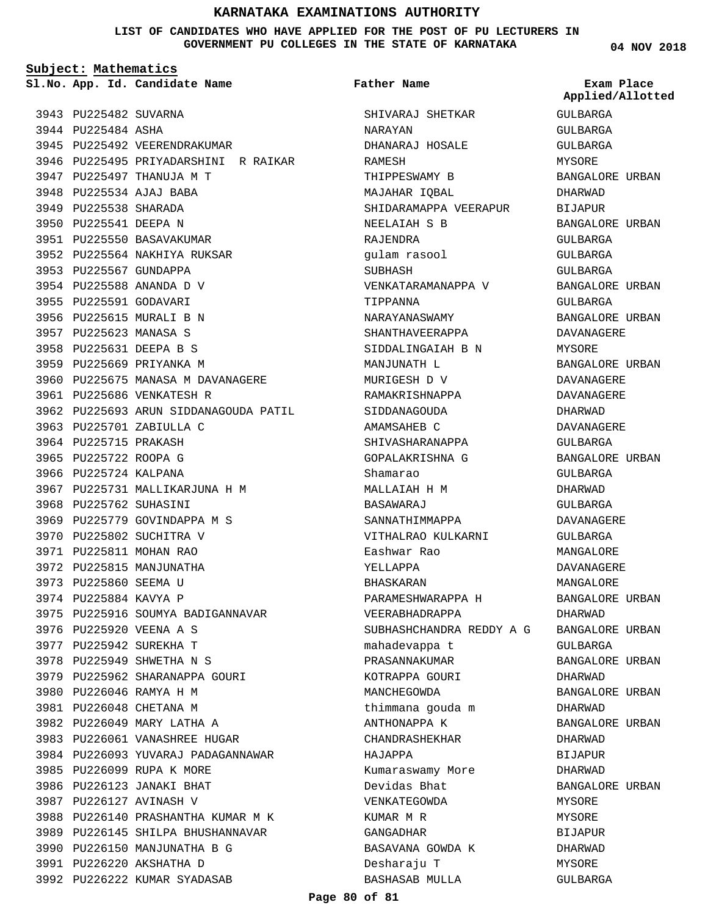**LIST OF CANDIDATES WHO HAVE APPLIED FOR THE POST OF PU LECTURERS IN GOVERNMENT PU COLLEGES IN THE STATE OF KARNATAKA**

**Subject: Mathematics**

**App. Id. Candidate Name Sl.No. Exam Place**

3943 PU225482 SUVARNA 3944 PU225484 ASHA 3945 PU225492 VEERENDRAKUMAR 3946 PU225495 PRIYADARSHINI R RAIKAR 3947 PU225497 THANUJA M T 3948 PU225534 AJAJ BABA 3949 PU225538 SHARADA 3950 PU225541 DEEPA N 3951 PU225550 BASAVAKUMAR 3952 PU225564 NAKHIYA RUKSAR 3953 PU225567 GUNDAPPA PU225588 ANANDA D V 3954 3955 PU225591 GODAVARI 3956 PU225615 MURALI B N 3957 PU225623 MANASA S 3958 PU225631 DEEPA B S 3959 PU225669 PRIYANKA M 3960 PU225675 MANASA M DAVANAGERE 3961 PU225686 VENKATESH R 3962 PU225693 ARUN SIDDANAGOUDA PATIL 3963 PU225701 ZABIULLA C 3964 PU225715 PRAKASH 3965 PU225722 ROOPA G 3966 PU225724 KALPANA 3967 PU225731 MALLIKARJUNA H M 3968 PU225762 SUHASINI 3969 PU225779 GOVINDAPPA M S 3970 PU225802 SUCHITRA V 3971 PU225811 MOHAN RAO 3972 PU225815 MANJUNATHA 3973 PU225860 SEEMA U 3974 PU225884 KAVYA P 3975 PU225916 SOUMYA BADIGANNAVAR 3976 PU225920 VEENA A S 3977 PU225942 SUREKHA T 3978 PU225949 SHWETHA N S 3979 PU225962 SHARANAPPA GOURI 3980 PU226046 RAMYA H M 3981 PU226048 CHETANA M 3982 PU226049 MARY LATHA A 3983 PU226061 VANASHREE HUGAR 3984 PU226093 YUVARAJ PADAGANNAWAR 3985 PU226099 RUPA K MORE 3986 PU226123 JANAKI BHAT 3987 PU226127 AVINASH V 3988 PU226140 PRASHANTHA KUMAR M K 3989 PU226145 SHILPA BHUSHANNAVAR 3990 PU226150 MANJUNATHA B G 3991 PU226220 AKSHATHA D 3992 PU226222 KUMAR SYADASAB

SHIVARAJ SHETKAR NARAYAN DHANARAJ HOSALE RAMESH THIPPESWAMY B MAJAHAR IQBAL SHIDARAMAPPA VEERAPUR NEELAIAH S B RAJENDRA gulam rasool SUBHASH VENKATARAMANAPPA V TIPPANNA NARAYANASWAMY SHANTHAVEERAPPA SIDDALINGAIAH B N MANJUNATH L MURIGESH D V RAMAKRISHNAPPA SIDDANAGOUDA AMAMSAHEB C SHIVASHARANAPPA GOPALAKRISHNA G Shamarao MALLAIAH H M BASAWARAJ SANNATHIMMAPPA VITHALRAO KULKARNI Eashwar Rao YELLAPPA BHASKARAN PARAMESHWARAPPA H VEERABHADRAPPA SUBHASHCHANDRA REDDY A G BANGALORE URBAN mahadevappa t PRASANNAKUMAR KOTRAPPA GOURI MANCHEGOWDA thimmana gouda m ANTHONAPPA K CHANDRASHEKHAR HAJAPPA Kumaraswamy More Devidas Bhat VENKATEGOWDA KUMAR M R GANGADHAR BASAVANA GOWDA K Desharaju T BASHASAB MULLA **Father Name**

#### **04 NOV 2018**

GULBARGA GULBARGA GULBARGA MYSORE BANGALORE URBAN DHARWAD BIJAPUR BANGALORE URBAN GULBARGA GULBARGA GULBARGA BANGALORE URBAN GULBARGA BANGALORE URBAN DAVANAGERE MYSORE BANGALORE URBAN DAVANAGERE DAVANAGERE DHARWAD DAVANAGERE GULBARGA BANGALORE URBAN GULBARGA DHARWAD GULBARGA DAVANAGERE GULBARGA MANGALORE DAVANAGERE MANGALORE BANGALORE URBAN DHARWAD GULBARGA BANGALORE URBAN DHARWAD BANGALORE URBAN DHARWAD BANGALORE URBAN DHARWAD BIJAPUR DHARWAD BANGALORE URBAN MYSORE MYSORE BIJAPUR **Applied/Allotted**

DHARWAD MYSORE GULBARGA

#### **Page 80 of 81**